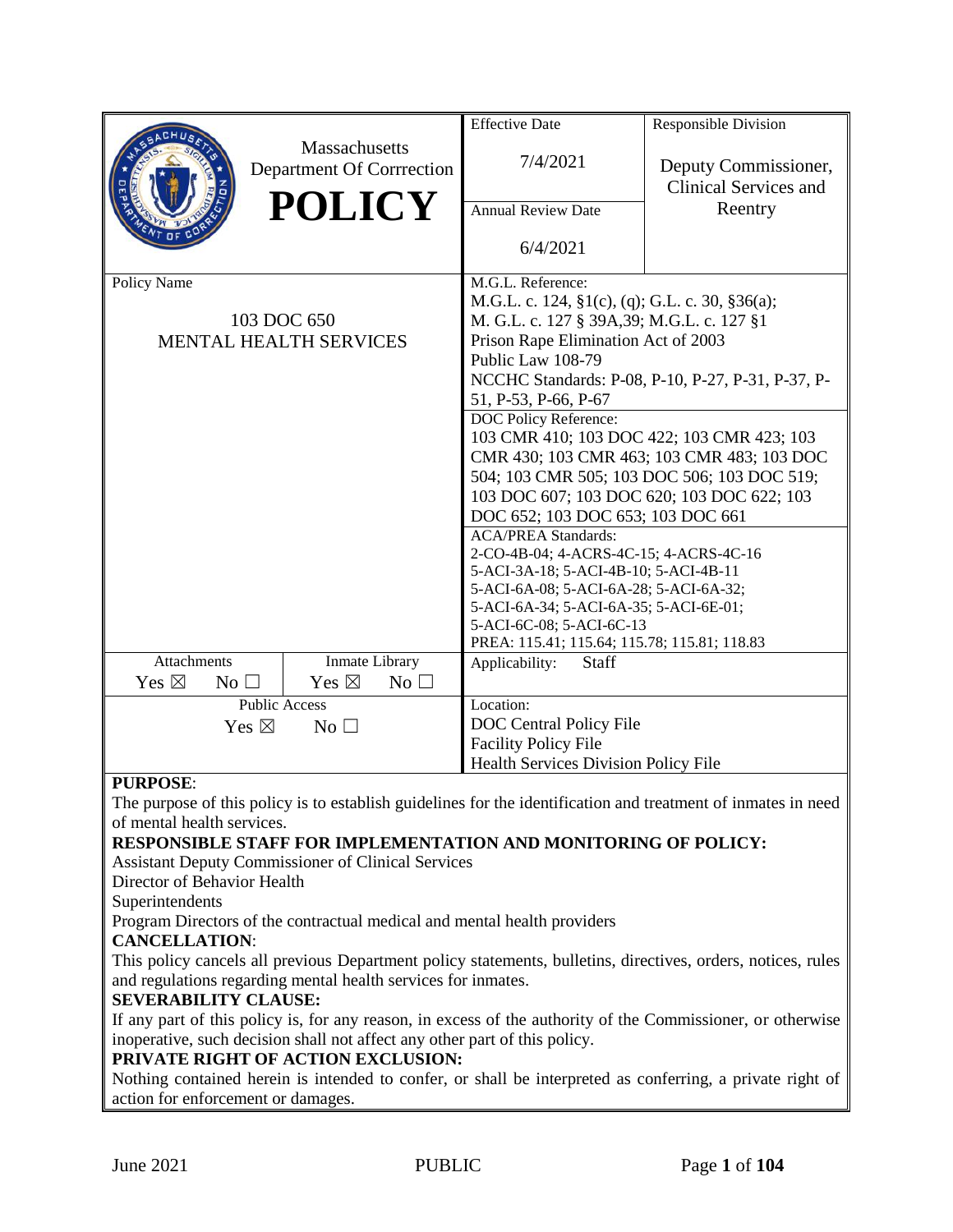|                                    |                                              | <b>Effective Date</b>                                                                         | Responsible Division                                                                                          |  |
|------------------------------------|----------------------------------------------|-----------------------------------------------------------------------------------------------|---------------------------------------------------------------------------------------------------------------|--|
|                                    | Massachusetts<br>Department Of Corrrection   | 7/4/2021                                                                                      | Deputy Commissioner,<br><b>Clinical Services and</b>                                                          |  |
|                                    | <b>POLICY</b>                                | <b>Annual Review Date</b>                                                                     | Reentry                                                                                                       |  |
|                                    |                                              | 6/4/2021                                                                                      |                                                                                                               |  |
| Policy Name                        |                                              | M.G.L. Reference:                                                                             |                                                                                                               |  |
|                                    |                                              | M.G.L. c. 124, §1(c), (q); G.L. c. 30, §36(a);<br>M. G.L. c. 127 § 39A, 39; M.G.L. c. 127 § 1 |                                                                                                               |  |
|                                    | 103 DOC 650<br><b>MENTAL HEALTH SERVICES</b> |                                                                                               | Prison Rape Elimination Act of 2003                                                                           |  |
|                                    |                                              |                                                                                               | Public Law 108-79                                                                                             |  |
|                                    |                                              | NCCHC Standards: P-08, P-10, P-27, P-31, P-37, P-                                             |                                                                                                               |  |
|                                    |                                              | 51, P-53, P-66, P-67                                                                          |                                                                                                               |  |
|                                    |                                              | DOC Policy Reference:                                                                         |                                                                                                               |  |
|                                    |                                              | 103 CMR 410; 103 DOC 422; 103 CMR 423; 103                                                    |                                                                                                               |  |
|                                    |                                              | CMR 430; 103 CMR 463; 103 CMR 483; 103 DOC                                                    |                                                                                                               |  |
|                                    |                                              | 504; 103 CMR 505; 103 DOC 506; 103 DOC 519;                                                   |                                                                                                               |  |
|                                    |                                              | 103 DOC 607; 103 DOC 620; 103 DOC 622; 103                                                    |                                                                                                               |  |
|                                    |                                              | DOC 652; 103 DOC 653; 103 DOC 661<br><b>ACA/PREA Standards:</b>                               |                                                                                                               |  |
|                                    |                                              | 2-CO-4B-04; 4-ACRS-4C-15; 4-ACRS-4C-16                                                        |                                                                                                               |  |
|                                    |                                              | 5-ACI-3A-18; 5-ACI-4B-10; 5-ACI-4B-11                                                         |                                                                                                               |  |
|                                    |                                              | 5-ACI-6A-08; 5-ACI-6A-28; 5-ACI-6A-32;                                                        |                                                                                                               |  |
|                                    |                                              | 5-ACI-6A-34; 5-ACI-6A-35; 5-ACI-6E-01;                                                        |                                                                                                               |  |
|                                    |                                              | 5-ACI-6C-08; 5-ACI-6C-13                                                                      |                                                                                                               |  |
| <b>Attachments</b>                 | Inmate Library                               | PREA: 115.41; 115.64; 115.78; 115.81; 118.83<br>Applicability:<br>Staff                       |                                                                                                               |  |
| Yes $\boxtimes$<br>No $\square$    | Yes $\boxtimes$<br>$No$ $\square$            |                                                                                               |                                                                                                               |  |
|                                    | <b>Public Access</b>                         | Location:                                                                                     |                                                                                                               |  |
| Yes $\boxtimes$<br>No <sub>1</sub> |                                              | DOC Central Policy File                                                                       |                                                                                                               |  |
|                                    |                                              | <b>Facility Policy File</b>                                                                   |                                                                                                               |  |
|                                    |                                              | Health Services Division Policy File                                                          |                                                                                                               |  |
| <b>PURPOSE:</b>                    |                                              |                                                                                               |                                                                                                               |  |
|                                    |                                              |                                                                                               | The purpose of this policy is to establish guidelines for the identification and treatment of inmates in need |  |
| of mental health services.         |                                              |                                                                                               |                                                                                                               |  |

#### **RESPONSIBLE STAFF FOR IMPLEMENTATION AND MONITORING OF POLICY:**

Assistant Deputy Commissioner of Clinical Services

Director of Behavior Health

Superintendents

Program Directors of the contractual medical and mental health providers

## **CANCELLATION**:

This policy cancels all previous Department policy statements, bulletins, directives, orders, notices, rules and regulations regarding mental health services for inmates.

#### **SEVERABILITY CLAUSE:**

If any part of this policy is, for any reason, in excess of the authority of the Commissioner, or otherwise inoperative, such decision shall not affect any other part of this policy.

#### **PRIVATE RIGHT OF ACTION EXCLUSION:**

Nothing contained herein is intended to confer, or shall be interpreted as conferring, a private right of action for enforcement or damages.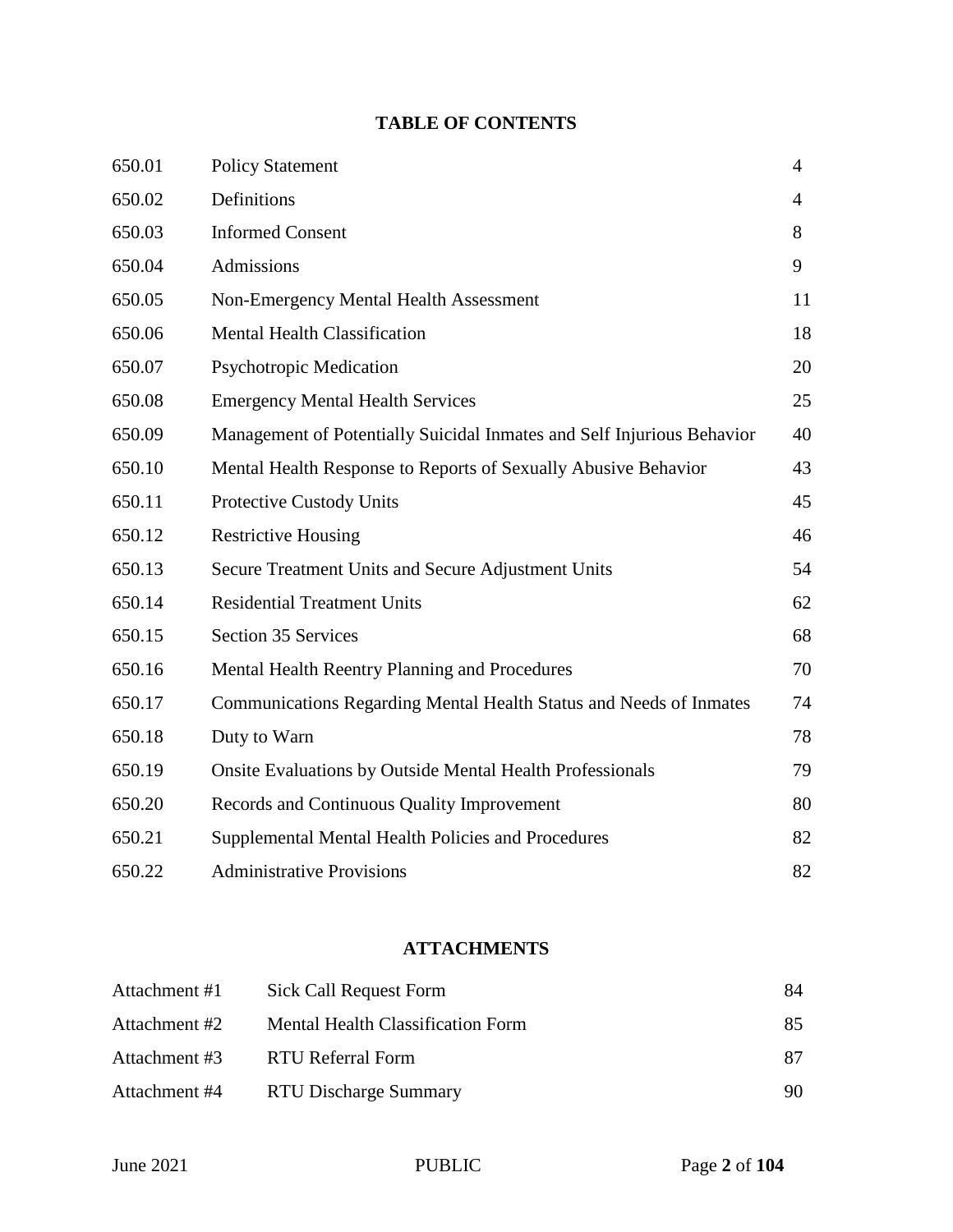# **TABLE OF CONTENTS**

| 650.01 | <b>Policy Statement</b>                                                | $\overline{4}$ |
|--------|------------------------------------------------------------------------|----------------|
| 650.02 | Definitions                                                            | $\overline{4}$ |
| 650.03 | <b>Informed Consent</b>                                                | 8              |
| 650.04 | Admissions                                                             | 9              |
| 650.05 | <b>Non-Emergency Mental Health Assessment</b>                          | 11             |
| 650.06 | <b>Mental Health Classification</b>                                    | 18             |
| 650.07 | <b>Psychotropic Medication</b>                                         | 20             |
| 650.08 | <b>Emergency Mental Health Services</b>                                | 25             |
| 650.09 | Management of Potentially Suicidal Inmates and Self Injurious Behavior | 40             |
| 650.10 | Mental Health Response to Reports of Sexually Abusive Behavior         | 43             |
| 650.11 | <b>Protective Custody Units</b>                                        | 45             |
| 650.12 | <b>Restrictive Housing</b>                                             | 46             |
| 650.13 | Secure Treatment Units and Secure Adjustment Units                     | 54             |
| 650.14 | <b>Residential Treatment Units</b>                                     | 62             |
| 650.15 | <b>Section 35 Services</b>                                             | 68             |
| 650.16 | Mental Health Reentry Planning and Procedures                          | 70             |
| 650.17 | Communications Regarding Mental Health Status and Needs of Inmates     | 74             |
| 650.18 | Duty to Warn                                                           | 78             |
| 650.19 | <b>Onsite Evaluations by Outside Mental Health Professionals</b>       | 79             |
| 650.20 | Records and Continuous Quality Improvement                             | 80             |
| 650.21 | Supplemental Mental Health Policies and Procedures                     | 82             |
| 650.22 | <b>Administrative Provisions</b>                                       | 82             |

# **ATTACHMENTS**

| Attachment #1 | Sick Call Request Form            | 84 |
|---------------|-----------------------------------|----|
| Attachment #2 | Mental Health Classification Form | 85 |
| Attachment #3 | RTU Referral Form                 | 87 |
| Attachment #4 | RTU Discharge Summary             | 90 |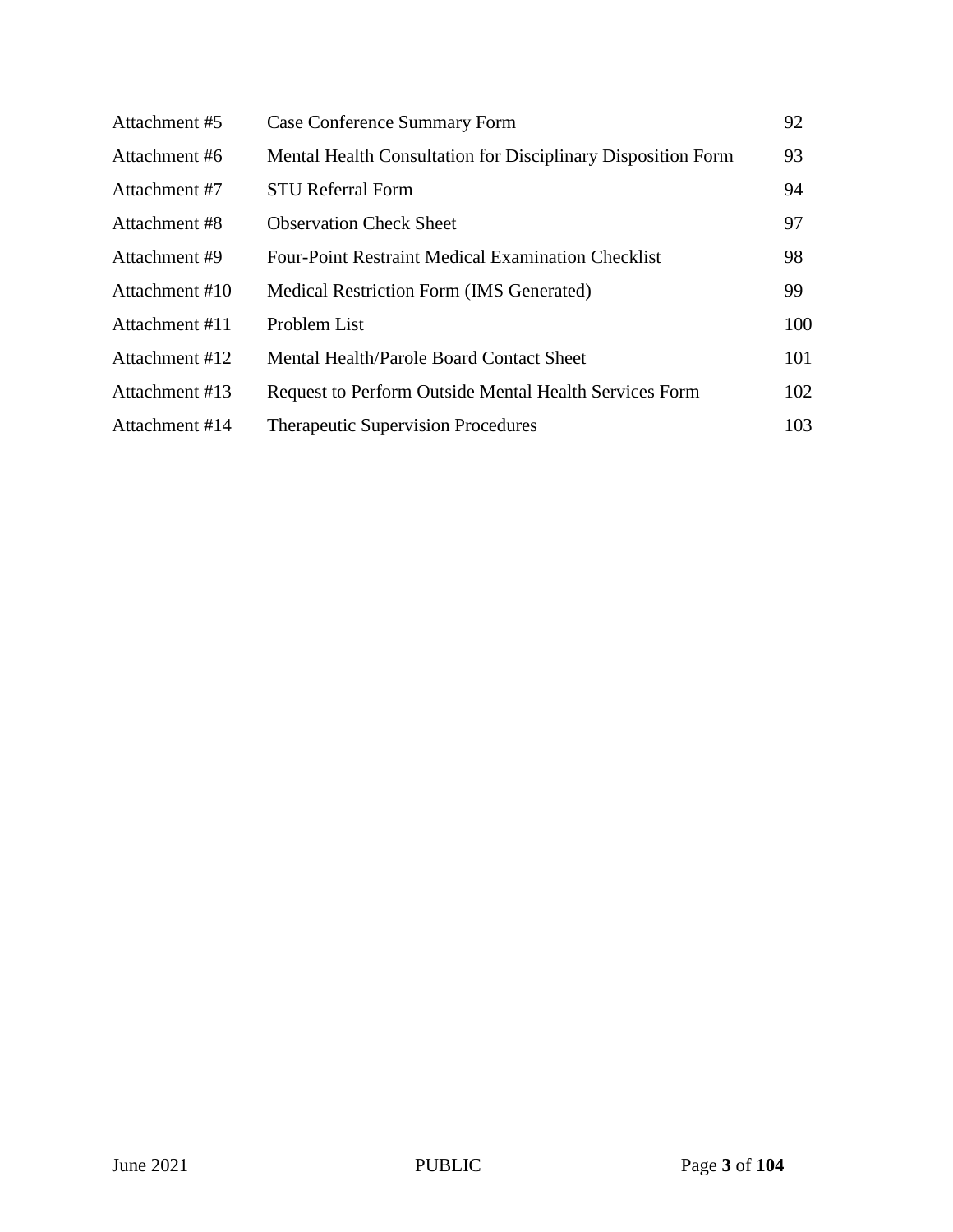| Attachment #5  | Case Conference Summary Form                                  | 92  |
|----------------|---------------------------------------------------------------|-----|
| Attachment #6  | Mental Health Consultation for Disciplinary Disposition Form  | 93  |
| Attachment #7  | <b>STU Referral Form</b>                                      | 94  |
| Attachment #8  | <b>Observation Check Sheet</b>                                | 97  |
| Attachment #9  | <b>Four-Point Restraint Medical Examination Checklist</b>     | 98  |
| Attachment #10 | Medical Restriction Form (IMS Generated)                      | 99  |
| Attachment #11 | Problem List                                                  | 100 |
| Attachment #12 | Mental Health/Parole Board Contact Sheet                      | 101 |
| Attachment #13 | <b>Request to Perform Outside Mental Health Services Form</b> | 102 |
| Attachment #14 | <b>Therapeutic Supervision Procedures</b>                     | 103 |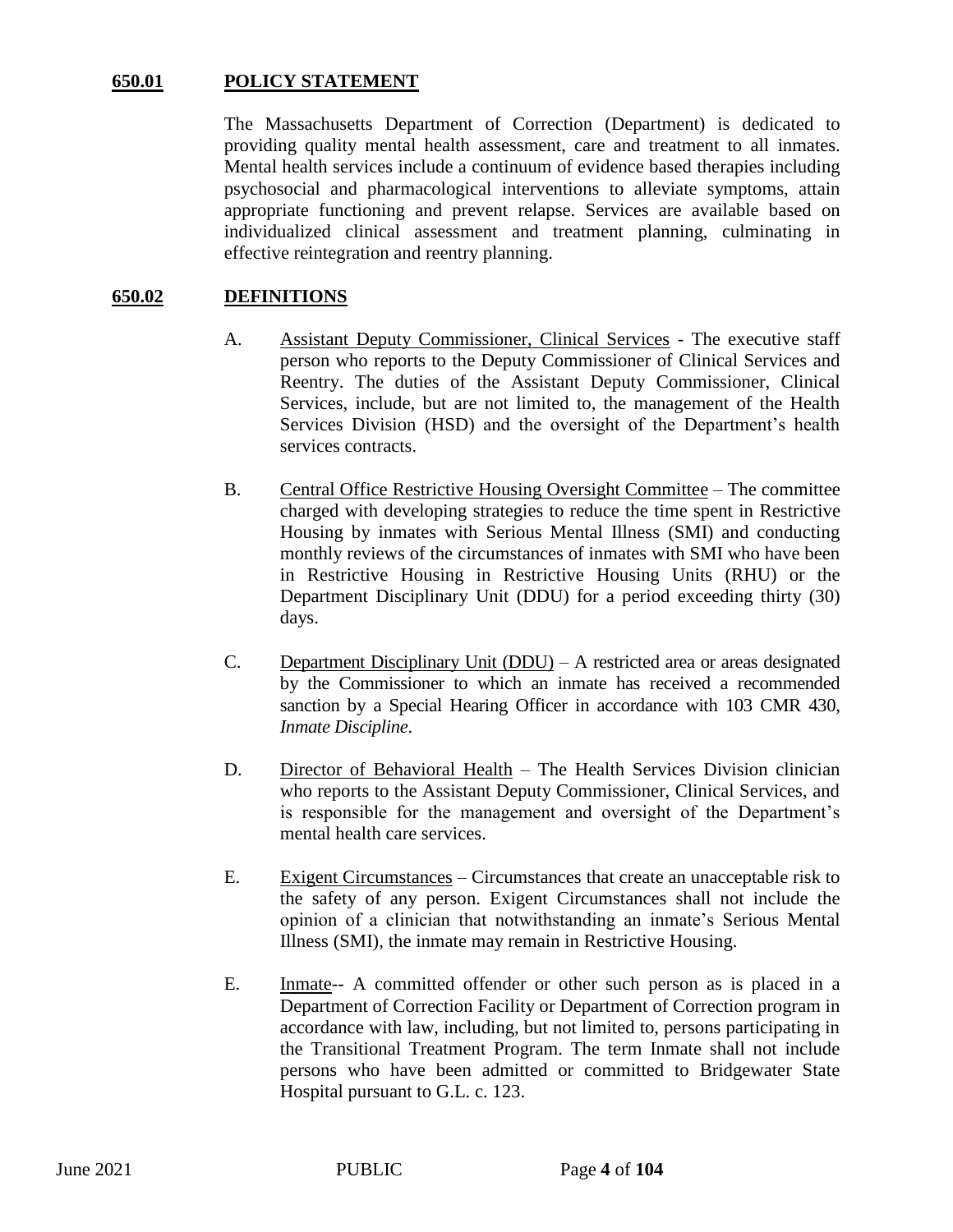## **650.01 POLICY STATEMENT**

The Massachusetts Department of Correction (Department) is dedicated to providing quality mental health assessment, care and treatment to all inmates. Mental health services include a continuum of evidence based therapies including psychosocial and pharmacological interventions to alleviate symptoms, attain appropriate functioning and prevent relapse. Services are available based on individualized clinical assessment and treatment planning, culminating in effective reintegration and reentry planning.

#### **650.02 DEFINITIONS**

- A. Assistant Deputy Commissioner, Clinical Services The executive staff person who reports to the Deputy Commissioner of Clinical Services and Reentry. The duties of the Assistant Deputy Commissioner, Clinical Services, include, but are not limited to, the management of the Health Services Division (HSD) and the oversight of the Department's health services contracts.
- B. Central Office Restrictive Housing Oversight Committee The committee charged with developing strategies to reduce the time spent in Restrictive Housing by inmates with Serious Mental Illness (SMI) and conducting monthly reviews of the circumstances of inmates with SMI who have been in Restrictive Housing in Restrictive Housing Units (RHU) or the Department Disciplinary Unit (DDU) for a period exceeding thirty (30) days.
- C. Department Disciplinary Unit (DDU) A restricted area or areas designated by the Commissioner to which an inmate has received a recommended sanction by a Special Hearing Officer in accordance with 103 CMR 430, *Inmate Discipline*.
- D. Director of Behavioral Health The Health Services Division clinician who reports to the Assistant Deputy Commissioner, Clinical Services, and is responsible for the management and oversight of the Department's mental health care services.
- E. Exigent Circumstances Circumstances that create an unacceptable risk to the safety of any person. Exigent Circumstances shall not include the opinion of a clinician that notwithstanding an inmate's Serious Mental Illness (SMI), the inmate may remain in Restrictive Housing.
- E. Inmate-- A committed offender or other such person as is placed in a Department of Correction Facility or Department of Correction program in accordance with law, including, but not limited to, persons participating in the Transitional Treatment Program. The term Inmate shall not include persons who have been admitted or committed to Bridgewater State Hospital pursuant to G.L. c. 123.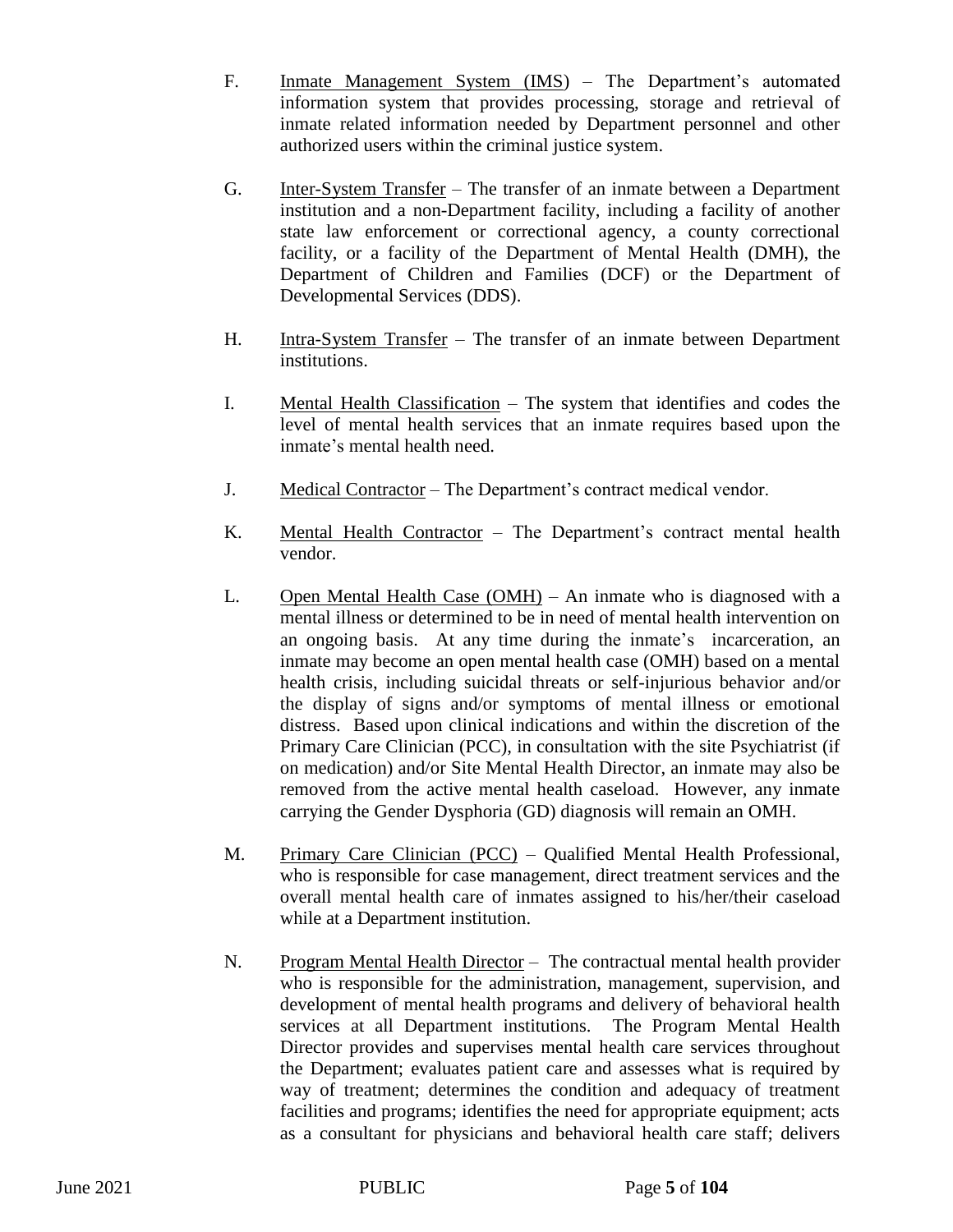- F. Inmate Management System (IMS) The Department's automated information system that provides processing, storage and retrieval of inmate related information needed by Department personnel and other authorized users within the criminal justice system.
- G. Inter-System Transfer The transfer of an inmate between a Department institution and a non-Department facility, including a facility of another state law enforcement or correctional agency, a county correctional facility, or a facility of the Department of Mental Health (DMH), the Department of Children and Families (DCF) or the Department of Developmental Services (DDS).
- H. Intra-System Transfer The transfer of an inmate between Department institutions.
- I. Mental Health Classification The system that identifies and codes the level of mental health services that an inmate requires based upon the inmate's mental health need.
- J. Medical Contractor The Department's contract medical vendor.
- K. Mental Health Contractor The Department's contract mental health vendor.
- L. Open Mental Health Case (OMH) An inmate who is diagnosed with a mental illness or determined to be in need of mental health intervention on an ongoing basis. At any time during the inmate's incarceration, an inmate may become an open mental health case (OMH) based on a mental health crisis, including suicidal threats or self-injurious behavior and/or the display of signs and/or symptoms of mental illness or emotional distress. Based upon clinical indications and within the discretion of the Primary Care Clinician (PCC), in consultation with the site Psychiatrist (if on medication) and/or Site Mental Health Director, an inmate may also be removed from the active mental health caseload. However, any inmate carrying the Gender Dysphoria (GD) diagnosis will remain an OMH.
- M. Primary Care Clinician (PCC) Qualified Mental Health Professional, who is responsible for case management, direct treatment services and the overall mental health care of inmates assigned to his/her/their caseload while at a Department institution.
- N. Program Mental Health Director The contractual mental health provider who is responsible for the administration, management, supervision, and development of mental health programs and delivery of behavioral health services at all Department institutions. The Program Mental Health Director provides and supervises mental health care services throughout the Department; evaluates patient care and assesses what is required by way of treatment; determines the condition and adequacy of treatment facilities and programs; identifies the need for appropriate equipment; acts as a consultant for physicians and behavioral health care staff; delivers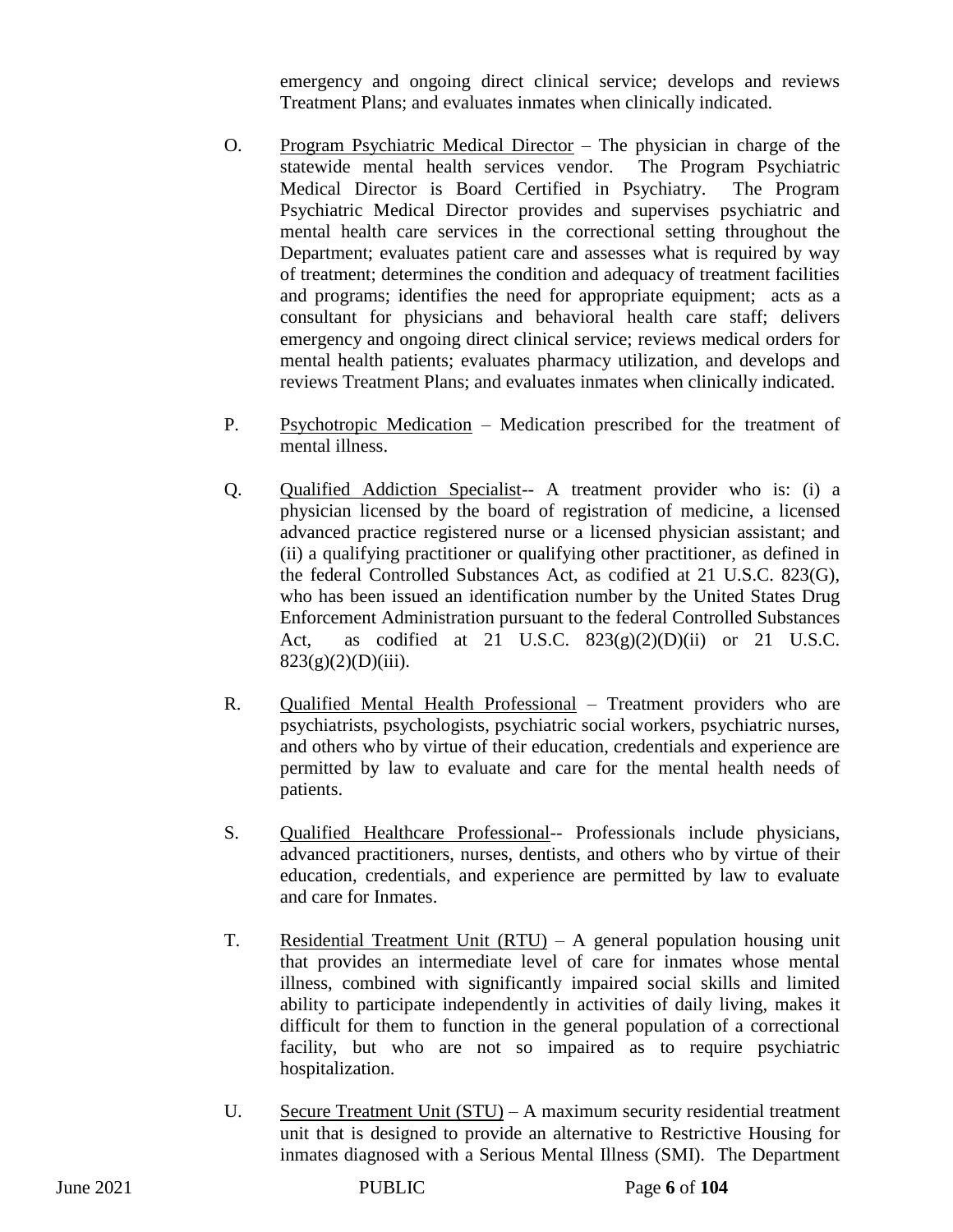emergency and ongoing direct clinical service; develops and reviews Treatment Plans; and evaluates inmates when clinically indicated.

- O. Program Psychiatric Medical Director The physician in charge of the statewide mental health services vendor. The Program Psychiatric Medical Director is Board Certified in Psychiatry. The Program Psychiatric Medical Director provides and supervises psychiatric and mental health care services in the correctional setting throughout the Department; evaluates patient care and assesses what is required by way of treatment; determines the condition and adequacy of treatment facilities and programs; identifies the need for appropriate equipment; acts as a consultant for physicians and behavioral health care staff; delivers emergency and ongoing direct clinical service; reviews medical orders for mental health patients; evaluates pharmacy utilization, and develops and reviews Treatment Plans; and evaluates inmates when clinically indicated.
- P. Psychotropic Medication Medication prescribed for the treatment of mental illness.
- Q. Qualified Addiction Specialist-- A treatment provider who is: (i) a physician licensed by the board of registration of medicine, a licensed advanced practice registered nurse or a licensed physician assistant; and (ii) a qualifying practitioner or qualifying other practitioner, as defined in the federal Controlled Substances Act, as codified at 21 U.S.C. 823(G), who has been issued an identification number by the United States Drug Enforcement Administration pursuant to the federal Controlled Substances Act, as codified at 21 U.S.C.  $823(g)(2)(D)(ii)$  or 21 U.S.C.  $823(g)(2)(D)(iii)$ .
- R. Qualified Mental Health Professional Treatment providers who are psychiatrists, psychologists, psychiatric social workers, psychiatric nurses, and others who by virtue of their education, credentials and experience are permitted by law to evaluate and care for the mental health needs of patients.
- S. Qualified Healthcare Professional-- Professionals include physicians, advanced practitioners, nurses, dentists, and others who by virtue of their education, credentials, and experience are permitted by law to evaluate and care for Inmates.
- T. Residential Treatment Unit (RTU) A general population housing unit that provides an intermediate level of care for inmates whose mental illness, combined with significantly impaired social skills and limited ability to participate independently in activities of daily living, makes it difficult for them to function in the general population of a correctional facility, but who are not so impaired as to require psychiatric hospitalization.
- U. Secure Treatment Unit (STU) A maximum security residential treatment unit that is designed to provide an alternative to Restrictive Housing for inmates diagnosed with a Serious Mental Illness (SMI). The Department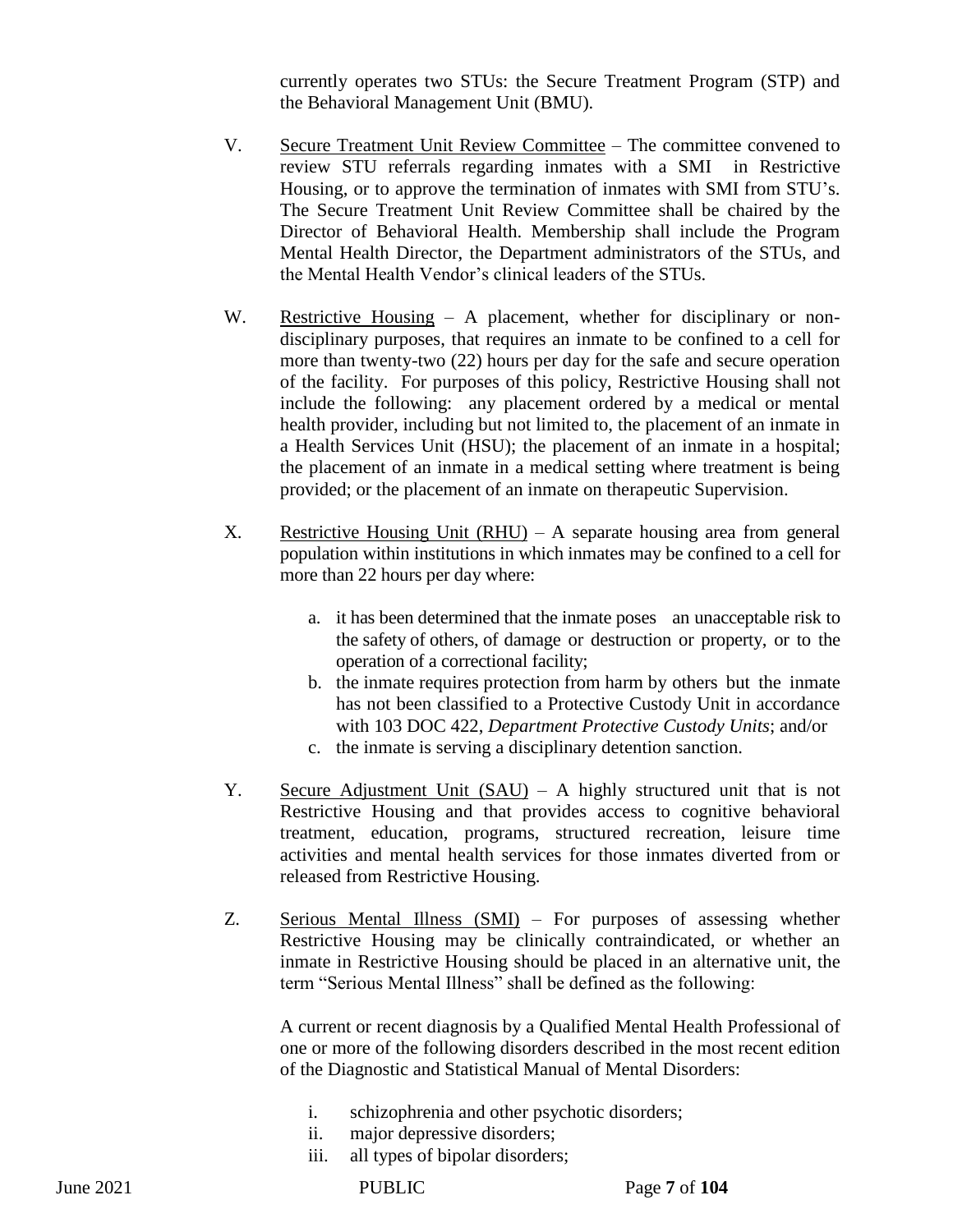currently operates two STUs: the Secure Treatment Program (STP) and the Behavioral Management Unit (BMU).

- V. Secure Treatment Unit Review Committee The committee convened to review STU referrals regarding inmates with a SMI in Restrictive Housing, or to approve the termination of inmates with SMI from STU's. The Secure Treatment Unit Review Committee shall be chaired by the Director of Behavioral Health. Membership shall include the Program Mental Health Director, the Department administrators of the STUs, and the Mental Health Vendor's clinical leaders of the STUs.
- W. Restrictive Housing A placement, whether for disciplinary or nondisciplinary purposes, that requires an inmate to be confined to a cell for more than twenty-two (22) hours per day for the safe and secure operation of the facility. For purposes of this policy, Restrictive Housing shall not include the following: any placement ordered by a medical or mental health provider, including but not limited to, the placement of an inmate in a Health Services Unit (HSU); the placement of an inmate in a hospital; the placement of an inmate in a medical setting where treatment is being provided; or the placement of an inmate on therapeutic Supervision.
- X. Restrictive Housing Unit (RHU) A separate housing area from general population within institutions in which inmates may be confined to a cell for more than 22 hours per day where:
	- a. it has been determined that the inmate poses an unacceptable risk to the safety of others, of damage or destruction or property, or to the operation of a correctional facility;
	- b. the inmate requires protection from harm by others but the inmate has not been classified to a Protective Custody Unit in accordance with 103 DOC 422, *Department Protective Custody Units*; and/or
	- c. the inmate is serving a disciplinary detention sanction.
- Y. Secure Adjustment Unit (SAU) A highly structured unit that is not Restrictive Housing and that provides access to cognitive behavioral treatment, education, programs, structured recreation, leisure time activities and mental health services for those inmates diverted from or released from Restrictive Housing.
- Z. Serious Mental Illness (SMI) For purposes of assessing whether Restrictive Housing may be clinically contraindicated, or whether an inmate in Restrictive Housing should be placed in an alternative unit, the term "Serious Mental Illness" shall be defined as the following:

A current or recent diagnosis by a Qualified Mental Health Professional of one or more of the following disorders described in the most recent edition of the Diagnostic and Statistical Manual of Mental Disorders:

- i. schizophrenia and other psychotic disorders;
- ii. major depressive disorders;
- iii. all types of bipolar disorders;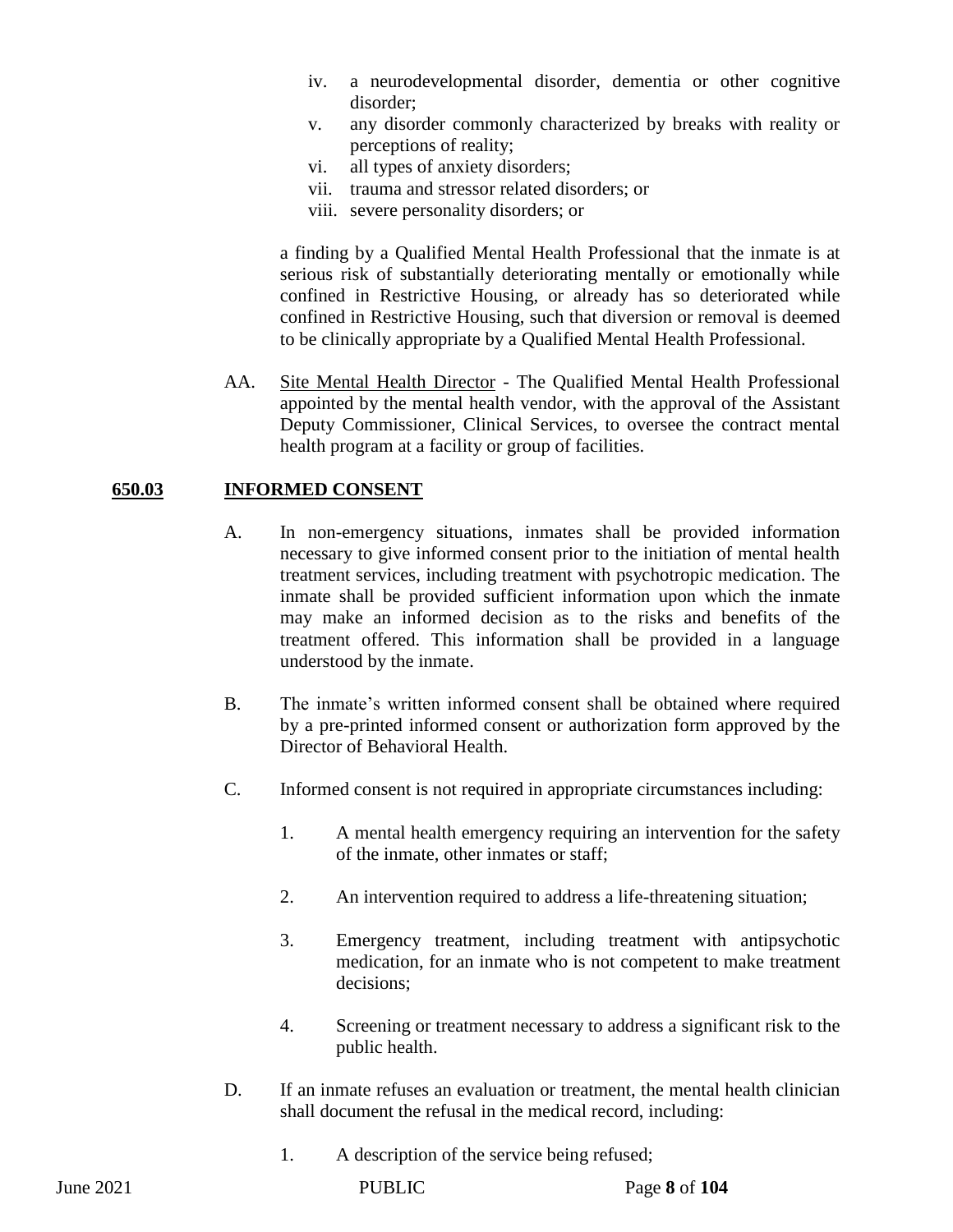- iv. a neurodevelopmental disorder, dementia or other cognitive disorder;
- v. any disorder commonly characterized by breaks with reality or perceptions of reality;
- vi. all types of anxiety disorders;
- vii. trauma and stressor related disorders; or
- viii. severe personality disorders; or

a finding by a Qualified Mental Health Professional that the inmate is at serious risk of substantially deteriorating mentally or emotionally while confined in Restrictive Housing, or already has so deteriorated while confined in Restrictive Housing, such that diversion or removal is deemed to be clinically appropriate by a Qualified Mental Health Professional.

AA. Site Mental Health Director - The Qualified Mental Health Professional appointed by the mental health vendor, with the approval of the Assistant Deputy Commissioner, Clinical Services, to oversee the contract mental health program at a facility or group of facilities.

#### **650.03 INFORMED CONSENT**

- A. In non-emergency situations, inmates shall be provided information necessary to give informed consent prior to the initiation of mental health treatment services, including treatment with psychotropic medication. The inmate shall be provided sufficient information upon which the inmate may make an informed decision as to the risks and benefits of the treatment offered. This information shall be provided in a language understood by the inmate.
- B. The inmate's written informed consent shall be obtained where required by a pre-printed informed consent or authorization form approved by the Director of Behavioral Health.
- C. Informed consent is not required in appropriate circumstances including:
	- 1. A mental health emergency requiring an intervention for the safety of the inmate, other inmates or staff;
	- 2. An intervention required to address a life-threatening situation;
	- 3. Emergency treatment, including treatment with antipsychotic medication, for an inmate who is not competent to make treatment decisions;
	- 4. Screening or treatment necessary to address a significant risk to the public health.
- D. If an inmate refuses an evaluation or treatment, the mental health clinician shall document the refusal in the medical record, including:
	- 1. A description of the service being refused;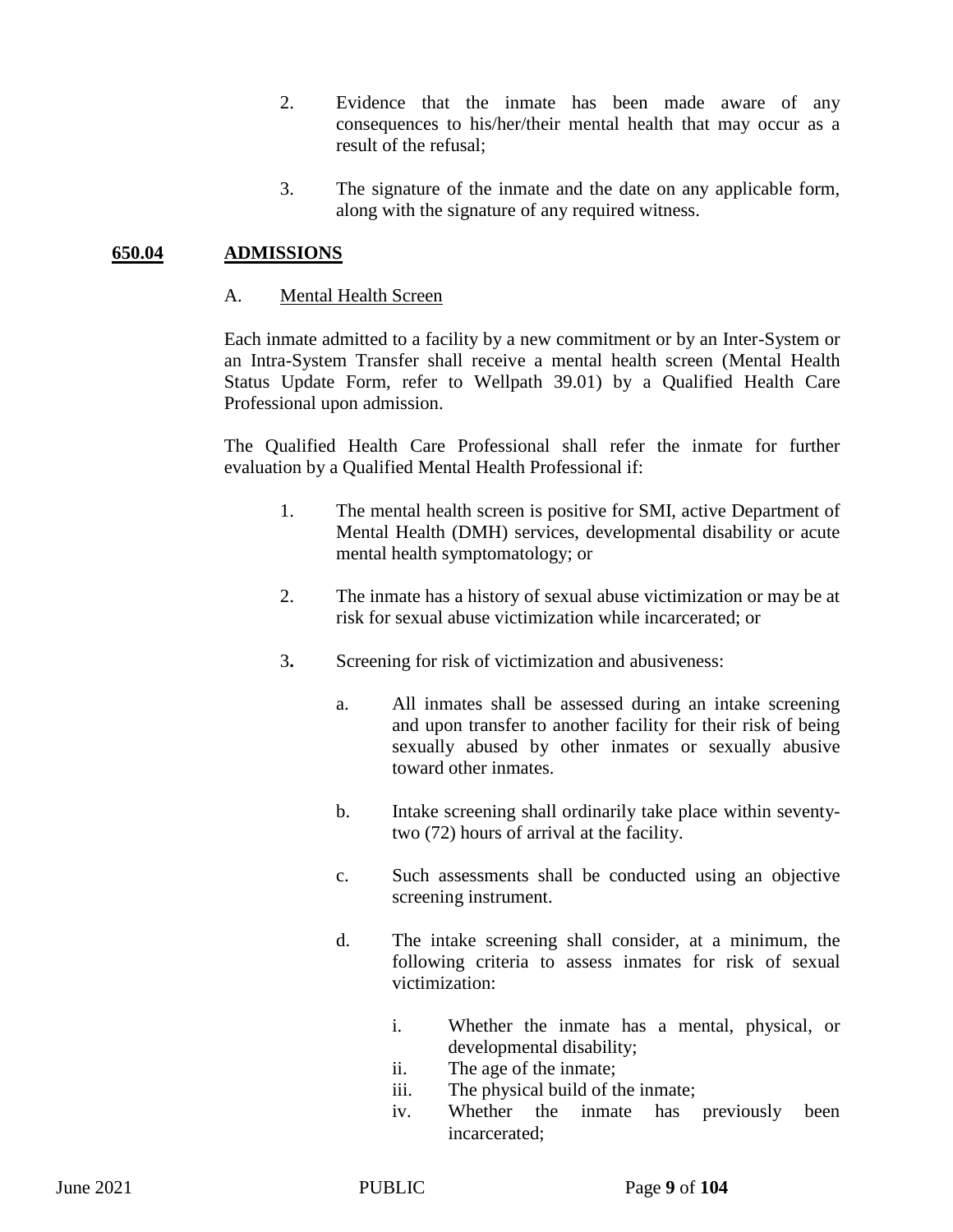- 2. Evidence that the inmate has been made aware of any consequences to his/her/their mental health that may occur as a result of the refusal;
- 3. The signature of the inmate and the date on any applicable form, along with the signature of any required witness.

#### **650.04 ADMISSIONS**

#### A. Mental Health Screen

Each inmate admitted to a facility by a new commitment or by an Inter-System or an Intra-System Transfer shall receive a mental health screen (Mental Health Status Update Form, refer to Wellpath 39.01) by a Qualified Health Care Professional upon admission.

The Qualified Health Care Professional shall refer the inmate for further evaluation by a Qualified Mental Health Professional if:

- 1. The mental health screen is positive for SMI, active Department of Mental Health (DMH) services, developmental disability or acute mental health symptomatology; or
- 2. The inmate has a history of sexual abuse victimization or may be at risk for sexual abuse victimization while incarcerated; or
- 3**.** Screening for risk of victimization and abusiveness:
	- a. All inmates shall be assessed during an intake screening and upon transfer to another facility for their risk of being sexually abused by other inmates or sexually abusive toward other inmates.
	- b. Intake screening shall ordinarily take place within seventytwo (72) hours of arrival at the facility.
	- c. Such assessments shall be conducted using an objective screening instrument.
	- d. The intake screening shall consider, at a minimum, the following criteria to assess inmates for risk of sexual victimization:
		- i. Whether the inmate has a mental, physical, or developmental disability;
		- ii. The age of the inmate;
		- iii. The physical build of the inmate;
		- iv. Whether the inmate has previously been incarcerated;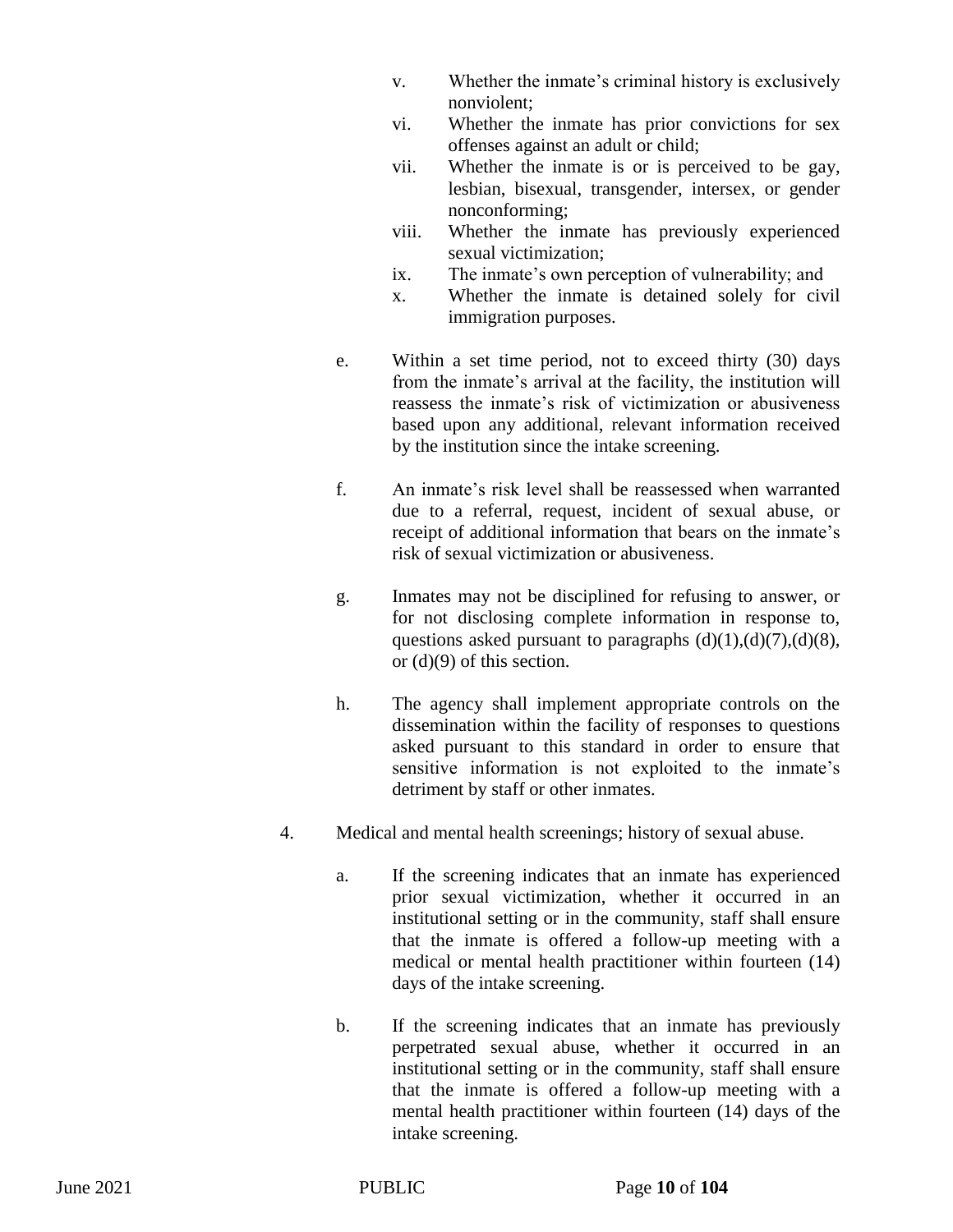- v. Whether the inmate's criminal history is exclusively nonviolent;
- vi. Whether the inmate has prior convictions for sex offenses against an adult or child;
- vii. Whether the inmate is or is perceived to be gay, lesbian, bisexual, transgender, intersex, or gender nonconforming;
- viii. Whether the inmate has previously experienced sexual victimization;
- ix. The inmate's own perception of vulnerability; and
- x. Whether the inmate is detained solely for civil immigration purposes.
- e. Within a set time period, not to exceed thirty (30) days from the inmate's arrival at the facility, the institution will reassess the inmate's risk of victimization or abusiveness based upon any additional, relevant information received by the institution since the intake screening.
- f. An inmate's risk level shall be reassessed when warranted due to a referral, request, incident of sexual abuse, or receipt of additional information that bears on the inmate's risk of sexual victimization or abusiveness.
- g. Inmates may not be disciplined for refusing to answer, or for not disclosing complete information in response to, questions asked pursuant to paragraphs  $(d)(1),(d)(7),(d)(8)$ , or (d)(9) of this section.
- h. The agency shall implement appropriate controls on the dissemination within the facility of responses to questions asked pursuant to this standard in order to ensure that sensitive information is not exploited to the inmate's detriment by staff or other inmates.
- 4. Medical and mental health screenings; history of sexual abuse.
	- a. If the screening indicates that an inmate has experienced prior sexual victimization, whether it occurred in an institutional setting or in the community, staff shall ensure that the inmate is offered a follow-up meeting with a medical or mental health practitioner within fourteen (14) days of the intake screening.
	- b. If the screening indicates that an inmate has previously perpetrated sexual abuse, whether it occurred in an institutional setting or in the community, staff shall ensure that the inmate is offered a follow-up meeting with a mental health practitioner within fourteen (14) days of the intake screening.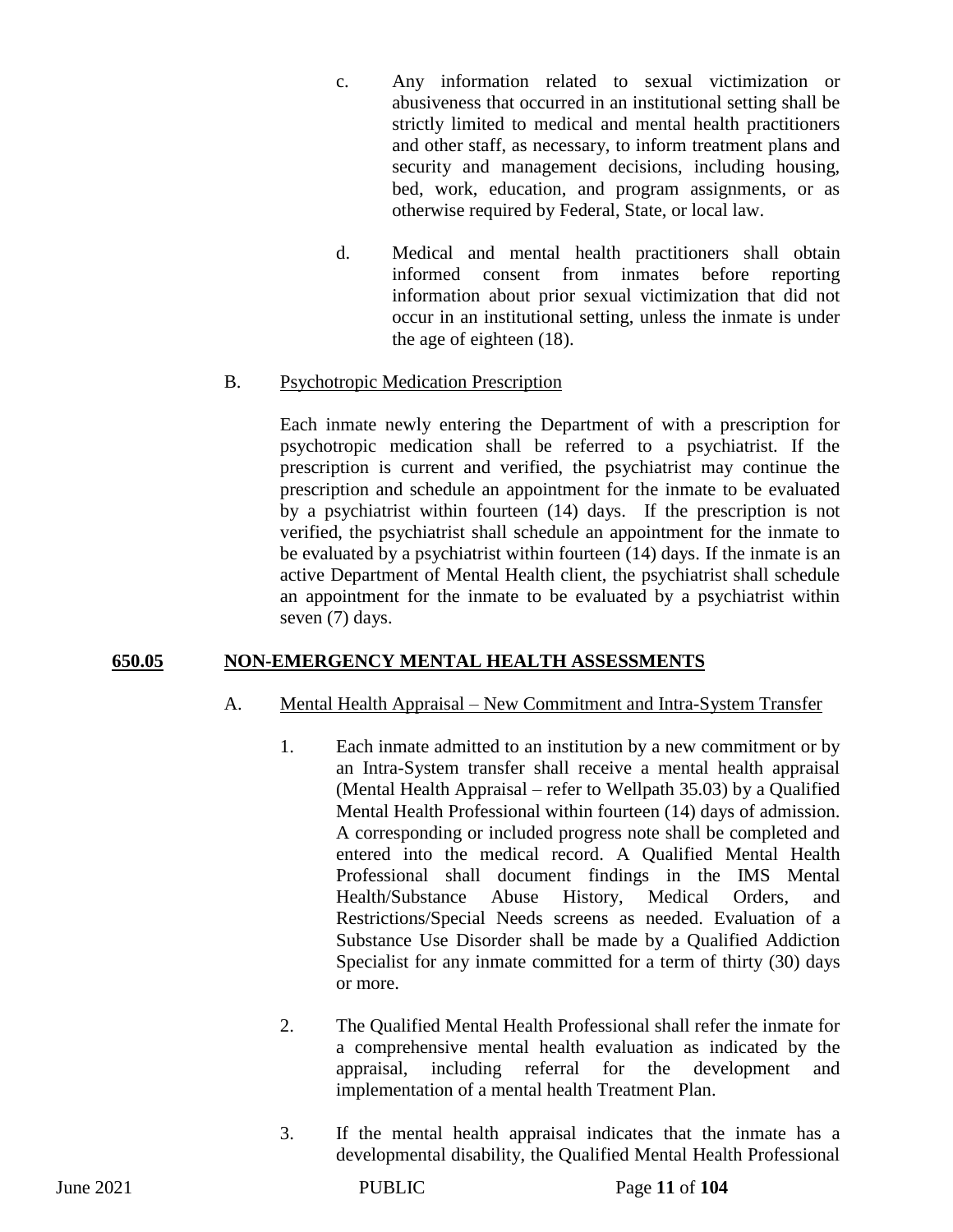- c. Any information related to sexual victimization or abusiveness that occurred in an institutional setting shall be strictly limited to medical and mental health practitioners and other staff, as necessary, to inform treatment plans and security and management decisions, including housing, bed, work, education, and program assignments, or as otherwise required by Federal, State, or local law.
- d. Medical and mental health practitioners shall obtain informed consent from inmates before reporting information about prior sexual victimization that did not occur in an institutional setting, unless the inmate is under the age of eighteen (18).

## B. Psychotropic Medication Prescription

Each inmate newly entering the Department of with a prescription for psychotropic medication shall be referred to a psychiatrist. If the prescription is current and verified, the psychiatrist may continue the prescription and schedule an appointment for the inmate to be evaluated by a psychiatrist within fourteen (14) days. If the prescription is not verified, the psychiatrist shall schedule an appointment for the inmate to be evaluated by a psychiatrist within fourteen (14) days. If the inmate is an active Department of Mental Health client, the psychiatrist shall schedule an appointment for the inmate to be evaluated by a psychiatrist within seven (7) days.

## **650.05 NON-EMERGENCY MENTAL HEALTH ASSESSMENTS**

#### A. Mental Health Appraisal – New Commitment and Intra-System Transfer

- 1. Each inmate admitted to an institution by a new commitment or by an Intra-System transfer shall receive a mental health appraisal (Mental Health Appraisal – refer to Wellpath 35.03) by a Qualified Mental Health Professional within fourteen (14) days of admission. A corresponding or included progress note shall be completed and entered into the medical record. A Qualified Mental Health Professional shall document findings in the IMS Mental Health/Substance Abuse History, Medical Orders, and Restrictions/Special Needs screens as needed. Evaluation of a Substance Use Disorder shall be made by a Qualified Addiction Specialist for any inmate committed for a term of thirty (30) days or more.
- 2. The Qualified Mental Health Professional shall refer the inmate for a comprehensive mental health evaluation as indicated by the appraisal, including referral for the development and implementation of a mental health Treatment Plan.
- 3. If the mental health appraisal indicates that the inmate has a developmental disability, the Qualified Mental Health Professional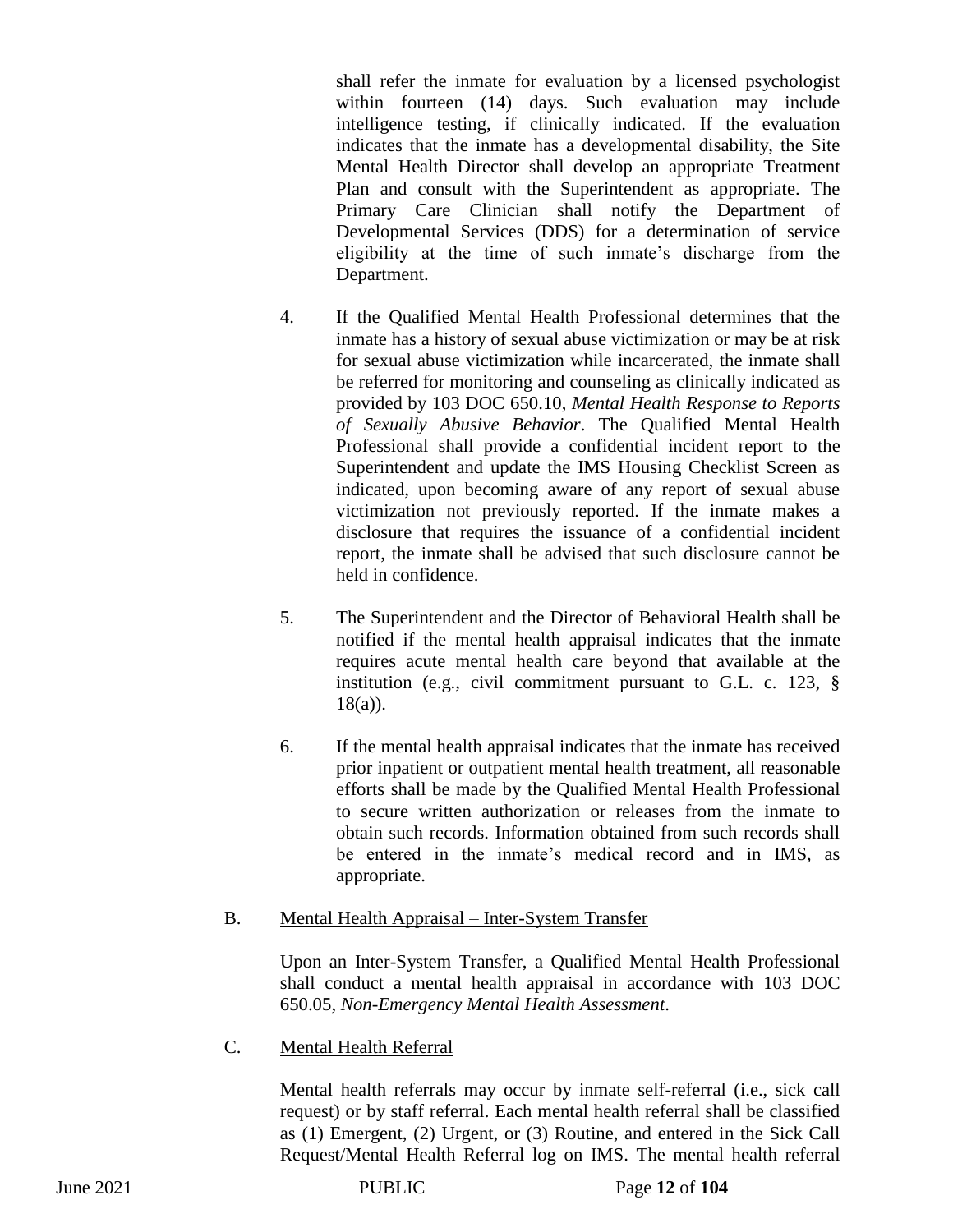shall refer the inmate for evaluation by a licensed psychologist within fourteen (14) days. Such evaluation may include intelligence testing, if clinically indicated. If the evaluation indicates that the inmate has a developmental disability, the Site Mental Health Director shall develop an appropriate Treatment Plan and consult with the Superintendent as appropriate. The Primary Care Clinician shall notify the Department of Developmental Services (DDS) for a determination of service eligibility at the time of such inmate's discharge from the Department.

- 4. If the Qualified Mental Health Professional determines that the inmate has a history of sexual abuse victimization or may be at risk for sexual abuse victimization while incarcerated, the inmate shall be referred for monitoring and counseling as clinically indicated as provided by 103 DOC 650.10, *Mental Health Response to Reports of Sexually Abusive Behavior*. The Qualified Mental Health Professional shall provide a confidential incident report to the Superintendent and update the IMS Housing Checklist Screen as indicated, upon becoming aware of any report of sexual abuse victimization not previously reported. If the inmate makes a disclosure that requires the issuance of a confidential incident report, the inmate shall be advised that such disclosure cannot be held in confidence.
- 5. The Superintendent and the Director of Behavioral Health shall be notified if the mental health appraisal indicates that the inmate requires acute mental health care beyond that available at the institution (e.g., civil commitment pursuant to G.L. c. 123, § 18(a)).
- 6. If the mental health appraisal indicates that the inmate has received prior inpatient or outpatient mental health treatment, all reasonable efforts shall be made by the Qualified Mental Health Professional to secure written authorization or releases from the inmate to obtain such records. Information obtained from such records shall be entered in the inmate's medical record and in IMS, as appropriate.
- B. Mental Health Appraisal Inter-System Transfer

Upon an Inter-System Transfer, a Qualified Mental Health Professional shall conduct a mental health appraisal in accordance with 103 DOC 650.05, *Non-Emergency Mental Health Assessment*.

C. Mental Health Referral

Mental health referrals may occur by inmate self-referral (i.e., sick call request) or by staff referral. Each mental health referral shall be classified as (1) Emergent, (2) Urgent, or (3) Routine, and entered in the Sick Call Request/Mental Health Referral log on IMS. The mental health referral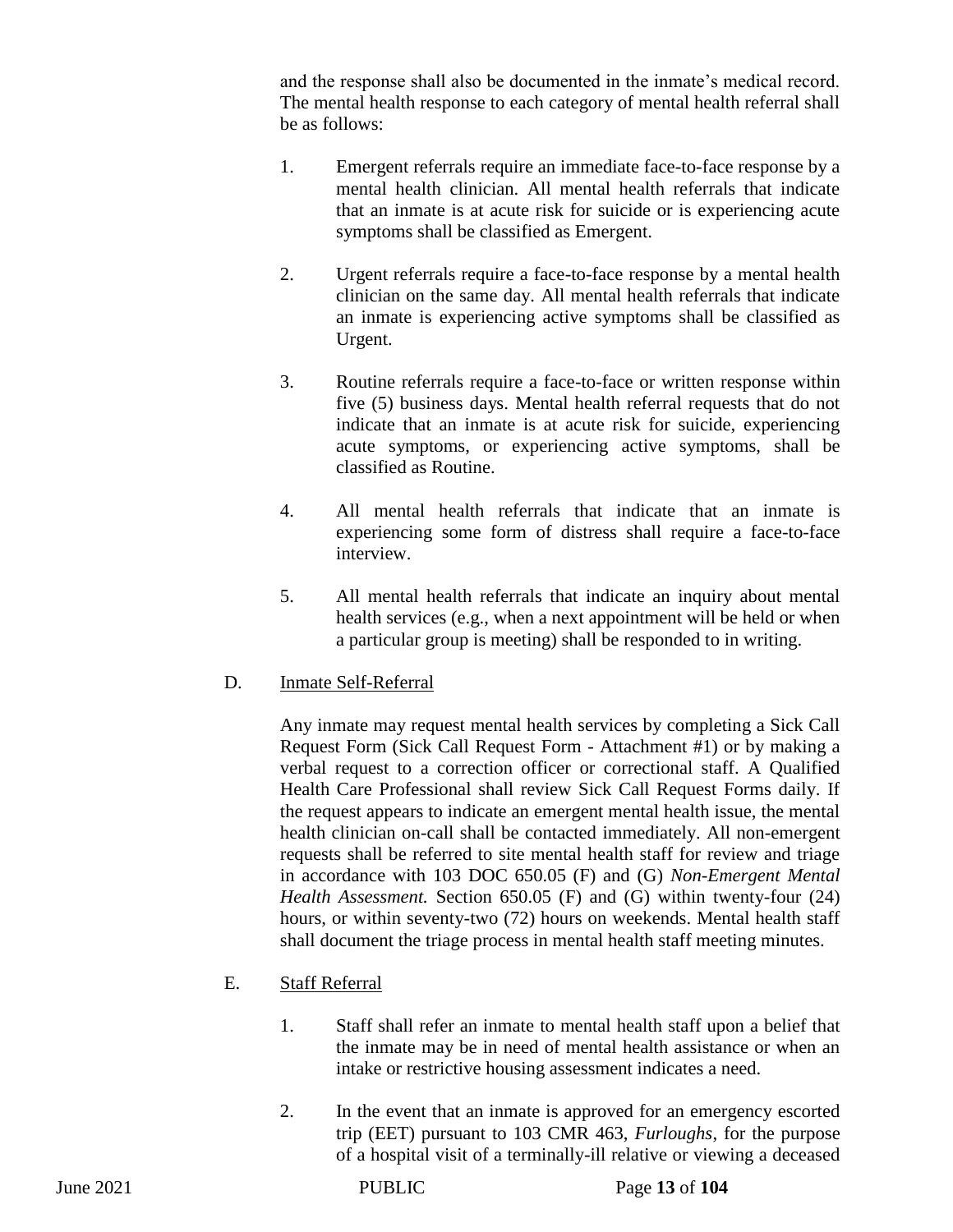and the response shall also be documented in the inmate's medical record. The mental health response to each category of mental health referral shall be as follows:

- 1. Emergent referrals require an immediate face-to-face response by a mental health clinician. All mental health referrals that indicate that an inmate is at acute risk for suicide or is experiencing acute symptoms shall be classified as Emergent.
- 2. Urgent referrals require a face-to-face response by a mental health clinician on the same day. All mental health referrals that indicate an inmate is experiencing active symptoms shall be classified as Urgent.
- 3. Routine referrals require a face-to-face or written response within five (5) business days. Mental health referral requests that do not indicate that an inmate is at acute risk for suicide, experiencing acute symptoms, or experiencing active symptoms, shall be classified as Routine.
- 4. All mental health referrals that indicate that an inmate is experiencing some form of distress shall require a face-to-face interview.
- 5. All mental health referrals that indicate an inquiry about mental health services (e.g., when a next appointment will be held or when a particular group is meeting) shall be responded to in writing.
- D. Inmate Self-Referral

Any inmate may request mental health services by completing a Sick Call Request Form (Sick Call Request Form - Attachment #1) or by making a verbal request to a correction officer or correctional staff. A Qualified Health Care Professional shall review Sick Call Request Forms daily. If the request appears to indicate an emergent mental health issue, the mental health clinician on-call shall be contacted immediately. All non-emergent requests shall be referred to site mental health staff for review and triage in accordance with 103 DOC 650.05 (F) and (G) *Non-Emergent Mental Health Assessment.* Section 650.05 (F) and (G) within twenty-four (24) hours, or within seventy-two (72) hours on weekends. Mental health staff shall document the triage process in mental health staff meeting minutes.

- E. Staff Referral
	- 1. Staff shall refer an inmate to mental health staff upon a belief that the inmate may be in need of mental health assistance or when an intake or restrictive housing assessment indicates a need.
	- 2. In the event that an inmate is approved for an emergency escorted trip (EET) pursuant to 103 CMR 463, *Furloughs*, for the purpose of a hospital visit of a terminally-ill relative or viewing a deceased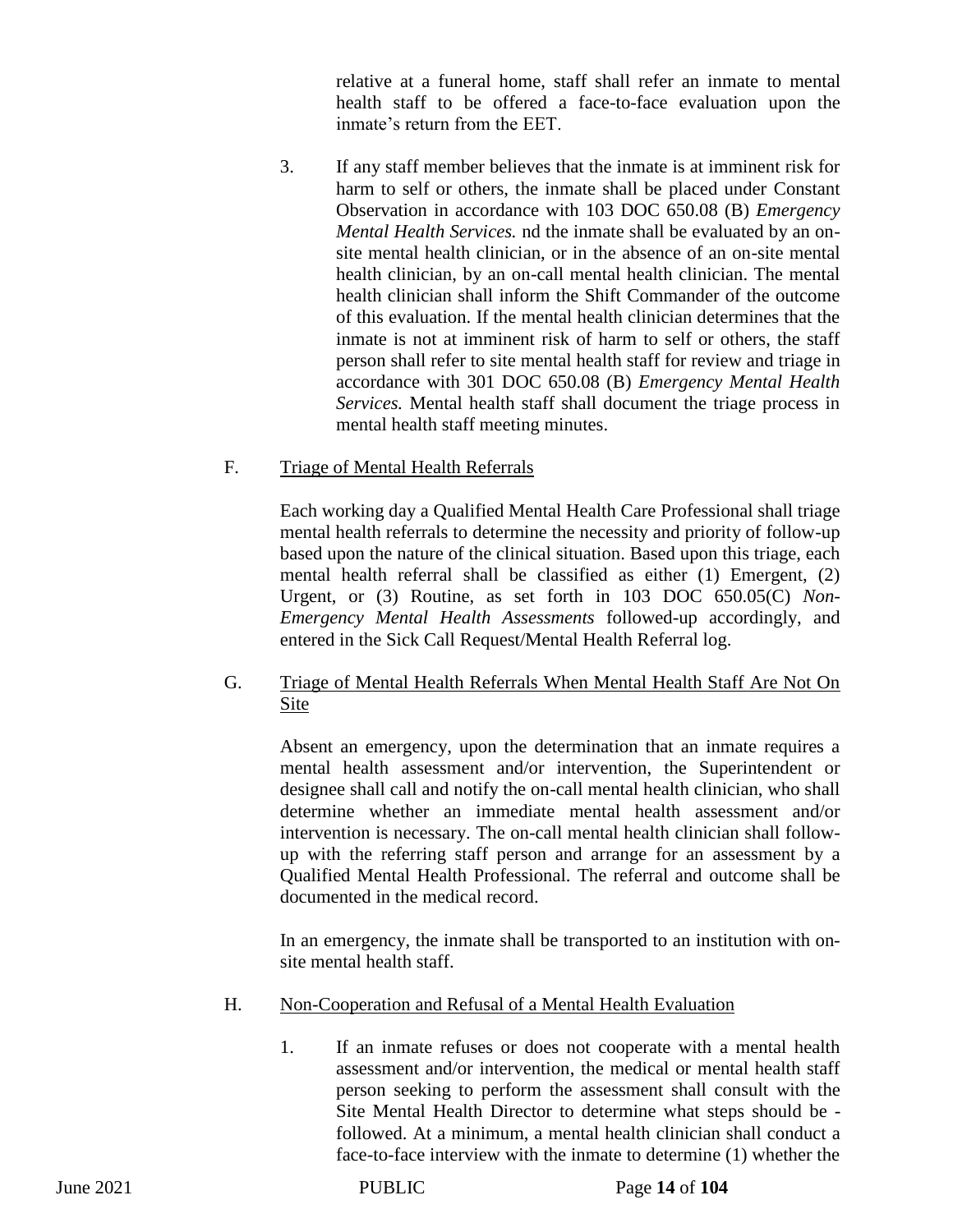relative at a funeral home, staff shall refer an inmate to mental health staff to be offered a face-to-face evaluation upon the inmate's return from the EET.

3. If any staff member believes that the inmate is at imminent risk for harm to self or others, the inmate shall be placed under Constant Observation in accordance with 103 DOC 650.08 (B) *Emergency Mental Health Services.* nd the inmate shall be evaluated by an onsite mental health clinician, or in the absence of an on-site mental health clinician, by an on-call mental health clinician. The mental health clinician shall inform the Shift Commander of the outcome of this evaluation. If the mental health clinician determines that the inmate is not at imminent risk of harm to self or others, the staff person shall refer to site mental health staff for review and triage in accordance with 301 DOC 650.08 (B) *Emergency Mental Health Services.* Mental health staff shall document the triage process in mental health staff meeting minutes.

# F. Triage of Mental Health Referrals

Each working day a Qualified Mental Health Care Professional shall triage mental health referrals to determine the necessity and priority of follow-up based upon the nature of the clinical situation. Based upon this triage, each mental health referral shall be classified as either (1) Emergent, (2) Urgent, or (3) Routine, as set forth in 103 DOC 650.05(C) *Non-Emergency Mental Health Assessments* followed-up accordingly, and entered in the Sick Call Request/Mental Health Referral log.

# G. Triage of Mental Health Referrals When Mental Health Staff Are Not On Site

Absent an emergency, upon the determination that an inmate requires a mental health assessment and/or intervention, the Superintendent or designee shall call and notify the on-call mental health clinician, who shall determine whether an immediate mental health assessment and/or intervention is necessary. The on-call mental health clinician shall followup with the referring staff person and arrange for an assessment by a Qualified Mental Health Professional. The referral and outcome shall be documented in the medical record.

In an emergency, the inmate shall be transported to an institution with onsite mental health staff.

- H. Non-Cooperation and Refusal of a Mental Health Evaluation
	- 1. If an inmate refuses or does not cooperate with a mental health assessment and/or intervention, the medical or mental health staff person seeking to perform the assessment shall consult with the Site Mental Health Director to determine what steps should be followed. At a minimum, a mental health clinician shall conduct a face-to-face interview with the inmate to determine (1) whether the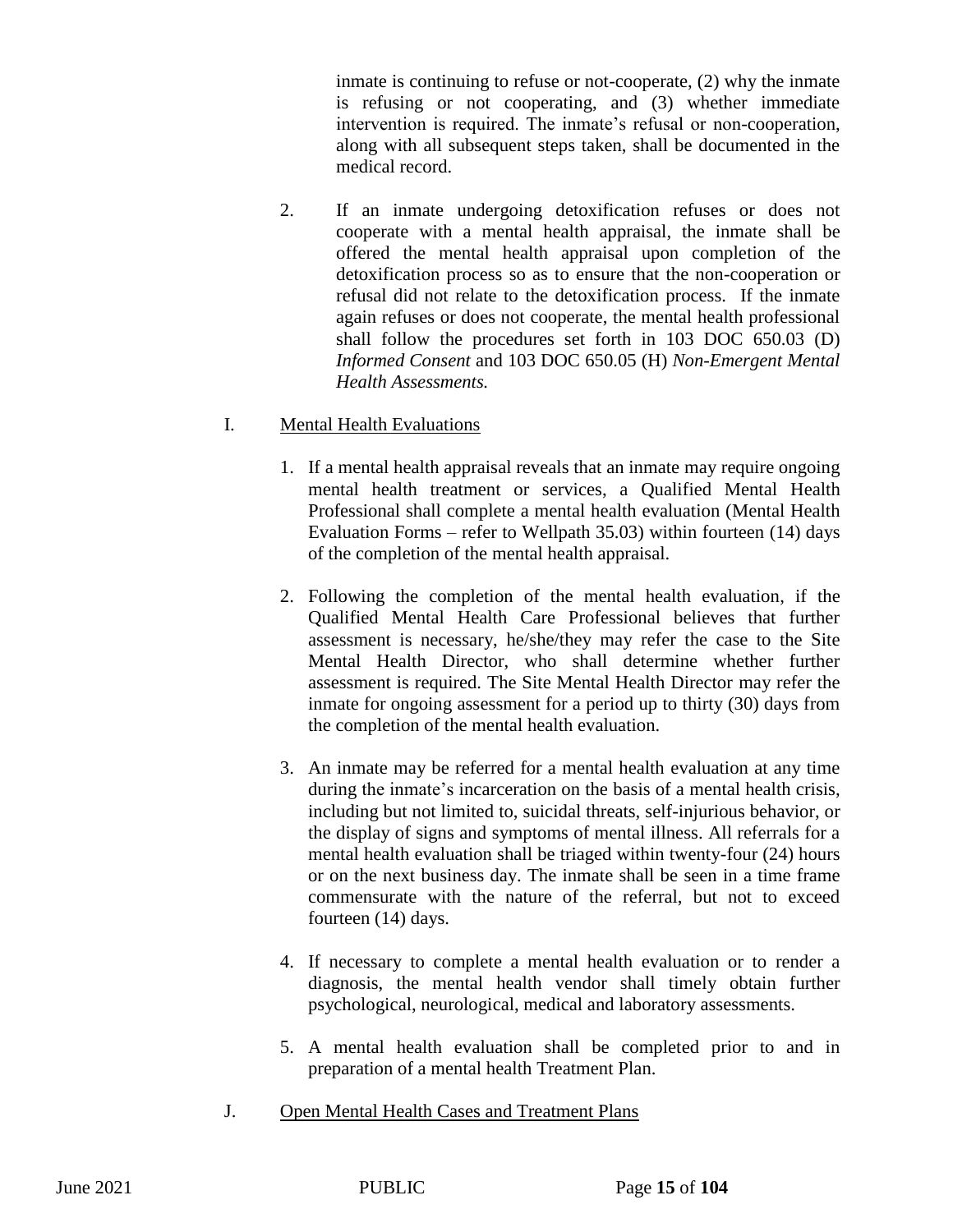inmate is continuing to refuse or not-cooperate, (2) why the inmate is refusing or not cooperating, and (3) whether immediate intervention is required. The inmate's refusal or non-cooperation, along with all subsequent steps taken, shall be documented in the medical record.

2. If an inmate undergoing detoxification refuses or does not cooperate with a mental health appraisal, the inmate shall be offered the mental health appraisal upon completion of the detoxification process so as to ensure that the non-cooperation or refusal did not relate to the detoxification process. If the inmate again refuses or does not cooperate, the mental health professional shall follow the procedures set forth in 103 DOC 650.03 (D) *Informed Consent* and 103 DOC 650.05 (H) *Non-Emergent Mental Health Assessments.*

# I. Mental Health Evaluations

- 1. If a mental health appraisal reveals that an inmate may require ongoing mental health treatment or services, a Qualified Mental Health Professional shall complete a mental health evaluation (Mental Health Evaluation Forms – refer to Wellpath 35.03) within fourteen (14) days of the completion of the mental health appraisal.
- 2. Following the completion of the mental health evaluation, if the Qualified Mental Health Care Professional believes that further assessment is necessary, he/she/they may refer the case to the Site Mental Health Director, who shall determine whether further assessment is required. The Site Mental Health Director may refer the inmate for ongoing assessment for a period up to thirty (30) days from the completion of the mental health evaluation.
- 3. An inmate may be referred for a mental health evaluation at any time during the inmate's incarceration on the basis of a mental health crisis, including but not limited to, suicidal threats, self-injurious behavior, or the display of signs and symptoms of mental illness. All referrals for a mental health evaluation shall be triaged within twenty-four (24) hours or on the next business day. The inmate shall be seen in a time frame commensurate with the nature of the referral, but not to exceed fourteen (14) days.
- 4. If necessary to complete a mental health evaluation or to render a diagnosis, the mental health vendor shall timely obtain further psychological, neurological, medical and laboratory assessments.
- 5. A mental health evaluation shall be completed prior to and in preparation of a mental health Treatment Plan.
- J. Open Mental Health Cases and Treatment Plans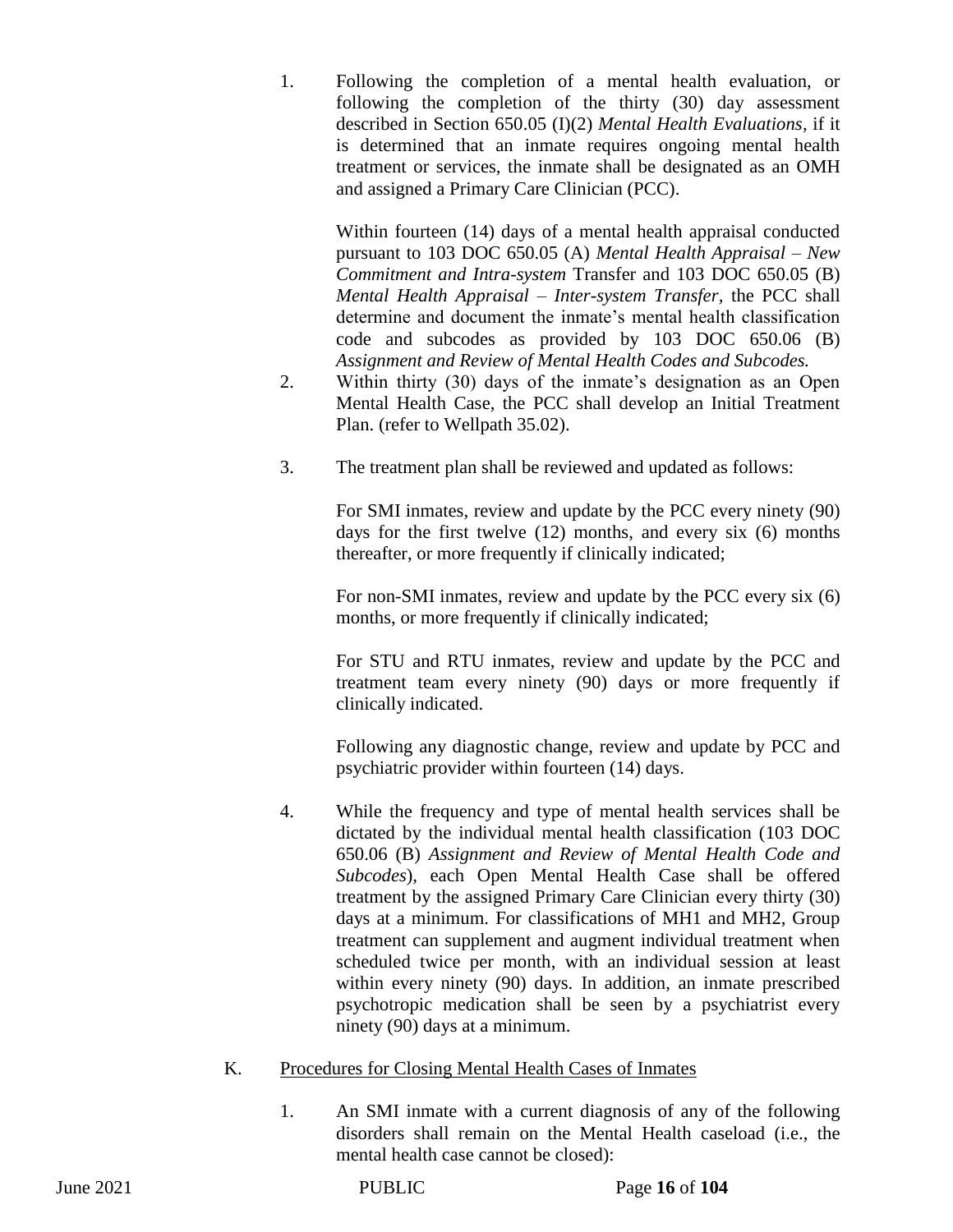1. Following the completion of a mental health evaluation, or following the completion of the thirty (30) day assessment described in Section 650.05 (I)(2) *Mental Health Evaluations*, if it is determined that an inmate requires ongoing mental health treatment or services, the inmate shall be designated as an OMH and assigned a Primary Care Clinician (PCC).

Within fourteen (14) days of a mental health appraisal conducted pursuant to 103 DOC 650.05 (A) *Mental Health Appraisal – New Commitment and Intra-system* Transfer and 103 DOC 650.05 (B) *Mental Health Appraisal – Inter-system Transfer,* the PCC shall determine and document the inmate's mental health classification code and subcodes as provided by 103 DOC 650.06 (B) *Assignment and Review of Mental Health Codes and Subcodes.* 

- 2. Within thirty (30) days of the inmate's designation as an Open Mental Health Case, the PCC shall develop an Initial Treatment Plan. (refer to Wellpath 35.02).
- 3. The treatment plan shall be reviewed and updated as follows:

For SMI inmates, review and update by the PCC every ninety (90) days for the first twelve (12) months, and every six (6) months thereafter, or more frequently if clinically indicated;

For non-SMI inmates, review and update by the PCC every six (6) months, or more frequently if clinically indicated;

For STU and RTU inmates, review and update by the PCC and treatment team every ninety (90) days or more frequently if clinically indicated.

Following any diagnostic change, review and update by PCC and psychiatric provider within fourteen (14) days.

- 4. While the frequency and type of mental health services shall be dictated by the individual mental health classification (103 DOC 650.06 (B) *Assignment and Review of Mental Health Code and Subcodes*), each Open Mental Health Case shall be offered treatment by the assigned Primary Care Clinician every thirty (30) days at a minimum. For classifications of MH1 and MH2, Group treatment can supplement and augment individual treatment when scheduled twice per month, with an individual session at least within every ninety (90) days. In addition, an inmate prescribed psychotropic medication shall be seen by a psychiatrist every ninety (90) days at a minimum.
- K. Procedures for Closing Mental Health Cases of Inmates
	- 1. An SMI inmate with a current diagnosis of any of the following disorders shall remain on the Mental Health caseload (i.e., the mental health case cannot be closed):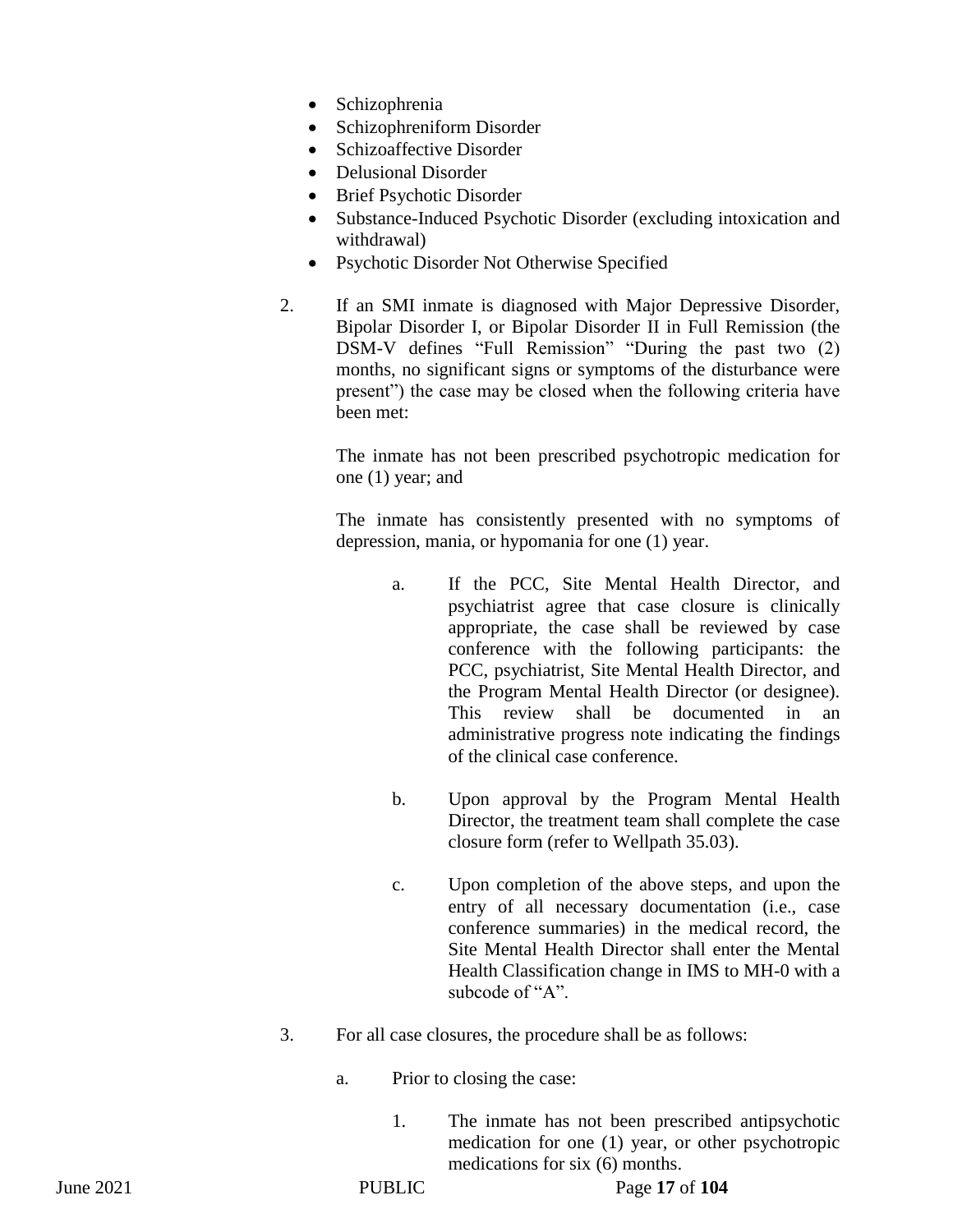- Schizophrenia
- Schizophreniform Disorder
- Schizoaffective Disorder
- Delusional Disorder
- Brief Psychotic Disorder
- Substance-Induced Psychotic Disorder (excluding intoxication and withdrawal)
- Psychotic Disorder Not Otherwise Specified
- 2. If an SMI inmate is diagnosed with Major Depressive Disorder, Bipolar Disorder I, or Bipolar Disorder II in Full Remission (the DSM-V defines "Full Remission" "During the past two (2) months, no significant signs or symptoms of the disturbance were present") the case may be closed when the following criteria have been met:

The inmate has not been prescribed psychotropic medication for one (1) year; and

The inmate has consistently presented with no symptoms of depression, mania, or hypomania for one (1) year.

- a. If the PCC, Site Mental Health Director, and psychiatrist agree that case closure is clinically appropriate, the case shall be reviewed by case conference with the following participants: the PCC, psychiatrist, Site Mental Health Director, and the Program Mental Health Director (or designee). This review shall be documented in an administrative progress note indicating the findings of the clinical case conference.
- b. Upon approval by the Program Mental Health Director, the treatment team shall complete the case closure form (refer to Wellpath 35.03).
- c. Upon completion of the above steps, and upon the entry of all necessary documentation (i.e., case conference summaries) in the medical record, the Site Mental Health Director shall enter the Mental Health Classification change in IMS to MH-0 with a subcode of "A".
- 3. For all case closures, the procedure shall be as follows:
	- a. Prior to closing the case:
		- 1. The inmate has not been prescribed antipsychotic medication for one (1) year, or other psychotropic medications for six (6) months.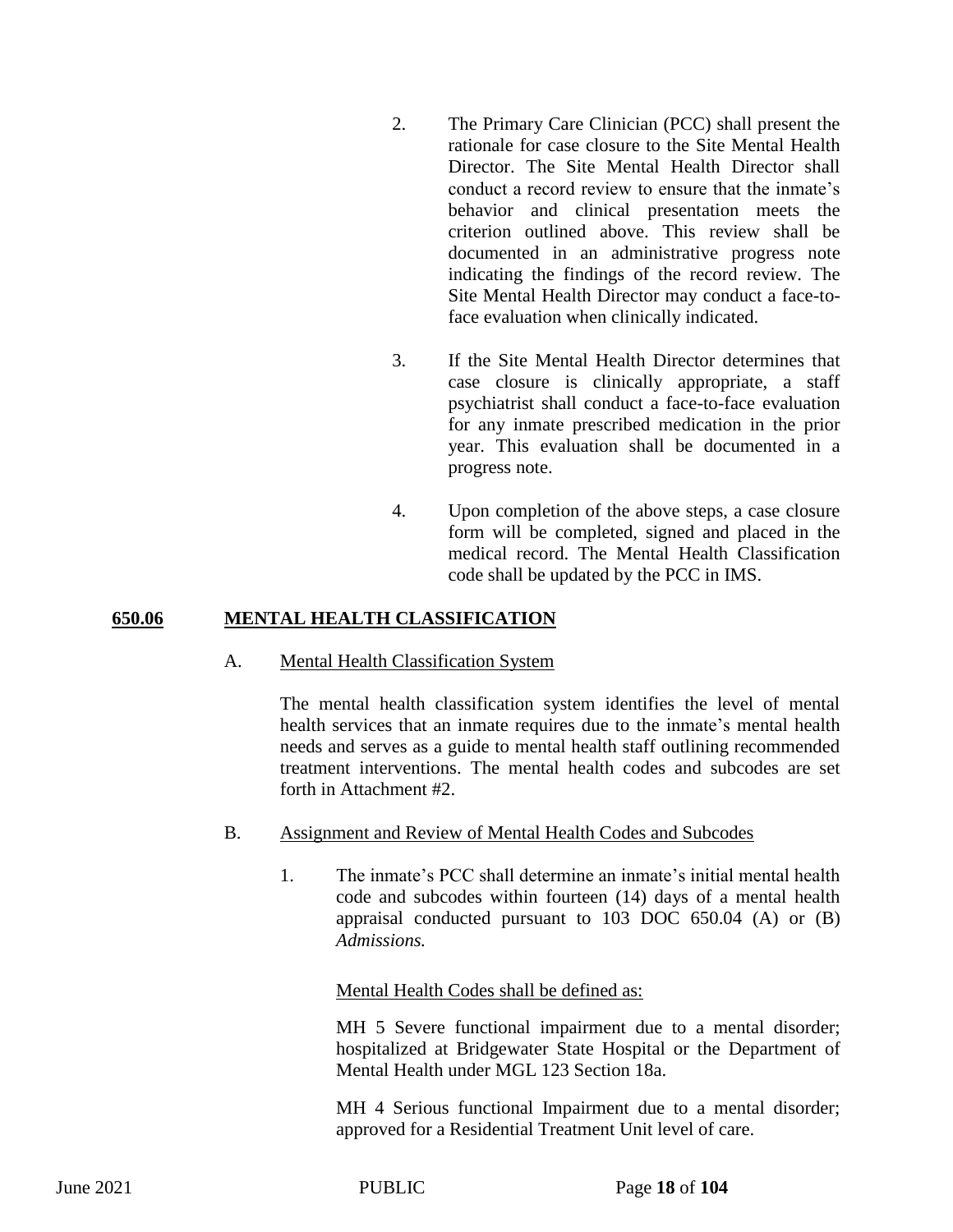- 2. The Primary Care Clinician (PCC) shall present the rationale for case closure to the Site Mental Health Director. The Site Mental Health Director shall conduct a record review to ensure that the inmate's behavior and clinical presentation meets the criterion outlined above. This review shall be documented in an administrative progress note indicating the findings of the record review. The Site Mental Health Director may conduct a face-toface evaluation when clinically indicated.
- 3. If the Site Mental Health Director determines that case closure is clinically appropriate, a staff psychiatrist shall conduct a face-to-face evaluation for any inmate prescribed medication in the prior year. This evaluation shall be documented in a progress note.
- 4. Upon completion of the above steps, a case closure form will be completed, signed and placed in the medical record. The Mental Health Classification code shall be updated by the PCC in IMS.

## **650.06 MENTAL HEALTH CLASSIFICATION**

#### A. Mental Health Classification System

The mental health classification system identifies the level of mental health services that an inmate requires due to the inmate's mental health needs and serves as a guide to mental health staff outlining recommended treatment interventions. The mental health codes and subcodes are set forth in Attachment #2.

- B. Assignment and Review of Mental Health Codes and Subcodes
	- 1. The inmate's PCC shall determine an inmate's initial mental health code and subcodes within fourteen (14) days of a mental health appraisal conducted pursuant to 103 DOC 650.04 (A) or (B) *Admissions.*

#### Mental Health Codes shall be defined as:

MH 5 Severe functional impairment due to a mental disorder; hospitalized at Bridgewater State Hospital or the Department of Mental Health under MGL 123 Section 18a.

MH 4 Serious functional Impairment due to a mental disorder; approved for a Residential Treatment Unit level of care.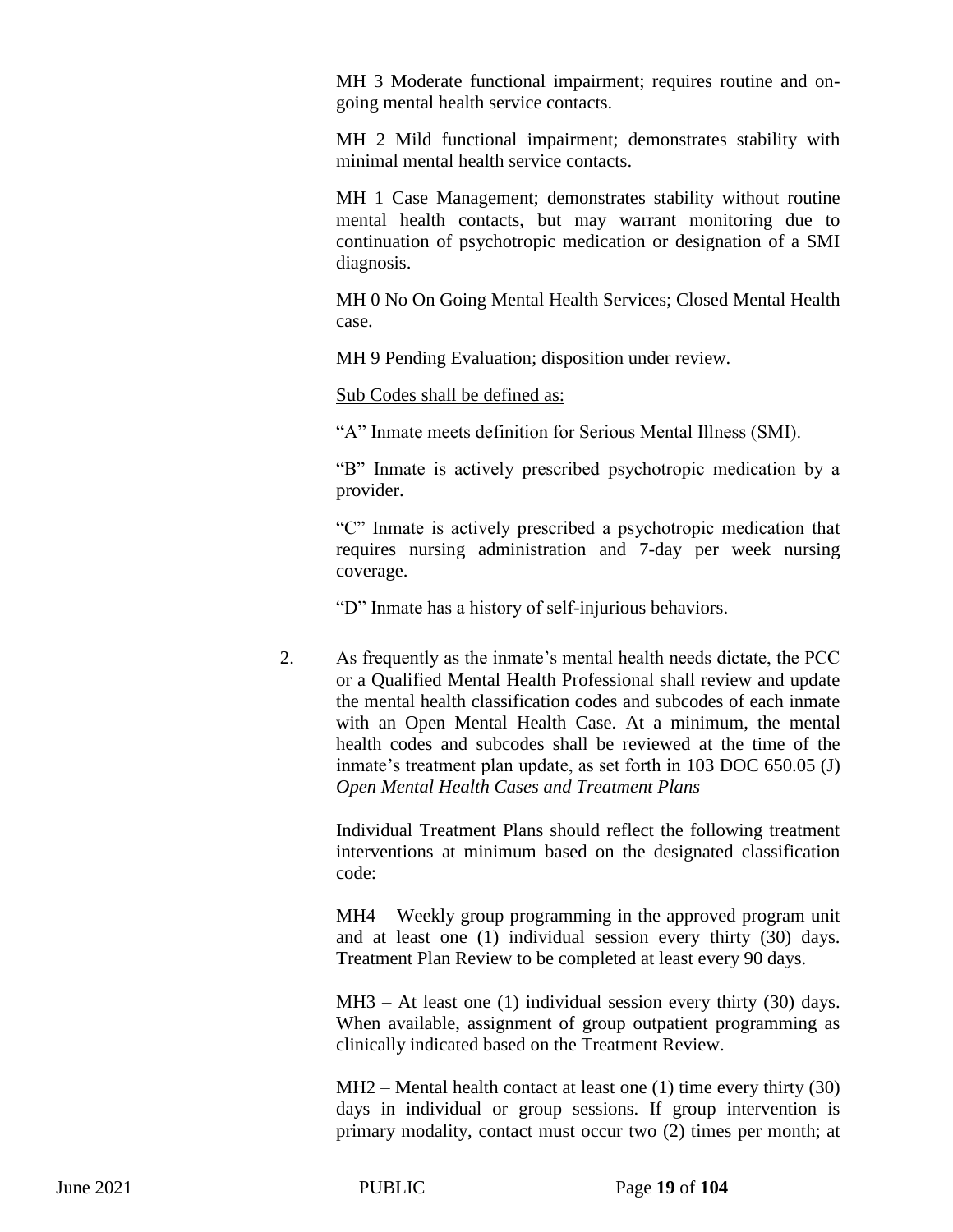MH 3 Moderate functional impairment; requires routine and ongoing mental health service contacts.

MH 2 Mild functional impairment; demonstrates stability with minimal mental health service contacts.

MH 1 Case Management; demonstrates stability without routine mental health contacts, but may warrant monitoring due to continuation of psychotropic medication or designation of a SMI diagnosis.

MH 0 No On Going Mental Health Services; Closed Mental Health case.

MH 9 Pending Evaluation; disposition under review.

Sub Codes shall be defined as:

"A" Inmate meets definition for Serious Mental Illness (SMI).

"B" Inmate is actively prescribed psychotropic medication by a provider.

"C" Inmate is actively prescribed a psychotropic medication that requires nursing administration and 7-day per week nursing coverage.

"D" Inmate has a history of self-injurious behaviors.

2. As frequently as the inmate's mental health needs dictate, the PCC or a Qualified Mental Health Professional shall review and update the mental health classification codes and subcodes of each inmate with an Open Mental Health Case. At a minimum, the mental health codes and subcodes shall be reviewed at the time of the inmate's treatment plan update, as set forth in 103 DOC 650.05 (J) *Open Mental Health Cases and Treatment Plans*

Individual Treatment Plans should reflect the following treatment interventions at minimum based on the designated classification code:

MH4 – Weekly group programming in the approved program unit and at least one (1) individual session every thirty (30) days. Treatment Plan Review to be completed at least every 90 days.

 $MH3 - At least one (1) individual session every thirty (30) days.$ When available, assignment of group outpatient programming as clinically indicated based on the Treatment Review.

MH2 – Mental health contact at least one (1) time every thirty (30) days in individual or group sessions. If group intervention is primary modality, contact must occur two (2) times per month; at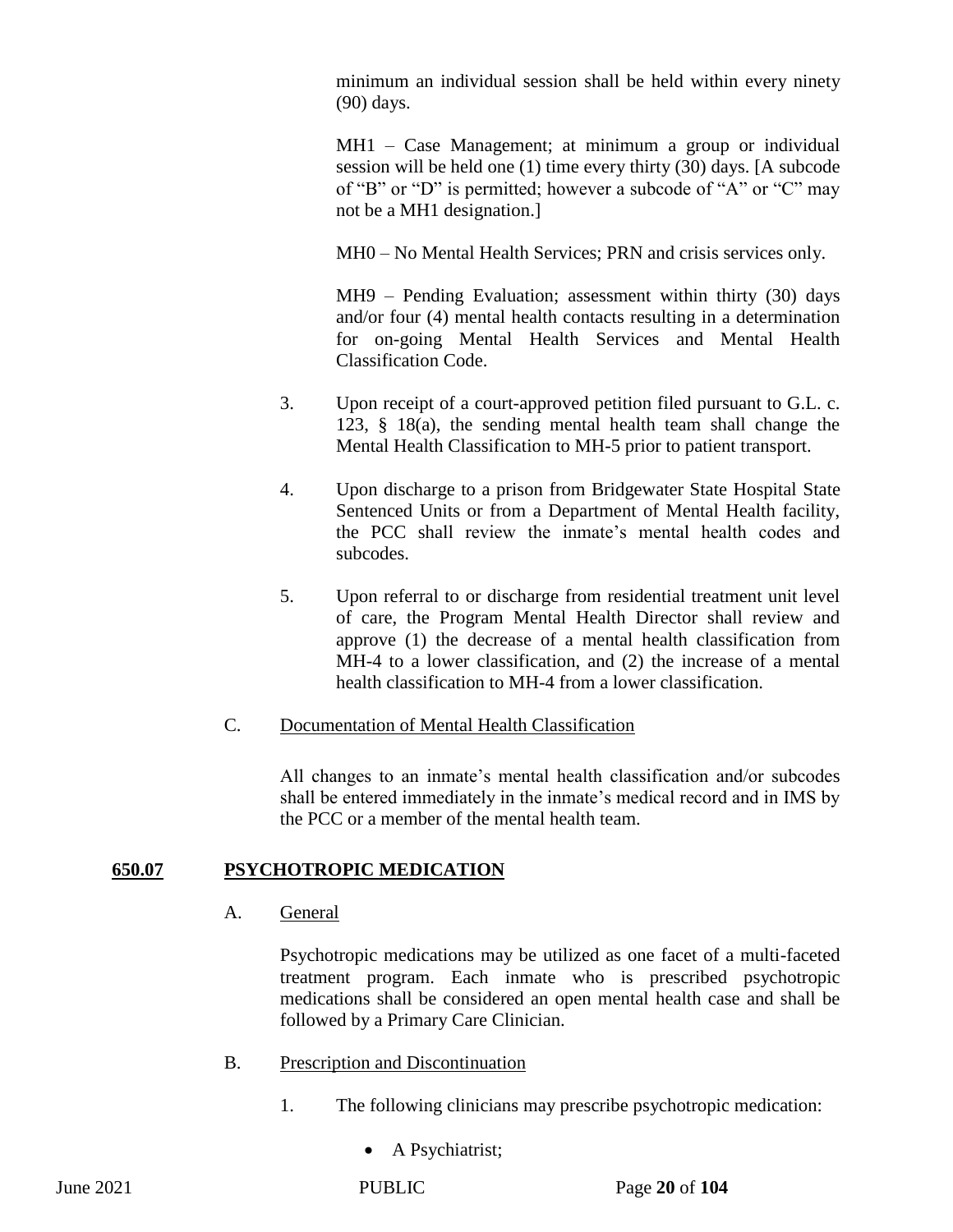minimum an individual session shall be held within every ninety (90) days.

MH1 – Case Management; at minimum a group or individual session will be held one (1) time every thirty (30) days. [A subcode of "B" or "D" is permitted; however a subcode of "A" or "C" may not be a MH1 designation.]

MH0 – No Mental Health Services; PRN and crisis services only.

MH9 – Pending Evaluation; assessment within thirty (30) days and/or four (4) mental health contacts resulting in a determination for on-going Mental Health Services and Mental Health Classification Code.

- 3. Upon receipt of a court-approved petition filed pursuant to G.L. c. 123, § 18(a), the sending mental health team shall change the Mental Health Classification to MH-5 prior to patient transport.
- 4. Upon discharge to a prison from Bridgewater State Hospital State Sentenced Units or from a Department of Mental Health facility, the PCC shall review the inmate's mental health codes and subcodes.
- 5. Upon referral to or discharge from residential treatment unit level of care, the Program Mental Health Director shall review and approve (1) the decrease of a mental health classification from MH-4 to a lower classification, and (2) the increase of a mental health classification to MH-4 from a lower classification.

## C. Documentation of Mental Health Classification

All changes to an inmate's mental health classification and/or subcodes shall be entered immediately in the inmate's medical record and in IMS by the PCC or a member of the mental health team.

## **650.07 PSYCHOTROPIC MEDICATION**

A. General

Psychotropic medications may be utilized as one facet of a multi-faceted treatment program. Each inmate who is prescribed psychotropic medications shall be considered an open mental health case and shall be followed by a Primary Care Clinician.

- B. Prescription and Discontinuation
	- 1. The following clinicians may prescribe psychotropic medication:
		- A Psychiatrist;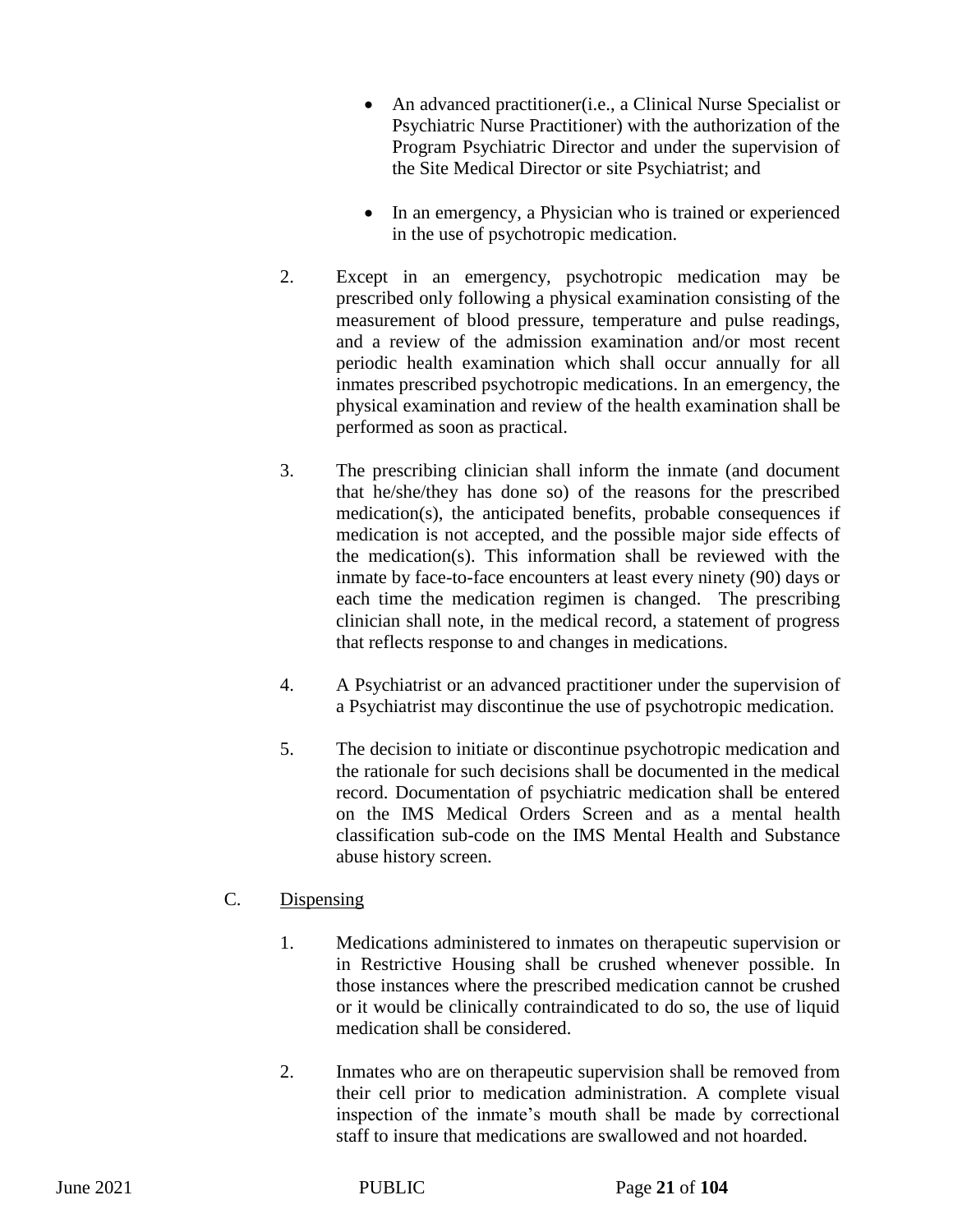- An advanced practitioner(i.e., a Clinical Nurse Specialist or Psychiatric Nurse Practitioner) with the authorization of the Program Psychiatric Director and under the supervision of the Site Medical Director or site Psychiatrist; and
- In an emergency, a Physician who is trained or experienced in the use of psychotropic medication.
- 2. Except in an emergency, psychotropic medication may be prescribed only following a physical examination consisting of the measurement of blood pressure, temperature and pulse readings, and a review of the admission examination and/or most recent periodic health examination which shall occur annually for all inmates prescribed psychotropic medications. In an emergency, the physical examination and review of the health examination shall be performed as soon as practical.
- 3. The prescribing clinician shall inform the inmate (and document that he/she/they has done so) of the reasons for the prescribed medication(s), the anticipated benefits, probable consequences if medication is not accepted, and the possible major side effects of the medication(s). This information shall be reviewed with the inmate by face-to-face encounters at least every ninety (90) days or each time the medication regimen is changed. The prescribing clinician shall note, in the medical record, a statement of progress that reflects response to and changes in medications.
- 4. A Psychiatrist or an advanced practitioner under the supervision of a Psychiatrist may discontinue the use of psychotropic medication.
- 5. The decision to initiate or discontinue psychotropic medication and the rationale for such decisions shall be documented in the medical record. Documentation of psychiatric medication shall be entered on the IMS Medical Orders Screen and as a mental health classification sub-code on the IMS Mental Health and Substance abuse history screen.

## C. Dispensing

- 1. Medications administered to inmates on therapeutic supervision or in Restrictive Housing shall be crushed whenever possible. In those instances where the prescribed medication cannot be crushed or it would be clinically contraindicated to do so, the use of liquid medication shall be considered.
- 2. Inmates who are on therapeutic supervision shall be removed from their cell prior to medication administration. A complete visual inspection of the inmate's mouth shall be made by correctional staff to insure that medications are swallowed and not hoarded.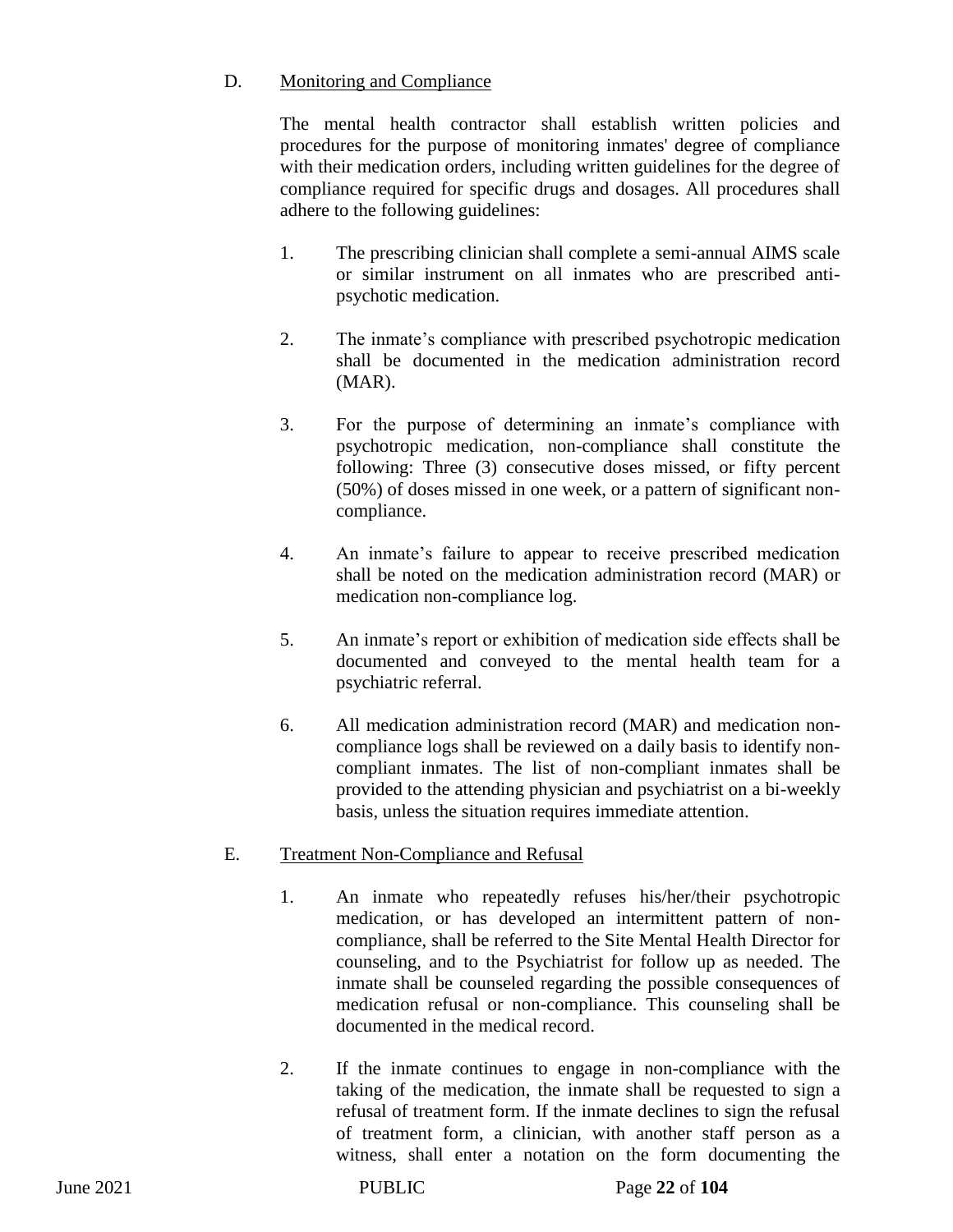## D. Monitoring and Compliance

The mental health contractor shall establish written policies and procedures for the purpose of monitoring inmates' degree of compliance with their medication orders, including written guidelines for the degree of compliance required for specific drugs and dosages. All procedures shall adhere to the following guidelines:

- 1. The prescribing clinician shall complete a semi-annual AIMS scale or similar instrument on all inmates who are prescribed antipsychotic medication.
- 2. The inmate's compliance with prescribed psychotropic medication shall be documented in the medication administration record (MAR).
- 3. For the purpose of determining an inmate's compliance with psychotropic medication, non-compliance shall constitute the following: Three (3) consecutive doses missed, or fifty percent (50%) of doses missed in one week, or a pattern of significant noncompliance.
- 4. An inmate's failure to appear to receive prescribed medication shall be noted on the medication administration record (MAR) or medication non-compliance log.
- 5. An inmate's report or exhibition of medication side effects shall be documented and conveyed to the mental health team for a psychiatric referral.
- 6. All medication administration record (MAR) and medication noncompliance logs shall be reviewed on a daily basis to identify noncompliant inmates. The list of non-compliant inmates shall be provided to the attending physician and psychiatrist on a bi-weekly basis, unless the situation requires immediate attention.

# E. Treatment Non-Compliance and Refusal

- 1. An inmate who repeatedly refuses his/her/their psychotropic medication, or has developed an intermittent pattern of noncompliance, shall be referred to the Site Mental Health Director for counseling, and to the Psychiatrist for follow up as needed. The inmate shall be counseled regarding the possible consequences of medication refusal or non-compliance. This counseling shall be documented in the medical record.
- 2. If the inmate continues to engage in non-compliance with the taking of the medication, the inmate shall be requested to sign a refusal of treatment form. If the inmate declines to sign the refusal of treatment form, a clinician, with another staff person as a witness, shall enter a notation on the form documenting the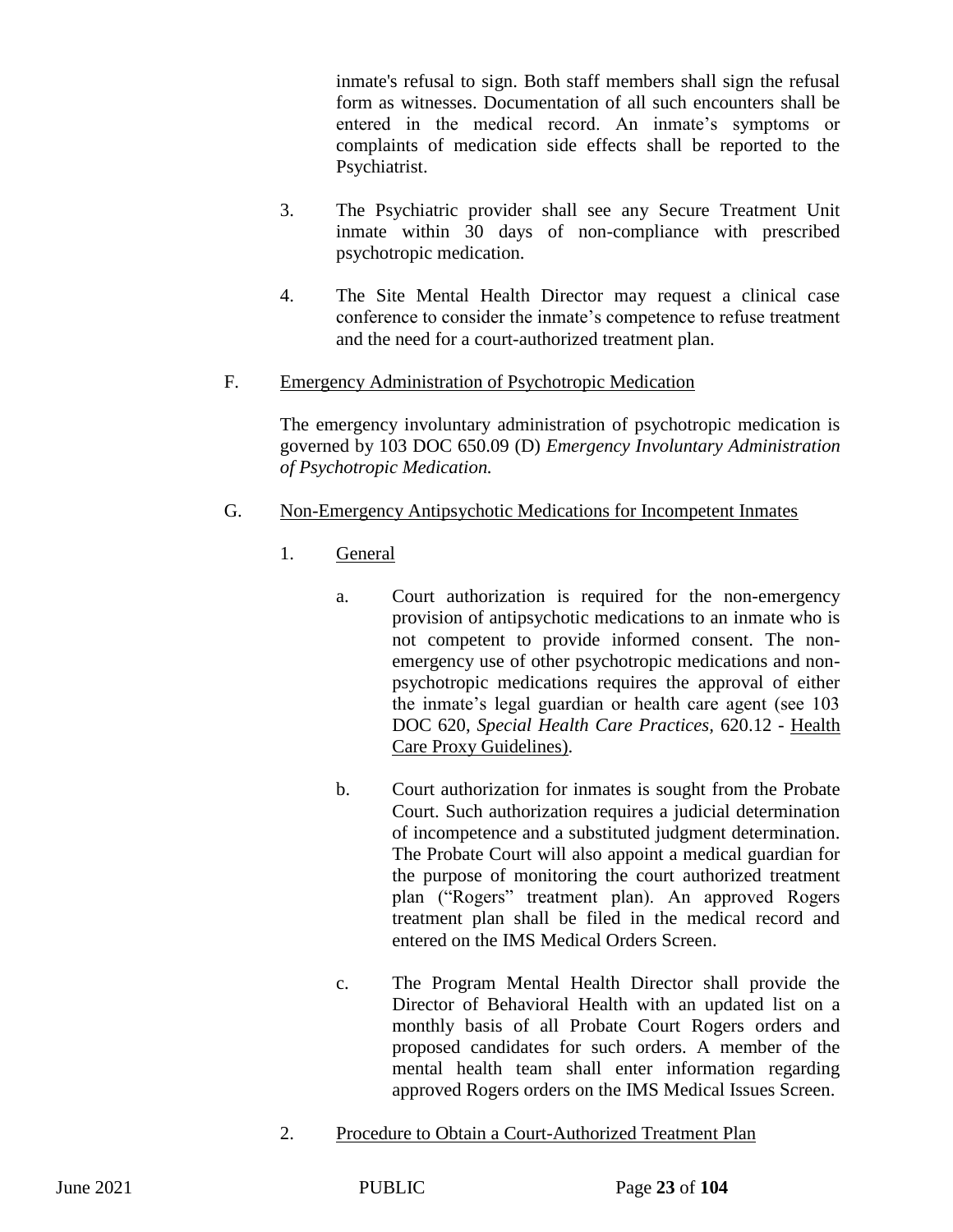inmate's refusal to sign. Both staff members shall sign the refusal form as witnesses. Documentation of all such encounters shall be entered in the medical record. An inmate's symptoms or complaints of medication side effects shall be reported to the Psychiatrist.

- 3. The Psychiatric provider shall see any Secure Treatment Unit inmate within 30 days of non-compliance with prescribed psychotropic medication.
- 4. The Site Mental Health Director may request a clinical case conference to consider the inmate's competence to refuse treatment and the need for a court-authorized treatment plan.
- F. Emergency Administration of Psychotropic Medication

The emergency involuntary administration of psychotropic medication is governed by 103 DOC 650.09 (D) *Emergency Involuntary Administration of Psychotropic Medication.*

- G. Non-Emergency Antipsychotic Medications for Incompetent Inmates
	- 1. General
		- a. Court authorization is required for the non-emergency provision of antipsychotic medications to an inmate who is not competent to provide informed consent. The nonemergency use of other psychotropic medications and nonpsychotropic medications requires the approval of either the inmate's legal guardian or health care agent (see 103 DOC 620, *Special Health Care Practices,* 620.12 - Health Care Proxy Guidelines).
		- b. Court authorization for inmates is sought from the Probate Court. Such authorization requires a judicial determination of incompetence and a substituted judgment determination. The Probate Court will also appoint a medical guardian for the purpose of monitoring the court authorized treatment plan ("Rogers" treatment plan). An approved Rogers treatment plan shall be filed in the medical record and entered on the IMS Medical Orders Screen.
		- c. The Program Mental Health Director shall provide the Director of Behavioral Health with an updated list on a monthly basis of all Probate Court Rogers orders and proposed candidates for such orders. A member of the mental health team shall enter information regarding approved Rogers orders on the IMS Medical Issues Screen.
	- 2. Procedure to Obtain a Court-Authorized Treatment Plan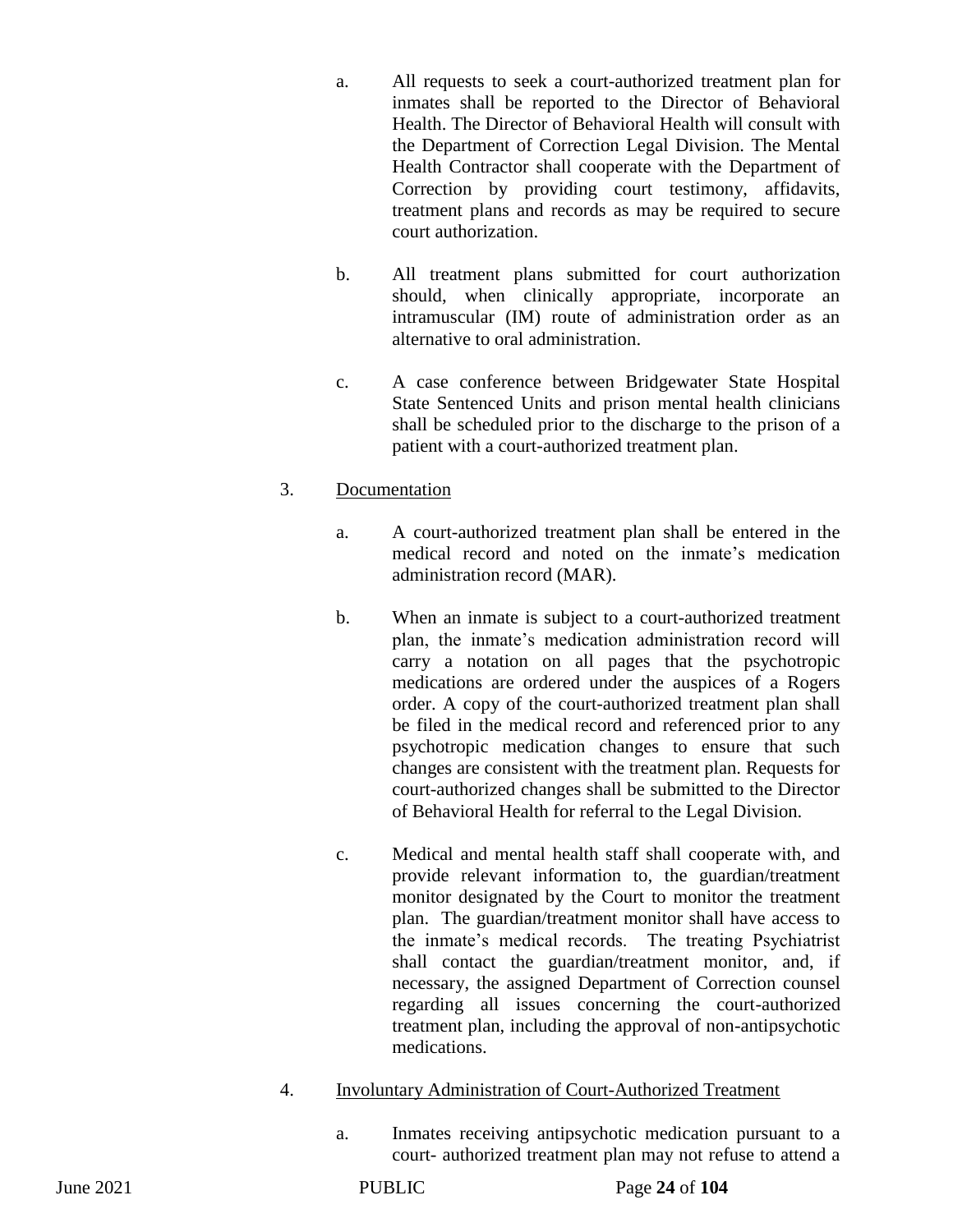- a. All requests to seek a court-authorized treatment plan for inmates shall be reported to the Director of Behavioral Health. The Director of Behavioral Health will consult with the Department of Correction Legal Division. The Mental Health Contractor shall cooperate with the Department of Correction by providing court testimony, affidavits, treatment plans and records as may be required to secure court authorization.
- b. All treatment plans submitted for court authorization should, when clinically appropriate, incorporate an intramuscular (IM) route of administration order as an alternative to oral administration.
- c. A case conference between Bridgewater State Hospital State Sentenced Units and prison mental health clinicians shall be scheduled prior to the discharge to the prison of a patient with a court-authorized treatment plan.

## 3. Documentation

- a. A court-authorized treatment plan shall be entered in the medical record and noted on the inmate's medication administration record (MAR).
- b. When an inmate is subject to a court-authorized treatment plan, the inmate's medication administration record will carry a notation on all pages that the psychotropic medications are ordered under the auspices of a Rogers order. A copy of the court-authorized treatment plan shall be filed in the medical record and referenced prior to any psychotropic medication changes to ensure that such changes are consistent with the treatment plan. Requests for court-authorized changes shall be submitted to the Director of Behavioral Health for referral to the Legal Division.
- c. Medical and mental health staff shall cooperate with, and provide relevant information to, the guardian/treatment monitor designated by the Court to monitor the treatment plan. The guardian/treatment monitor shall have access to the inmate's medical records. The treating Psychiatrist shall contact the guardian/treatment monitor, and, if necessary, the assigned Department of Correction counsel regarding all issues concerning the court-authorized treatment plan, including the approval of non-antipsychotic medications.
- 4. Involuntary Administration of Court-Authorized Treatment
	- a. Inmates receiving antipsychotic medication pursuant to a court- authorized treatment plan may not refuse to attend a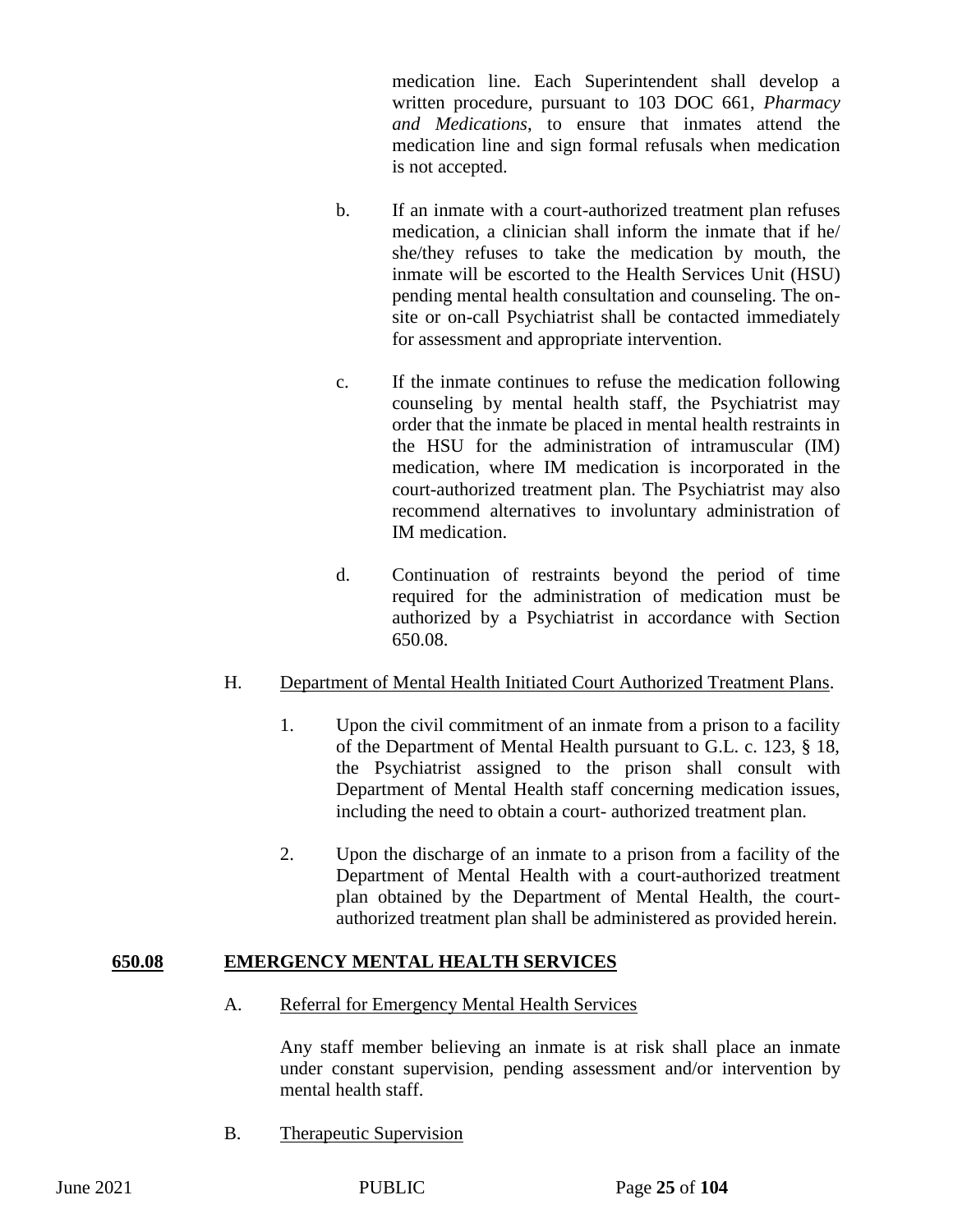medication line. Each Superintendent shall develop a written procedure, pursuant to 103 DOC 661, *Pharmacy and Medications*, to ensure that inmates attend the medication line and sign formal refusals when medication is not accepted.

- b. If an inmate with a court-authorized treatment plan refuses medication, a clinician shall inform the inmate that if he/ she/they refuses to take the medication by mouth, the inmate will be escorted to the Health Services Unit (HSU) pending mental health consultation and counseling. The onsite or on-call Psychiatrist shall be contacted immediately for assessment and appropriate intervention.
- c. If the inmate continues to refuse the medication following counseling by mental health staff, the Psychiatrist may order that the inmate be placed in mental health restraints in the HSU for the administration of intramuscular (IM) medication, where IM medication is incorporated in the court-authorized treatment plan. The Psychiatrist may also recommend alternatives to involuntary administration of IM medication.
- d. Continuation of restraints beyond the period of time required for the administration of medication must be authorized by a Psychiatrist in accordance with Section 650.08.

## H. Department of Mental Health Initiated Court Authorized Treatment Plans.

- 1. Upon the civil commitment of an inmate from a prison to a facility of the Department of Mental Health pursuant to G.L. c. 123, § 18, the Psychiatrist assigned to the prison shall consult with Department of Mental Health staff concerning medication issues, including the need to obtain a court- authorized treatment plan.
- 2. Upon the discharge of an inmate to a prison from a facility of the Department of Mental Health with a court-authorized treatment plan obtained by the Department of Mental Health, the courtauthorized treatment plan shall be administered as provided herein.

## **650.08 EMERGENCY MENTAL HEALTH SERVICES**

A. Referral for Emergency Mental Health Services

Any staff member believing an inmate is at risk shall place an inmate under constant supervision, pending assessment and/or intervention by mental health staff.

B. Therapeutic Supervision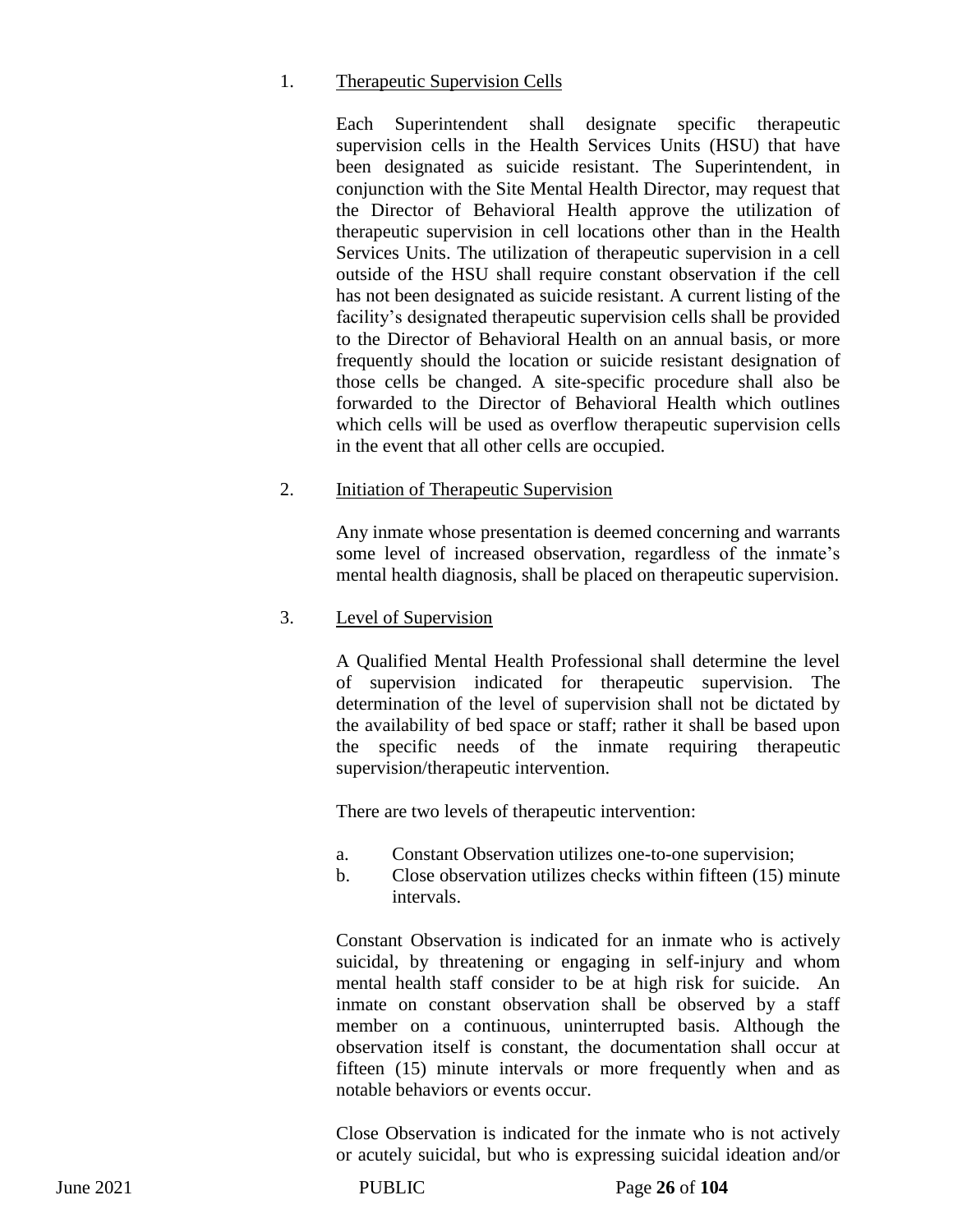#### 1. Therapeutic Supervision Cells

Each Superintendent shall designate specific therapeutic supervision cells in the Health Services Units (HSU) that have been designated as suicide resistant. The Superintendent, in conjunction with the Site Mental Health Director, may request that the Director of Behavioral Health approve the utilization of therapeutic supervision in cell locations other than in the Health Services Units. The utilization of therapeutic supervision in a cell outside of the HSU shall require constant observation if the cell has not been designated as suicide resistant. A current listing of the facility's designated therapeutic supervision cells shall be provided to the Director of Behavioral Health on an annual basis, or more frequently should the location or suicide resistant designation of those cells be changed. A site-specific procedure shall also be forwarded to the Director of Behavioral Health which outlines which cells will be used as overflow therapeutic supervision cells in the event that all other cells are occupied.

#### 2. Initiation of Therapeutic Supervision

Any inmate whose presentation is deemed concerning and warrants some level of increased observation, regardless of the inmate's mental health diagnosis, shall be placed on therapeutic supervision.

## 3. Level of Supervision

A Qualified Mental Health Professional shall determine the level of supervision indicated for therapeutic supervision. The determination of the level of supervision shall not be dictated by the availability of bed space or staff; rather it shall be based upon the specific needs of the inmate requiring therapeutic supervision/therapeutic intervention.

There are two levels of therapeutic intervention:

- a. Constant Observation utilizes one-to-one supervision;
- b. Close observation utilizes checks within fifteen (15) minute intervals.

Constant Observation is indicated for an inmate who is actively suicidal, by threatening or engaging in self-injury and whom mental health staff consider to be at high risk for suicide. An inmate on constant observation shall be observed by a staff member on a continuous, uninterrupted basis. Although the observation itself is constant, the documentation shall occur at fifteen (15) minute intervals or more frequently when and as notable behaviors or events occur.

Close Observation is indicated for the inmate who is not actively or acutely suicidal, but who is expressing suicidal ideation and/or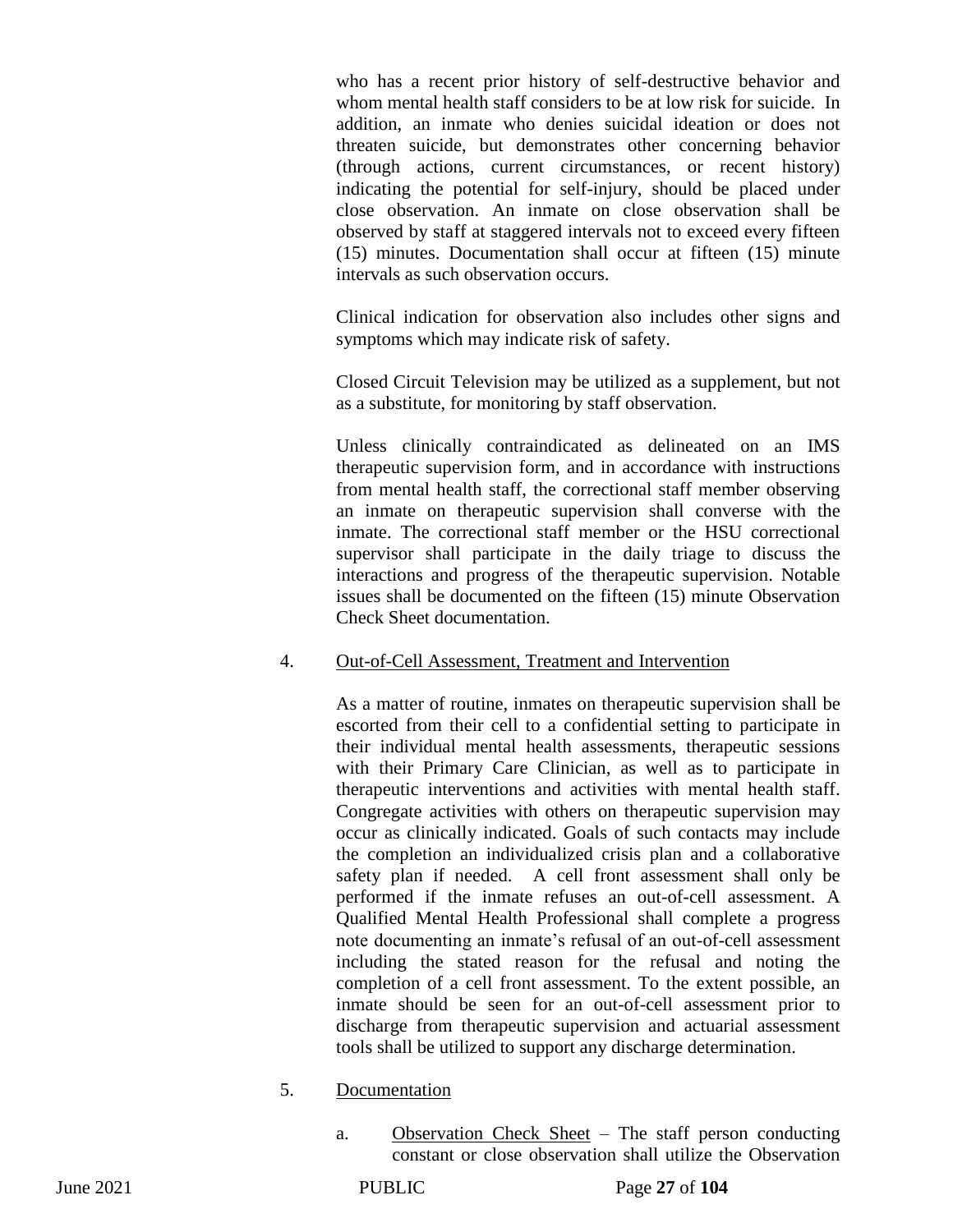who has a recent prior history of self-destructive behavior and whom mental health staff considers to be at low risk for suicide. In addition, an inmate who denies suicidal ideation or does not threaten suicide, but demonstrates other concerning behavior (through actions, current circumstances, or recent history) indicating the potential for self-injury, should be placed under close observation. An inmate on close observation shall be observed by staff at staggered intervals not to exceed every fifteen (15) minutes. Documentation shall occur at fifteen (15) minute intervals as such observation occurs.

Clinical indication for observation also includes other signs and symptoms which may indicate risk of safety.

Closed Circuit Television may be utilized as a supplement, but not as a substitute, for monitoring by staff observation.

Unless clinically contraindicated as delineated on an IMS therapeutic supervision form, and in accordance with instructions from mental health staff, the correctional staff member observing an inmate on therapeutic supervision shall converse with the inmate. The correctional staff member or the HSU correctional supervisor shall participate in the daily triage to discuss the interactions and progress of the therapeutic supervision. Notable issues shall be documented on the fifteen (15) minute Observation Check Sheet documentation.

#### 4. Out-of-Cell Assessment, Treatment and Intervention

As a matter of routine, inmates on therapeutic supervision shall be escorted from their cell to a confidential setting to participate in their individual mental health assessments, therapeutic sessions with their Primary Care Clinician, as well as to participate in therapeutic interventions and activities with mental health staff. Congregate activities with others on therapeutic supervision may occur as clinically indicated. Goals of such contacts may include the completion an individualized crisis plan and a collaborative safety plan if needed. A cell front assessment shall only be performed if the inmate refuses an out-of-cell assessment. A Qualified Mental Health Professional shall complete a progress note documenting an inmate's refusal of an out-of-cell assessment including the stated reason for the refusal and noting the completion of a cell front assessment. To the extent possible, an inmate should be seen for an out-of-cell assessment prior to discharge from therapeutic supervision and actuarial assessment tools shall be utilized to support any discharge determination.

#### 5. Documentation

a. Observation Check Sheet – The staff person conducting constant or close observation shall utilize the Observation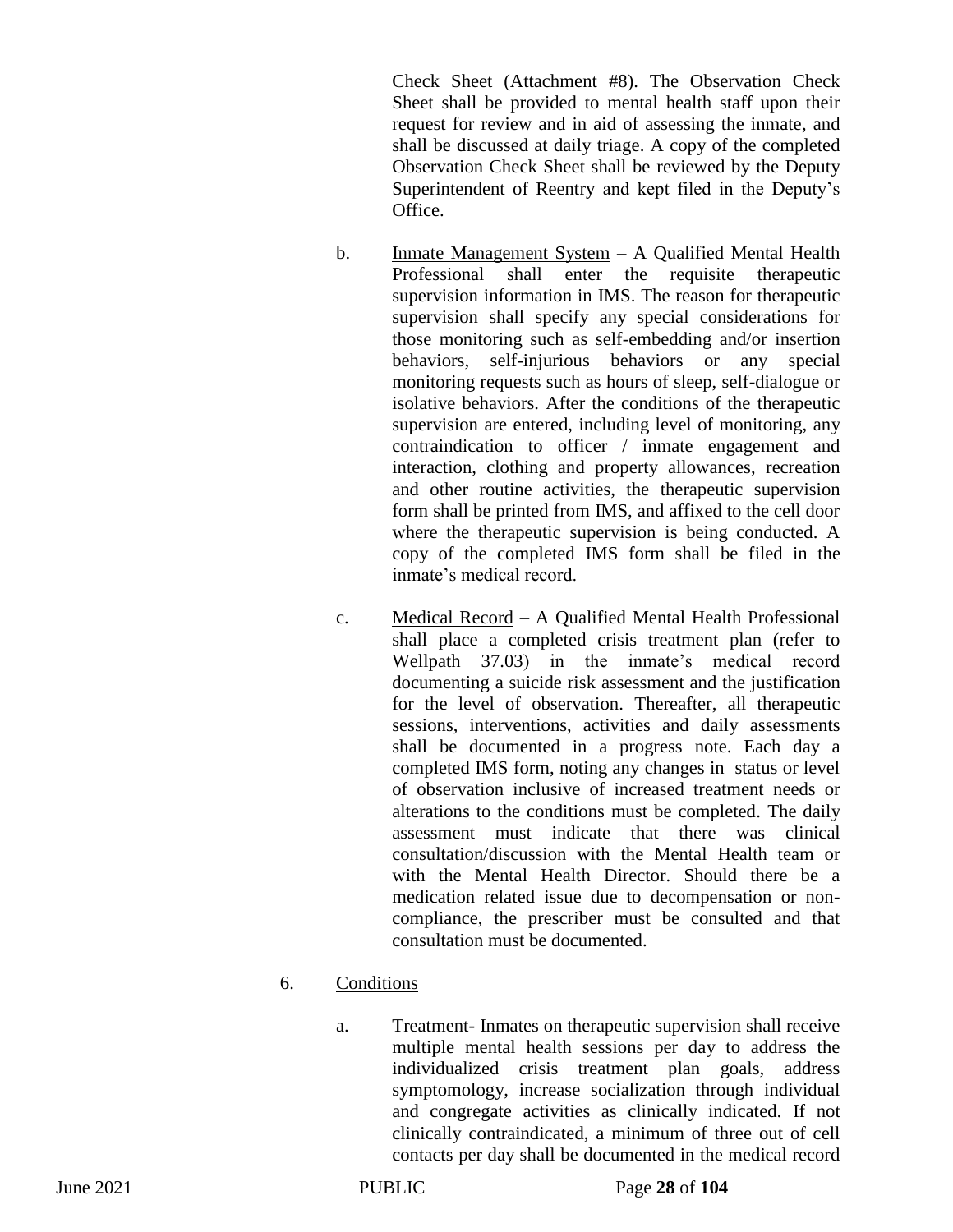Check Sheet (Attachment #8). The Observation Check Sheet shall be provided to mental health staff upon their request for review and in aid of assessing the inmate, and shall be discussed at daily triage. A copy of the completed Observation Check Sheet shall be reviewed by the Deputy Superintendent of Reentry and kept filed in the Deputy's Office.

- b. Inmate Management System A Qualified Mental Health Professional shall enter the requisite therapeutic supervision information in IMS. The reason for therapeutic supervision shall specify any special considerations for those monitoring such as self-embedding and/or insertion behaviors, self-injurious behaviors or any special monitoring requests such as hours of sleep, self-dialogue or isolative behaviors. After the conditions of the therapeutic supervision are entered, including level of monitoring, any contraindication to officer / inmate engagement and interaction, clothing and property allowances, recreation and other routine activities, the therapeutic supervision form shall be printed from IMS, and affixed to the cell door where the therapeutic supervision is being conducted. A copy of the completed IMS form shall be filed in the inmate's medical record.
- c. Medical Record A Qualified Mental Health Professional shall place a completed crisis treatment plan (refer to Wellpath 37.03) in the inmate's medical record documenting a suicide risk assessment and the justification for the level of observation. Thereafter, all therapeutic sessions, interventions, activities and daily assessments shall be documented in a progress note. Each day a completed IMS form, noting any changes in status or level of observation inclusive of increased treatment needs or alterations to the conditions must be completed. The daily assessment must indicate that there was clinical consultation/discussion with the Mental Health team or with the Mental Health Director. Should there be a medication related issue due to decompensation or noncompliance, the prescriber must be consulted and that consultation must be documented.

## 6. Conditions

a. Treatment- Inmates on therapeutic supervision shall receive multiple mental health sessions per day to address the individualized crisis treatment plan goals, address symptomology, increase socialization through individual and congregate activities as clinically indicated. If not clinically contraindicated, a minimum of three out of cell contacts per day shall be documented in the medical record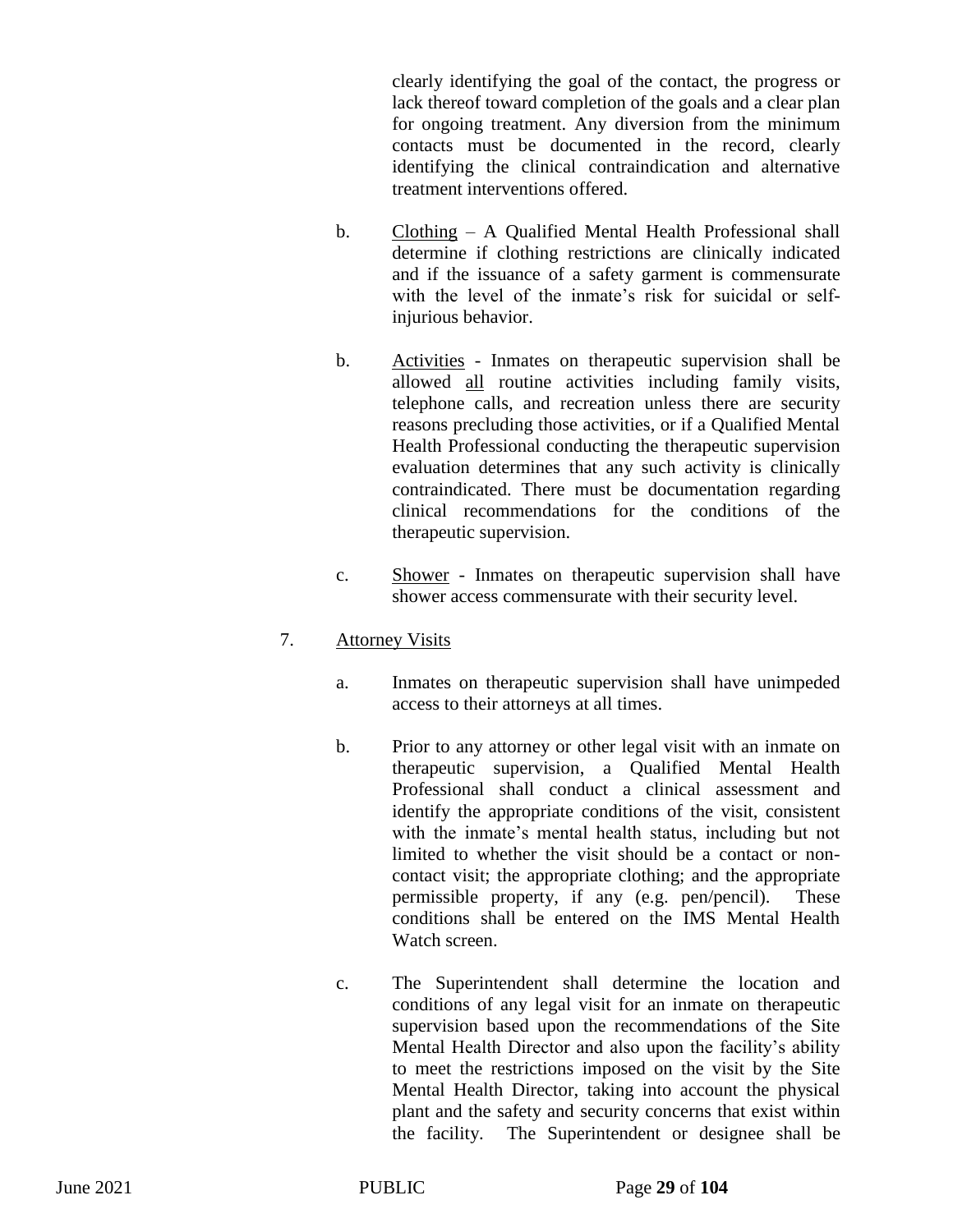clearly identifying the goal of the contact, the progress or lack thereof toward completion of the goals and a clear plan for ongoing treatment. Any diversion from the minimum contacts must be documented in the record, clearly identifying the clinical contraindication and alternative treatment interventions offered.

- b. Clothing A Qualified Mental Health Professional shall determine if clothing restrictions are clinically indicated and if the issuance of a safety garment is commensurate with the level of the inmate's risk for suicidal or selfinjurious behavior.
- b. Activities Inmates on therapeutic supervision shall be allowed all routine activities including family visits, telephone calls, and recreation unless there are security reasons precluding those activities, or if a Qualified Mental Health Professional conducting the therapeutic supervision evaluation determines that any such activity is clinically contraindicated. There must be documentation regarding clinical recommendations for the conditions of the therapeutic supervision.
- c. Shower Inmates on therapeutic supervision shall have shower access commensurate with their security level.

## 7. Attorney Visits

- a. Inmates on therapeutic supervision shall have unimpeded access to their attorneys at all times.
- b. Prior to any attorney or other legal visit with an inmate on therapeutic supervision, a Qualified Mental Health Professional shall conduct a clinical assessment and identify the appropriate conditions of the visit, consistent with the inmate's mental health status, including but not limited to whether the visit should be a contact or noncontact visit; the appropriate clothing; and the appropriate permissible property, if any (e.g. pen/pencil). These conditions shall be entered on the IMS Mental Health Watch screen.
- c. The Superintendent shall determine the location and conditions of any legal visit for an inmate on therapeutic supervision based upon the recommendations of the Site Mental Health Director and also upon the facility's ability to meet the restrictions imposed on the visit by the Site Mental Health Director, taking into account the physical plant and the safety and security concerns that exist within the facility. The Superintendent or designee shall be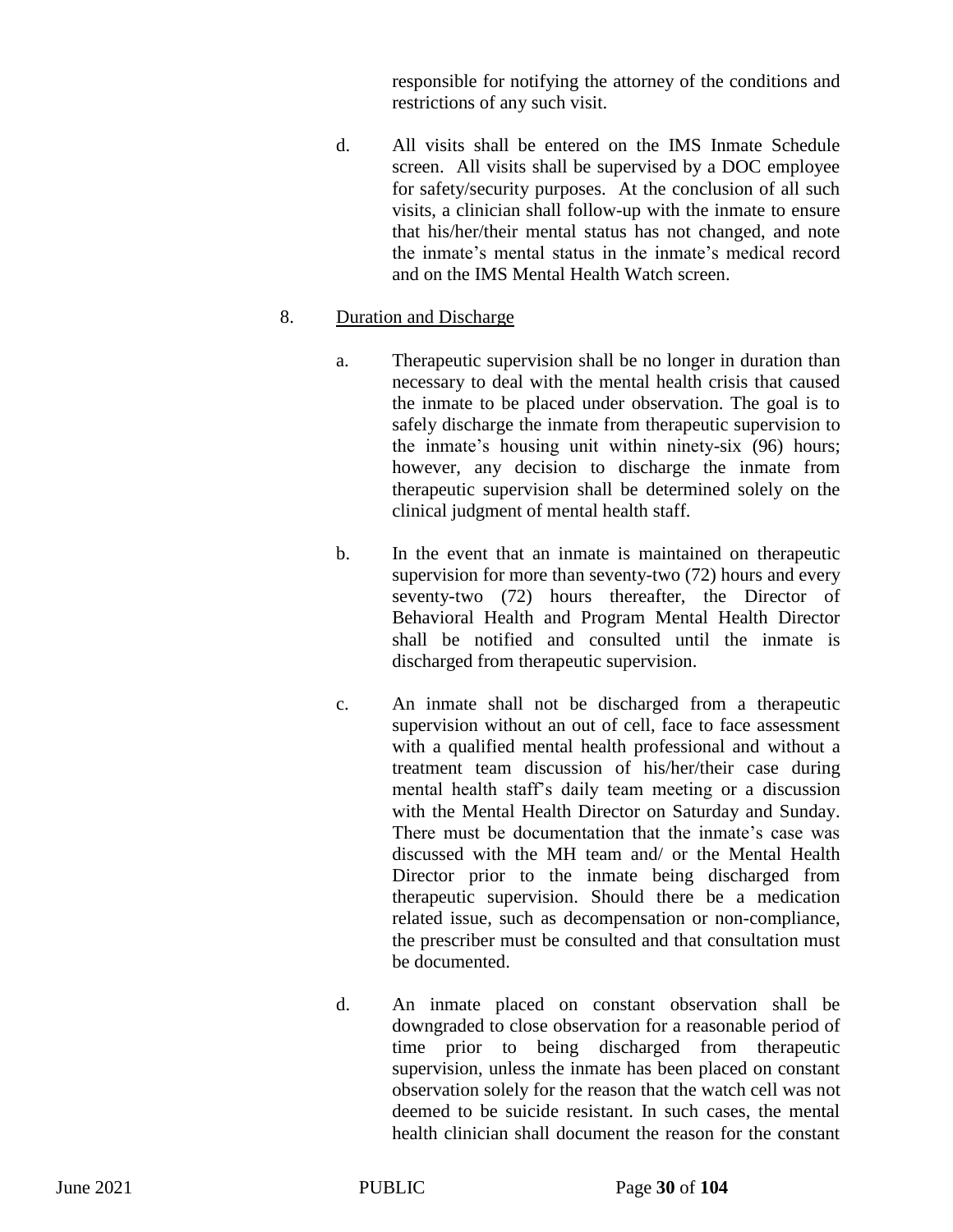responsible for notifying the attorney of the conditions and restrictions of any such visit.

d. All visits shall be entered on the IMS Inmate Schedule screen. All visits shall be supervised by a DOC employee for safety/security purposes. At the conclusion of all such visits, a clinician shall follow-up with the inmate to ensure that his/her/their mental status has not changed, and note the inmate's mental status in the inmate's medical record and on the IMS Mental Health Watch screen.

# 8. Duration and Discharge

- a. Therapeutic supervision shall be no longer in duration than necessary to deal with the mental health crisis that caused the inmate to be placed under observation. The goal is to safely discharge the inmate from therapeutic supervision to the inmate's housing unit within ninety-six (96) hours; however, any decision to discharge the inmate from therapeutic supervision shall be determined solely on the clinical judgment of mental health staff.
- b. In the event that an inmate is maintained on therapeutic supervision for more than seventy-two (72) hours and every seventy-two (72) hours thereafter, the Director of Behavioral Health and Program Mental Health Director shall be notified and consulted until the inmate is discharged from therapeutic supervision.
- c. An inmate shall not be discharged from a therapeutic supervision without an out of cell, face to face assessment with a qualified mental health professional and without a treatment team discussion of his/her/their case during mental health staff's daily team meeting or a discussion with the Mental Health Director on Saturday and Sunday. There must be documentation that the inmate's case was discussed with the MH team and/ or the Mental Health Director prior to the inmate being discharged from therapeutic supervision. Should there be a medication related issue, such as decompensation or non-compliance, the prescriber must be consulted and that consultation must be documented.
- d. An inmate placed on constant observation shall be downgraded to close observation for a reasonable period of time prior to being discharged from therapeutic supervision, unless the inmate has been placed on constant observation solely for the reason that the watch cell was not deemed to be suicide resistant. In such cases, the mental health clinician shall document the reason for the constant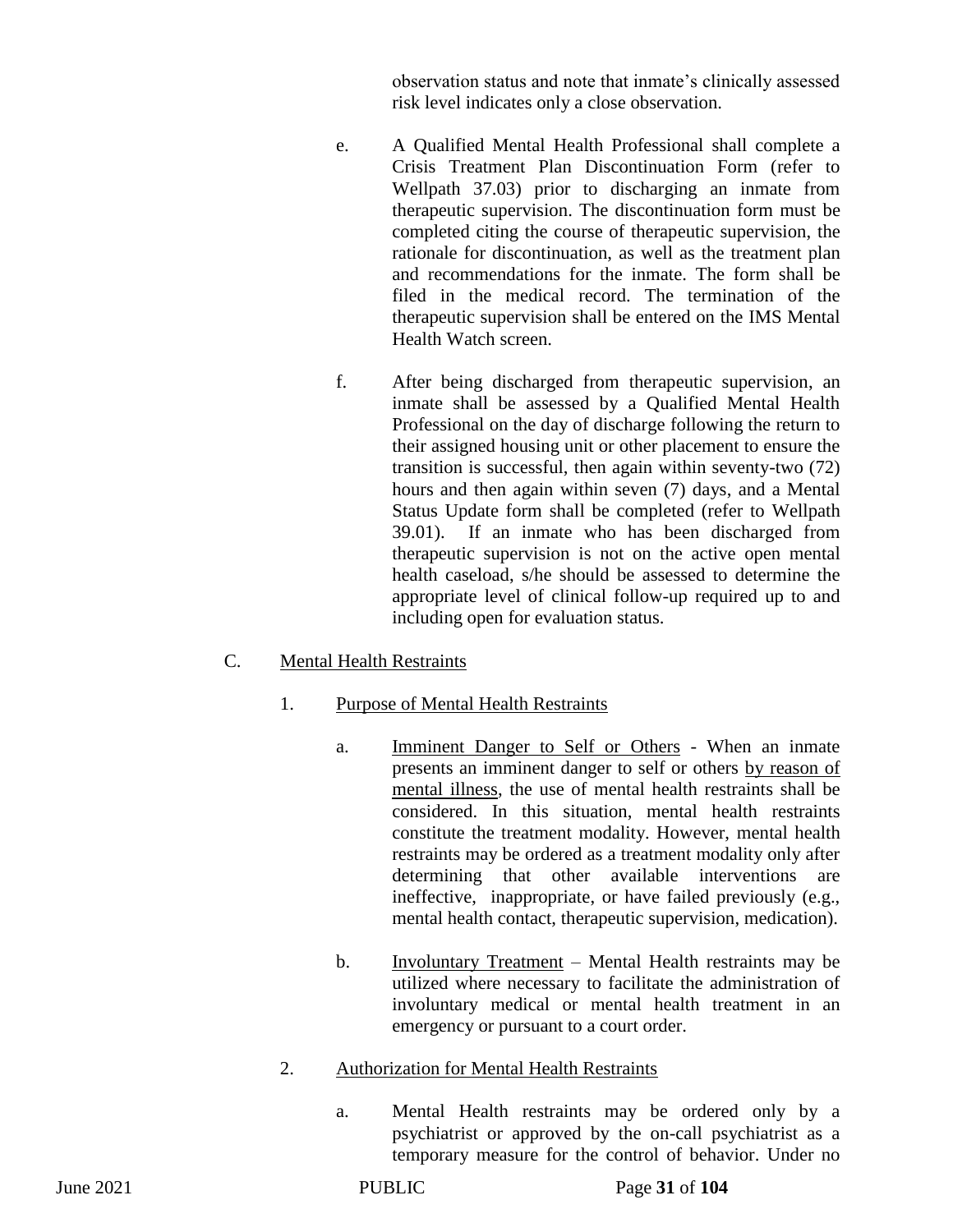observation status and note that inmate's clinically assessed risk level indicates only a close observation.

- e. A Qualified Mental Health Professional shall complete a Crisis Treatment Plan Discontinuation Form (refer to Wellpath 37.03) prior to discharging an inmate from therapeutic supervision. The discontinuation form must be completed citing the course of therapeutic supervision, the rationale for discontinuation, as well as the treatment plan and recommendations for the inmate. The form shall be filed in the medical record. The termination of the therapeutic supervision shall be entered on the IMS Mental Health Watch screen.
- f. After being discharged from therapeutic supervision, an inmate shall be assessed by a Qualified Mental Health Professional on the day of discharge following the return to their assigned housing unit or other placement to ensure the transition is successful, then again within seventy-two (72) hours and then again within seven (7) days, and a Mental Status Update form shall be completed (refer to Wellpath 39.01). If an inmate who has been discharged from therapeutic supervision is not on the active open mental health caseload, s/he should be assessed to determine the appropriate level of clinical follow-up required up to and including open for evaluation status.

## C. Mental Health Restraints

## 1. Purpose of Mental Health Restraints

- a. Imminent Danger to Self or Others When an inmate presents an imminent danger to self or others by reason of mental illness, the use of mental health restraints shall be considered. In this situation, mental health restraints constitute the treatment modality. However, mental health restraints may be ordered as a treatment modality only after determining that other available interventions are ineffective, inappropriate, or have failed previously (e.g., mental health contact, therapeutic supervision, medication).
- b. Involuntary Treatment Mental Health restraints may be utilized where necessary to facilitate the administration of involuntary medical or mental health treatment in an emergency or pursuant to a court order.

## 2. Authorization for Mental Health Restraints

a. Mental Health restraints may be ordered only by a psychiatrist or approved by the on-call psychiatrist as a temporary measure for the control of behavior. Under no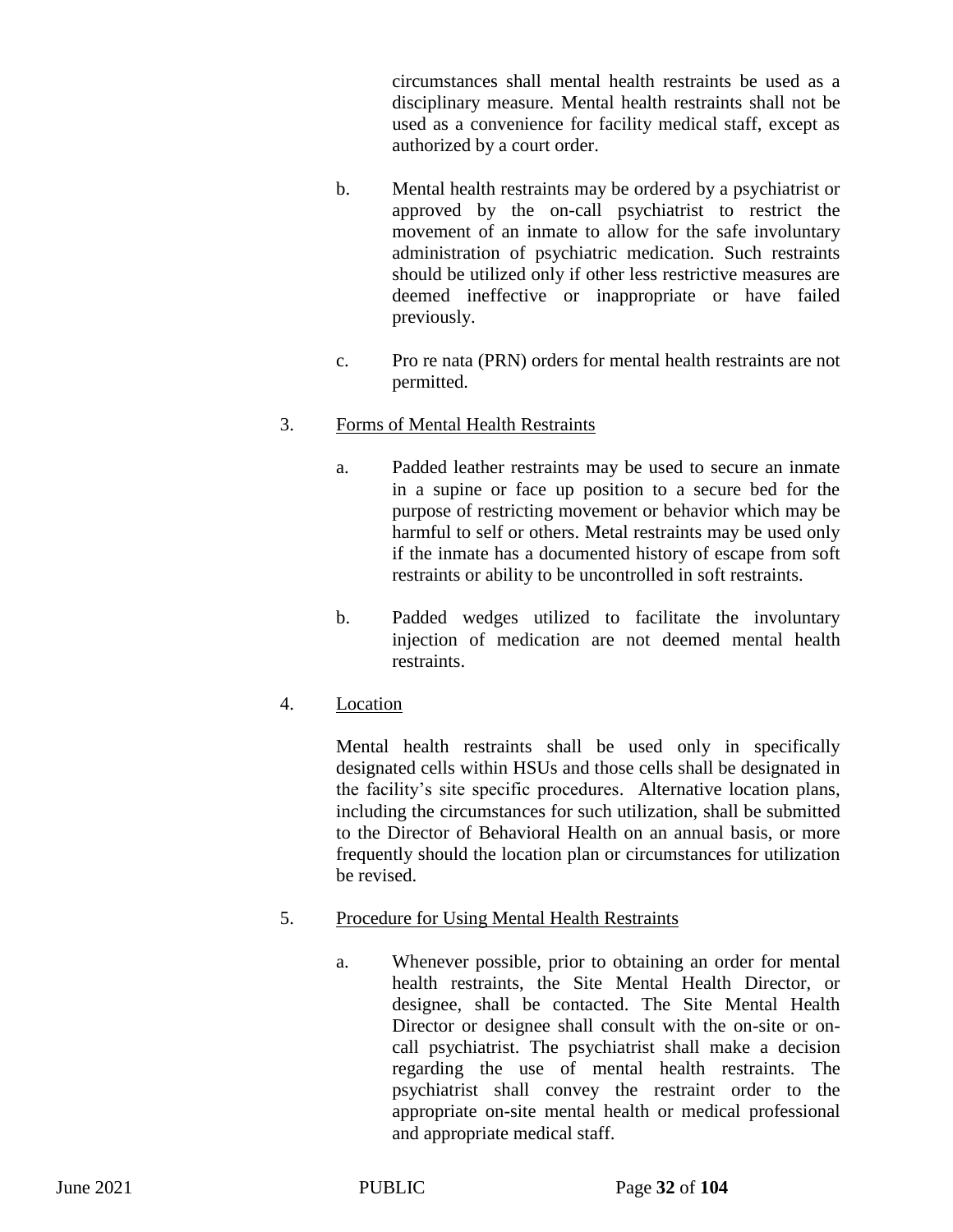circumstances shall mental health restraints be used as a disciplinary measure. Mental health restraints shall not be used as a convenience for facility medical staff, except as authorized by a court order.

- b. Mental health restraints may be ordered by a psychiatrist or approved by the on-call psychiatrist to restrict the movement of an inmate to allow for the safe involuntary administration of psychiatric medication. Such restraints should be utilized only if other less restrictive measures are deemed ineffective or inappropriate or have failed previously.
- c. Pro re nata (PRN) orders for mental health restraints are not permitted.

# 3. Forms of Mental Health Restraints

- a. Padded leather restraints may be used to secure an inmate in a supine or face up position to a secure bed for the purpose of restricting movement or behavior which may be harmful to self or others. Metal restraints may be used only if the inmate has a documented history of escape from soft restraints or ability to be uncontrolled in soft restraints.
- b. Padded wedges utilized to facilitate the involuntary injection of medication are not deemed mental health restraints.
- 4. Location

Mental health restraints shall be used only in specifically designated cells within HSUs and those cells shall be designated in the facility's site specific procedures. Alternative location plans, including the circumstances for such utilization, shall be submitted to the Director of Behavioral Health on an annual basis, or more frequently should the location plan or circumstances for utilization be revised.

- 5. Procedure for Using Mental Health Restraints
	- a. Whenever possible, prior to obtaining an order for mental health restraints, the Site Mental Health Director, or designee, shall be contacted. The Site Mental Health Director or designee shall consult with the on-site or oncall psychiatrist. The psychiatrist shall make a decision regarding the use of mental health restraints. The psychiatrist shall convey the restraint order to the appropriate on-site mental health or medical professional and appropriate medical staff.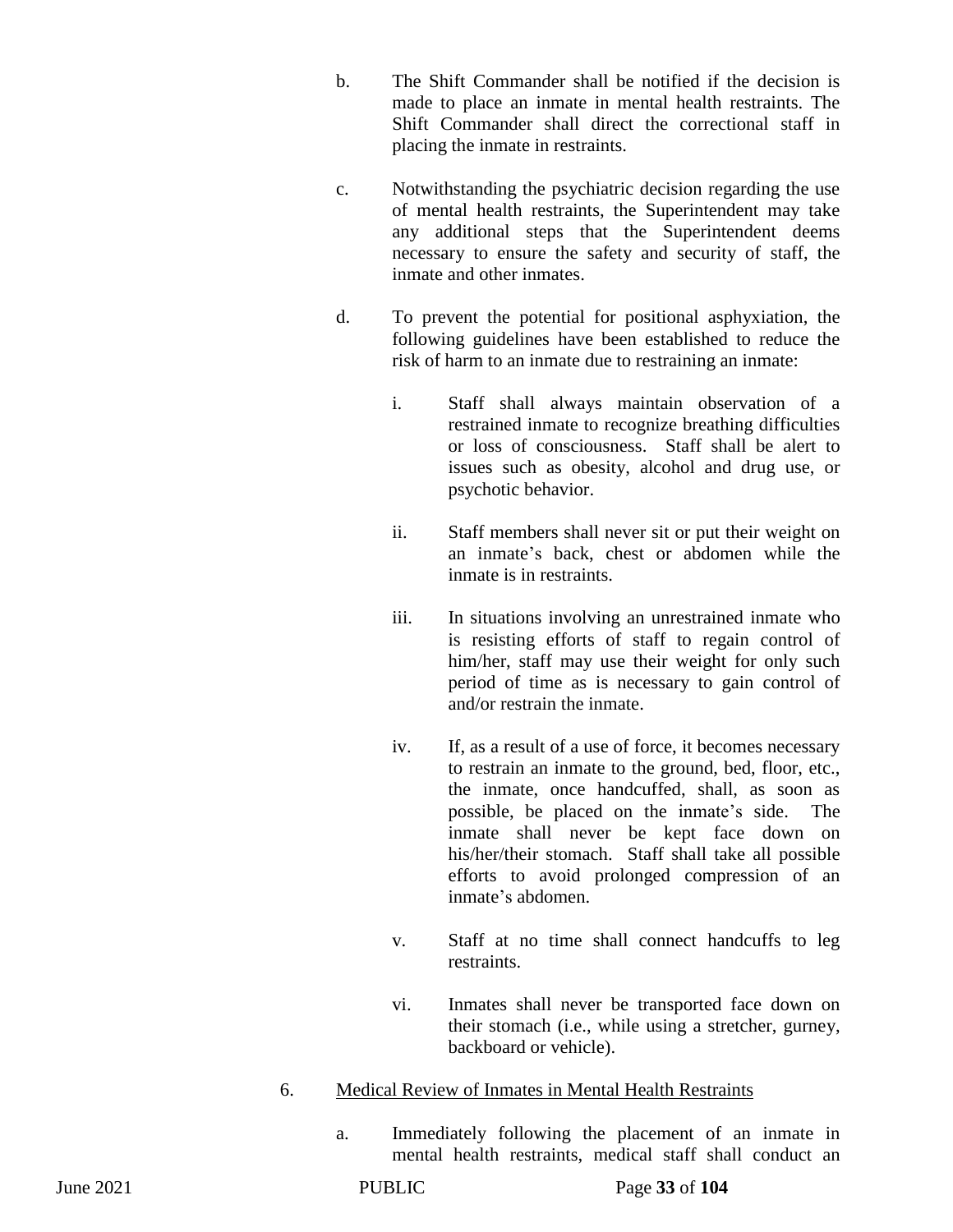- b. The Shift Commander shall be notified if the decision is made to place an inmate in mental health restraints. The Shift Commander shall direct the correctional staff in placing the inmate in restraints.
- c. Notwithstanding the psychiatric decision regarding the use of mental health restraints, the Superintendent may take any additional steps that the Superintendent deems necessary to ensure the safety and security of staff, the inmate and other inmates.
- d. To prevent the potential for positional asphyxiation, the following guidelines have been established to reduce the risk of harm to an inmate due to restraining an inmate:
	- i. Staff shall always maintain observation of a restrained inmate to recognize breathing difficulties or loss of consciousness. Staff shall be alert to issues such as obesity, alcohol and drug use, or psychotic behavior.
	- ii. Staff members shall never sit or put their weight on an inmate's back, chest or abdomen while the inmate is in restraints.
	- iii. In situations involving an unrestrained inmate who is resisting efforts of staff to regain control of him/her, staff may use their weight for only such period of time as is necessary to gain control of and/or restrain the inmate.
	- iv. If, as a result of a use of force, it becomes necessary to restrain an inmate to the ground, bed, floor, etc., the inmate, once handcuffed, shall, as soon as possible, be placed on the inmate's side. The inmate shall never be kept face down on his/her/their stomach. Staff shall take all possible efforts to avoid prolonged compression of an inmate's abdomen.
	- v. Staff at no time shall connect handcuffs to leg restraints.
	- vi. Inmates shall never be transported face down on their stomach (i.e., while using a stretcher, gurney, backboard or vehicle).
- 6. Medical Review of Inmates in Mental Health Restraints
	- a. Immediately following the placement of an inmate in mental health restraints, medical staff shall conduct an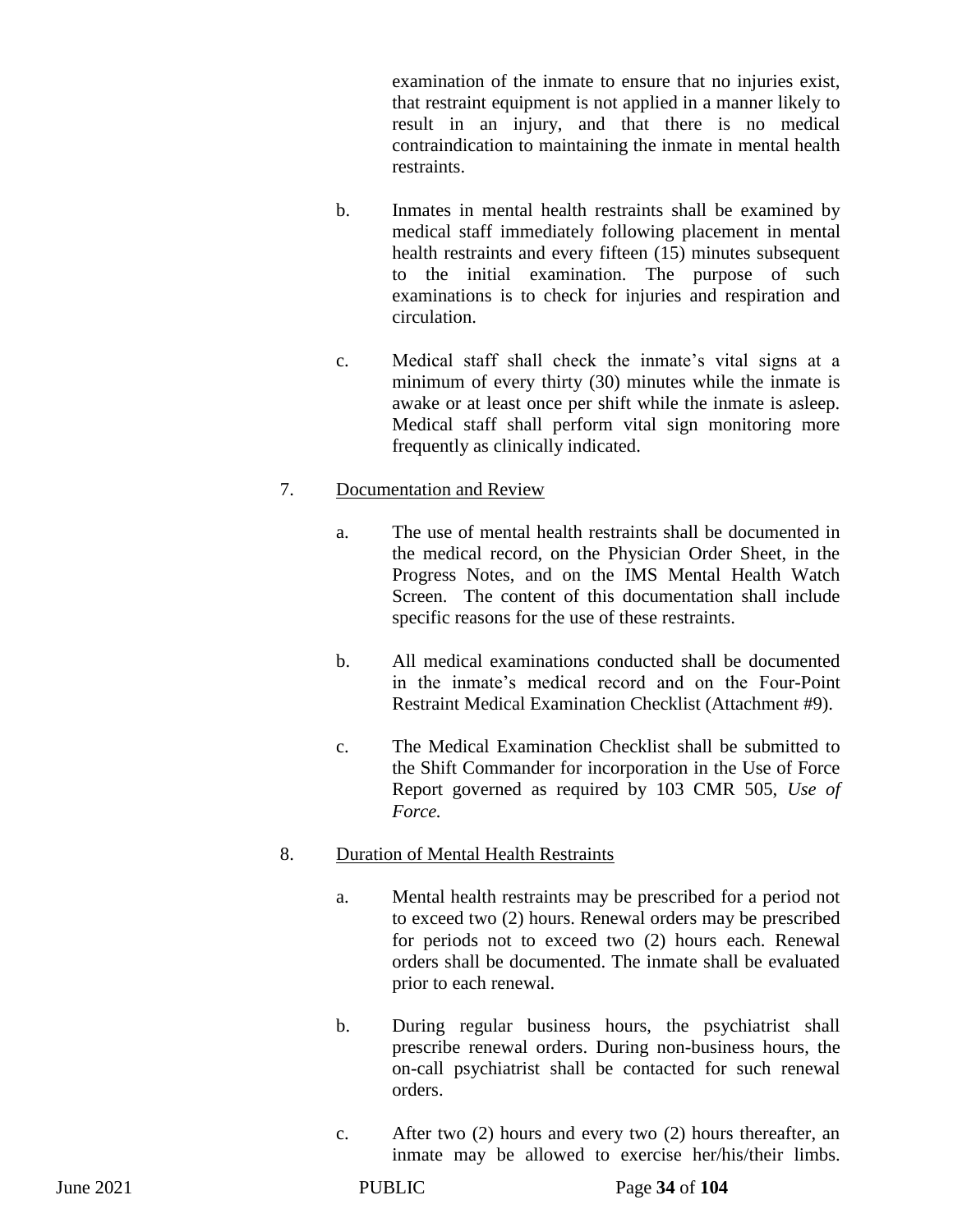examination of the inmate to ensure that no injuries exist, that restraint equipment is not applied in a manner likely to result in an injury, and that there is no medical contraindication to maintaining the inmate in mental health restraints.

- b. Inmates in mental health restraints shall be examined by medical staff immediately following placement in mental health restraints and every fifteen (15) minutes subsequent to the initial examination. The purpose of such examinations is to check for injuries and respiration and circulation.
- c. Medical staff shall check the inmate's vital signs at a minimum of every thirty (30) minutes while the inmate is awake or at least once per shift while the inmate is asleep. Medical staff shall perform vital sign monitoring more frequently as clinically indicated.

## 7. Documentation and Review

- a. The use of mental health restraints shall be documented in the medical record, on the Physician Order Sheet, in the Progress Notes, and on the IMS Mental Health Watch Screen. The content of this documentation shall include specific reasons for the use of these restraints.
- b. All medical examinations conducted shall be documented in the inmate's medical record and on the Four-Point Restraint Medical Examination Checklist (Attachment #9).
- c. The Medical Examination Checklist shall be submitted to the Shift Commander for incorporation in the Use of Force Report governed as required by 103 CMR 505, *Use of Force.*

## 8. Duration of Mental Health Restraints

- a. Mental health restraints may be prescribed for a period not to exceed two (2) hours. Renewal orders may be prescribed for periods not to exceed two (2) hours each. Renewal orders shall be documented. The inmate shall be evaluated prior to each renewal.
- b. During regular business hours, the psychiatrist shall prescribe renewal orders. During non-business hours, the on-call psychiatrist shall be contacted for such renewal orders.
- c. After two (2) hours and every two (2) hours thereafter, an inmate may be allowed to exercise her/his/their limbs.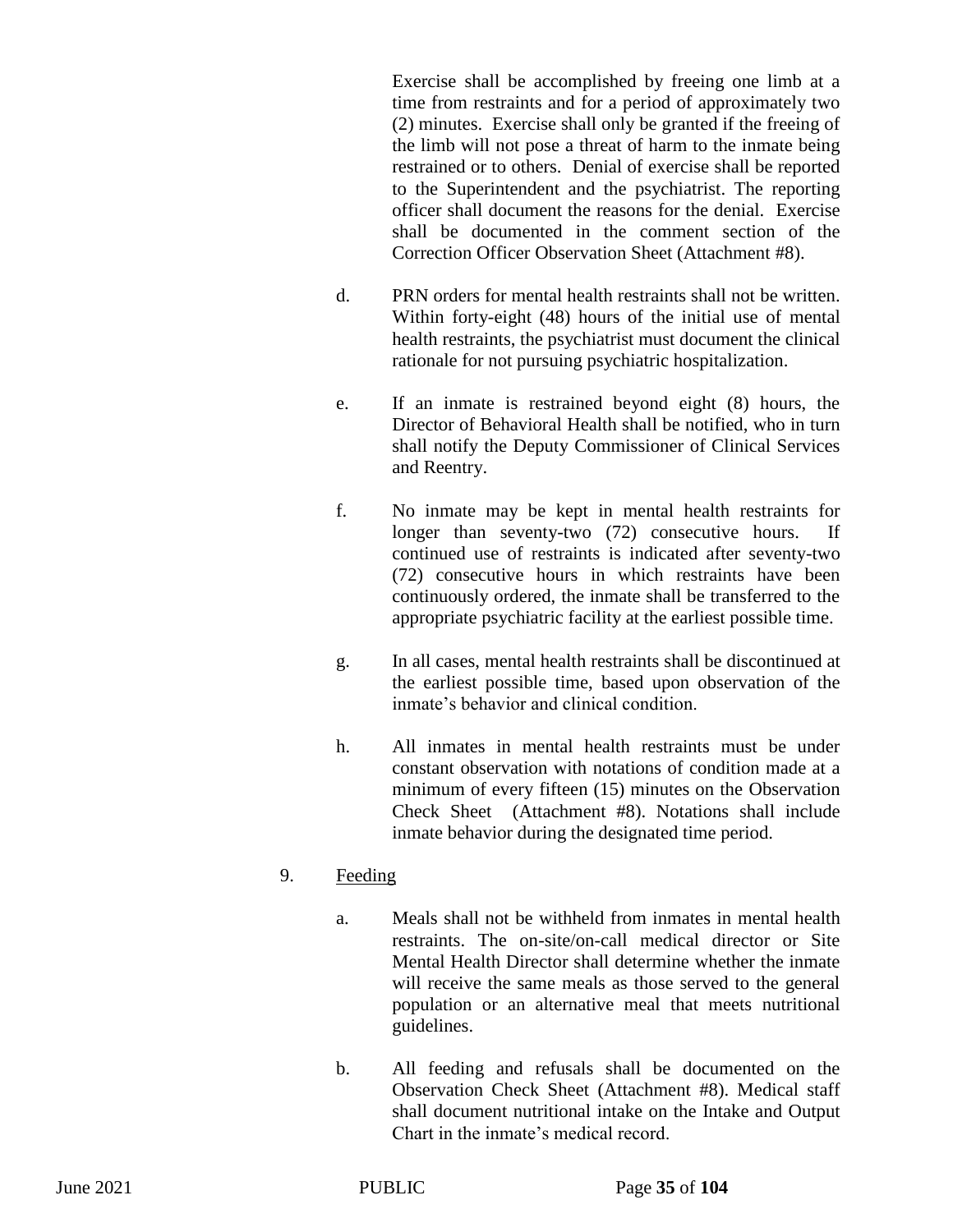Exercise shall be accomplished by freeing one limb at a time from restraints and for a period of approximately two (2) minutes. Exercise shall only be granted if the freeing of the limb will not pose a threat of harm to the inmate being restrained or to others. Denial of exercise shall be reported to the Superintendent and the psychiatrist. The reporting officer shall document the reasons for the denial. Exercise shall be documented in the comment section of the Correction Officer Observation Sheet (Attachment #8).

- d. PRN orders for mental health restraints shall not be written. Within forty-eight (48) hours of the initial use of mental health restraints, the psychiatrist must document the clinical rationale for not pursuing psychiatric hospitalization.
- e. If an inmate is restrained beyond eight (8) hours, the Director of Behavioral Health shall be notified, who in turn shall notify the Deputy Commissioner of Clinical Services and Reentry.
- f. No inmate may be kept in mental health restraints for longer than seventy-two (72) consecutive hours. If continued use of restraints is indicated after seventy-two (72) consecutive hours in which restraints have been continuously ordered, the inmate shall be transferred to the appropriate psychiatric facility at the earliest possible time.
- g. In all cases, mental health restraints shall be discontinued at the earliest possible time, based upon observation of the inmate's behavior and clinical condition.
- h. All inmates in mental health restraints must be under constant observation with notations of condition made at a minimum of every fifteen (15) minutes on the Observation Check Sheet (Attachment #8). Notations shall include inmate behavior during the designated time period.

## 9. Feeding

- a. Meals shall not be withheld from inmates in mental health restraints. The on-site/on-call medical director or Site Mental Health Director shall determine whether the inmate will receive the same meals as those served to the general population or an alternative meal that meets nutritional guidelines.
- b. All feeding and refusals shall be documented on the Observation Check Sheet (Attachment #8). Medical staff shall document nutritional intake on the Intake and Output Chart in the inmate's medical record.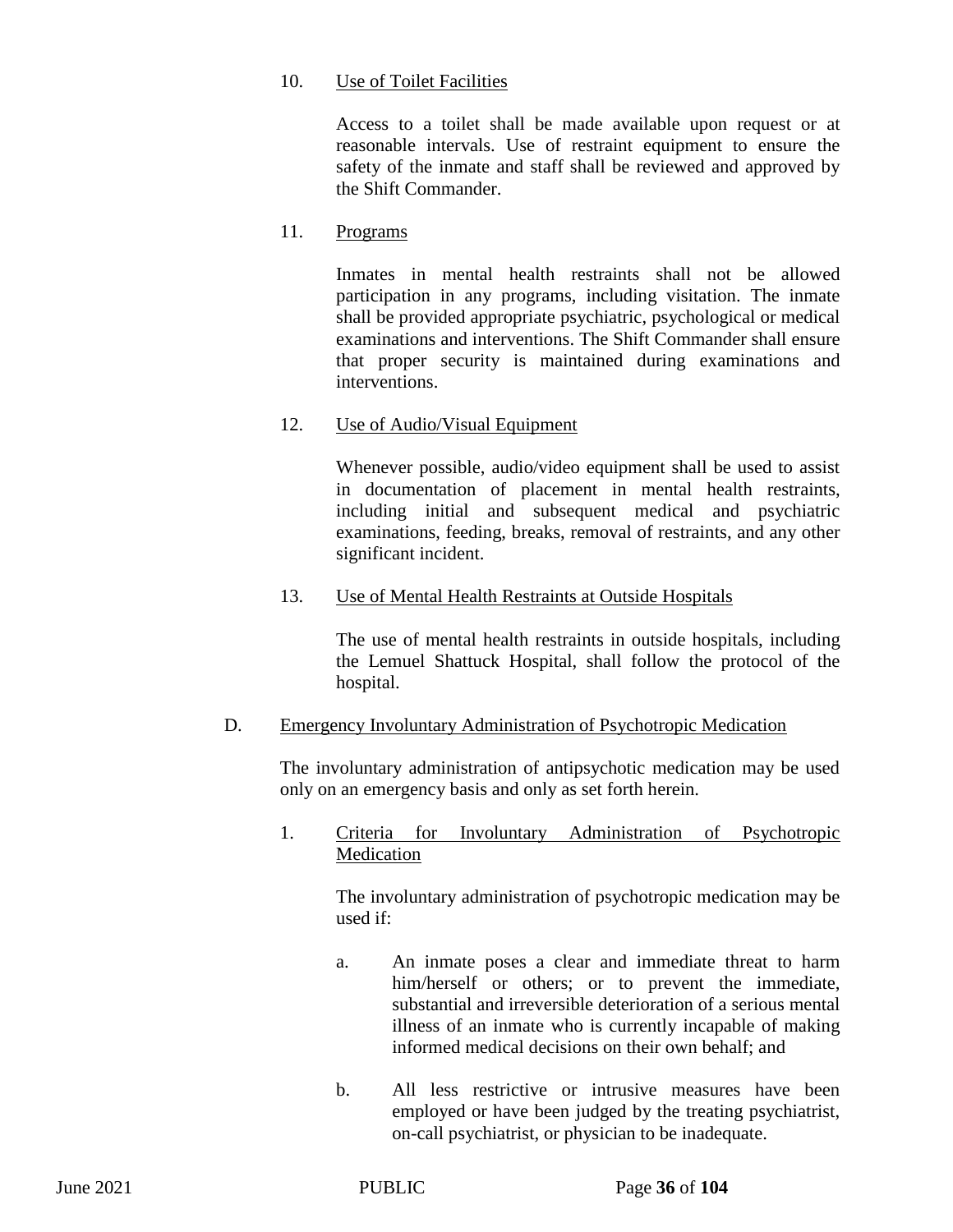#### 10. Use of Toilet Facilities

Access to a toilet shall be made available upon request or at reasonable intervals. Use of restraint equipment to ensure the safety of the inmate and staff shall be reviewed and approved by the Shift Commander.

#### 11. Programs

Inmates in mental health restraints shall not be allowed participation in any programs, including visitation. The inmate shall be provided appropriate psychiatric, psychological or medical examinations and interventions. The Shift Commander shall ensure that proper security is maintained during examinations and interventions.

## 12. Use of Audio/Visual Equipment

Whenever possible, audio/video equipment shall be used to assist in documentation of placement in mental health restraints, including initial and subsequent medical and psychiatric examinations, feeding, breaks, removal of restraints, and any other significant incident.

#### 13. Use of Mental Health Restraints at Outside Hospitals

The use of mental health restraints in outside hospitals, including the Lemuel Shattuck Hospital, shall follow the protocol of the hospital.

#### D. Emergency Involuntary Administration of Psychotropic Medication

The involuntary administration of antipsychotic medication may be used only on an emergency basis and only as set forth herein.

#### 1. Criteria for Involuntary Administration of Psychotropic Medication

The involuntary administration of psychotropic medication may be used if:

- a. An inmate poses a clear and immediate threat to harm him/herself or others; or to prevent the immediate, substantial and irreversible deterioration of a serious mental illness of an inmate who is currently incapable of making informed medical decisions on their own behalf; and
- b. All less restrictive or intrusive measures have been employed or have been judged by the treating psychiatrist, on-call psychiatrist, or physician to be inadequate.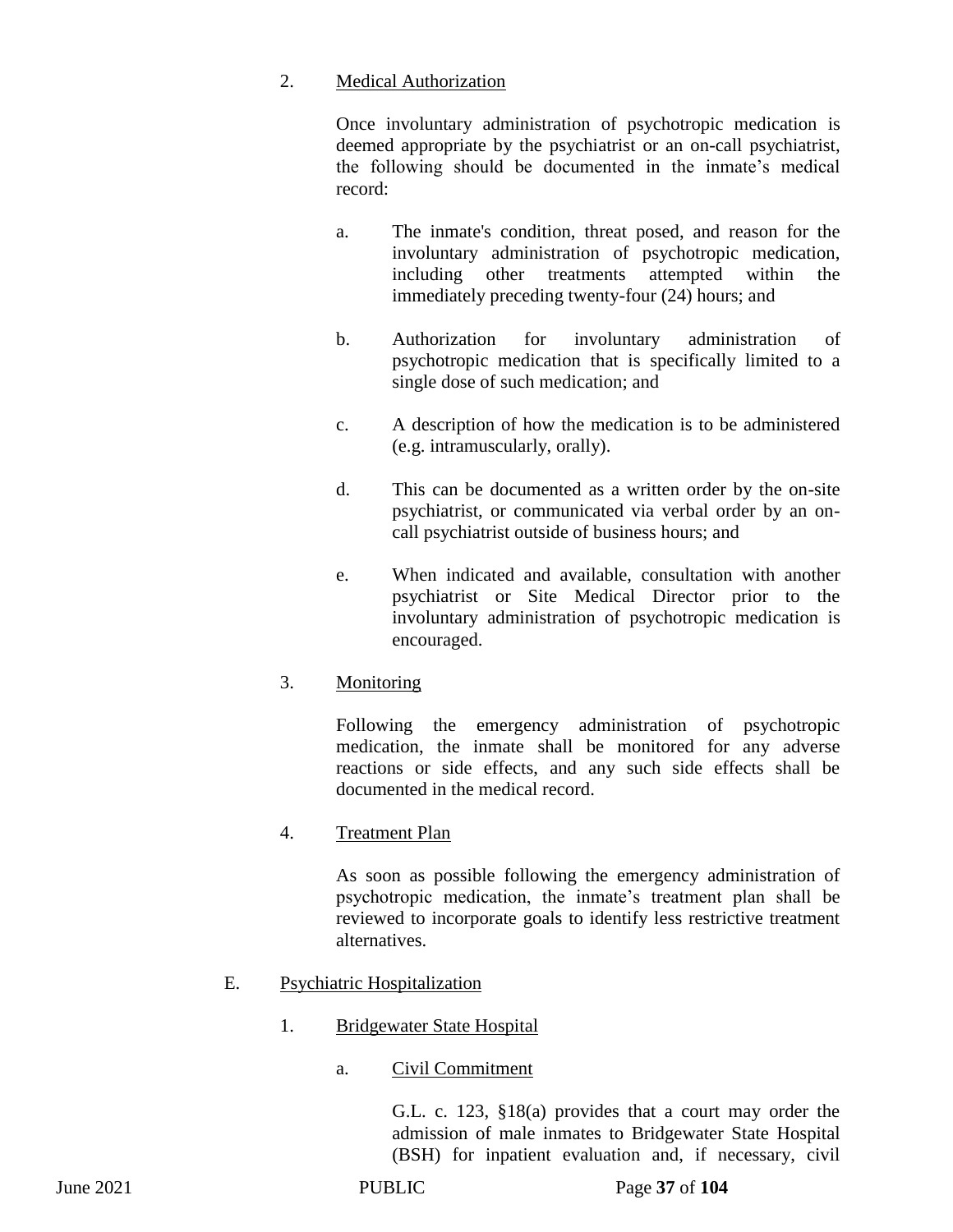## 2. Medical Authorization

Once involuntary administration of psychotropic medication is deemed appropriate by the psychiatrist or an on-call psychiatrist, the following should be documented in the inmate's medical record:

- a. The inmate's condition, threat posed, and reason for the involuntary administration of psychotropic medication, including other treatments attempted within the immediately preceding twenty-four (24) hours; and
- b. Authorization for involuntary administration of psychotropic medication that is specifically limited to a single dose of such medication; and
- c. A description of how the medication is to be administered (e.g. intramuscularly, orally).
- d. This can be documented as a written order by the on-site psychiatrist, or communicated via verbal order by an oncall psychiatrist outside of business hours; and
- e. When indicated and available, consultation with another psychiatrist or Site Medical Director prior to the involuntary administration of psychotropic medication is encouraged.

# 3. Monitoring

Following the emergency administration of psychotropic medication, the inmate shall be monitored for any adverse reactions or side effects, and any such side effects shall be documented in the medical record.

# 4. Treatment Plan

As soon as possible following the emergency administration of psychotropic medication, the inmate's treatment plan shall be reviewed to incorporate goals to identify less restrictive treatment alternatives.

# E. Psychiatric Hospitalization

## 1. Bridgewater State Hospital

## a. Civil Commitment

G.L. c. 123, §18(a) provides that a court may order the admission of male inmates to Bridgewater State Hospital (BSH) for inpatient evaluation and, if necessary, civil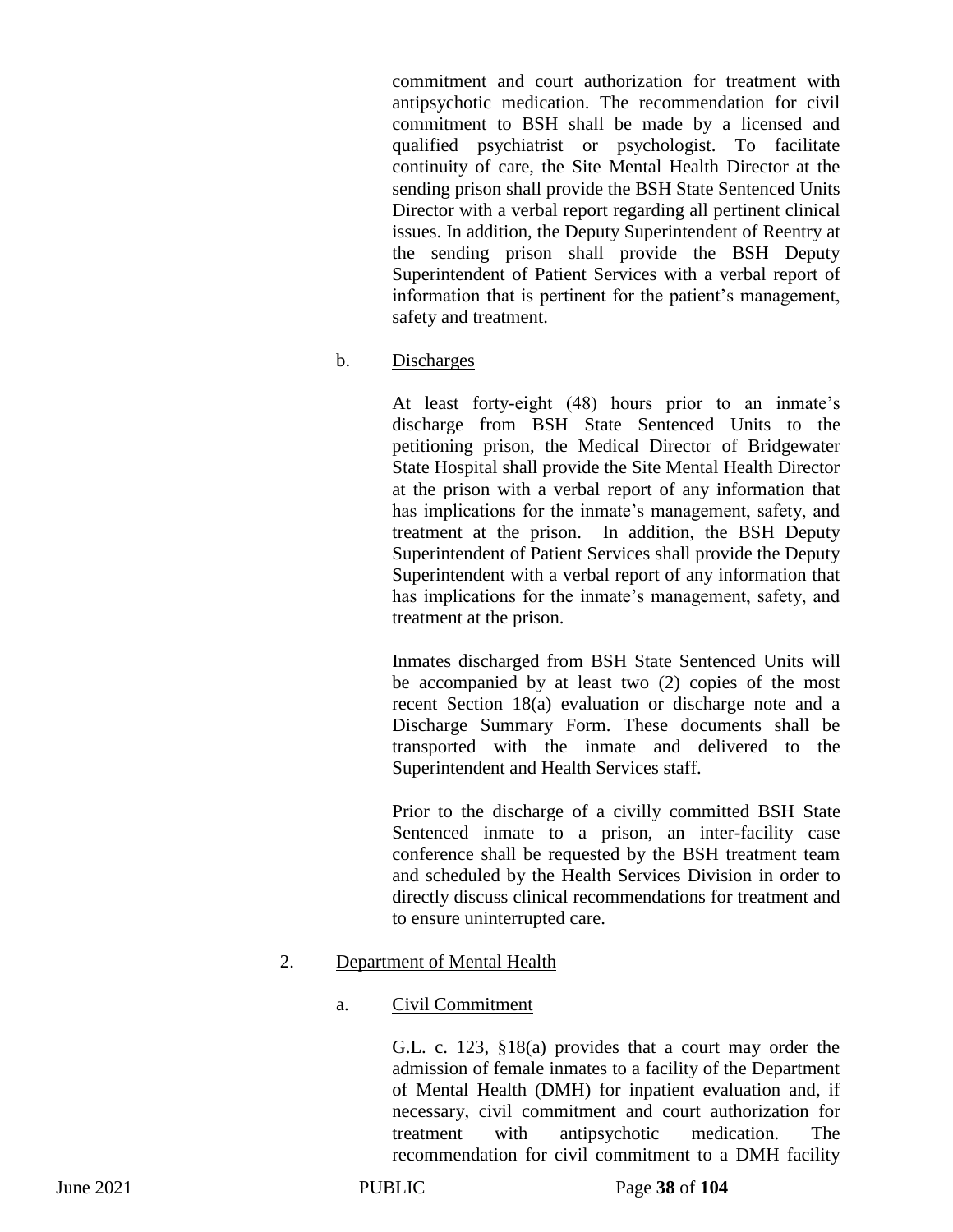commitment and court authorization for treatment with antipsychotic medication. The recommendation for civil commitment to BSH shall be made by a licensed and qualified psychiatrist or psychologist. To facilitate continuity of care, the Site Mental Health Director at the sending prison shall provide the BSH State Sentenced Units Director with a verbal report regarding all pertinent clinical issues. In addition, the Deputy Superintendent of Reentry at the sending prison shall provide the BSH Deputy Superintendent of Patient Services with a verbal report of information that is pertinent for the patient's management, safety and treatment.

b. Discharges

At least forty-eight (48) hours prior to an inmate's discharge from BSH State Sentenced Units to the petitioning prison, the Medical Director of Bridgewater State Hospital shall provide the Site Mental Health Director at the prison with a verbal report of any information that has implications for the inmate's management, safety, and treatment at the prison. In addition, the BSH Deputy Superintendent of Patient Services shall provide the Deputy Superintendent with a verbal report of any information that has implications for the inmate's management, safety, and treatment at the prison.

Inmates discharged from BSH State Sentenced Units will be accompanied by at least two (2) copies of the most recent Section 18(a) evaluation or discharge note and a Discharge Summary Form. These documents shall be transported with the inmate and delivered to the Superintendent and Health Services staff.

Prior to the discharge of a civilly committed BSH State Sentenced inmate to a prison, an inter-facility case conference shall be requested by the BSH treatment team and scheduled by the Health Services Division in order to directly discuss clinical recommendations for treatment and to ensure uninterrupted care.

#### 2. Department of Mental Health

#### a. Civil Commitment

G.L. c. 123, §18(a) provides that a court may order the admission of female inmates to a facility of the Department of Mental Health (DMH) for inpatient evaluation and, if necessary, civil commitment and court authorization for treatment with antipsychotic medication. The recommendation for civil commitment to a DMH facility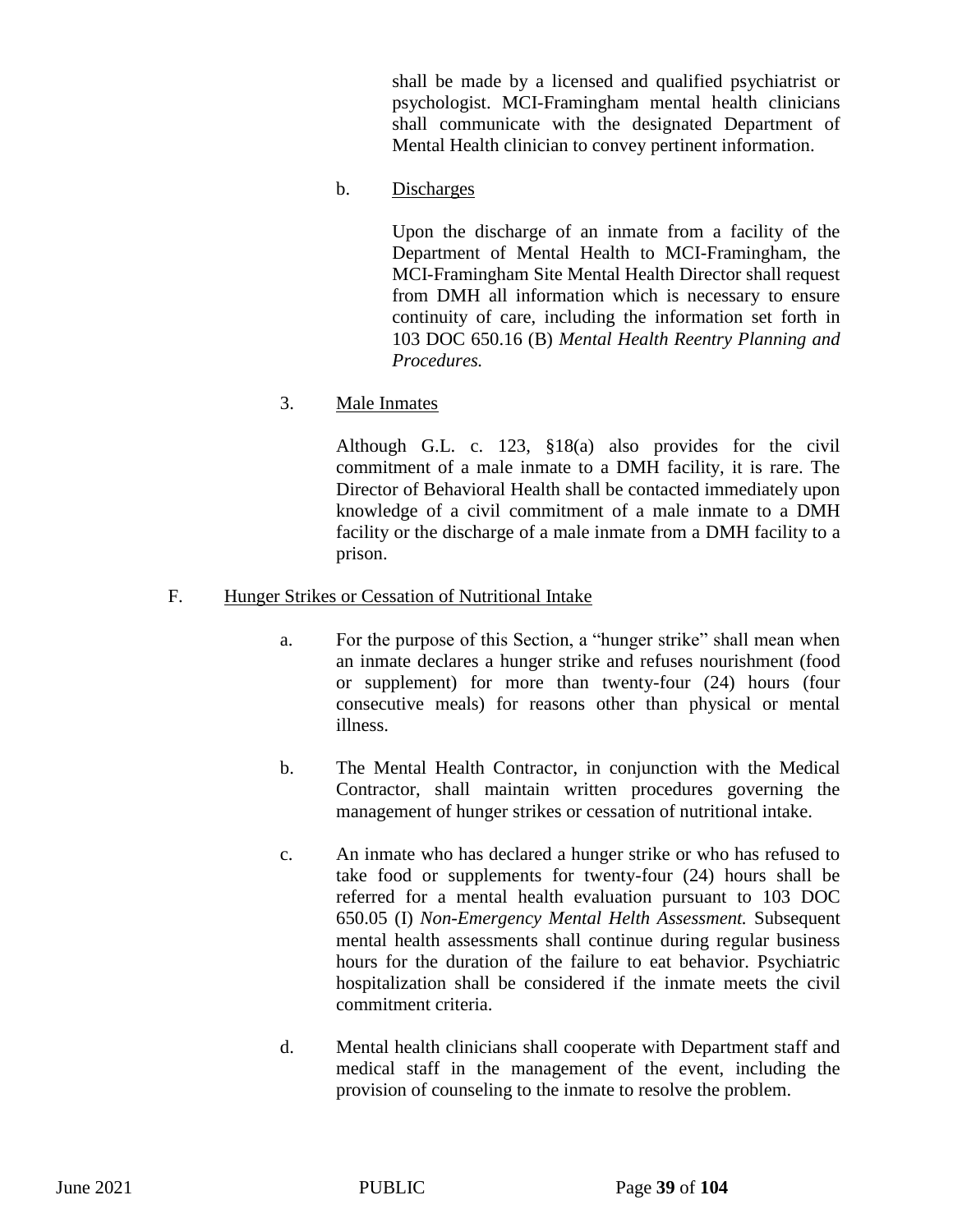shall be made by a licensed and qualified psychiatrist or psychologist. MCI-Framingham mental health clinicians shall communicate with the designated Department of Mental Health clinician to convey pertinent information.

b. Discharges

Upon the discharge of an inmate from a facility of the Department of Mental Health to MCI-Framingham, the MCI-Framingham Site Mental Health Director shall request from DMH all information which is necessary to ensure continuity of care, including the information set forth in 103 DOC 650.16 (B) *Mental Health Reentry Planning and Procedures.* 

3. Male Inmates

Although G.L. c. 123, §18(a) also provides for the civil commitment of a male inmate to a DMH facility, it is rare. The Director of Behavioral Health shall be contacted immediately upon knowledge of a civil commitment of a male inmate to a DMH facility or the discharge of a male inmate from a DMH facility to a prison.

#### F. Hunger Strikes or Cessation of Nutritional Intake

- a. For the purpose of this Section, a "hunger strike" shall mean when an inmate declares a hunger strike and refuses nourishment (food or supplement) for more than twenty-four (24) hours (four consecutive meals) for reasons other than physical or mental illness.
- b. The Mental Health Contractor, in conjunction with the Medical Contractor, shall maintain written procedures governing the management of hunger strikes or cessation of nutritional intake.
- c. An inmate who has declared a hunger strike or who has refused to take food or supplements for twenty-four (24) hours shall be referred for a mental health evaluation pursuant to 103 DOC 650.05 (I) *Non-Emergency Mental Helth Assessment.* Subsequent mental health assessments shall continue during regular business hours for the duration of the failure to eat behavior. Psychiatric hospitalization shall be considered if the inmate meets the civil commitment criteria.
- d. Mental health clinicians shall cooperate with Department staff and medical staff in the management of the event, including the provision of counseling to the inmate to resolve the problem.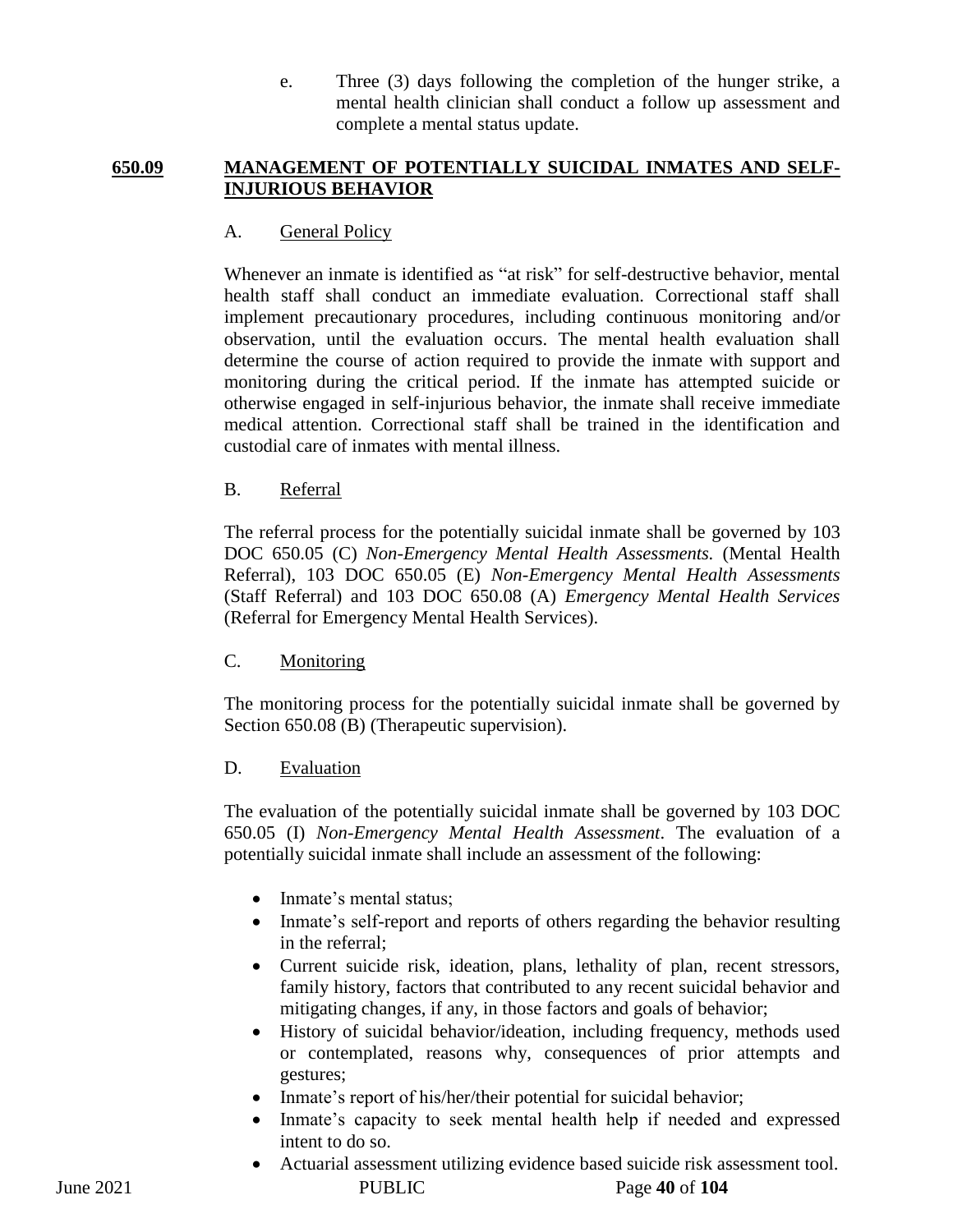e. Three (3) days following the completion of the hunger strike, a mental health clinician shall conduct a follow up assessment and complete a mental status update.

### **650.09 MANAGEMENT OF POTENTIALLY SUICIDAL INMATES AND SELF-INJURIOUS BEHAVIOR**

## A. General Policy

Whenever an inmate is identified as "at risk" for self-destructive behavior, mental health staff shall conduct an immediate evaluation. Correctional staff shall implement precautionary procedures, including continuous monitoring and/or observation, until the evaluation occurs. The mental health evaluation shall determine the course of action required to provide the inmate with support and monitoring during the critical period. If the inmate has attempted suicide or otherwise engaged in self-injurious behavior, the inmate shall receive immediate medical attention. Correctional staff shall be trained in the identification and custodial care of inmates with mental illness.

## B. Referral

The referral process for the potentially suicidal inmate shall be governed by 103 DOC 650.05 (C) *Non-Emergency Mental Health Assessments.* (Mental Health Referral), 103 DOC 650.05 (E) *Non-Emergency Mental Health Assessments* (Staff Referral) and 103 DOC 650.08 (A) *Emergency Mental Health Services* (Referral for Emergency Mental Health Services).

## C. Monitoring

The monitoring process for the potentially suicidal inmate shall be governed by Section 650.08 (B) (Therapeutic supervision).

## D. Evaluation

The evaluation of the potentially suicidal inmate shall be governed by 103 DOC 650.05 (I) *Non-Emergency Mental Health Assessment*. The evaluation of a potentially suicidal inmate shall include an assessment of the following:

- Inmate's mental status;
- Inmate's self-report and reports of others regarding the behavior resulting in the referral;
- Current suicide risk, ideation, plans, lethality of plan, recent stressors, family history, factors that contributed to any recent suicidal behavior and mitigating changes, if any, in those factors and goals of behavior;
- History of suicidal behavior/ideation, including frequency, methods used or contemplated, reasons why, consequences of prior attempts and gestures;
- Inmate's report of his/her/their potential for suicidal behavior;
- Inmate's capacity to seek mental health help if needed and expressed intent to do so.
- June 2021 PUBLIC Page **40** of **104** Actuarial assessment utilizing evidence based suicide risk assessment tool.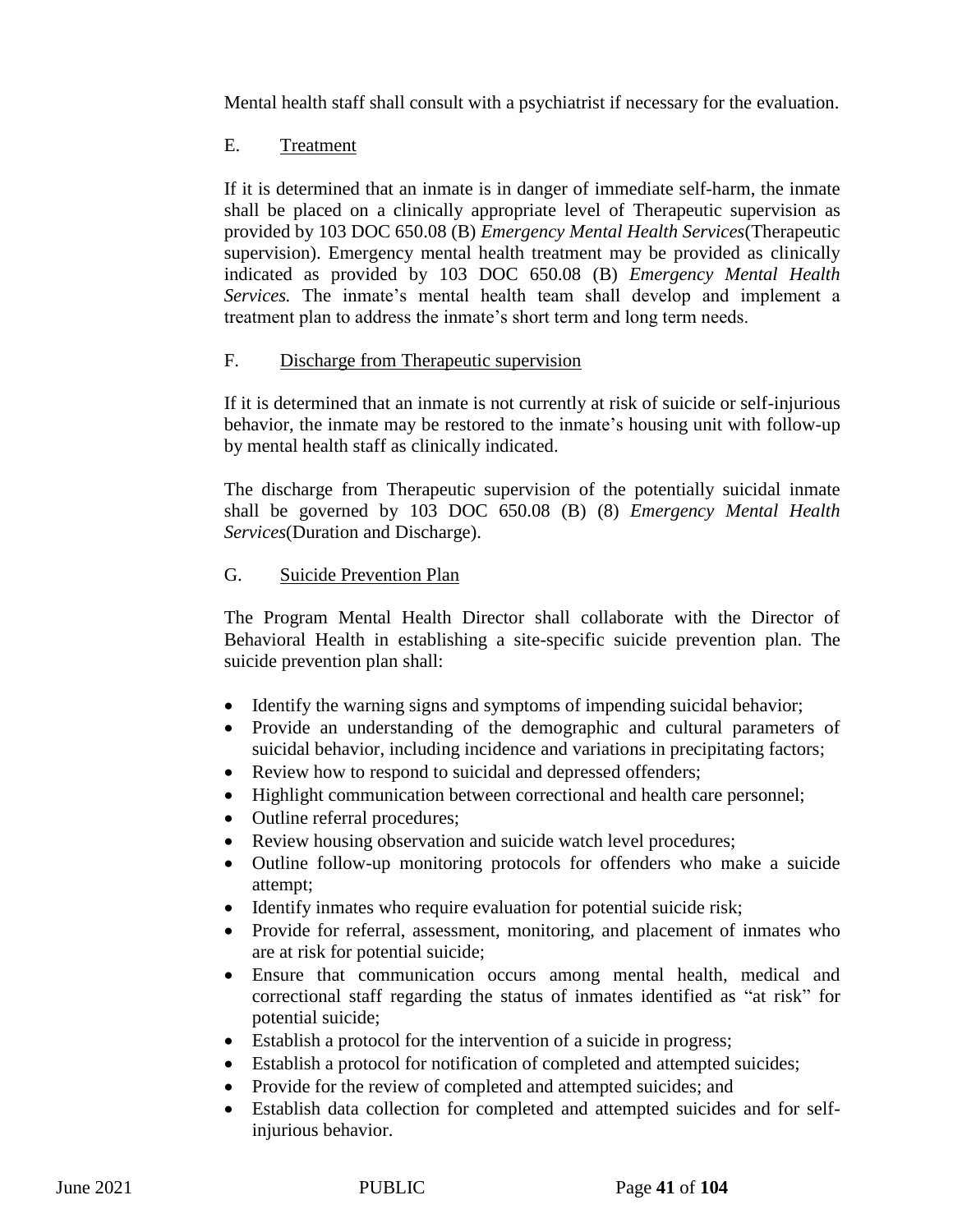Mental health staff shall consult with a psychiatrist if necessary for the evaluation.

# E. Treatment

If it is determined that an inmate is in danger of immediate self-harm, the inmate shall be placed on a clinically appropriate level of Therapeutic supervision as provided by 103 DOC 650.08 (B) *Emergency Mental Health Services*(Therapeutic supervision). Emergency mental health treatment may be provided as clinically indicated as provided by 103 DOC 650.08 (B) *Emergency Mental Health Services.* The inmate's mental health team shall develop and implement a treatment plan to address the inmate's short term and long term needs.

## F. Discharge from Therapeutic supervision

If it is determined that an inmate is not currently at risk of suicide or self-injurious behavior, the inmate may be restored to the inmate's housing unit with follow-up by mental health staff as clinically indicated.

The discharge from Therapeutic supervision of the potentially suicidal inmate shall be governed by 103 DOC 650.08 (B) (8) *Emergency Mental Health Services*(Duration and Discharge).

# G. Suicide Prevention Plan

The Program Mental Health Director shall collaborate with the Director of Behavioral Health in establishing a site-specific suicide prevention plan. The suicide prevention plan shall:

- Identify the warning signs and symptoms of impending suicidal behavior;
- Provide an understanding of the demographic and cultural parameters of suicidal behavior, including incidence and variations in precipitating factors;
- Review how to respond to suicidal and depressed offenders;
- Highlight communication between correctional and health care personnel;
- Outline referral procedures;
- Review housing observation and suicide watch level procedures;
- Outline follow-up monitoring protocols for offenders who make a suicide attempt;
- Identify inmates who require evaluation for potential suicide risk;
- Provide for referral, assessment, monitoring, and placement of inmates who are at risk for potential suicide;
- Ensure that communication occurs among mental health, medical and correctional staff regarding the status of inmates identified as "at risk" for potential suicide;
- Establish a protocol for the intervention of a suicide in progress;
- Establish a protocol for notification of completed and attempted suicides;
- Provide for the review of completed and attempted suicides; and
- Establish data collection for completed and attempted suicides and for selfinjurious behavior.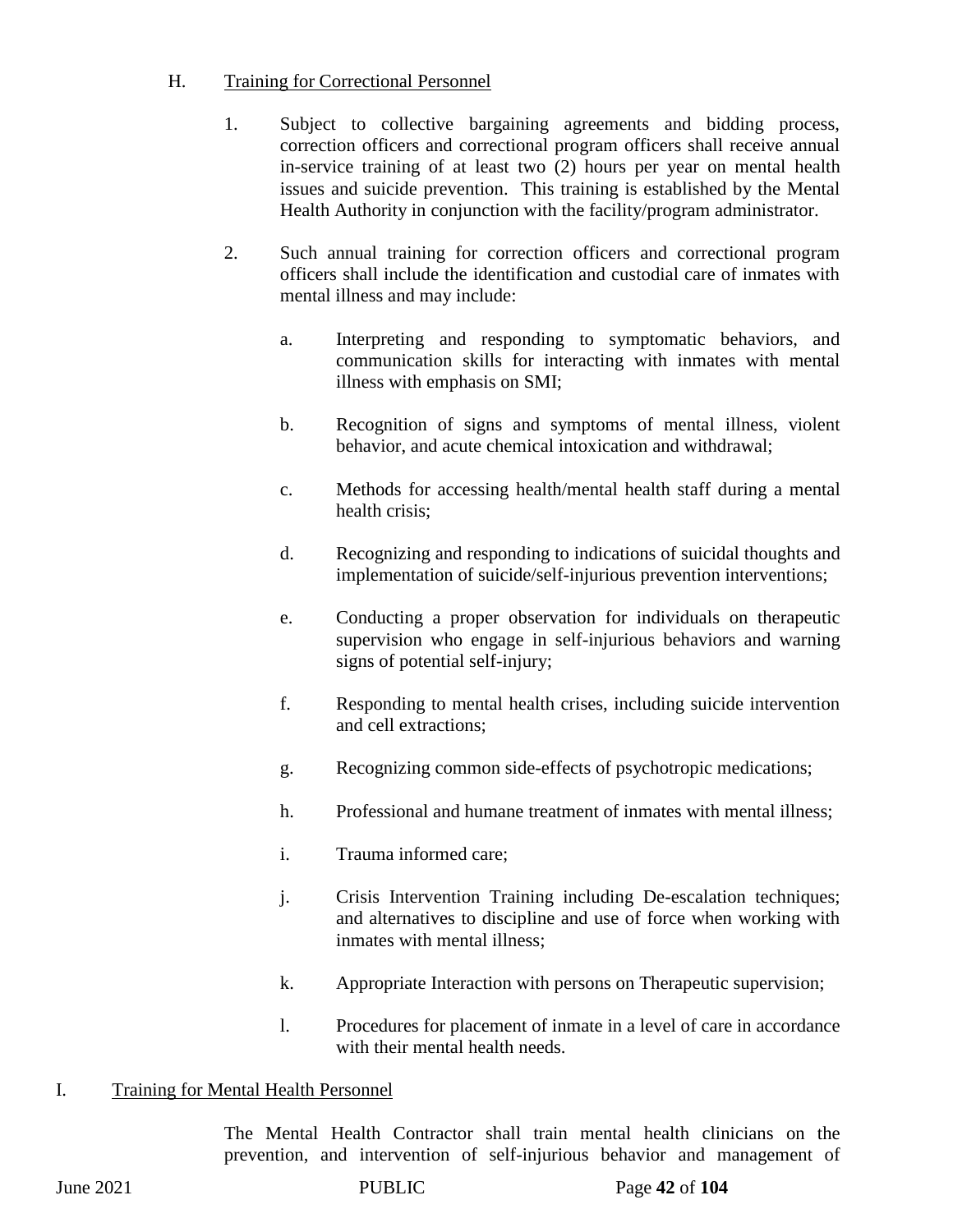## H. Training for Correctional Personnel

- 1. Subject to collective bargaining agreements and bidding process, correction officers and correctional program officers shall receive annual in-service training of at least two (2) hours per year on mental health issues and suicide prevention. This training is established by the Mental Health Authority in conjunction with the facility/program administrator.
- 2. Such annual training for correction officers and correctional program officers shall include the identification and custodial care of inmates with mental illness and may include:
	- a. Interpreting and responding to symptomatic behaviors, and communication skills for interacting with inmates with mental illness with emphasis on SMI;
	- b. Recognition of signs and symptoms of mental illness, violent behavior, and acute chemical intoxication and withdrawal;
	- c. Methods for accessing health/mental health staff during a mental health crisis;
	- d. Recognizing and responding to indications of suicidal thoughts and implementation of suicide/self-injurious prevention interventions;
	- e. Conducting a proper observation for individuals on therapeutic supervision who engage in self-injurious behaviors and warning signs of potential self-injury;
	- f. Responding to mental health crises, including suicide intervention and cell extractions;
	- g. Recognizing common side-effects of psychotropic medications;
	- h. Professional and humane treatment of inmates with mental illness;
	- i. Trauma informed care;
	- j. Crisis Intervention Training including De-escalation techniques; and alternatives to discipline and use of force when working with inmates with mental illness;
	- k. Appropriate Interaction with persons on Therapeutic supervision;
	- l. Procedures for placement of inmate in a level of care in accordance with their mental health needs.

## I. Training for Mental Health Personnel

The Mental Health Contractor shall train mental health clinicians on the prevention, and intervention of self-injurious behavior and management of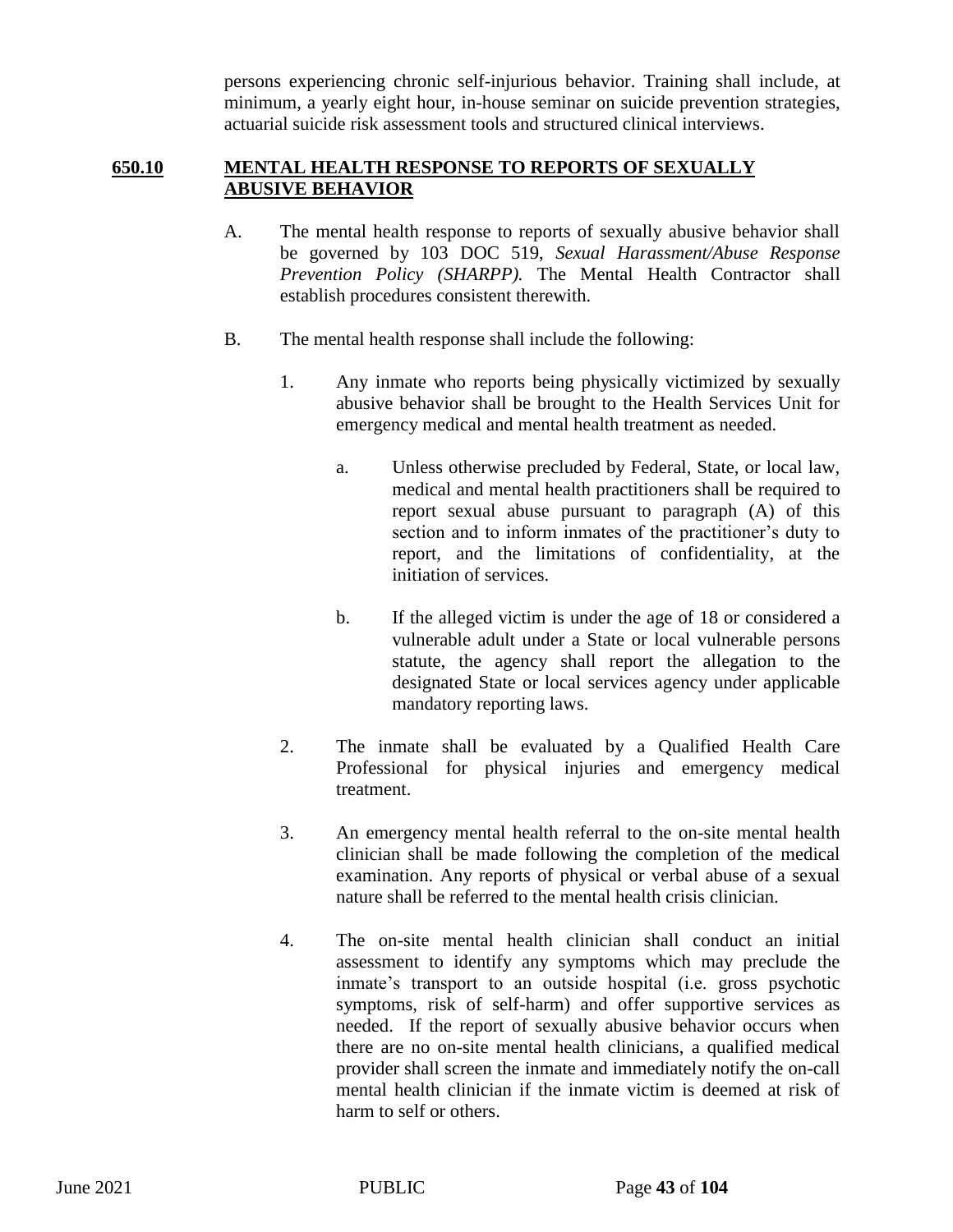persons experiencing chronic self-injurious behavior. Training shall include, at minimum, a yearly eight hour, in-house seminar on suicide prevention strategies, actuarial suicide risk assessment tools and structured clinical interviews.

## **650.10 MENTAL HEALTH RESPONSE TO REPORTS OF SEXUALLY ABUSIVE BEHAVIOR**

- A. The mental health response to reports of sexually abusive behavior shall be governed by 103 DOC 519, *Sexual Harassment/Abuse Response Prevention Policy (SHARPP).* The Mental Health Contractor shall establish procedures consistent therewith.
- B. The mental health response shall include the following:
	- 1. Any inmate who reports being physically victimized by sexually abusive behavior shall be brought to the Health Services Unit for emergency medical and mental health treatment as needed.
		- a. Unless otherwise precluded by Federal, State, or local law, medical and mental health practitioners shall be required to report sexual abuse pursuant to paragraph (A) of this section and to inform inmates of the practitioner's duty to report, and the limitations of confidentiality, at the initiation of services.
		- b. If the alleged victim is under the age of 18 or considered a vulnerable adult under a State or local vulnerable persons statute, the agency shall report the allegation to the designated State or local services agency under applicable mandatory reporting laws.
	- 2. The inmate shall be evaluated by a Qualified Health Care Professional for physical injuries and emergency medical treatment.
	- 3. An emergency mental health referral to the on-site mental health clinician shall be made following the completion of the medical examination. Any reports of physical or verbal abuse of a sexual nature shall be referred to the mental health crisis clinician.
	- 4. The on-site mental health clinician shall conduct an initial assessment to identify any symptoms which may preclude the inmate's transport to an outside hospital (i.e. gross psychotic symptoms, risk of self-harm) and offer supportive services as needed. If the report of sexually abusive behavior occurs when there are no on-site mental health clinicians, a qualified medical provider shall screen the inmate and immediately notify the on-call mental health clinician if the inmate victim is deemed at risk of harm to self or others.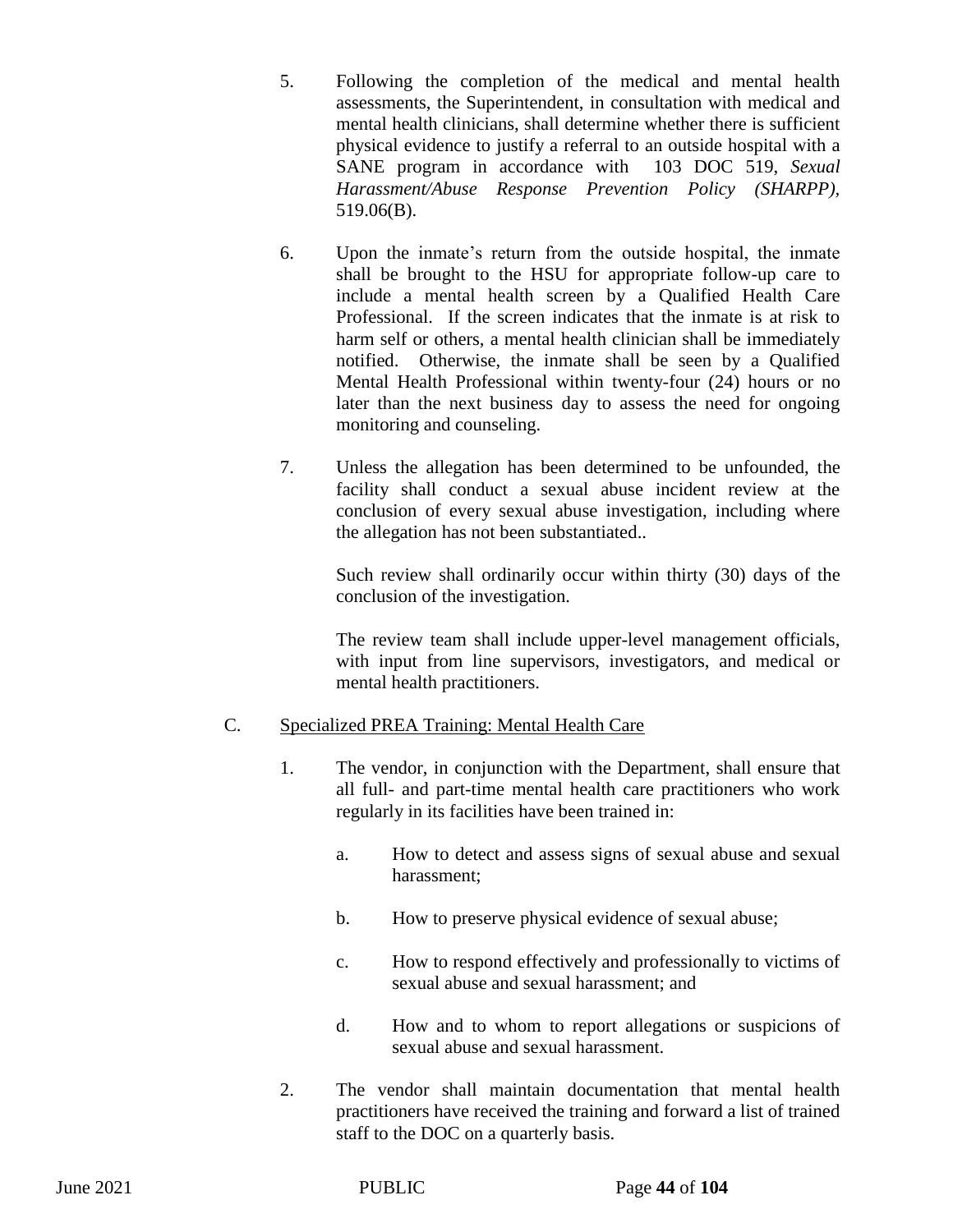- 5. Following the completion of the medical and mental health assessments, the Superintendent, in consultation with medical and mental health clinicians, shall determine whether there is sufficient physical evidence to justify a referral to an outside hospital with a SANE program in accordance with 103 DOC 519, *Sexual Harassment/Abuse Response Prevention Policy (SHARPP),*  519.06(B).
- 6. Upon the inmate's return from the outside hospital, the inmate shall be brought to the HSU for appropriate follow-up care to include a mental health screen by a Qualified Health Care Professional. If the screen indicates that the inmate is at risk to harm self or others, a mental health clinician shall be immediately notified. Otherwise, the inmate shall be seen by a Qualified Mental Health Professional within twenty-four (24) hours or no later than the next business day to assess the need for ongoing monitoring and counseling.
- 7. Unless the allegation has been determined to be unfounded, the facility shall conduct a sexual abuse incident review at the conclusion of every sexual abuse investigation, including where the allegation has not been substantiated..

Such review shall ordinarily occur within thirty (30) days of the conclusion of the investigation.

The review team shall include upper-level management officials, with input from line supervisors, investigators, and medical or mental health practitioners.

## C. Specialized PREA Training: Mental Health Care

- 1. The vendor, in conjunction with the Department, shall ensure that all full- and part-time mental health care practitioners who work regularly in its facilities have been trained in:
	- a. How to detect and assess signs of sexual abuse and sexual harassment;
	- b. How to preserve physical evidence of sexual abuse;
	- c. How to respond effectively and professionally to victims of sexual abuse and sexual harassment; and
	- d. How and to whom to report allegations or suspicions of sexual abuse and sexual harassment.
- 2. The vendor shall maintain documentation that mental health practitioners have received the training and forward a list of trained staff to the DOC on a quarterly basis.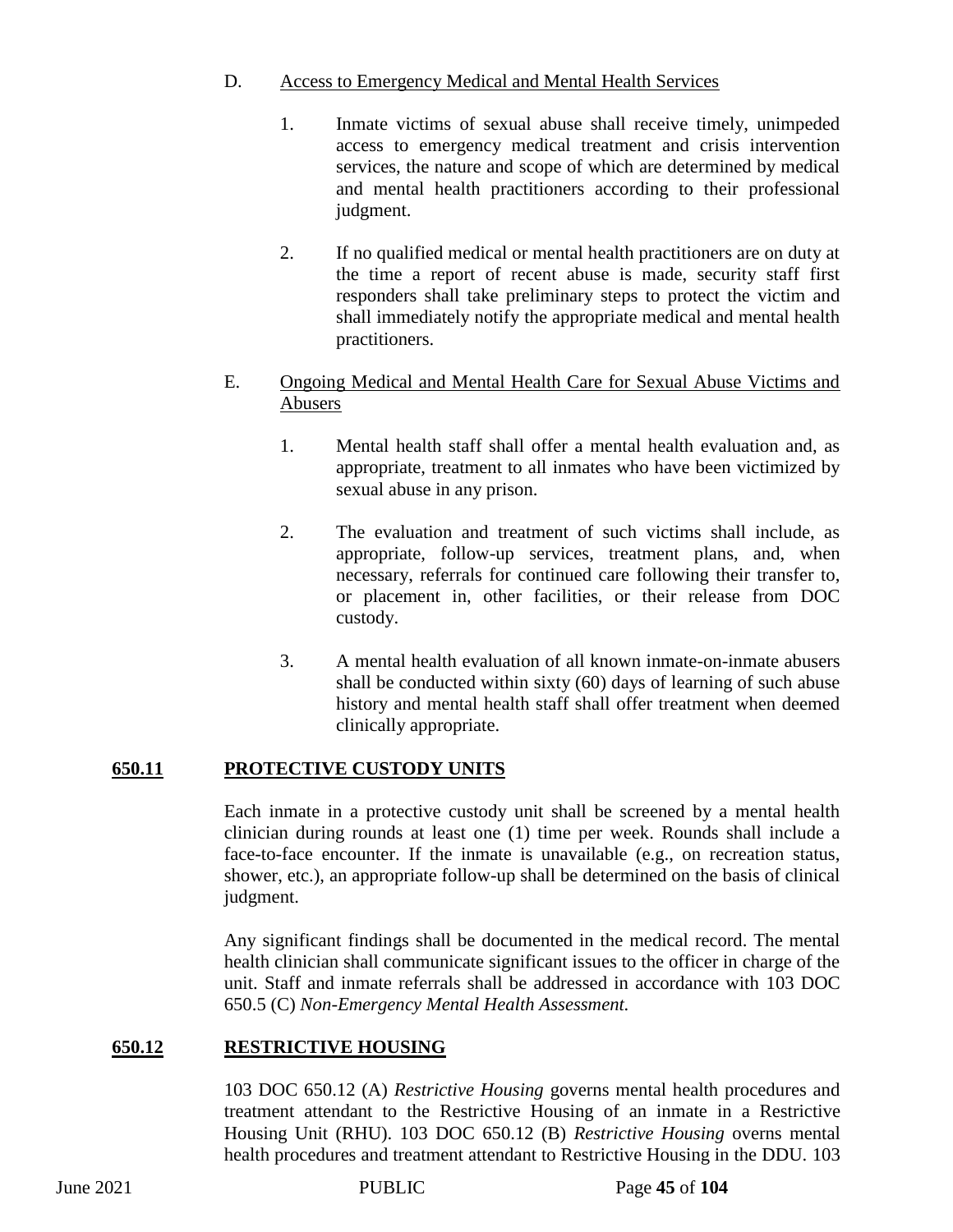## D. Access to Emergency Medical and Mental Health Services

- 1. Inmate victims of sexual abuse shall receive timely, unimpeded access to emergency medical treatment and crisis intervention services, the nature and scope of which are determined by medical and mental health practitioners according to their professional judgment.
- 2. If no qualified medical or mental health practitioners are on duty at the time a report of recent abuse is made, security staff first responders shall take preliminary steps to protect the victim and shall immediately notify the appropriate medical and mental health practitioners.

## E. Ongoing Medical and Mental Health Care for Sexual Abuse Victims and Abusers

- 1. Mental health staff shall offer a mental health evaluation and, as appropriate, treatment to all inmates who have been victimized by sexual abuse in any prison.
- 2. The evaluation and treatment of such victims shall include, as appropriate, follow-up services, treatment plans, and, when necessary, referrals for continued care following their transfer to, or placement in, other facilities, or their release from DOC custody.
- 3. A mental health evaluation of all known inmate-on-inmate abusers shall be conducted within sixty (60) days of learning of such abuse history and mental health staff shall offer treatment when deemed clinically appropriate.

## **650.11 PROTECTIVE CUSTODY UNITS**

Each inmate in a protective custody unit shall be screened by a mental health clinician during rounds at least one (1) time per week. Rounds shall include a face-to-face encounter. If the inmate is unavailable (e.g., on recreation status, shower, etc.), an appropriate follow-up shall be determined on the basis of clinical judgment.

Any significant findings shall be documented in the medical record. The mental health clinician shall communicate significant issues to the officer in charge of the unit. Staff and inmate referrals shall be addressed in accordance with 103 DOC 650.5 (C) *Non-Emergency Mental Health Assessment.*

## **650.12 RESTRICTIVE HOUSING**

103 DOC 650.12 (A) *Restrictive Housing* governs mental health procedures and treatment attendant to the Restrictive Housing of an inmate in a Restrictive Housing Unit (RHU). 103 DOC 650.12 (B) *Restrictive Housing* overns mental health procedures and treatment attendant to Restrictive Housing in the DDU. 103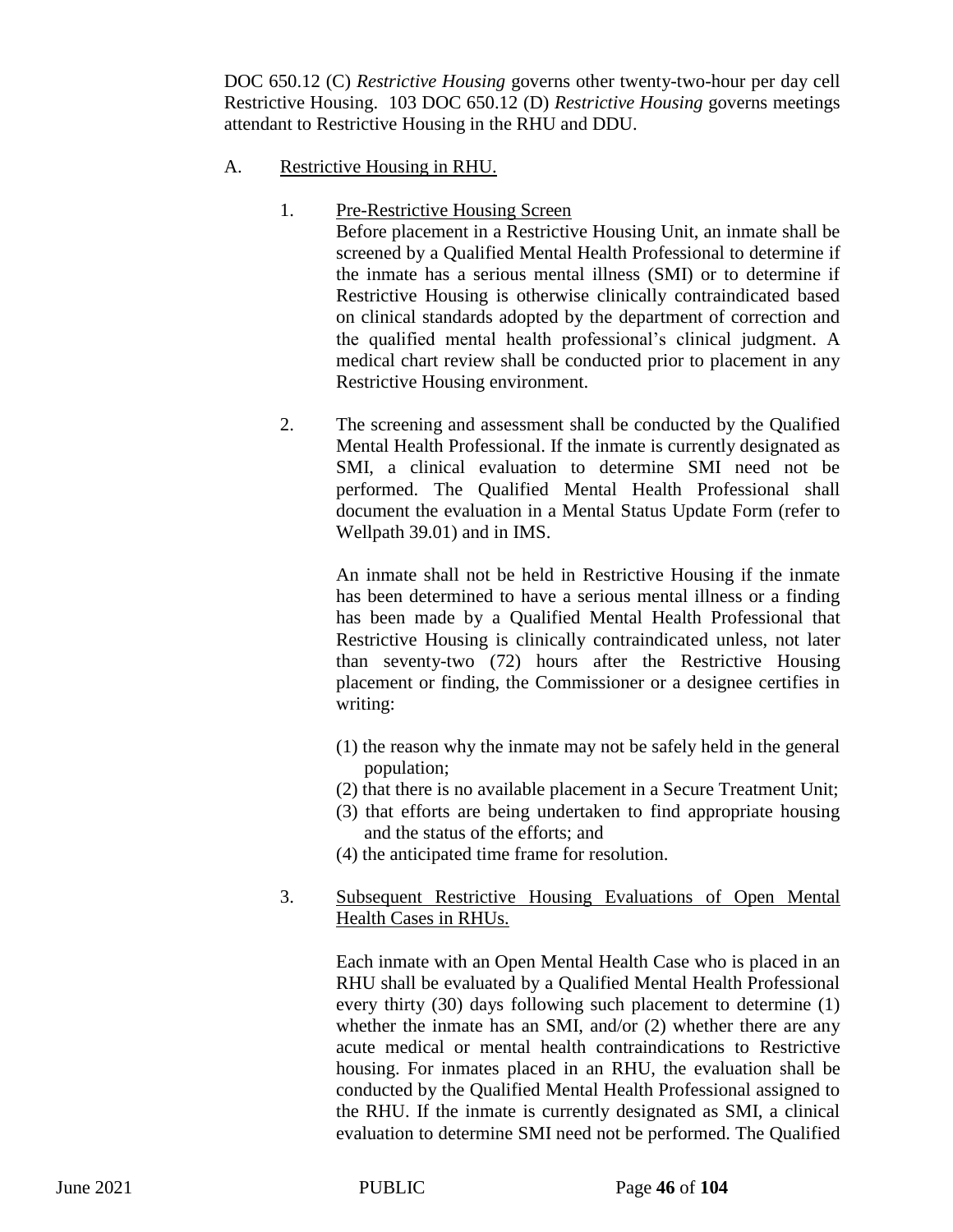DOC 650.12 (C) *Restrictive Housing* governs other twenty-two-hour per day cell Restrictive Housing. 103 DOC 650.12 (D) *Restrictive Housing* governs meetings attendant to Restrictive Housing in the RHU and DDU.

## A. Restrictive Housing in RHU.

1. Pre-Restrictive Housing Screen

Before placement in a Restrictive Housing Unit, an inmate shall be screened by a Qualified Mental Health Professional to determine if the inmate has a serious mental illness (SMI) or to determine if Restrictive Housing is otherwise clinically contraindicated based on clinical standards adopted by the department of correction and the qualified mental health professional's clinical judgment. A medical chart review shall be conducted prior to placement in any Restrictive Housing environment.

2. The screening and assessment shall be conducted by the Qualified Mental Health Professional. If the inmate is currently designated as SMI, a clinical evaluation to determine SMI need not be performed. The Qualified Mental Health Professional shall document the evaluation in a Mental Status Update Form (refer to Wellpath 39.01) and in IMS.

An inmate shall not be held in Restrictive Housing if the inmate has been determined to have a serious mental illness or a finding has been made by a Qualified Mental Health Professional that Restrictive Housing is clinically contraindicated unless, not later than seventy-two (72) hours after the Restrictive Housing placement or finding, the Commissioner or a designee certifies in writing:

- (1) the reason why the inmate may not be safely held in the general population;
- (2) that there is no available placement in a Secure Treatment Unit;
- (3) that efforts are being undertaken to find appropriate housing and the status of the efforts; and
- (4) the anticipated time frame for resolution.
- 3. Subsequent Restrictive Housing Evaluations of Open Mental Health Cases in RHUs.

Each inmate with an Open Mental Health Case who is placed in an RHU shall be evaluated by a Qualified Mental Health Professional every thirty (30) days following such placement to determine (1) whether the inmate has an SMI, and/or (2) whether there are any acute medical or mental health contraindications to Restrictive housing. For inmates placed in an RHU, the evaluation shall be conducted by the Qualified Mental Health Professional assigned to the RHU. If the inmate is currently designated as SMI, a clinical evaluation to determine SMI need not be performed. The Qualified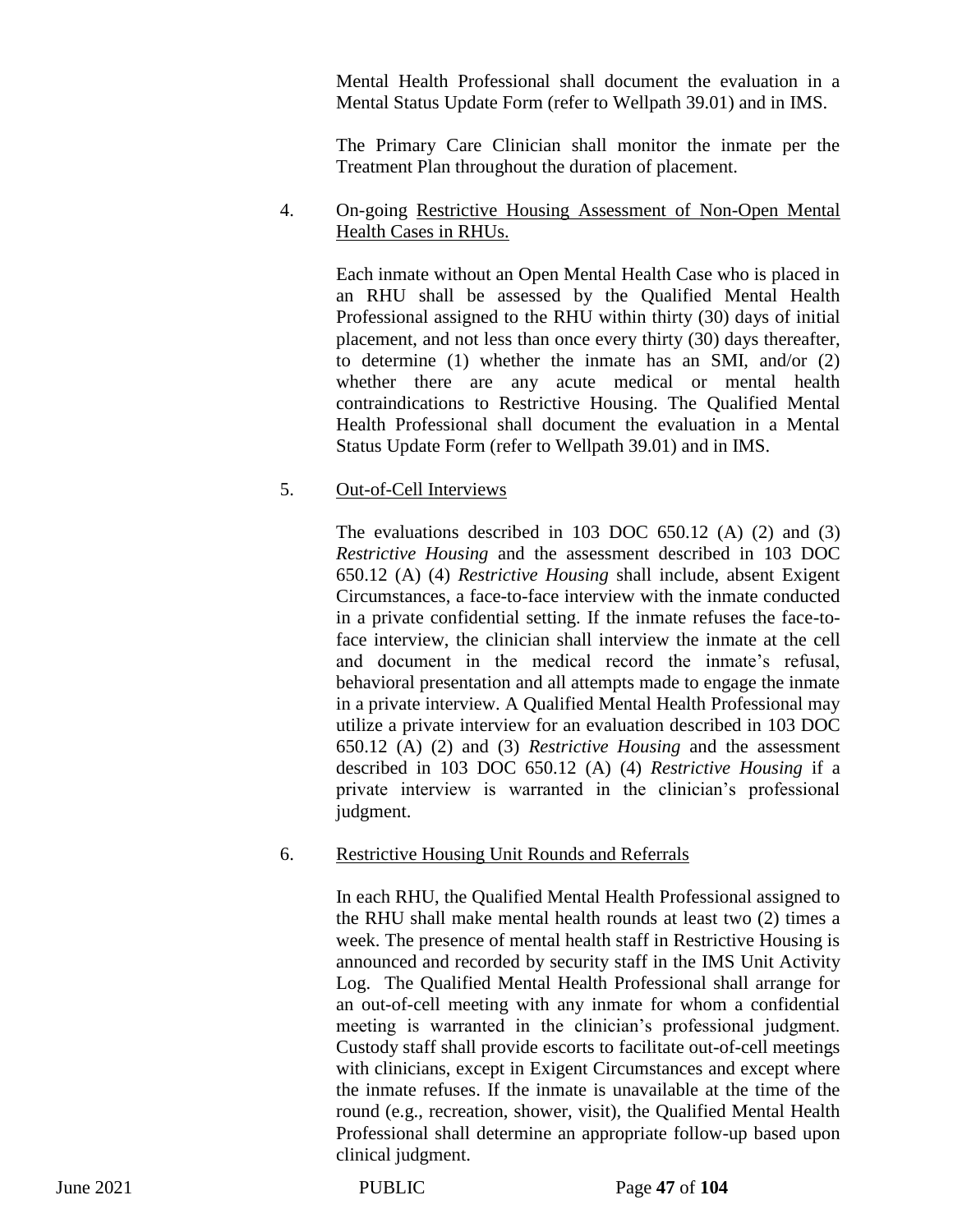Mental Health Professional shall document the evaluation in a Mental Status Update Form (refer to Wellpath 39.01) and in IMS.

The Primary Care Clinician shall monitor the inmate per the Treatment Plan throughout the duration of placement.

## 4. On-going Restrictive Housing Assessment of Non-Open Mental Health Cases in RHUs.

Each inmate without an Open Mental Health Case who is placed in an RHU shall be assessed by the Qualified Mental Health Professional assigned to the RHU within thirty (30) days of initial placement, and not less than once every thirty (30) days thereafter, to determine (1) whether the inmate has an SMI, and/or (2) whether there are any acute medical or mental health contraindications to Restrictive Housing. The Qualified Mental Health Professional shall document the evaluation in a Mental Status Update Form (refer to Wellpath 39.01) and in IMS.

## 5. Out-of-Cell Interviews

The evaluations described in 103 DOC 650.12 (A) (2) and (3) *Restrictive Housing* and the assessment described in 103 DOC 650.12 (A) (4) *Restrictive Housing* shall include, absent Exigent Circumstances, a face-to-face interview with the inmate conducted in a private confidential setting. If the inmate refuses the face-toface interview, the clinician shall interview the inmate at the cell and document in the medical record the inmate's refusal, behavioral presentation and all attempts made to engage the inmate in a private interview. A Qualified Mental Health Professional may utilize a private interview for an evaluation described in 103 DOC 650.12 (A) (2) and (3) *Restrictive Housing* and the assessment described in 103 DOC 650.12 (A) (4) *Restrictive Housing* if a private interview is warranted in the clinician's professional judgment.

## 6. Restrictive Housing Unit Rounds and Referrals

In each RHU, the Qualified Mental Health Professional assigned to the RHU shall make mental health rounds at least two (2) times a week. The presence of mental health staff in Restrictive Housing is announced and recorded by security staff in the IMS Unit Activity Log.The Qualified Mental Health Professional shall arrange for an out-of-cell meeting with any inmate for whom a confidential meeting is warranted in the clinician's professional judgment. Custody staff shall provide escorts to facilitate out-of-cell meetings with clinicians, except in Exigent Circumstances and except where the inmate refuses. If the inmate is unavailable at the time of the round (e.g., recreation, shower, visit), the Qualified Mental Health Professional shall determine an appropriate follow-up based upon clinical judgment.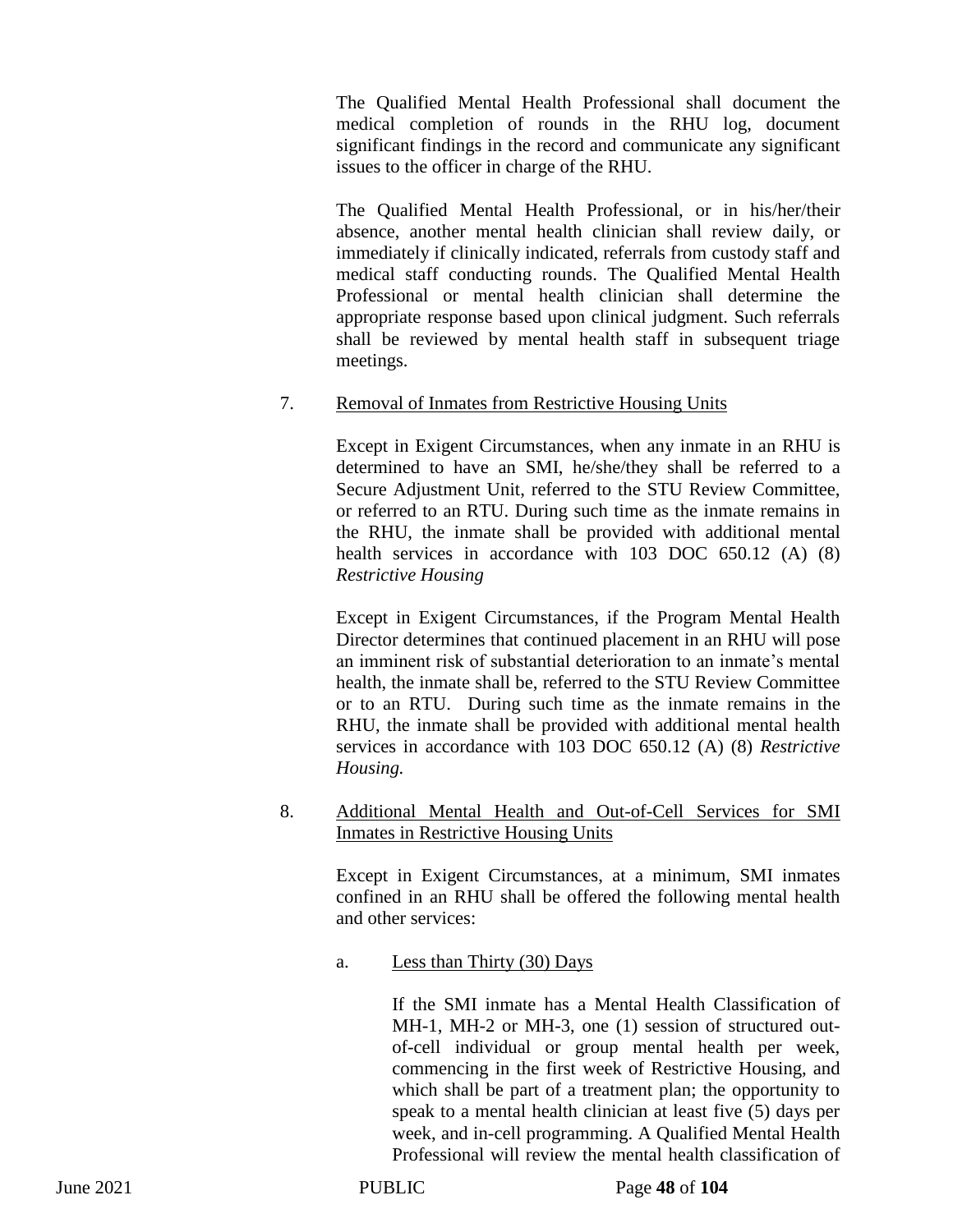The Qualified Mental Health Professional shall document the medical completion of rounds in the RHU log, document significant findings in the record and communicate any significant issues to the officer in charge of the RHU.

The Qualified Mental Health Professional, or in his/her/their absence, another mental health clinician shall review daily, or immediately if clinically indicated, referrals from custody staff and medical staff conducting rounds. The Qualified Mental Health Professional or mental health clinician shall determine the appropriate response based upon clinical judgment. Such referrals shall be reviewed by mental health staff in subsequent triage meetings.

## 7. Removal of Inmates from Restrictive Housing Units

Except in Exigent Circumstances, when any inmate in an RHU is determined to have an SMI, he/she/they shall be referred to a Secure Adjustment Unit, referred to the STU Review Committee, or referred to an RTU. During such time as the inmate remains in the RHU, the inmate shall be provided with additional mental health services in accordance with 103 DOC 650.12 (A) (8) *Restrictive Housing* 

Except in Exigent Circumstances, if the Program Mental Health Director determines that continued placement in an RHU will pose an imminent risk of substantial deterioration to an inmate's mental health, the inmate shall be, referred to the STU Review Committee or to an RTU. During such time as the inmate remains in the RHU, the inmate shall be provided with additional mental health services in accordance with 103 DOC 650.12 (A) (8) *Restrictive Housing.* 

## 8. Additional Mental Health and Out-of-Cell Services for SMI Inmates in Restrictive Housing Units

Except in Exigent Circumstances, at a minimum, SMI inmates confined in an RHU shall be offered the following mental health and other services:

a. Less than Thirty (30) Days

If the SMI inmate has a Mental Health Classification of MH-1, MH-2 or MH-3, one (1) session of structured outof-cell individual or group mental health per week, commencing in the first week of Restrictive Housing, and which shall be part of a treatment plan; the opportunity to speak to a mental health clinician at least five (5) days per week, and in-cell programming. A Qualified Mental Health Professional will review the mental health classification of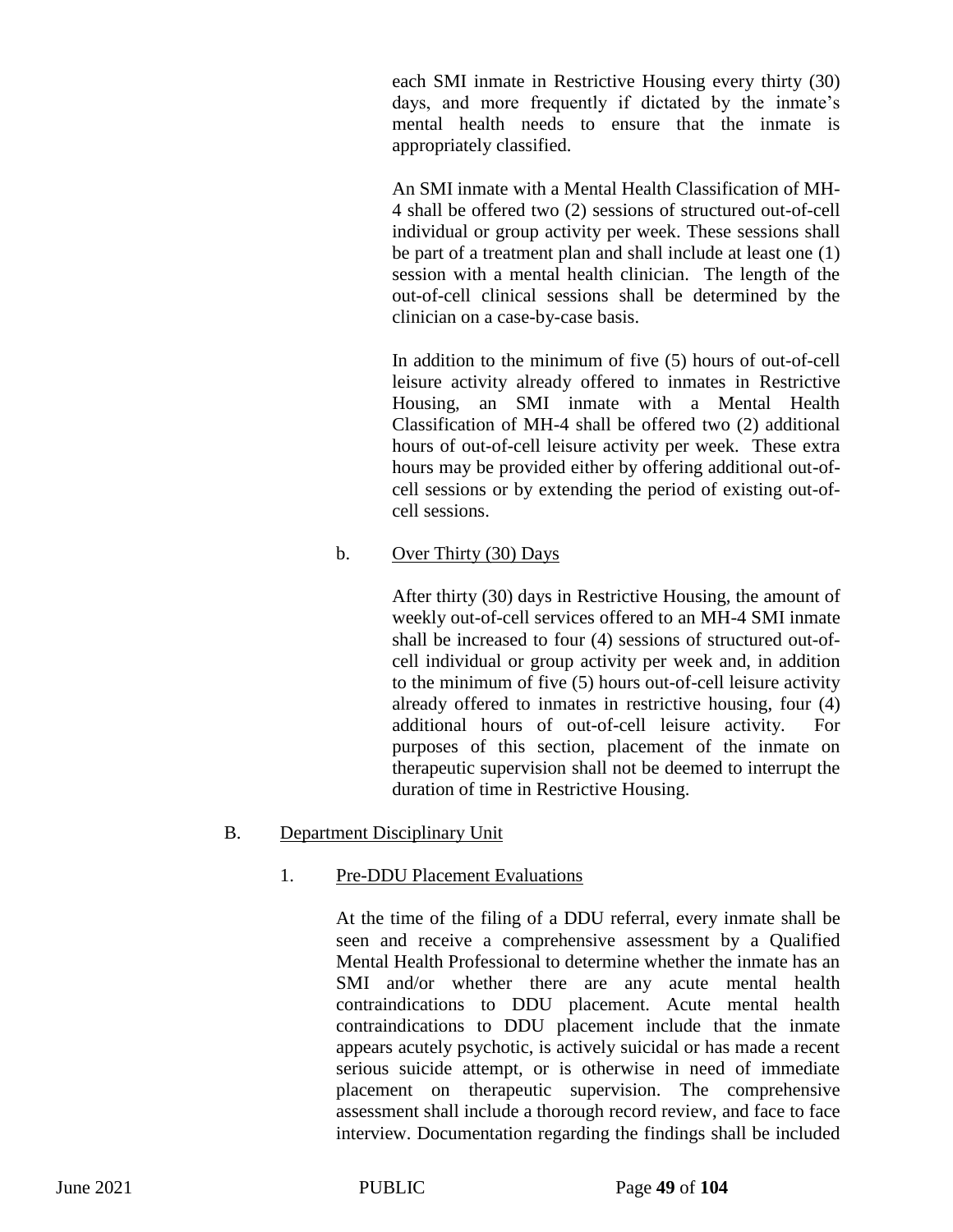each SMI inmate in Restrictive Housing every thirty (30) days, and more frequently if dictated by the inmate's mental health needs to ensure that the inmate is appropriately classified.

An SMI inmate with a Mental Health Classification of MH-4 shall be offered two (2) sessions of structured out-of-cell individual or group activity per week. These sessions shall be part of a treatment plan and shall include at least one (1) session with a mental health clinician. The length of the out-of-cell clinical sessions shall be determined by the clinician on a case-by-case basis.

In addition to the minimum of five (5) hours of out-of-cell leisure activity already offered to inmates in Restrictive Housing, an SMI inmate with a Mental Health Classification of MH-4 shall be offered two (2) additional hours of out-of-cell leisure activity per week. These extra hours may be provided either by offering additional out-ofcell sessions or by extending the period of existing out-ofcell sessions.

## b. Over Thirty (30) Days

After thirty (30) days in Restrictive Housing, the amount of weekly out-of-cell services offered to an MH-4 SMI inmate shall be increased to four (4) sessions of structured out-ofcell individual or group activity per week and, in addition to the minimum of five (5) hours out-of-cell leisure activity already offered to inmates in restrictive housing, four (4) additional hours of out-of-cell leisure activity. For purposes of this section, placement of the inmate on therapeutic supervision shall not be deemed to interrupt the duration of time in Restrictive Housing.

#### B. Department Disciplinary Unit

## 1. Pre-DDU Placement Evaluations

At the time of the filing of a DDU referral, every inmate shall be seen and receive a comprehensive assessment by a Qualified Mental Health Professional to determine whether the inmate has an SMI and/or whether there are any acute mental health contraindications to DDU placement. Acute mental health contraindications to DDU placement include that the inmate appears acutely psychotic, is actively suicidal or has made a recent serious suicide attempt, or is otherwise in need of immediate placement on therapeutic supervision. The comprehensive assessment shall include a thorough record review, and face to face interview. Documentation regarding the findings shall be included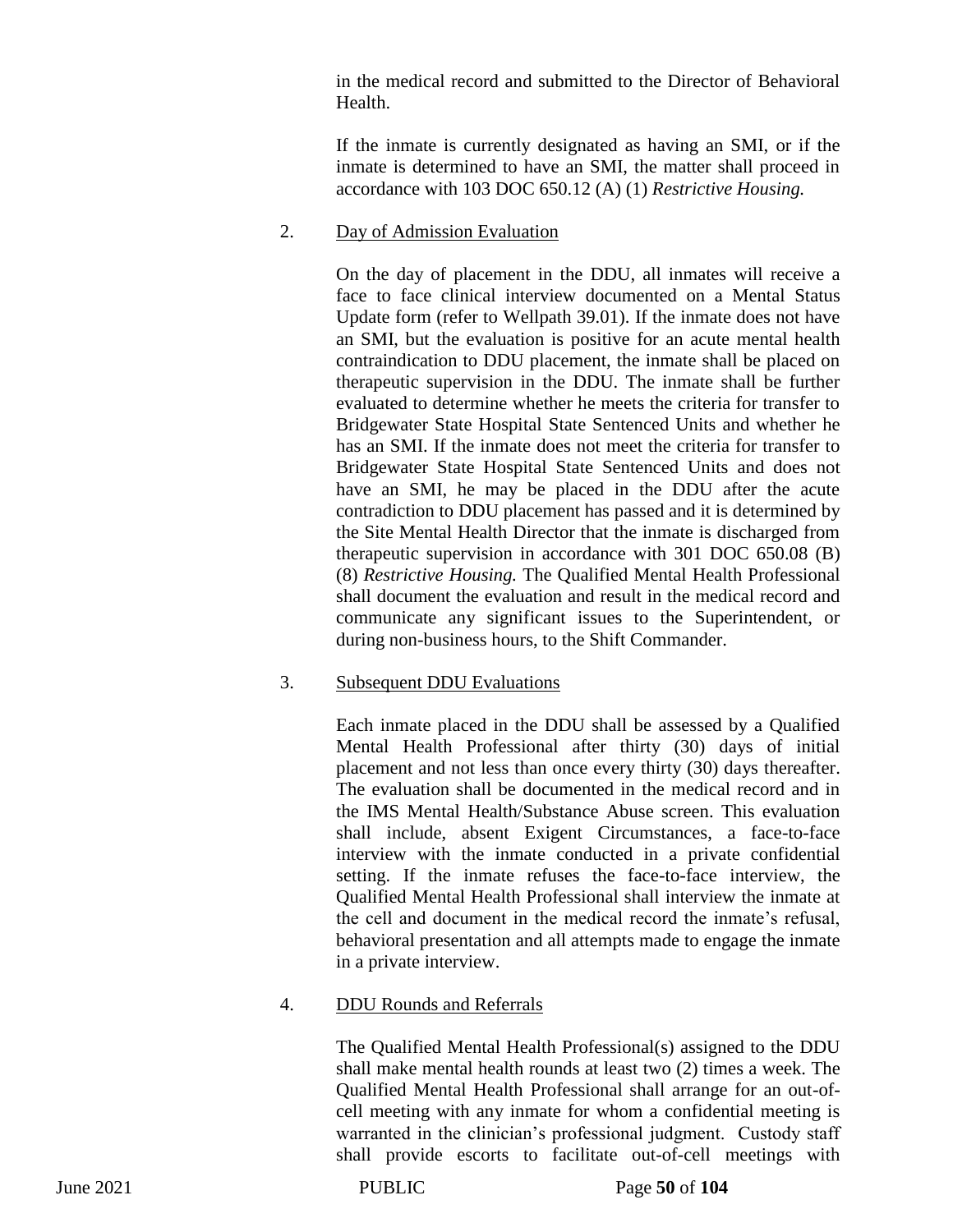in the medical record and submitted to the Director of Behavioral Health.

If the inmate is currently designated as having an SMI, or if the inmate is determined to have an SMI, the matter shall proceed in accordance with 103 DOC 650.12 (A) (1) *Restrictive Housing.* 

## 2. Day of Admission Evaluation

On the day of placement in the DDU, all inmates will receive a face to face clinical interview documented on a Mental Status Update form (refer to Wellpath 39.01). If the inmate does not have an SMI, but the evaluation is positive for an acute mental health contraindication to DDU placement, the inmate shall be placed on therapeutic supervision in the DDU. The inmate shall be further evaluated to determine whether he meets the criteria for transfer to Bridgewater State Hospital State Sentenced Units and whether he has an SMI. If the inmate does not meet the criteria for transfer to Bridgewater State Hospital State Sentenced Units and does not have an SMI, he may be placed in the DDU after the acute contradiction to DDU placement has passed and it is determined by the Site Mental Health Director that the inmate is discharged from therapeutic supervision in accordance with 301 DOC 650.08 (B) (8) *Restrictive Housing.* The Qualified Mental Health Professional shall document the evaluation and result in the medical record and communicate any significant issues to the Superintendent, or during non-business hours, to the Shift Commander.

## 3. Subsequent DDU Evaluations

Each inmate placed in the DDU shall be assessed by a Qualified Mental Health Professional after thirty (30) days of initial placement and not less than once every thirty (30) days thereafter. The evaluation shall be documented in the medical record and in the IMS Mental Health/Substance Abuse screen. This evaluation shall include, absent Exigent Circumstances, a face-to-face interview with the inmate conducted in a private confidential setting. If the inmate refuses the face-to-face interview, the Qualified Mental Health Professional shall interview the inmate at the cell and document in the medical record the inmate's refusal, behavioral presentation and all attempts made to engage the inmate in a private interview.

# 4. DDU Rounds and Referrals

The Qualified Mental Health Professional(s) assigned to the DDU shall make mental health rounds at least two (2) times a week. The Qualified Mental Health Professional shall arrange for an out-ofcell meeting with any inmate for whom a confidential meeting is warranted in the clinician's professional judgment. Custody staff shall provide escorts to facilitate out-of-cell meetings with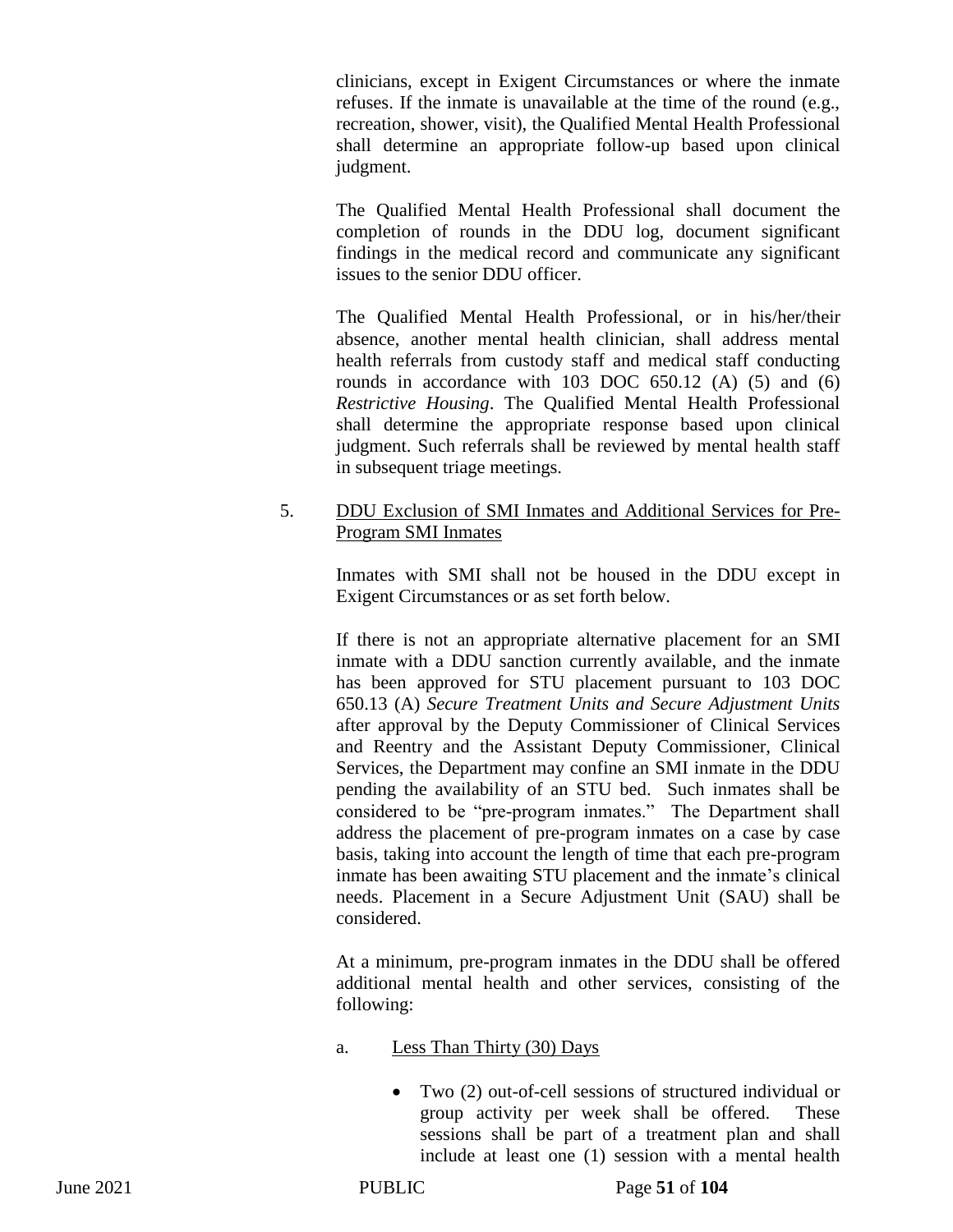clinicians, except in Exigent Circumstances or where the inmate refuses. If the inmate is unavailable at the time of the round (e.g., recreation, shower, visit), the Qualified Mental Health Professional shall determine an appropriate follow-up based upon clinical judgment.

The Qualified Mental Health Professional shall document the completion of rounds in the DDU log, document significant findings in the medical record and communicate any significant issues to the senior DDU officer.

The Qualified Mental Health Professional, or in his/her/their absence, another mental health clinician, shall address mental health referrals from custody staff and medical staff conducting rounds in accordance with  $103$  DOC  $650.12$  (A)  $(5)$  and  $(6)$ *Restrictive Housing*. The Qualified Mental Health Professional shall determine the appropriate response based upon clinical judgment. Such referrals shall be reviewed by mental health staff in subsequent triage meetings.

## 5. DDU Exclusion of SMI Inmates and Additional Services for Pre-Program SMI Inmates

Inmates with SMI shall not be housed in the DDU except in Exigent Circumstances or as set forth below.

If there is not an appropriate alternative placement for an SMI inmate with a DDU sanction currently available, and the inmate has been approved for STU placement pursuant to 103 DOC 650.13 (A) *Secure Treatment Units and Secure Adjustment Units*  after approval by the Deputy Commissioner of Clinical Services and Reentry and the Assistant Deputy Commissioner, Clinical Services, the Department may confine an SMI inmate in the DDU pending the availability of an STU bed. Such inmates shall be considered to be "pre-program inmates." The Department shall address the placement of pre-program inmates on a case by case basis, taking into account the length of time that each pre-program inmate has been awaiting STU placement and the inmate's clinical needs. Placement in a Secure Adjustment Unit (SAU) shall be considered.

At a minimum, pre-program inmates in the DDU shall be offered additional mental health and other services, consisting of the following:

- a. Less Than Thirty (30) Days
	- Two (2) out-of-cell sessions of structured individual or group activity per week shall be offered. These sessions shall be part of a treatment plan and shall include at least one (1) session with a mental health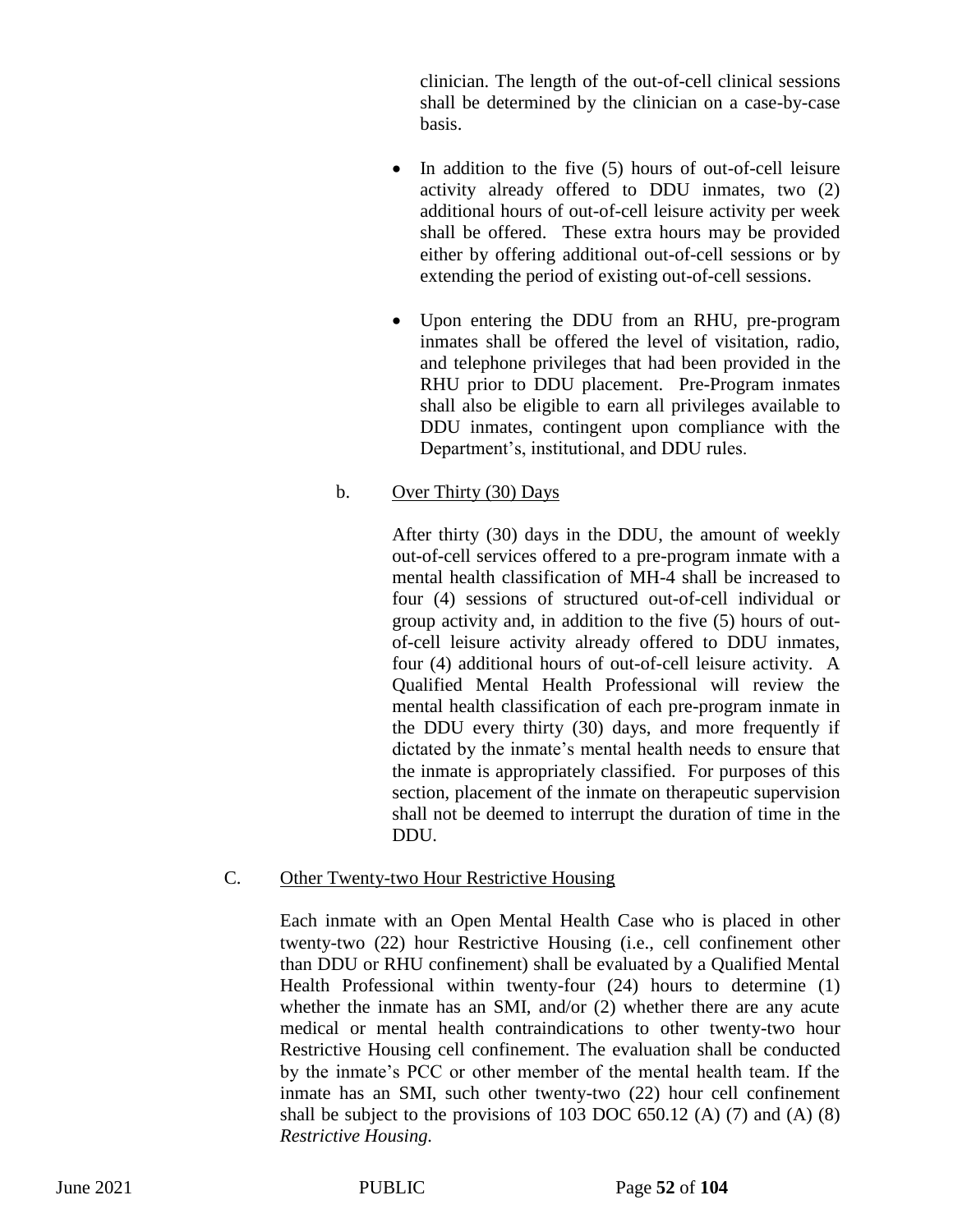clinician. The length of the out-of-cell clinical sessions shall be determined by the clinician on a case-by-case basis.

- In addition to the five (5) hours of out-of-cell leisure activity already offered to DDU inmates, two (2) additional hours of out-of-cell leisure activity per week shall be offered. These extra hours may be provided either by offering additional out-of-cell sessions or by extending the period of existing out-of-cell sessions.
- Upon entering the DDU from an RHU, pre-program inmates shall be offered the level of visitation, radio, and telephone privileges that had been provided in the RHU prior to DDU placement. Pre-Program inmates shall also be eligible to earn all privileges available to DDU inmates, contingent upon compliance with the Department's, institutional, and DDU rules.

## b. Over Thirty (30) Days

After thirty (30) days in the DDU, the amount of weekly out-of-cell services offered to a pre-program inmate with a mental health classification of MH-4 shall be increased to four (4) sessions of structured out-of-cell individual or group activity and, in addition to the five (5) hours of outof-cell leisure activity already offered to DDU inmates, four (4) additional hours of out-of-cell leisure activity. A Qualified Mental Health Professional will review the mental health classification of each pre-program inmate in the DDU every thirty (30) days, and more frequently if dictated by the inmate's mental health needs to ensure that the inmate is appropriately classified. For purposes of this section, placement of the inmate on therapeutic supervision shall not be deemed to interrupt the duration of time in the DDU.

#### C. Other Twenty-two Hour Restrictive Housing

Each inmate with an Open Mental Health Case who is placed in other twenty-two (22) hour Restrictive Housing (i.e., cell confinement other than DDU or RHU confinement) shall be evaluated by a Qualified Mental Health Professional within twenty-four (24) hours to determine (1) whether the inmate has an SMI, and/or (2) whether there are any acute medical or mental health contraindications to other twenty-two hour Restrictive Housing cell confinement. The evaluation shall be conducted by the inmate's PCC or other member of the mental health team. If the inmate has an SMI, such other twenty-two (22) hour cell confinement shall be subject to the provisions of 103 DOC 650.12 (A)  $(7)$  and  $(A)$   $(8)$ *Restrictive Housing.*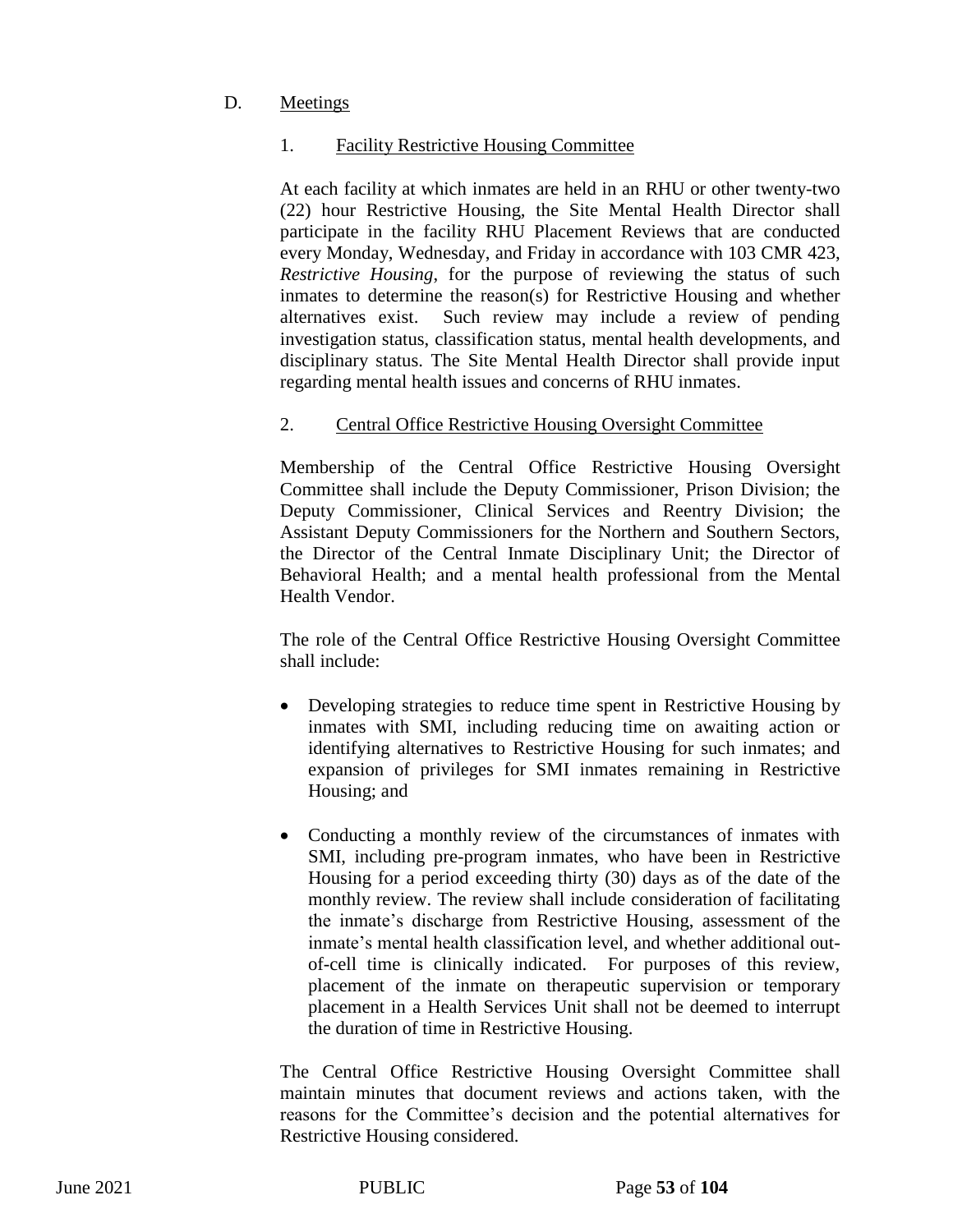# D. Meetings

## 1. Facility Restrictive Housing Committee

At each facility at which inmates are held in an RHU or other twenty-two (22) hour Restrictive Housing, the Site Mental Health Director shall participate in the facility RHU Placement Reviews that are conducted every Monday, Wednesday, and Friday in accordance with 103 CMR 423, *Restrictive Housing*, for the purpose of reviewing the status of such inmates to determine the reason(s) for Restrictive Housing and whether alternatives exist. Such review may include a review of pending investigation status, classification status, mental health developments, and disciplinary status. The Site Mental Health Director shall provide input regarding mental health issues and concerns of RHU inmates.

## 2. Central Office Restrictive Housing Oversight Committee

Membership of the Central Office Restrictive Housing Oversight Committee shall include the Deputy Commissioner, Prison Division; the Deputy Commissioner, Clinical Services and Reentry Division; the Assistant Deputy Commissioners for the Northern and Southern Sectors, the Director of the Central Inmate Disciplinary Unit; the Director of Behavioral Health; and a mental health professional from the Mental Health Vendor.

The role of the Central Office Restrictive Housing Oversight Committee shall include:

- Developing strategies to reduce time spent in Restrictive Housing by inmates with SMI, including reducing time on awaiting action or identifying alternatives to Restrictive Housing for such inmates; and expansion of privileges for SMI inmates remaining in Restrictive Housing; and
- Conducting a monthly review of the circumstances of inmates with SMI, including pre-program inmates, who have been in Restrictive Housing for a period exceeding thirty (30) days as of the date of the monthly review. The review shall include consideration of facilitating the inmate's discharge from Restrictive Housing, assessment of the inmate's mental health classification level, and whether additional outof-cell time is clinically indicated. For purposes of this review, placement of the inmate on therapeutic supervision or temporary placement in a Health Services Unit shall not be deemed to interrupt the duration of time in Restrictive Housing.

The Central Office Restrictive Housing Oversight Committee shall maintain minutes that document reviews and actions taken, with the reasons for the Committee's decision and the potential alternatives for Restrictive Housing considered.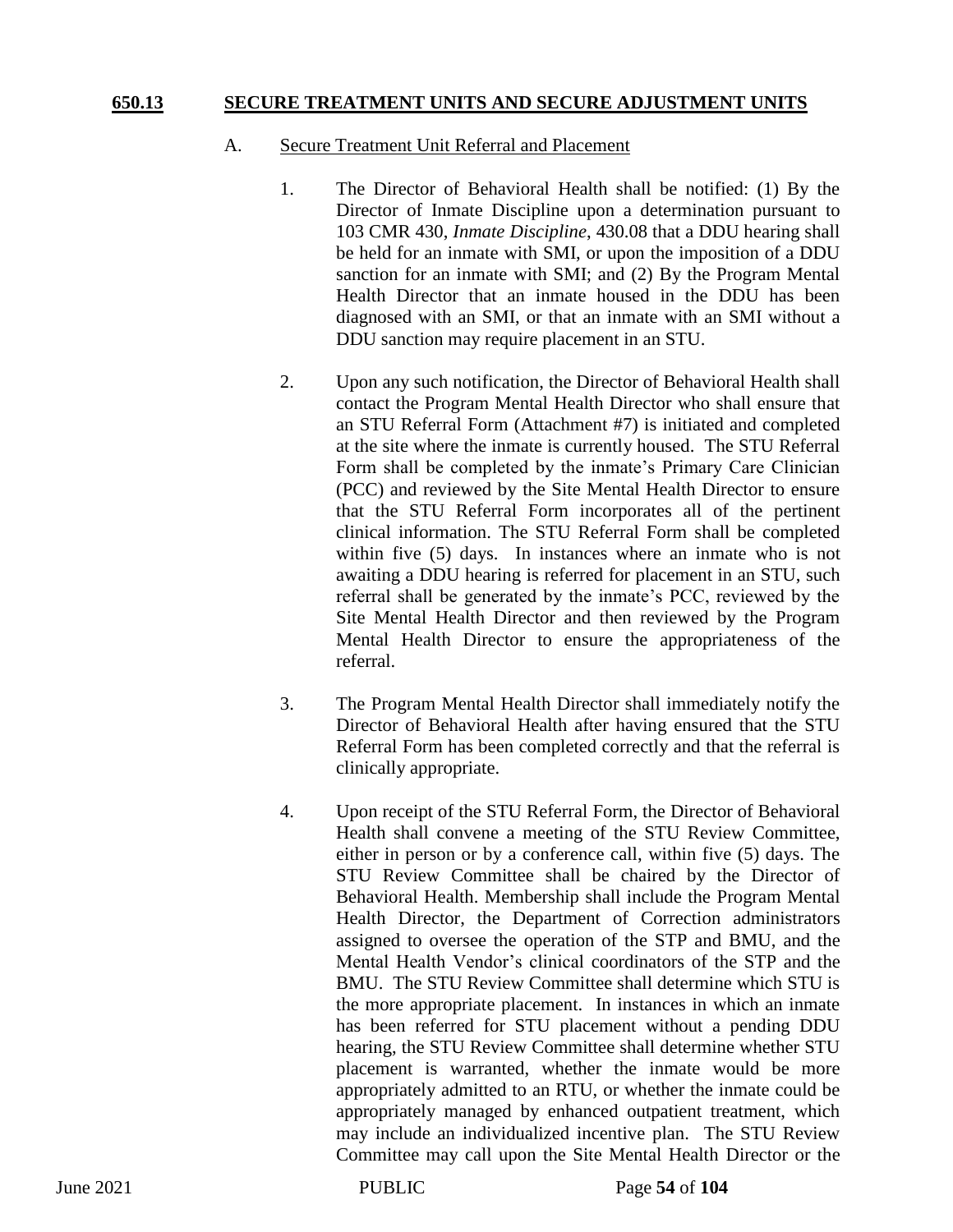#### **650.13 SECURE TREATMENT UNITS AND SECURE ADJUSTMENT UNITS**

#### A. Secure Treatment Unit Referral and Placement

- 1. The Director of Behavioral Health shall be notified: (1) By the Director of Inmate Discipline upon a determination pursuant to 103 CMR 430, *Inmate Discipline*, 430.08 that a DDU hearing shall be held for an inmate with SMI, or upon the imposition of a DDU sanction for an inmate with SMI; and (2) By the Program Mental Health Director that an inmate housed in the DDU has been diagnosed with an SMI, or that an inmate with an SMI without a DDU sanction may require placement in an STU.
- 2. Upon any such notification, the Director of Behavioral Health shall contact the Program Mental Health Director who shall ensure that an STU Referral Form (Attachment #7) is initiated and completed at the site where the inmate is currently housed. The STU Referral Form shall be completed by the inmate's Primary Care Clinician (PCC) and reviewed by the Site Mental Health Director to ensure that the STU Referral Form incorporates all of the pertinent clinical information. The STU Referral Form shall be completed within five (5) days. In instances where an inmate who is not awaiting a DDU hearing is referred for placement in an STU, such referral shall be generated by the inmate's PCC, reviewed by the Site Mental Health Director and then reviewed by the Program Mental Health Director to ensure the appropriateness of the referral.
- 3. The Program Mental Health Director shall immediately notify the Director of Behavioral Health after having ensured that the STU Referral Form has been completed correctly and that the referral is clinically appropriate.
- 4. Upon receipt of the STU Referral Form, the Director of Behavioral Health shall convene a meeting of the STU Review Committee, either in person or by a conference call, within five (5) days. The STU Review Committee shall be chaired by the Director of Behavioral Health. Membership shall include the Program Mental Health Director, the Department of Correction administrators assigned to oversee the operation of the STP and BMU, and the Mental Health Vendor's clinical coordinators of the STP and the BMU. The STU Review Committee shall determine which STU is the more appropriate placement. In instances in which an inmate has been referred for STU placement without a pending DDU hearing, the STU Review Committee shall determine whether STU placement is warranted, whether the inmate would be more appropriately admitted to an RTU, or whether the inmate could be appropriately managed by enhanced outpatient treatment, which may include an individualized incentive plan. The STU Review Committee may call upon the Site Mental Health Director or the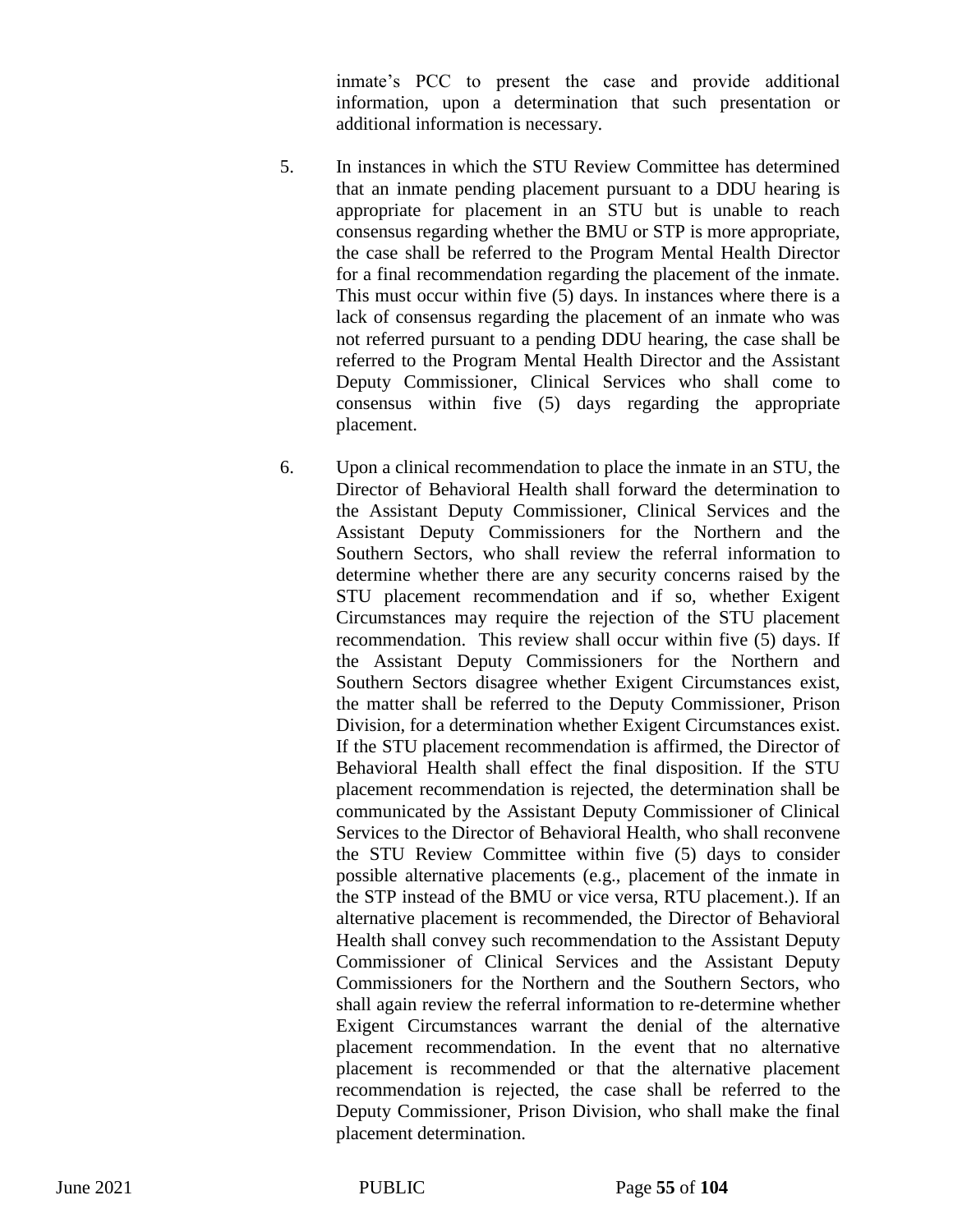inmate's PCC to present the case and provide additional information, upon a determination that such presentation or additional information is necessary.

- 5. In instances in which the STU Review Committee has determined that an inmate pending placement pursuant to a DDU hearing is appropriate for placement in an STU but is unable to reach consensus regarding whether the BMU or STP is more appropriate, the case shall be referred to the Program Mental Health Director for a final recommendation regarding the placement of the inmate. This must occur within five (5) days. In instances where there is a lack of consensus regarding the placement of an inmate who was not referred pursuant to a pending DDU hearing, the case shall be referred to the Program Mental Health Director and the Assistant Deputy Commissioner, Clinical Services who shall come to consensus within five (5) days regarding the appropriate placement.
- 6. Upon a clinical recommendation to place the inmate in an STU, the Director of Behavioral Health shall forward the determination to the Assistant Deputy Commissioner, Clinical Services and the Assistant Deputy Commissioners for the Northern and the Southern Sectors, who shall review the referral information to determine whether there are any security concerns raised by the STU placement recommendation and if so, whether Exigent Circumstances may require the rejection of the STU placement recommendation. This review shall occur within five (5) days. If the Assistant Deputy Commissioners for the Northern and Southern Sectors disagree whether Exigent Circumstances exist, the matter shall be referred to the Deputy Commissioner, Prison Division, for a determination whether Exigent Circumstances exist. If the STU placement recommendation is affirmed, the Director of Behavioral Health shall effect the final disposition. If the STU placement recommendation is rejected, the determination shall be communicated by the Assistant Deputy Commissioner of Clinical Services to the Director of Behavioral Health, who shall reconvene the STU Review Committee within five (5) days to consider possible alternative placements (e.g., placement of the inmate in the STP instead of the BMU or vice versa, RTU placement.). If an alternative placement is recommended, the Director of Behavioral Health shall convey such recommendation to the Assistant Deputy Commissioner of Clinical Services and the Assistant Deputy Commissioners for the Northern and the Southern Sectors, who shall again review the referral information to re-determine whether Exigent Circumstances warrant the denial of the alternative placement recommendation. In the event that no alternative placement is recommended or that the alternative placement recommendation is rejected, the case shall be referred to the Deputy Commissioner, Prison Division, who shall make the final placement determination.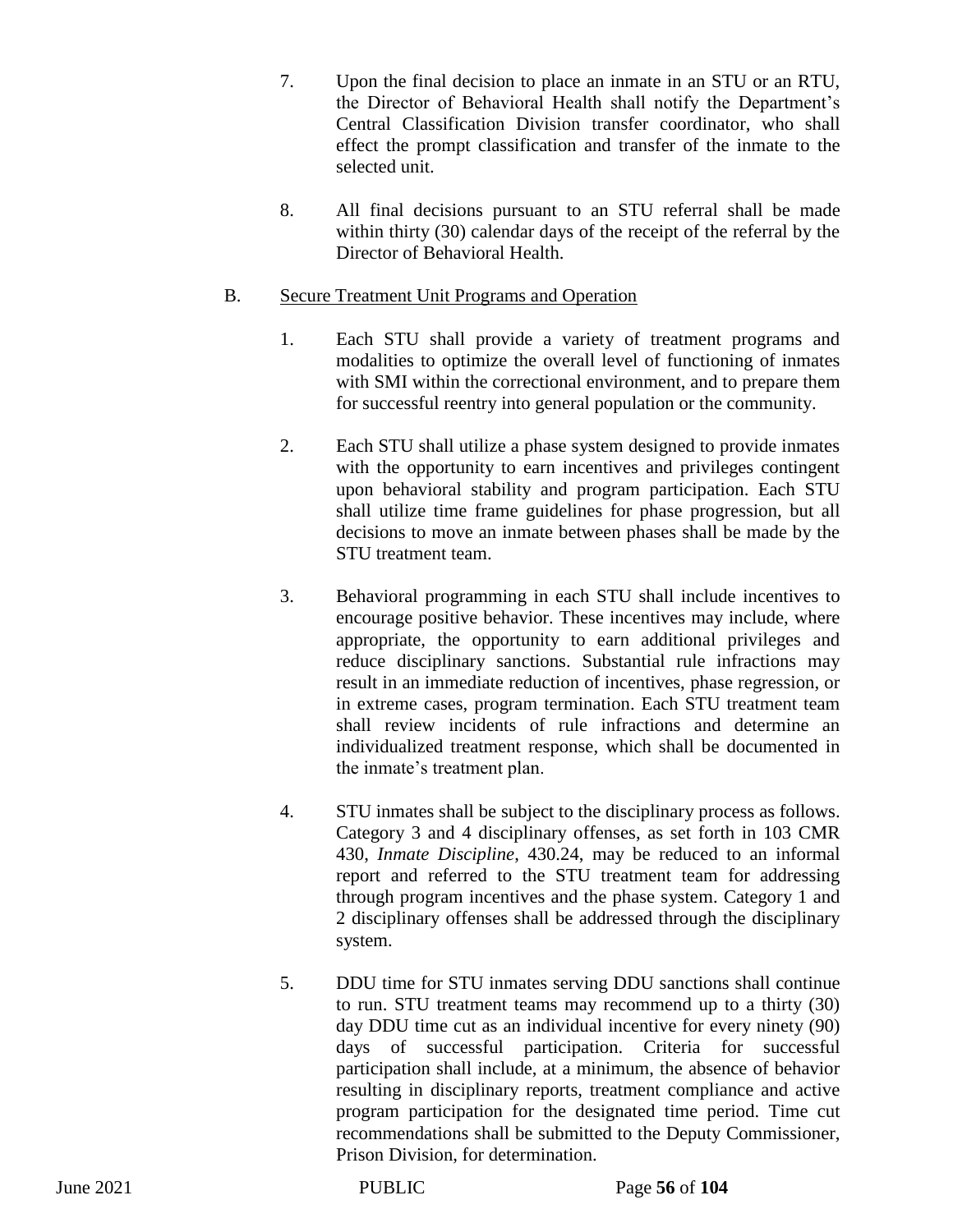- 7. Upon the final decision to place an inmate in an STU or an RTU, the Director of Behavioral Health shall notify the Department's Central Classification Division transfer coordinator, who shall effect the prompt classification and transfer of the inmate to the selected unit.
- 8. All final decisions pursuant to an STU referral shall be made within thirty (30) calendar days of the receipt of the referral by the Director of Behavioral Health.

## B. Secure Treatment Unit Programs and Operation

- 1. Each STU shall provide a variety of treatment programs and modalities to optimize the overall level of functioning of inmates with SMI within the correctional environment, and to prepare them for successful reentry into general population or the community.
- 2. Each STU shall utilize a phase system designed to provide inmates with the opportunity to earn incentives and privileges contingent upon behavioral stability and program participation. Each STU shall utilize time frame guidelines for phase progression, but all decisions to move an inmate between phases shall be made by the STU treatment team.
- 3. Behavioral programming in each STU shall include incentives to encourage positive behavior. These incentives may include, where appropriate, the opportunity to earn additional privileges and reduce disciplinary sanctions. Substantial rule infractions may result in an immediate reduction of incentives, phase regression, or in extreme cases, program termination. Each STU treatment team shall review incidents of rule infractions and determine an individualized treatment response, which shall be documented in the inmate's treatment plan.
- 4. STU inmates shall be subject to the disciplinary process as follows. Category 3 and 4 disciplinary offenses, as set forth in 103 CMR 430, *Inmate Discipline*, 430.24, may be reduced to an informal report and referred to the STU treatment team for addressing through program incentives and the phase system. Category 1 and 2 disciplinary offenses shall be addressed through the disciplinary system.
- 5. DDU time for STU inmates serving DDU sanctions shall continue to run. STU treatment teams may recommend up to a thirty (30) day DDU time cut as an individual incentive for every ninety (90) days of successful participation. Criteria for successful participation shall include, at a minimum, the absence of behavior resulting in disciplinary reports, treatment compliance and active program participation for the designated time period. Time cut recommendations shall be submitted to the Deputy Commissioner, Prison Division, for determination.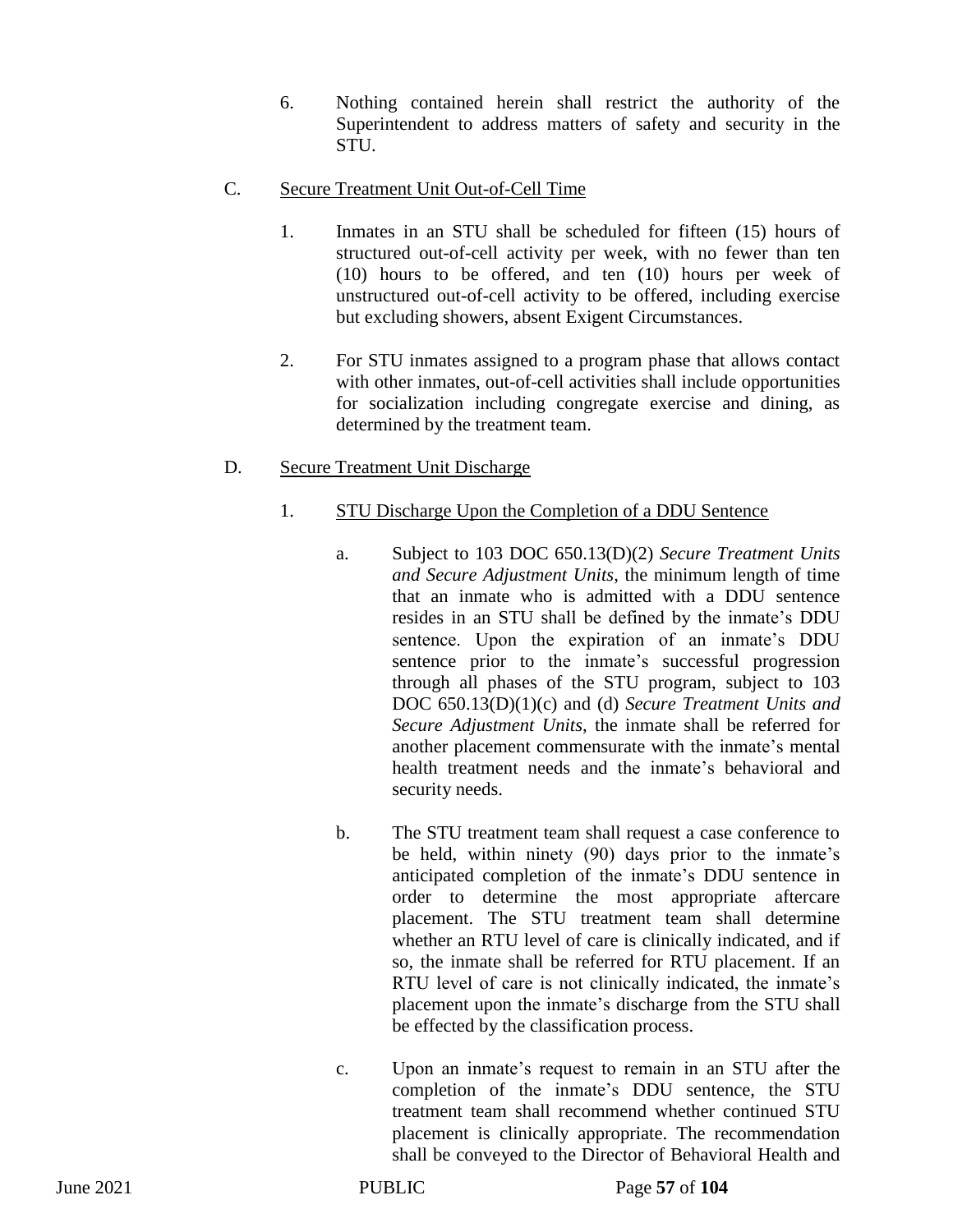6. Nothing contained herein shall restrict the authority of the Superintendent to address matters of safety and security in the STU.

## C. Secure Treatment Unit Out-of-Cell Time

- 1. Inmates in an STU shall be scheduled for fifteen (15) hours of structured out-of-cell activity per week, with no fewer than ten (10) hours to be offered, and ten (10) hours per week of unstructured out-of-cell activity to be offered, including exercise but excluding showers, absent Exigent Circumstances.
- 2. For STU inmates assigned to a program phase that allows contact with other inmates, out-of-cell activities shall include opportunities for socialization including congregate exercise and dining, as determined by the treatment team.

# D. Secure Treatment Unit Discharge

- 1. STU Discharge Upon the Completion of a DDU Sentence
	- a. Subject to 103 DOC 650.13(D)(2) *Secure Treatment Units and Secure Adjustment Units*, the minimum length of time that an inmate who is admitted with a DDU sentence resides in an STU shall be defined by the inmate's DDU sentence. Upon the expiration of an inmate's DDU sentence prior to the inmate's successful progression through all phases of the STU program, subject to 103 DOC 650.13(D)(1)(c) and (d) *Secure Treatment Units and Secure Adjustment Units*, the inmate shall be referred for another placement commensurate with the inmate's mental health treatment needs and the inmate's behavioral and security needs.
	- b. The STU treatment team shall request a case conference to be held, within ninety (90) days prior to the inmate's anticipated completion of the inmate's DDU sentence in order to determine the most appropriate aftercare placement. The STU treatment team shall determine whether an RTU level of care is clinically indicated, and if so, the inmate shall be referred for RTU placement. If an RTU level of care is not clinically indicated, the inmate's placement upon the inmate's discharge from the STU shall be effected by the classification process.
	- c. Upon an inmate's request to remain in an STU after the completion of the inmate's DDU sentence, the STU treatment team shall recommend whether continued STU placement is clinically appropriate. The recommendation shall be conveyed to the Director of Behavioral Health and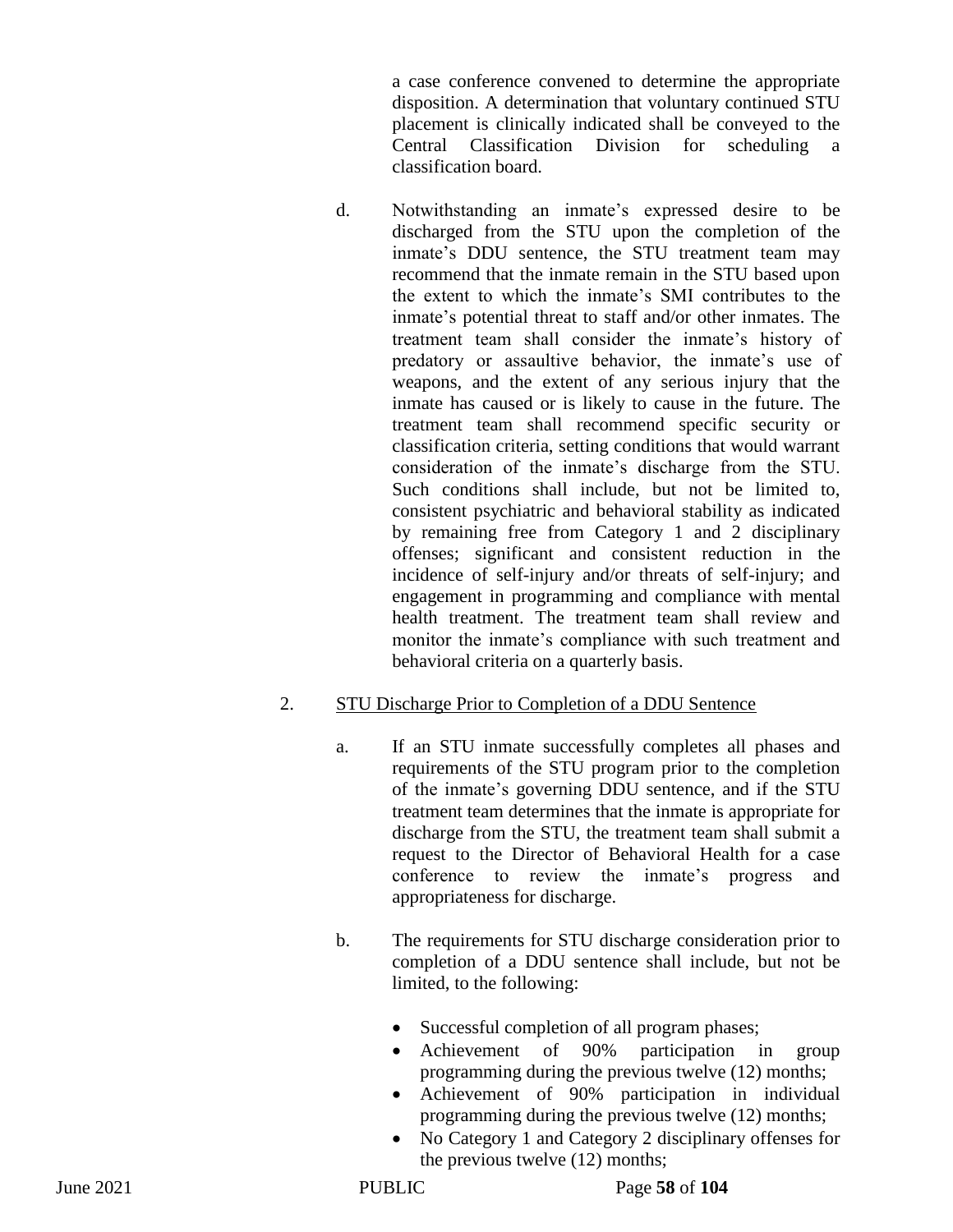a case conference convened to determine the appropriate disposition. A determination that voluntary continued STU placement is clinically indicated shall be conveyed to the Central Classification Division for scheduling a classification board.

d. Notwithstanding an inmate's expressed desire to be discharged from the STU upon the completion of the inmate's DDU sentence, the STU treatment team may recommend that the inmate remain in the STU based upon the extent to which the inmate's SMI contributes to the inmate's potential threat to staff and/or other inmates. The treatment team shall consider the inmate's history of predatory or assaultive behavior, the inmate's use of weapons, and the extent of any serious injury that the inmate has caused or is likely to cause in the future. The treatment team shall recommend specific security or classification criteria, setting conditions that would warrant consideration of the inmate's discharge from the STU. Such conditions shall include, but not be limited to, consistent psychiatric and behavioral stability as indicated by remaining free from Category 1 and 2 disciplinary offenses; significant and consistent reduction in the incidence of self-injury and/or threats of self-injury; and engagement in programming and compliance with mental health treatment. The treatment team shall review and monitor the inmate's compliance with such treatment and behavioral criteria on a quarterly basis.

## 2. STU Discharge Prior to Completion of a DDU Sentence

- a. If an STU inmate successfully completes all phases and requirements of the STU program prior to the completion of the inmate's governing DDU sentence, and if the STU treatment team determines that the inmate is appropriate for discharge from the STU, the treatment team shall submit a request to the Director of Behavioral Health for a case conference to review the inmate's progress and appropriateness for discharge.
- b. The requirements for STU discharge consideration prior to completion of a DDU sentence shall include, but not be limited, to the following:
	- Successful completion of all program phases;
	- Achievement of 90% participation in group programming during the previous twelve (12) months;
	- Achievement of 90% participation in individual programming during the previous twelve (12) months;
	- No Category 1 and Category 2 disciplinary offenses for the previous twelve (12) months;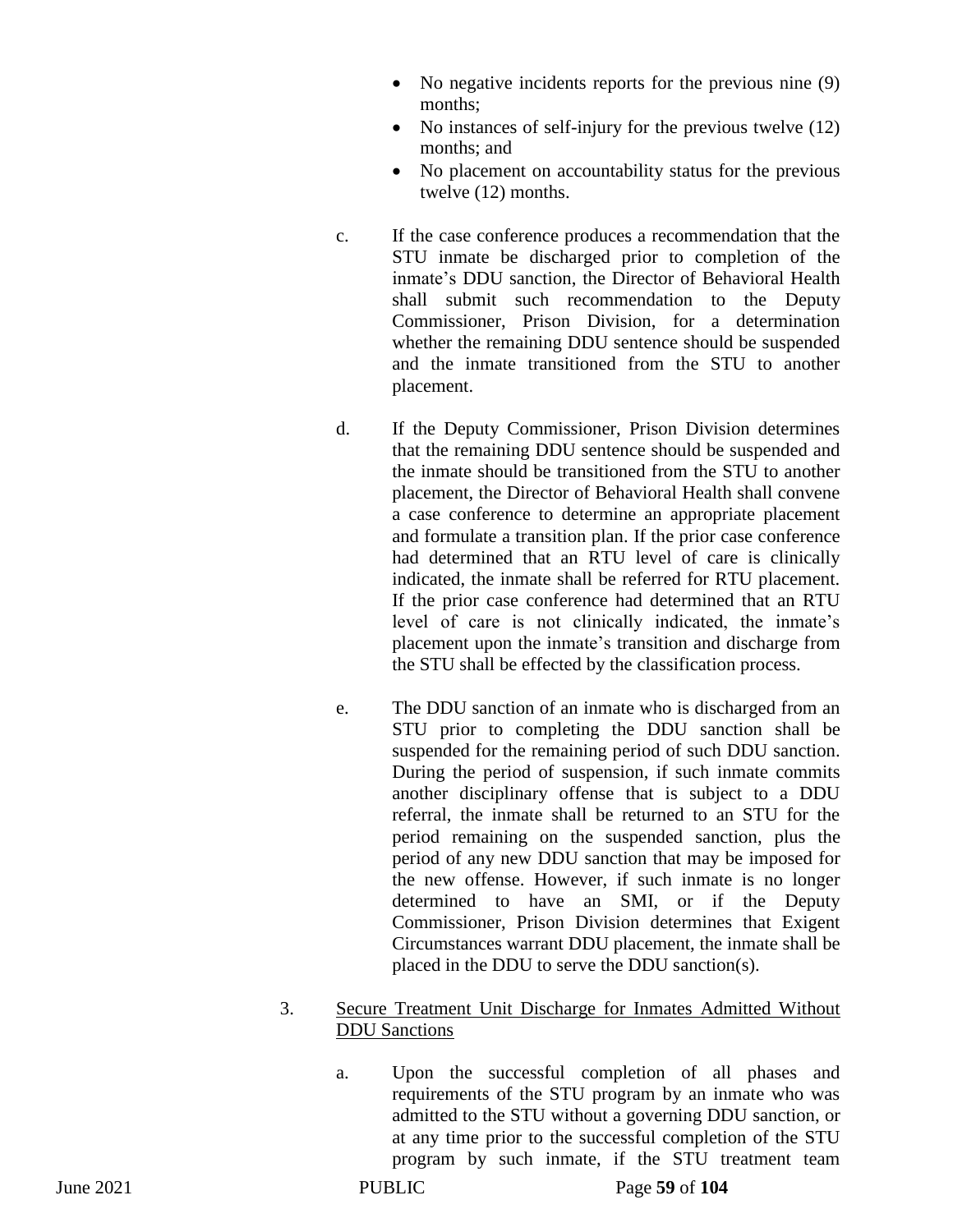- No negative incidents reports for the previous nine (9) months;
- No instances of self-injury for the previous twelve (12) months; and
- No placement on accountability status for the previous twelve (12) months.
- c. If the case conference produces a recommendation that the STU inmate be discharged prior to completion of the inmate's DDU sanction, the Director of Behavioral Health shall submit such recommendation to the Deputy Commissioner, Prison Division, for a determination whether the remaining DDU sentence should be suspended and the inmate transitioned from the STU to another placement.
- d. If the Deputy Commissioner, Prison Division determines that the remaining DDU sentence should be suspended and the inmate should be transitioned from the STU to another placement, the Director of Behavioral Health shall convene a case conference to determine an appropriate placement and formulate a transition plan. If the prior case conference had determined that an RTU level of care is clinically indicated, the inmate shall be referred for RTU placement. If the prior case conference had determined that an RTU level of care is not clinically indicated, the inmate's placement upon the inmate's transition and discharge from the STU shall be effected by the classification process.
- e. The DDU sanction of an inmate who is discharged from an STU prior to completing the DDU sanction shall be suspended for the remaining period of such DDU sanction. During the period of suspension, if such inmate commits another disciplinary offense that is subject to a DDU referral, the inmate shall be returned to an STU for the period remaining on the suspended sanction, plus the period of any new DDU sanction that may be imposed for the new offense. However, if such inmate is no longer determined to have an SMI, or if the Deputy Commissioner, Prison Division determines that Exigent Circumstances warrant DDU placement, the inmate shall be placed in the DDU to serve the DDU sanction(s).

## 3. Secure Treatment Unit Discharge for Inmates Admitted Without DDU Sanctions

a. Upon the successful completion of all phases and requirements of the STU program by an inmate who was admitted to the STU without a governing DDU sanction, or at any time prior to the successful completion of the STU program by such inmate, if the STU treatment team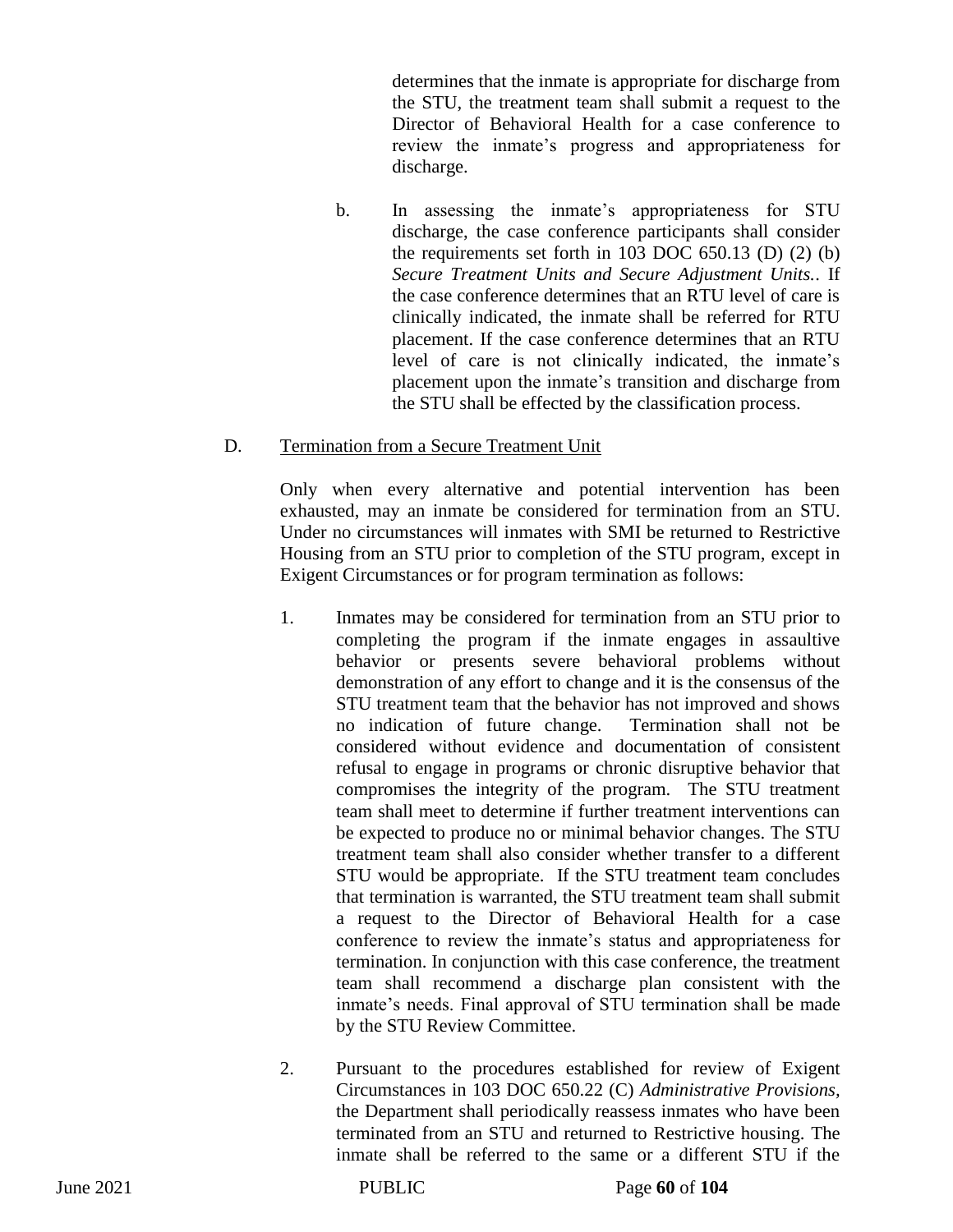determines that the inmate is appropriate for discharge from the STU, the treatment team shall submit a request to the Director of Behavioral Health for a case conference to review the inmate's progress and appropriateness for discharge.

b. In assessing the inmate's appropriateness for STU discharge, the case conference participants shall consider the requirements set forth in  $103$  DOC  $650.13$  (D)  $(2)$  (b) *Secure Treatment Units and Secure Adjustment Units.*. If the case conference determines that an RTU level of care is clinically indicated, the inmate shall be referred for RTU placement. If the case conference determines that an RTU level of care is not clinically indicated, the inmate's placement upon the inmate's transition and discharge from the STU shall be effected by the classification process.

## D. Termination from a Secure Treatment Unit

Only when every alternative and potential intervention has been exhausted, may an inmate be considered for termination from an STU. Under no circumstances will inmates with SMI be returned to Restrictive Housing from an STU prior to completion of the STU program, except in Exigent Circumstances or for program termination as follows:

- 1. Inmates may be considered for termination from an STU prior to completing the program if the inmate engages in assaultive behavior or presents severe behavioral problems without demonstration of any effort to change and it is the consensus of the STU treatment team that the behavior has not improved and shows no indication of future change. Termination shall not be considered without evidence and documentation of consistent refusal to engage in programs or chronic disruptive behavior that compromises the integrity of the program. The STU treatment team shall meet to determine if further treatment interventions can be expected to produce no or minimal behavior changes. The STU treatment team shall also consider whether transfer to a different STU would be appropriate. If the STU treatment team concludes that termination is warranted, the STU treatment team shall submit a request to the Director of Behavioral Health for a case conference to review the inmate's status and appropriateness for termination. In conjunction with this case conference, the treatment team shall recommend a discharge plan consistent with the inmate's needs. Final approval of STU termination shall be made by the STU Review Committee.
- 2. Pursuant to the procedures established for review of Exigent Circumstances in 103 DOC 650.22 (C) *Administrative Provisions,*  the Department shall periodically reassess inmates who have been terminated from an STU and returned to Restrictive housing. The inmate shall be referred to the same or a different STU if the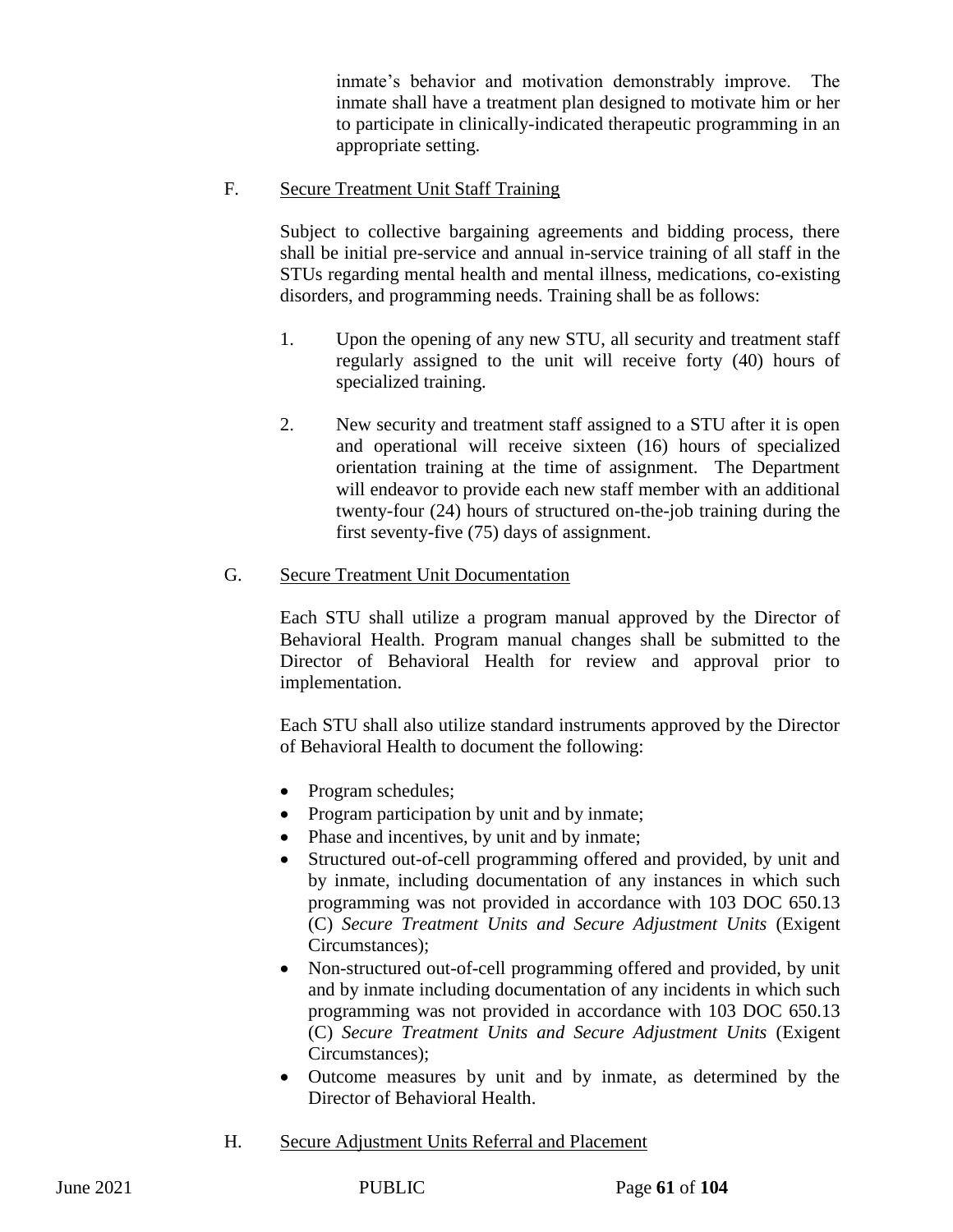inmate's behavior and motivation demonstrably improve. The inmate shall have a treatment plan designed to motivate him or her to participate in clinically-indicated therapeutic programming in an appropriate setting.

F. Secure Treatment Unit Staff Training

Subject to collective bargaining agreements and bidding process, there shall be initial pre-service and annual in-service training of all staff in the STUs regarding mental health and mental illness, medications, co-existing disorders, and programming needs. Training shall be as follows:

- 1. Upon the opening of any new STU, all security and treatment staff regularly assigned to the unit will receive forty (40) hours of specialized training.
- 2. New security and treatment staff assigned to a STU after it is open and operational will receive sixteen (16) hours of specialized orientation training at the time of assignment. The Department will endeavor to provide each new staff member with an additional twenty-four (24) hours of structured on-the-job training during the first seventy-five (75) days of assignment.
- G. Secure Treatment Unit Documentation

Each STU shall utilize a program manual approved by the Director of Behavioral Health. Program manual changes shall be submitted to the Director of Behavioral Health for review and approval prior to implementation.

Each STU shall also utilize standard instruments approved by the Director of Behavioral Health to document the following:

- Program schedules;
- Program participation by unit and by inmate;
- Phase and incentives, by unit and by inmate;
- Structured out-of-cell programming offered and provided, by unit and by inmate, including documentation of any instances in which such programming was not provided in accordance with 103 DOC 650.13 (C) *Secure Treatment Units and Secure Adjustment Units* (Exigent Circumstances);
- Non-structured out-of-cell programming offered and provided, by unit and by inmate including documentation of any incidents in which such programming was not provided in accordance with 103 DOC 650.13 (C) *Secure Treatment Units and Secure Adjustment Units* (Exigent Circumstances);
- Outcome measures by unit and by inmate, as determined by the Director of Behavioral Health.
- H. Secure Adjustment Units Referral and Placement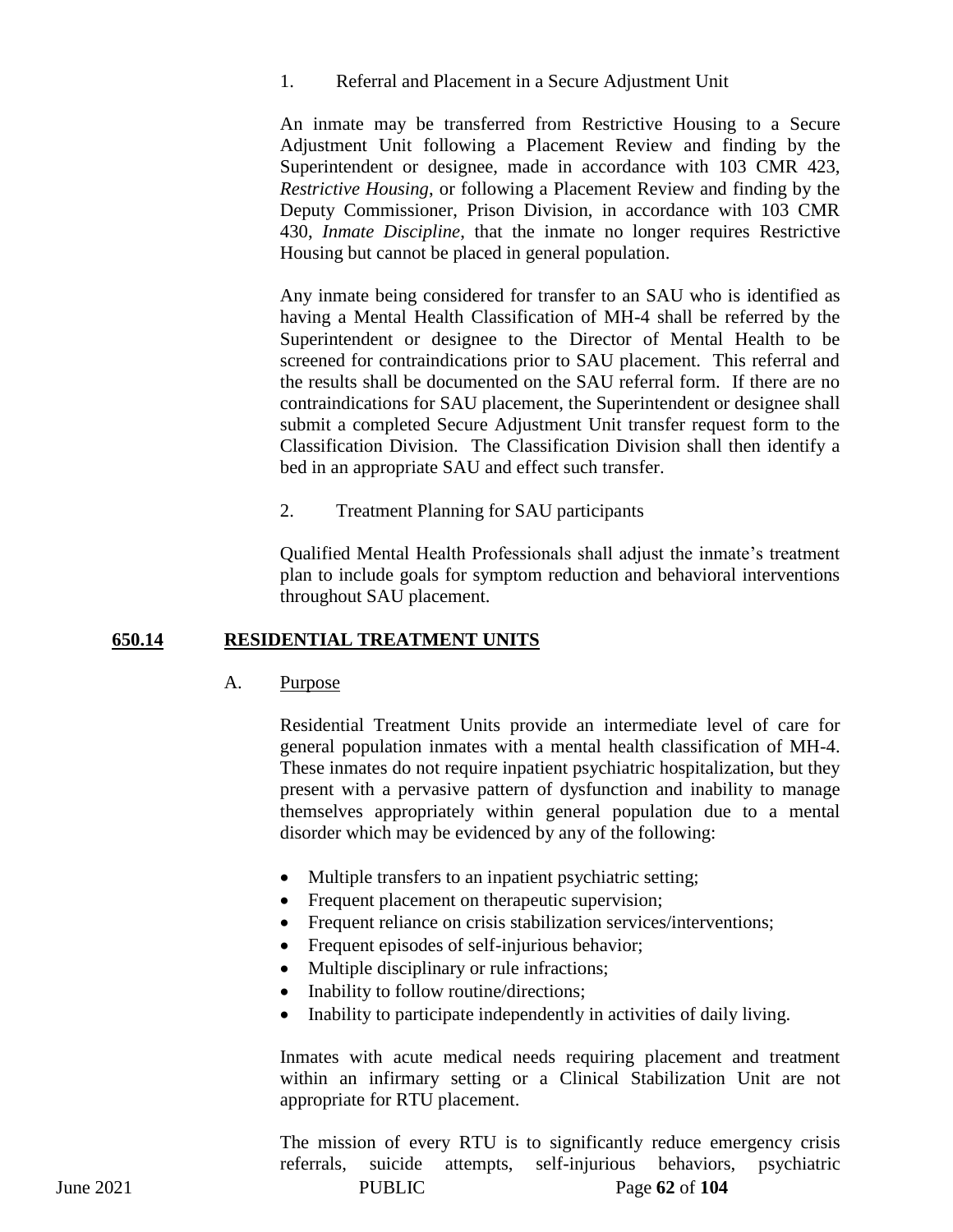1. Referral and Placement in a Secure Adjustment Unit

An inmate may be transferred from Restrictive Housing to a Secure Adjustment Unit following a Placement Review and finding by the Superintendent or designee, made in accordance with 103 CMR 423, *Restrictive Housing*, or following a Placement Review and finding by the Deputy Commissioner, Prison Division, in accordance with 103 CMR 430, *Inmate Discipline*, that the inmate no longer requires Restrictive Housing but cannot be placed in general population.

Any inmate being considered for transfer to an SAU who is identified as having a Mental Health Classification of MH-4 shall be referred by the Superintendent or designee to the Director of Mental Health to be screened for contraindications prior to SAU placement. This referral and the results shall be documented on the SAU referral form. If there are no contraindications for SAU placement, the Superintendent or designee shall submit a completed Secure Adjustment Unit transfer request form to the Classification Division. The Classification Division shall then identify a bed in an appropriate SAU and effect such transfer.

2. Treatment Planning for SAU participants

Qualified Mental Health Professionals shall adjust the inmate's treatment plan to include goals for symptom reduction and behavioral interventions throughout SAU placement.

## **650.14 RESIDENTIAL TREATMENT UNITS**

A. Purpose

Residential Treatment Units provide an intermediate level of care for general population inmates with a mental health classification of MH-4. These inmates do not require inpatient psychiatric hospitalization, but they present with a pervasive pattern of dysfunction and inability to manage themselves appropriately within general population due to a mental disorder which may be evidenced by any of the following:

- Multiple transfers to an inpatient psychiatric setting;
- Frequent placement on the rapeutic supervision;
- Frequent reliance on crisis stabilization services/interventions;
- Frequent episodes of self-injurious behavior;
- Multiple disciplinary or rule infractions;
- Inability to follow routine/directions;
- Inability to participate independently in activities of daily living.

Inmates with acute medical needs requiring placement and treatment within an infirmary setting or a Clinical Stabilization Unit are not appropriate for RTU placement.

June 2021 PUBLIC Page **62** of **104** The mission of every RTU is to significantly reduce emergency crisis referrals, suicide attempts, self-injurious behaviors, psychiatric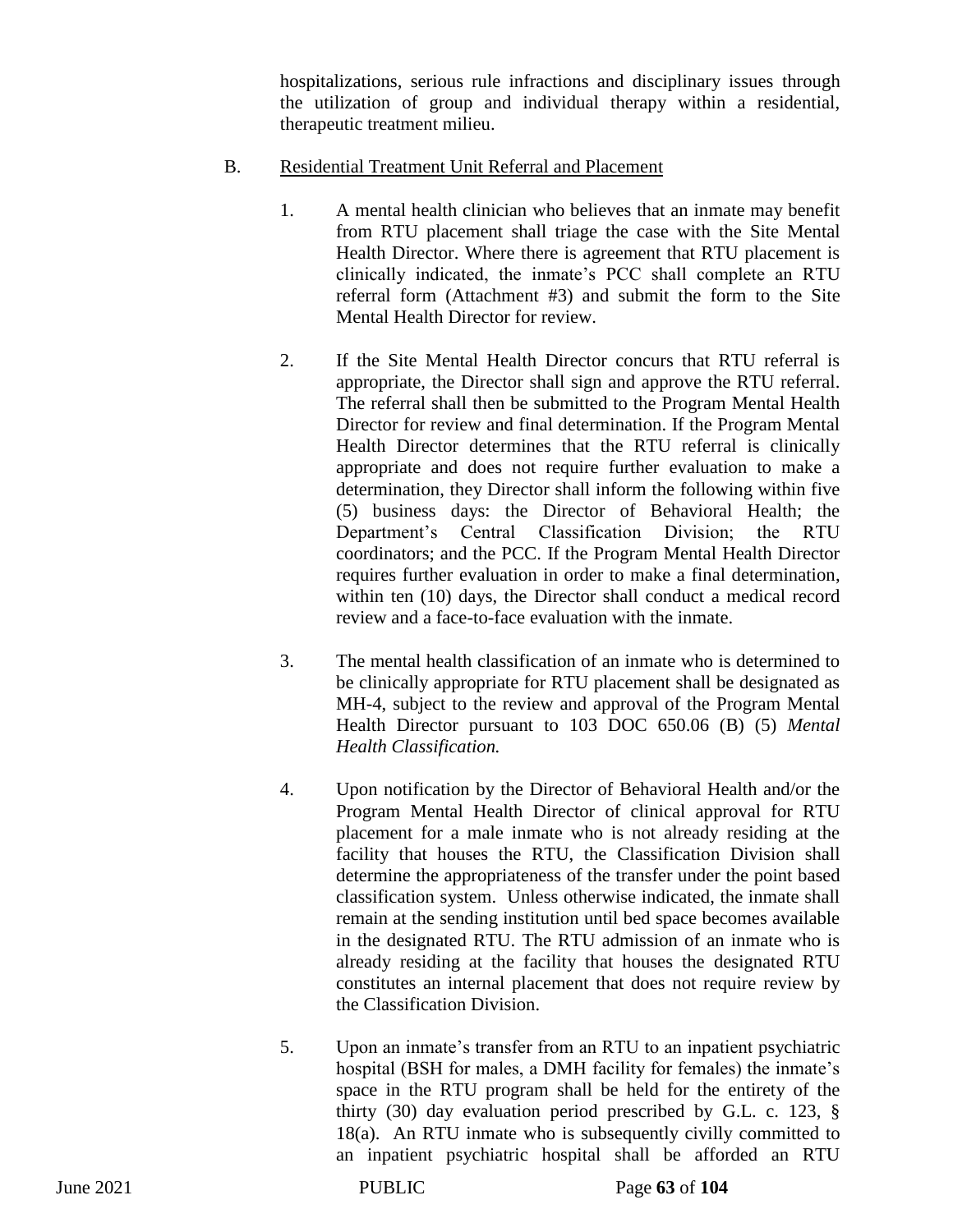hospitalizations, serious rule infractions and disciplinary issues through the utilization of group and individual therapy within a residential, therapeutic treatment milieu.

- B. Residential Treatment Unit Referral and Placement
	- 1. A mental health clinician who believes that an inmate may benefit from RTU placement shall triage the case with the Site Mental Health Director. Where there is agreement that RTU placement is clinically indicated, the inmate's PCC shall complete an RTU referral form (Attachment #3) and submit the form to the Site Mental Health Director for review.
	- 2. If the Site Mental Health Director concurs that RTU referral is appropriate, the Director shall sign and approve the RTU referral. The referral shall then be submitted to the Program Mental Health Director for review and final determination. If the Program Mental Health Director determines that the RTU referral is clinically appropriate and does not require further evaluation to make a determination, they Director shall inform the following within five (5) business days: the Director of Behavioral Health; the Department's Central Classification Division; the RTU coordinators; and the PCC. If the Program Mental Health Director requires further evaluation in order to make a final determination, within ten (10) days, the Director shall conduct a medical record review and a face-to-face evaluation with the inmate.
	- 3. The mental health classification of an inmate who is determined to be clinically appropriate for RTU placement shall be designated as MH-4, subject to the review and approval of the Program Mental Health Director pursuant to 103 DOC 650.06 (B) (5) *Mental Health Classification.*
	- 4. Upon notification by the Director of Behavioral Health and/or the Program Mental Health Director of clinical approval for RTU placement for a male inmate who is not already residing at the facility that houses the RTU, the Classification Division shall determine the appropriateness of the transfer under the point based classification system. Unless otherwise indicated, the inmate shall remain at the sending institution until bed space becomes available in the designated RTU. The RTU admission of an inmate who is already residing at the facility that houses the designated RTU constitutes an internal placement that does not require review by the Classification Division.
	- 5. Upon an inmate's transfer from an RTU to an inpatient psychiatric hospital (BSH for males, a DMH facility for females) the inmate's space in the RTU program shall be held for the entirety of the thirty (30) day evaluation period prescribed by G.L. c. 123, § 18(a). An RTU inmate who is subsequently civilly committed to an inpatient psychiatric hospital shall be afforded an RTU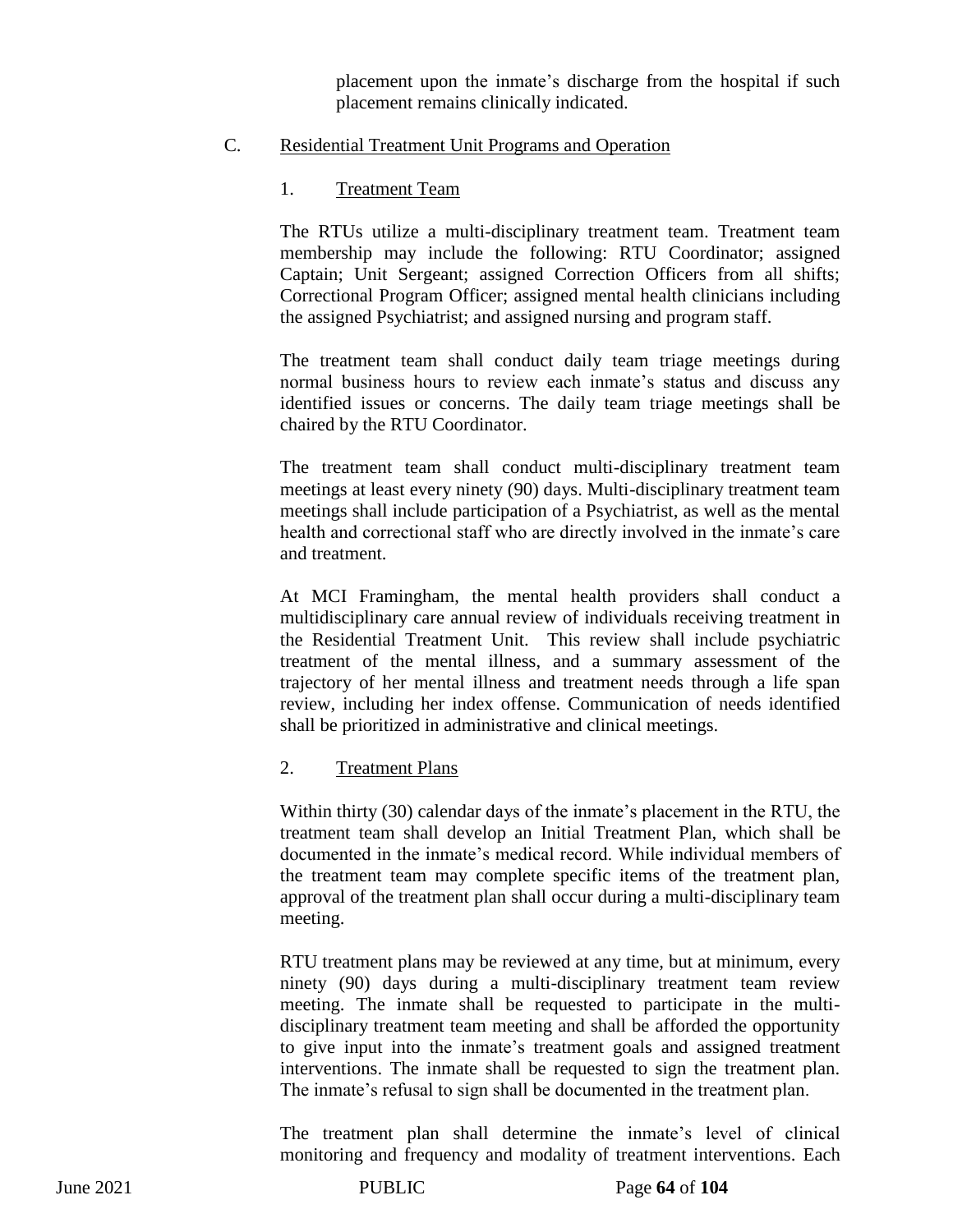placement upon the inmate's discharge from the hospital if such placement remains clinically indicated.

#### C. Residential Treatment Unit Programs and Operation

1. Treatment Team

The RTUs utilize a multi-disciplinary treatment team. Treatment team membership may include the following: RTU Coordinator; assigned Captain; Unit Sergeant; assigned Correction Officers from all shifts; Correctional Program Officer; assigned mental health clinicians including the assigned Psychiatrist; and assigned nursing and program staff.

The treatment team shall conduct daily team triage meetings during normal business hours to review each inmate's status and discuss any identified issues or concerns. The daily team triage meetings shall be chaired by the RTU Coordinator.

The treatment team shall conduct multi-disciplinary treatment team meetings at least every ninety (90) days. Multi-disciplinary treatment team meetings shall include participation of a Psychiatrist, as well as the mental health and correctional staff who are directly involved in the inmate's care and treatment.

At MCI Framingham, the mental health providers shall conduct a multidisciplinary care annual review of individuals receiving treatment in the Residential Treatment Unit. This review shall include psychiatric treatment of the mental illness, and a summary assessment of the trajectory of her mental illness and treatment needs through a life span review, including her index offense. Communication of needs identified shall be prioritized in administrative and clinical meetings.

#### 2. Treatment Plans

Within thirty (30) calendar days of the inmate's placement in the RTU, the treatment team shall develop an Initial Treatment Plan, which shall be documented in the inmate's medical record. While individual members of the treatment team may complete specific items of the treatment plan, approval of the treatment plan shall occur during a multi-disciplinary team meeting.

RTU treatment plans may be reviewed at any time, but at minimum, every ninety (90) days during a multi-disciplinary treatment team review meeting. The inmate shall be requested to participate in the multidisciplinary treatment team meeting and shall be afforded the opportunity to give input into the inmate's treatment goals and assigned treatment interventions. The inmate shall be requested to sign the treatment plan. The inmate's refusal to sign shall be documented in the treatment plan.

The treatment plan shall determine the inmate's level of clinical monitoring and frequency and modality of treatment interventions. Each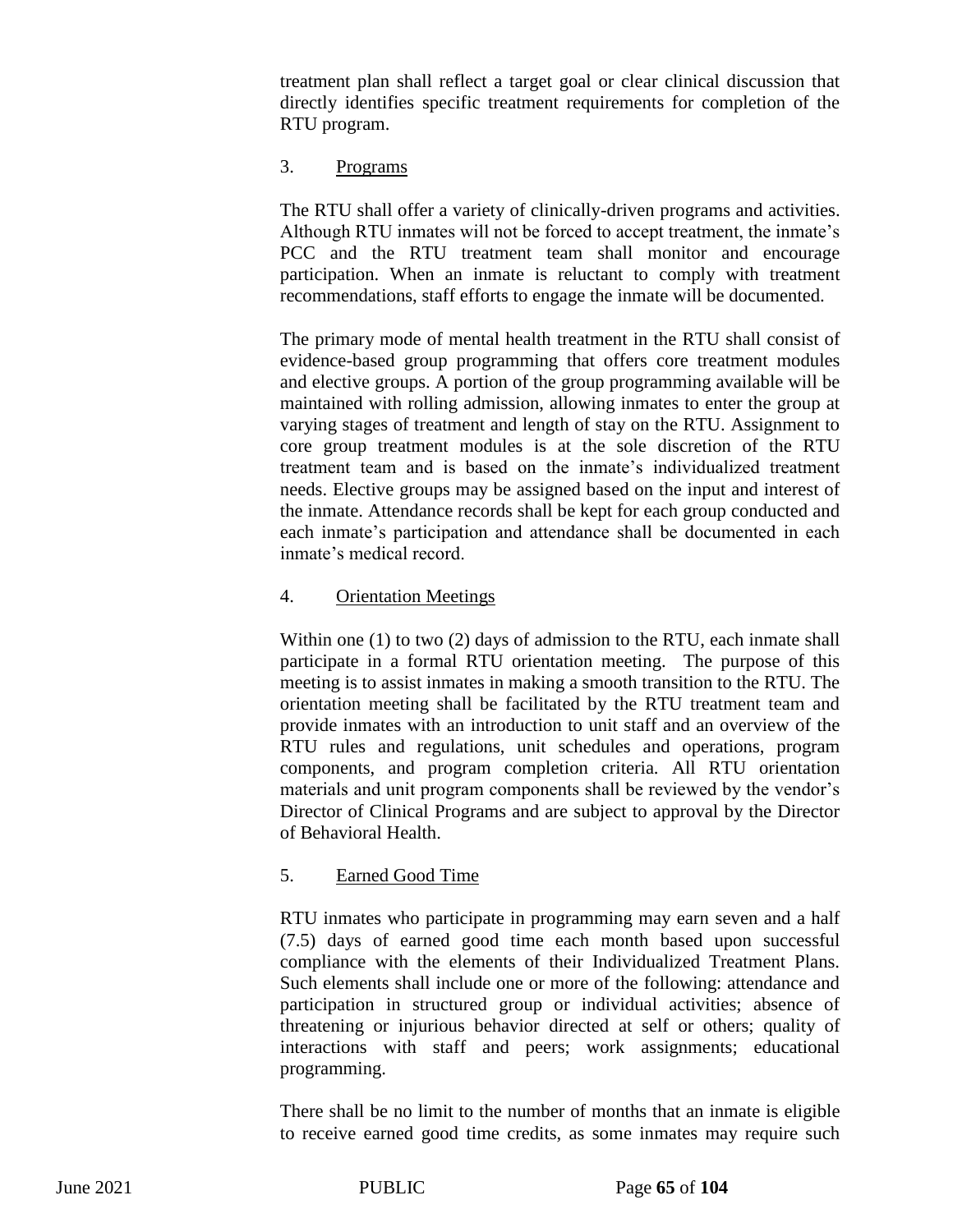treatment plan shall reflect a target goal or clear clinical discussion that directly identifies specific treatment requirements for completion of the RTU program.

## 3. Programs

The RTU shall offer a variety of clinically-driven programs and activities. Although RTU inmates will not be forced to accept treatment, the inmate's PCC and the RTU treatment team shall monitor and encourage participation. When an inmate is reluctant to comply with treatment recommendations, staff efforts to engage the inmate will be documented.

The primary mode of mental health treatment in the RTU shall consist of evidence-based group programming that offers core treatment modules and elective groups. A portion of the group programming available will be maintained with rolling admission, allowing inmates to enter the group at varying stages of treatment and length of stay on the RTU. Assignment to core group treatment modules is at the sole discretion of the RTU treatment team and is based on the inmate's individualized treatment needs. Elective groups may be assigned based on the input and interest of the inmate. Attendance records shall be kept for each group conducted and each inmate's participation and attendance shall be documented in each inmate's medical record.

## 4. Orientation Meetings

Within one (1) to two (2) days of admission to the RTU, each inmate shall participate in a formal RTU orientation meeting. The purpose of this meeting is to assist inmates in making a smooth transition to the RTU. The orientation meeting shall be facilitated by the RTU treatment team and provide inmates with an introduction to unit staff and an overview of the RTU rules and regulations, unit schedules and operations, program components, and program completion criteria. All RTU orientation materials and unit program components shall be reviewed by the vendor's Director of Clinical Programs and are subject to approval by the Director of Behavioral Health.

## 5. Earned Good Time

RTU inmates who participate in programming may earn seven and a half (7.5) days of earned good time each month based upon successful compliance with the elements of their Individualized Treatment Plans. Such elements shall include one or more of the following: attendance and participation in structured group or individual activities; absence of threatening or injurious behavior directed at self or others; quality of interactions with staff and peers; work assignments; educational programming.

There shall be no limit to the number of months that an inmate is eligible to receive earned good time credits, as some inmates may require such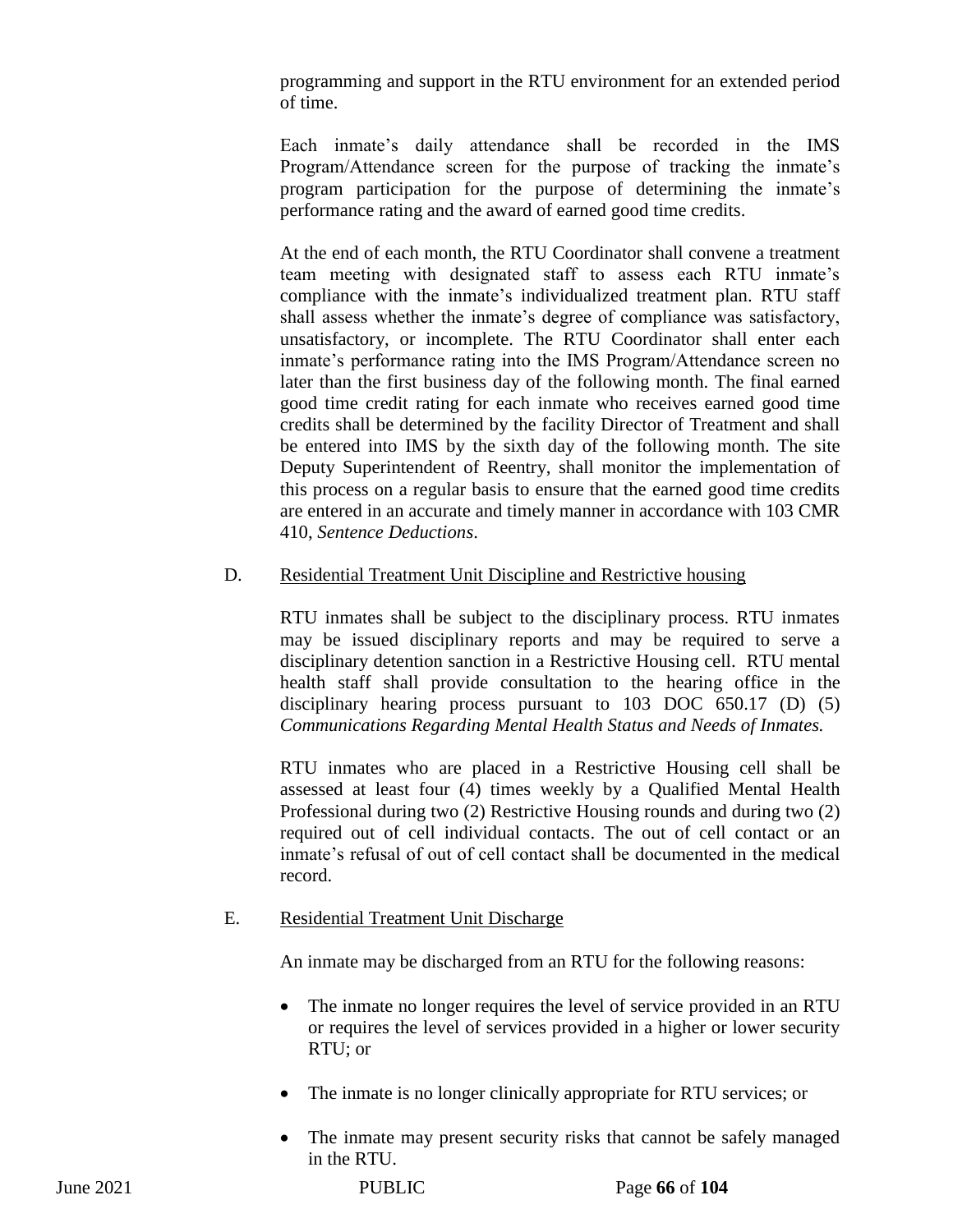programming and support in the RTU environment for an extended period of time.

Each inmate's daily attendance shall be recorded in the IMS Program/Attendance screen for the purpose of tracking the inmate's program participation for the purpose of determining the inmate's performance rating and the award of earned good time credits.

At the end of each month, the RTU Coordinator shall convene a treatment team meeting with designated staff to assess each RTU inmate's compliance with the inmate's individualized treatment plan. RTU staff shall assess whether the inmate's degree of compliance was satisfactory, unsatisfactory, or incomplete. The RTU Coordinator shall enter each inmate's performance rating into the IMS Program/Attendance screen no later than the first business day of the following month. The final earned good time credit rating for each inmate who receives earned good time credits shall be determined by the facility Director of Treatment and shall be entered into IMS by the sixth day of the following month. The site Deputy Superintendent of Reentry, shall monitor the implementation of this process on a regular basis to ensure that the earned good time credits are entered in an accurate and timely manner in accordance with 103 CMR 410, *Sentence Deductions*.

## D. Residential Treatment Unit Discipline and Restrictive housing

RTU inmates shall be subject to the disciplinary process. RTU inmates may be issued disciplinary reports and may be required to serve a disciplinary detention sanction in a Restrictive Housing cell. RTU mental health staff shall provide consultation to the hearing office in the disciplinary hearing process pursuant to 103 DOC 650.17 (D) (5) *Communications Regarding Mental Health Status and Needs of Inmates.* 

RTU inmates who are placed in a Restrictive Housing cell shall be assessed at least four (4) times weekly by a Qualified Mental Health Professional during two (2) Restrictive Housing rounds and during two (2) required out of cell individual contacts. The out of cell contact or an inmate's refusal of out of cell contact shall be documented in the medical record.

## E. Residential Treatment Unit Discharge

An inmate may be discharged from an RTU for the following reasons:

- The inmate no longer requires the level of service provided in an RTU or requires the level of services provided in a higher or lower security RTU; or
- The inmate is no longer clinically appropriate for RTU services; or
- The inmate may present security risks that cannot be safely managed in the RTU.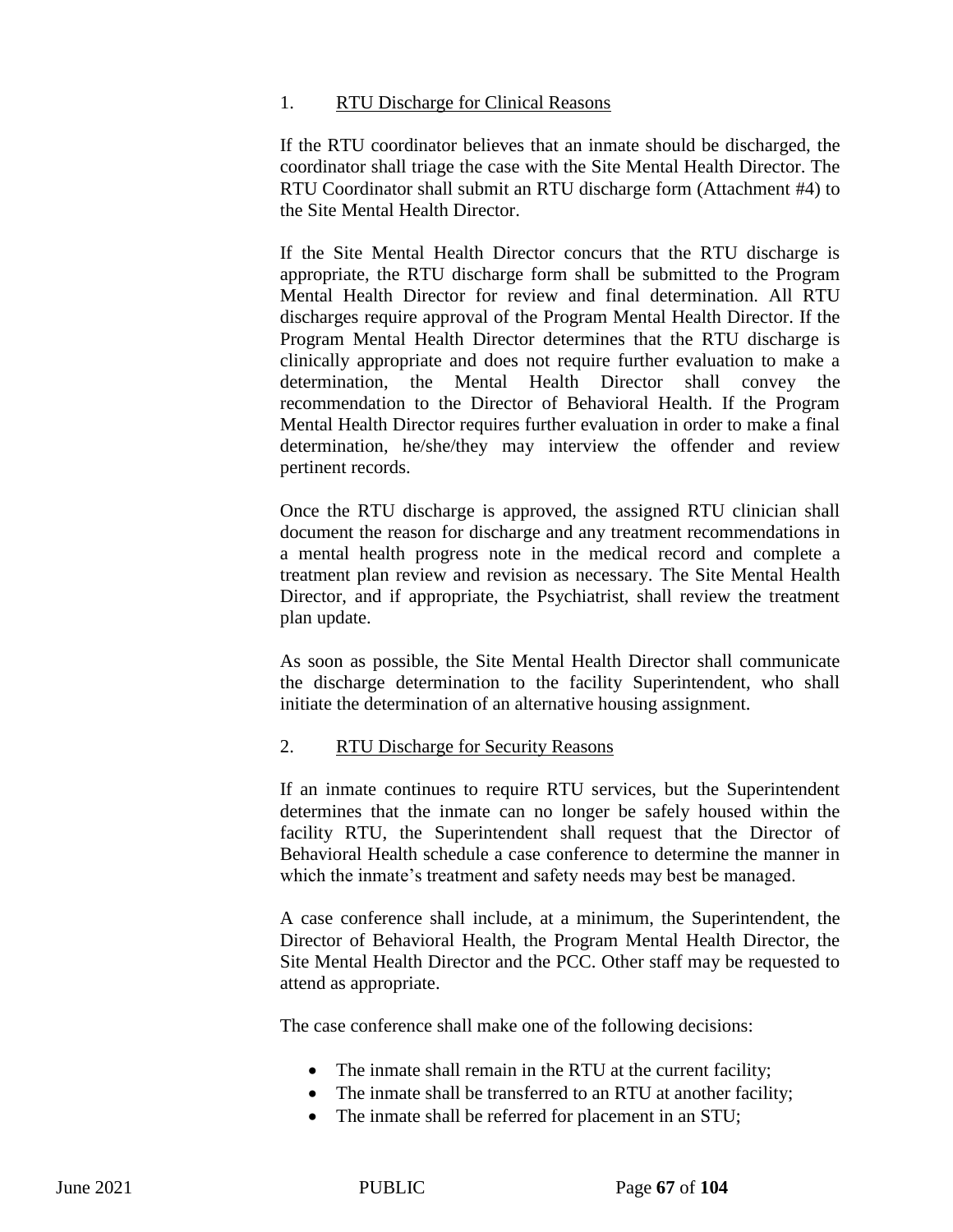### 1. RTU Discharge for Clinical Reasons

If the RTU coordinator believes that an inmate should be discharged, the coordinator shall triage the case with the Site Mental Health Director. The RTU Coordinator shall submit an RTU discharge form (Attachment #4) to the Site Mental Health Director.

If the Site Mental Health Director concurs that the RTU discharge is appropriate, the RTU discharge form shall be submitted to the Program Mental Health Director for review and final determination. All RTU discharges require approval of the Program Mental Health Director. If the Program Mental Health Director determines that the RTU discharge is clinically appropriate and does not require further evaluation to make a determination, the Mental Health Director shall convey the recommendation to the Director of Behavioral Health. If the Program Mental Health Director requires further evaluation in order to make a final determination, he/she/they may interview the offender and review pertinent records.

Once the RTU discharge is approved, the assigned RTU clinician shall document the reason for discharge and any treatment recommendations in a mental health progress note in the medical record and complete a treatment plan review and revision as necessary. The Site Mental Health Director, and if appropriate, the Psychiatrist, shall review the treatment plan update.

As soon as possible, the Site Mental Health Director shall communicate the discharge determination to the facility Superintendent, who shall initiate the determination of an alternative housing assignment.

#### 2. RTU Discharge for Security Reasons

If an inmate continues to require RTU services, but the Superintendent determines that the inmate can no longer be safely housed within the facility RTU, the Superintendent shall request that the Director of Behavioral Health schedule a case conference to determine the manner in which the inmate's treatment and safety needs may best be managed.

A case conference shall include, at a minimum, the Superintendent, the Director of Behavioral Health, the Program Mental Health Director, the Site Mental Health Director and the PCC. Other staff may be requested to attend as appropriate.

The case conference shall make one of the following decisions:

- The inmate shall remain in the RTU at the current facility;
- The inmate shall be transferred to an RTU at another facility;
- The inmate shall be referred for placement in an STU;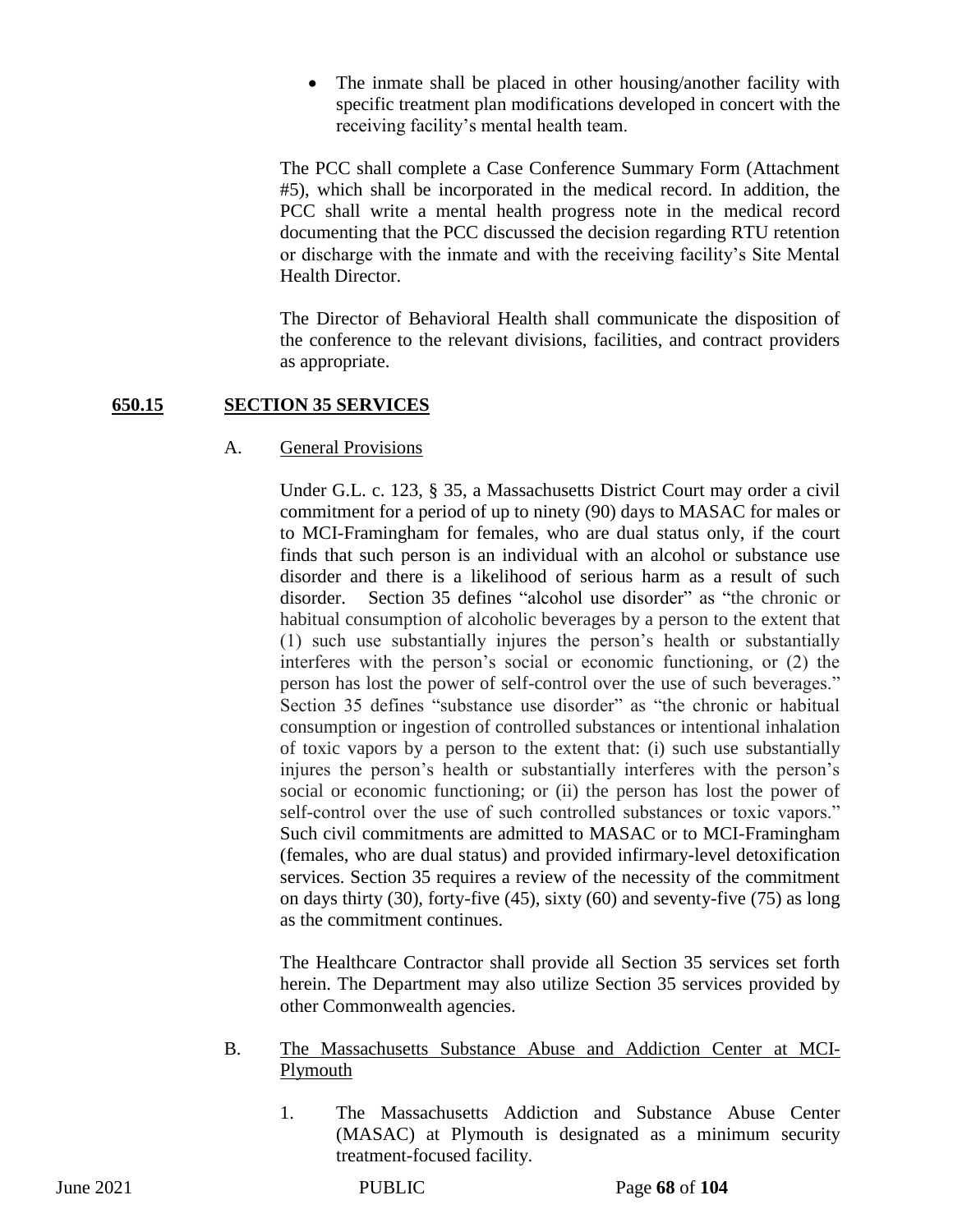• The inmate shall be placed in other housing/another facility with specific treatment plan modifications developed in concert with the receiving facility's mental health team.

The PCC shall complete a Case Conference Summary Form (Attachment #5), which shall be incorporated in the medical record. In addition, the PCC shall write a mental health progress note in the medical record documenting that the PCC discussed the decision regarding RTU retention or discharge with the inmate and with the receiving facility's Site Mental Health Director.

The Director of Behavioral Health shall communicate the disposition of the conference to the relevant divisions, facilities, and contract providers as appropriate.

## **650.15 SECTION 35 SERVICES**

## A. General Provisions

Under G.L. c. 123, § 35, a Massachusetts District Court may order a civil commitment for a period of up to ninety (90) days to MASAC for males or to MCI-Framingham for females, who are dual status only, if the court finds that such person is an individual with an alcohol or substance use disorder and there is a likelihood of serious harm as a result of such disorder. Section 35 defines "alcohol use disorder" as "the chronic or habitual consumption of alcoholic beverages by a person to the extent that (1) such use substantially injures the person's health or substantially interferes with the person's social or economic functioning, or (2) the person has lost the power of self-control over the use of such beverages." Section 35 defines "substance use disorder" as "the chronic or habitual consumption or ingestion of controlled substances or intentional inhalation of toxic vapors by a person to the extent that: (i) such use substantially injures the person's health or substantially interferes with the person's social or economic functioning; or (ii) the person has lost the power of self-control over the use of such controlled substances or toxic vapors." Such civil commitments are admitted to MASAC or to MCI-Framingham (females, who are dual status) and provided infirmary-level detoxification services. Section 35 requires a review of the necessity of the commitment on days thirty (30), forty-five (45), sixty (60) and seventy-five (75) as long as the commitment continues.

The Healthcare Contractor shall provide all Section 35 services set forth herein. The Department may also utilize Section 35 services provided by other Commonwealth agencies.

- B. The Massachusetts Substance Abuse and Addiction Center at MCI-Plymouth
	- 1. The Massachusetts Addiction and Substance Abuse Center (MASAC) at Plymouth is designated as a minimum security treatment-focused facility.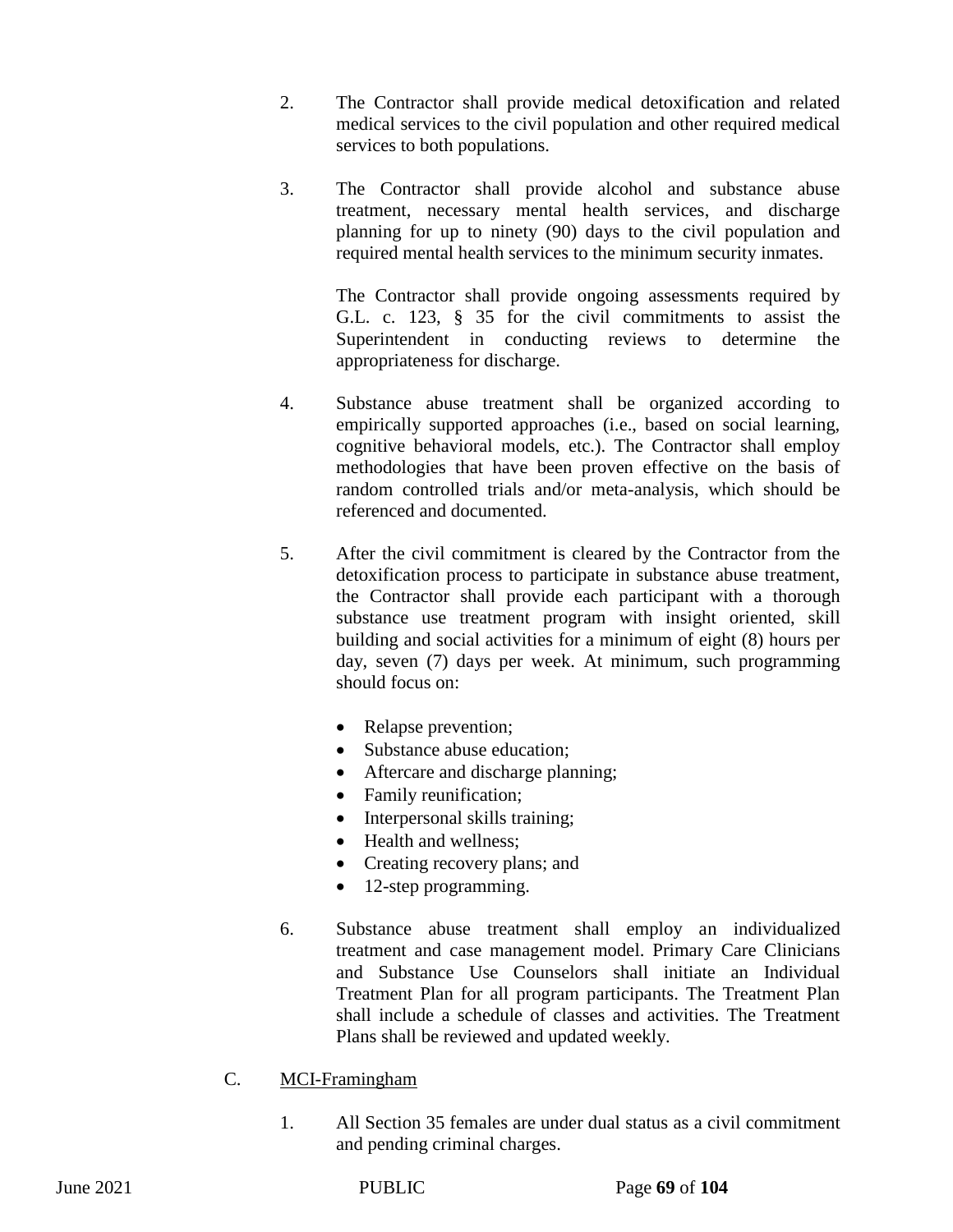- 2. The Contractor shall provide medical detoxification and related medical services to the civil population and other required medical services to both populations.
- 3. The Contractor shall provide alcohol and substance abuse treatment, necessary mental health services, and discharge planning for up to ninety (90) days to the civil population and required mental health services to the minimum security inmates.

The Contractor shall provide ongoing assessments required by G.L. c. 123, § 35 for the civil commitments to assist the Superintendent in conducting reviews to determine the appropriateness for discharge.

- 4. Substance abuse treatment shall be organized according to empirically supported approaches (i.e., based on social learning, cognitive behavioral models, etc.). The Contractor shall employ methodologies that have been proven effective on the basis of random controlled trials and/or meta-analysis, which should be referenced and documented.
- 5. After the civil commitment is cleared by the Contractor from the detoxification process to participate in substance abuse treatment, the Contractor shall provide each participant with a thorough substance use treatment program with insight oriented, skill building and social activities for a minimum of eight (8) hours per day, seven (7) days per week. At minimum, such programming should focus on:
	- Relapse prevention;
	- Substance abuse education;
	- Aftercare and discharge planning;
	- Family reunification;
	- Interpersonal skills training;
	- Health and wellness:
	- Creating recovery plans; and
	- 12-step programming.
- 6. Substance abuse treatment shall employ an individualized treatment and case management model. Primary Care Clinicians and Substance Use Counselors shall initiate an Individual Treatment Plan for all program participants. The Treatment Plan shall include a schedule of classes and activities. The Treatment Plans shall be reviewed and updated weekly.
- C. MCI-Framingham
	- 1. All Section 35 females are under dual status as a civil commitment and pending criminal charges.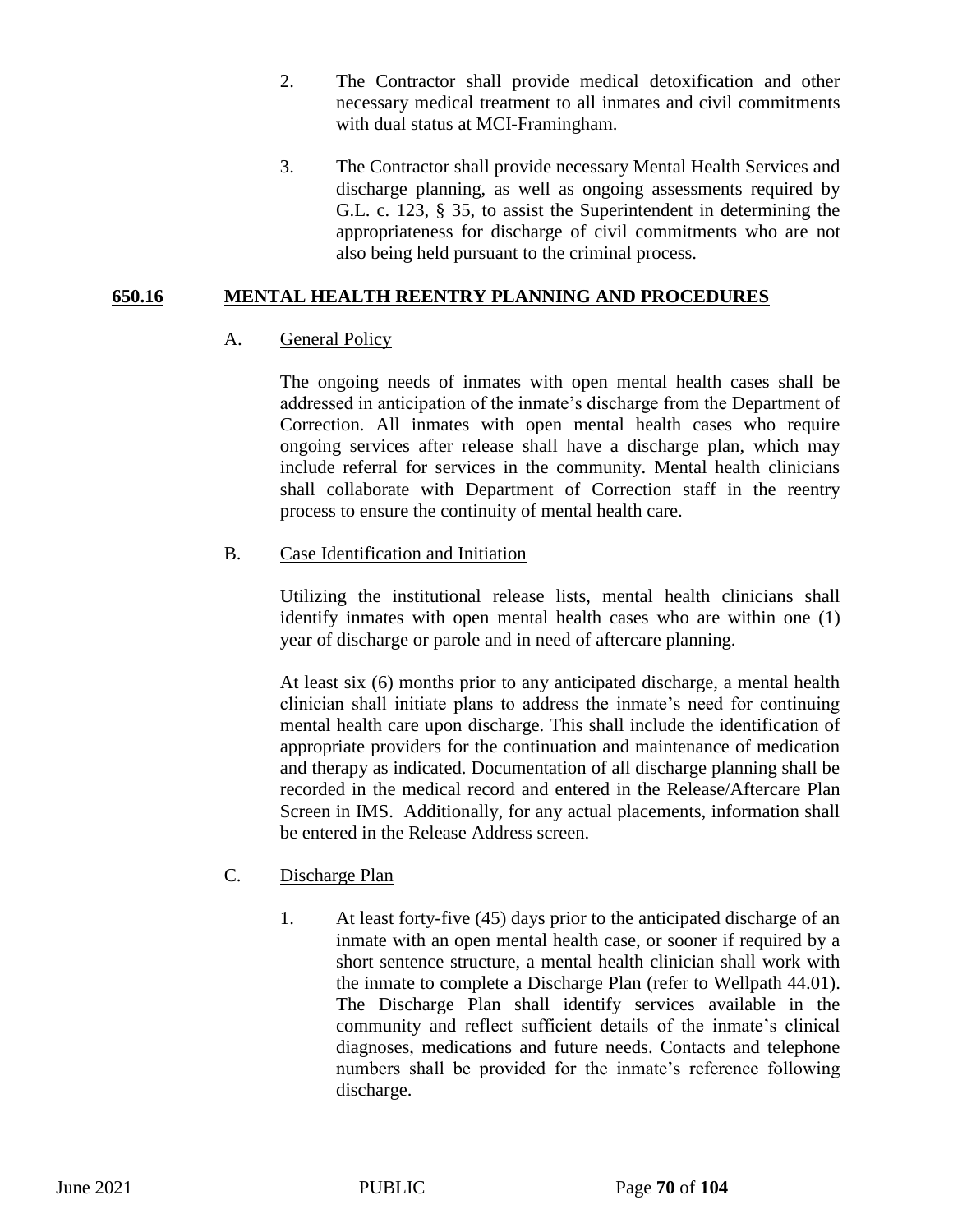- 2. The Contractor shall provide medical detoxification and other necessary medical treatment to all inmates and civil commitments with dual status at MCI-Framingham.
- 3. The Contractor shall provide necessary Mental Health Services and discharge planning, as well as ongoing assessments required by G.L. c. 123, § 35, to assist the Superintendent in determining the appropriateness for discharge of civil commitments who are not also being held pursuant to the criminal process.

## **650.16 MENTAL HEALTH REENTRY PLANNING AND PROCEDURES**

# A. General Policy

The ongoing needs of inmates with open mental health cases shall be addressed in anticipation of the inmate's discharge from the Department of Correction. All inmates with open mental health cases who require ongoing services after release shall have a discharge plan, which may include referral for services in the community. Mental health clinicians shall collaborate with Department of Correction staff in the reentry process to ensure the continuity of mental health care.

# B. Case Identification and Initiation

Utilizing the institutional release lists, mental health clinicians shall identify inmates with open mental health cases who are within one (1) year of discharge or parole and in need of aftercare planning.

At least six (6) months prior to any anticipated discharge, a mental health clinician shall initiate plans to address the inmate's need for continuing mental health care upon discharge. This shall include the identification of appropriate providers for the continuation and maintenance of medication and therapy as indicated. Documentation of all discharge planning shall be recorded in the medical record and entered in the Release/Aftercare Plan Screen in IMS. Additionally, for any actual placements, information shall be entered in the Release Address screen.

# C. Discharge Plan

1. At least forty-five (45) days prior to the anticipated discharge of an inmate with an open mental health case, or sooner if required by a short sentence structure, a mental health clinician shall work with the inmate to complete a Discharge Plan (refer to Wellpath 44.01). The Discharge Plan shall identify services available in the community and reflect sufficient details of the inmate's clinical diagnoses, medications and future needs. Contacts and telephone numbers shall be provided for the inmate's reference following discharge.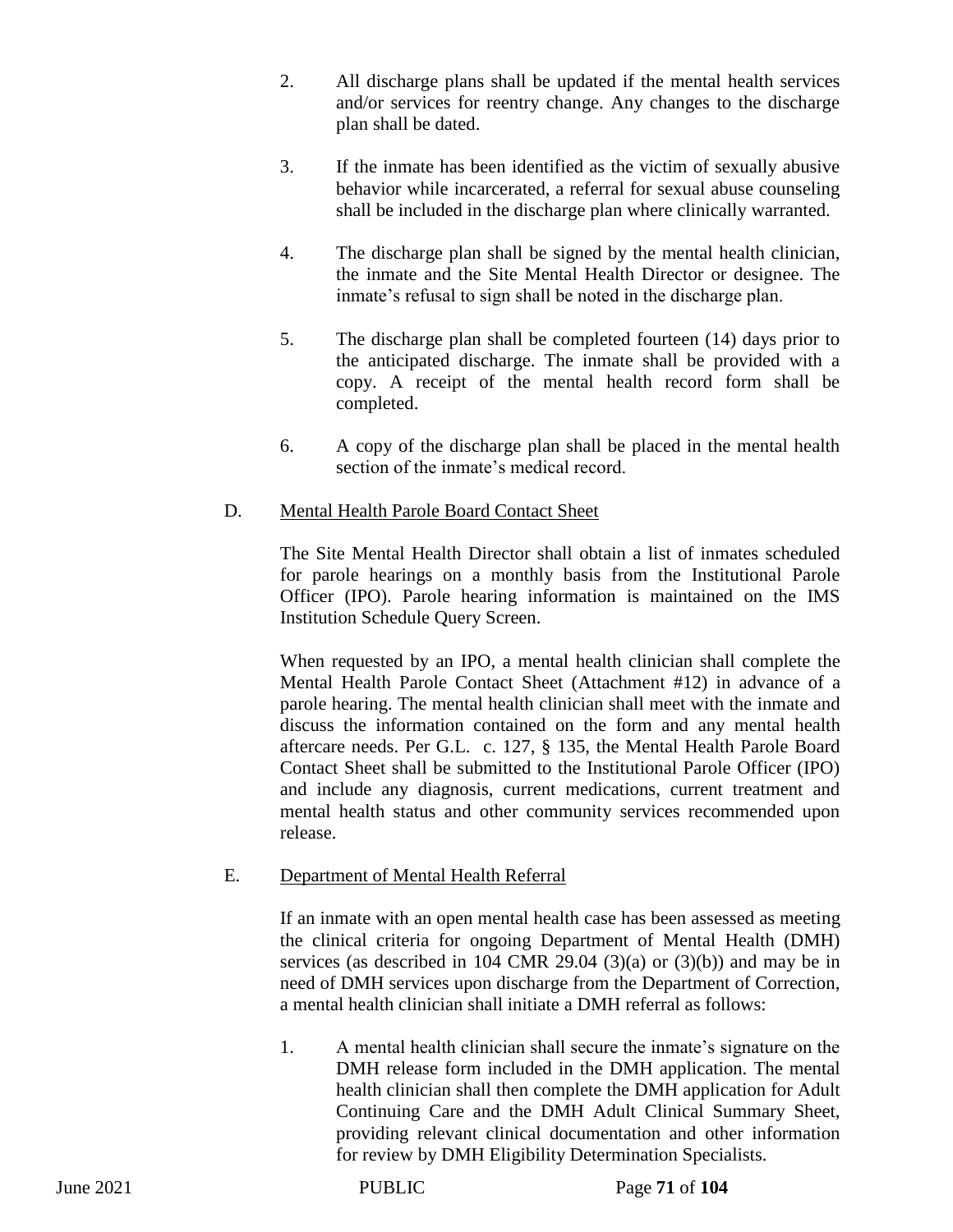- 2. All discharge plans shall be updated if the mental health services and/or services for reentry change. Any changes to the discharge plan shall be dated.
- 3. If the inmate has been identified as the victim of sexually abusive behavior while incarcerated, a referral for sexual abuse counseling shall be included in the discharge plan where clinically warranted.
- 4. The discharge plan shall be signed by the mental health clinician, the inmate and the Site Mental Health Director or designee. The inmate's refusal to sign shall be noted in the discharge plan.
- 5. The discharge plan shall be completed fourteen (14) days prior to the anticipated discharge. The inmate shall be provided with a copy. A receipt of the mental health record form shall be completed.
- 6. A copy of the discharge plan shall be placed in the mental health section of the inmate's medical record.

## D. Mental Health Parole Board Contact Sheet

The Site Mental Health Director shall obtain a list of inmates scheduled for parole hearings on a monthly basis from the Institutional Parole Officer (IPO). Parole hearing information is maintained on the IMS Institution Schedule Query Screen.

When requested by an IPO, a mental health clinician shall complete the Mental Health Parole Contact Sheet (Attachment #12) in advance of a parole hearing. The mental health clinician shall meet with the inmate and discuss the information contained on the form and any mental health aftercare needs. Per G.L. c. 127, § 135, the Mental Health Parole Board Contact Sheet shall be submitted to the Institutional Parole Officer (IPO) and include any diagnosis, current medications, current treatment and mental health status and other community services recommended upon release.

## E. Department of Mental Health Referral

If an inmate with an open mental health case has been assessed as meeting the clinical criteria for ongoing Department of Mental Health (DMH) services (as described in 104 CMR 29.04 (3)(a) or (3)(b)) and may be in need of DMH services upon discharge from the Department of Correction, a mental health clinician shall initiate a DMH referral as follows:

1. A mental health clinician shall secure the inmate's signature on the DMH release form included in the DMH application. The mental health clinician shall then complete the DMH application for Adult Continuing Care and the DMH Adult Clinical Summary Sheet, providing relevant clinical documentation and other information for review by DMH Eligibility Determination Specialists.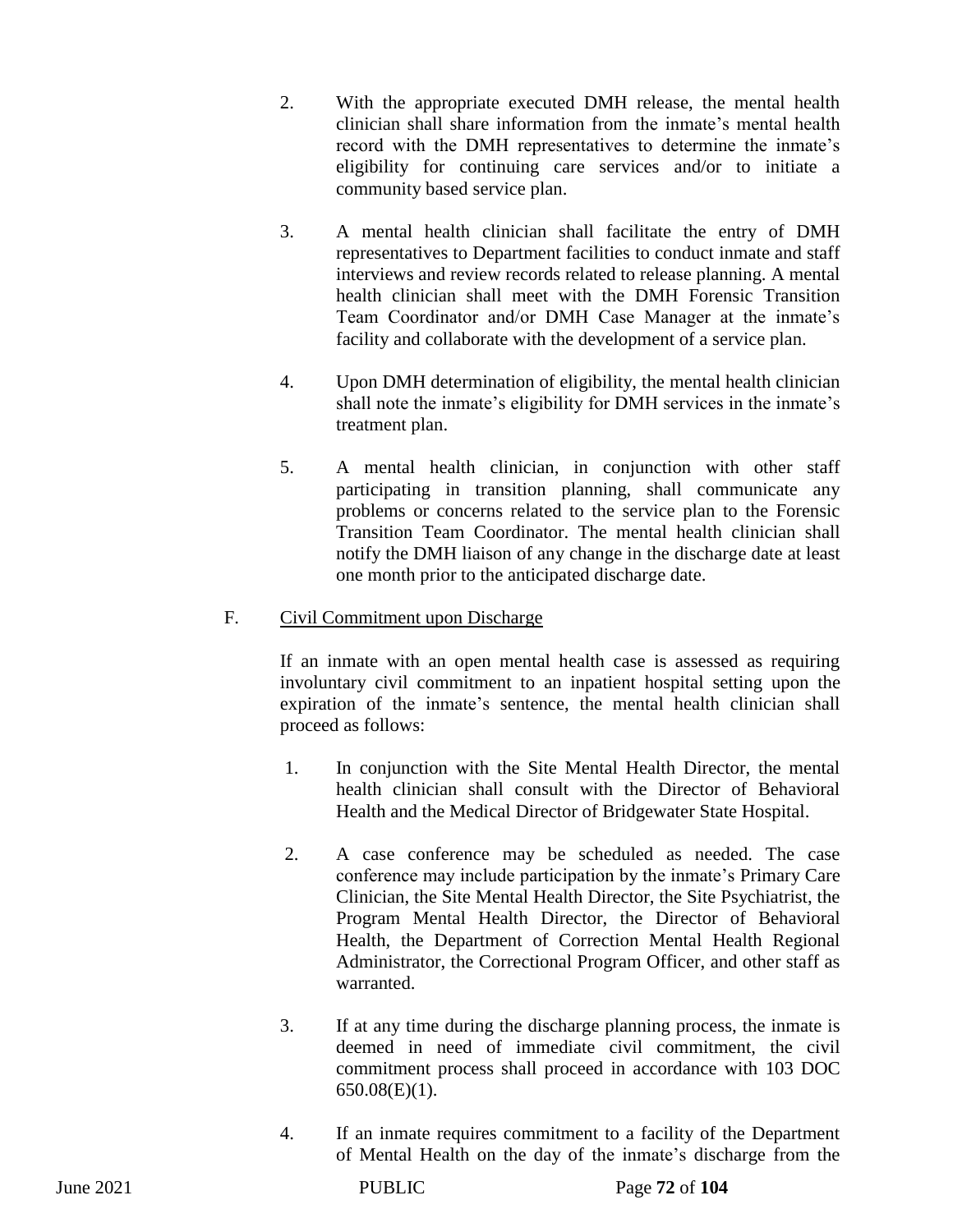- 2. With the appropriate executed DMH release, the mental health clinician shall share information from the inmate's mental health record with the DMH representatives to determine the inmate's eligibility for continuing care services and/or to initiate a community based service plan.
- 3. A mental health clinician shall facilitate the entry of DMH representatives to Department facilities to conduct inmate and staff interviews and review records related to release planning. A mental health clinician shall meet with the DMH Forensic Transition Team Coordinator and/or DMH Case Manager at the inmate's facility and collaborate with the development of a service plan.
- 4. Upon DMH determination of eligibility, the mental health clinician shall note the inmate's eligibility for DMH services in the inmate's treatment plan.
- 5. A mental health clinician, in conjunction with other staff participating in transition planning, shall communicate any problems or concerns related to the service plan to the Forensic Transition Team Coordinator. The mental health clinician shall notify the DMH liaison of any change in the discharge date at least one month prior to the anticipated discharge date.

## F. Civil Commitment upon Discharge

If an inmate with an open mental health case is assessed as requiring involuntary civil commitment to an inpatient hospital setting upon the expiration of the inmate's sentence, the mental health clinician shall proceed as follows:

- 1. In conjunction with the Site Mental Health Director, the mental health clinician shall consult with the Director of Behavioral Health and the Medical Director of Bridgewater State Hospital.
- 2. A case conference may be scheduled as needed. The case conference may include participation by the inmate's Primary Care Clinician, the Site Mental Health Director, the Site Psychiatrist, the Program Mental Health Director, the Director of Behavioral Health, the Department of Correction Mental Health Regional Administrator, the Correctional Program Officer, and other staff as warranted.
- 3. If at any time during the discharge planning process, the inmate is deemed in need of immediate civil commitment, the civil commitment process shall proceed in accordance with 103 DOC  $650.08(E)(1)$ .
- 4. If an inmate requires commitment to a facility of the Department of Mental Health on the day of the inmate's discharge from the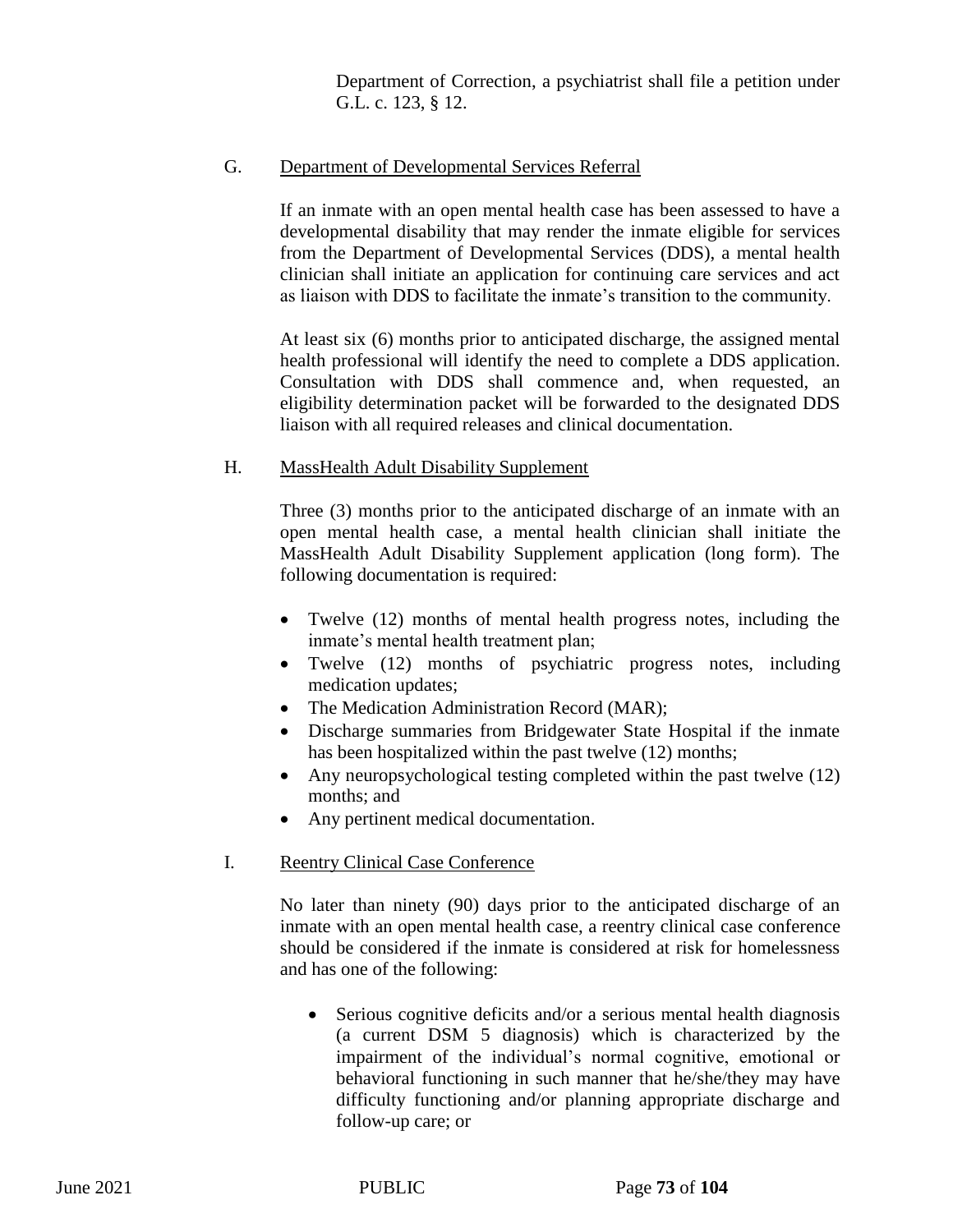Department of Correction, a psychiatrist shall file a petition under G.L. c. 123, § 12.

## G. Department of Developmental Services Referral

If an inmate with an open mental health case has been assessed to have a developmental disability that may render the inmate eligible for services from the Department of Developmental Services (DDS), a mental health clinician shall initiate an application for continuing care services and act as liaison with DDS to facilitate the inmate's transition to the community.

At least six (6) months prior to anticipated discharge, the assigned mental health professional will identify the need to complete a DDS application. Consultation with DDS shall commence and, when requested, an eligibility determination packet will be forwarded to the designated DDS liaison with all required releases and clinical documentation.

## H. MassHealth Adult Disability Supplement

Three (3) months prior to the anticipated discharge of an inmate with an open mental health case, a mental health clinician shall initiate the MassHealth Adult Disability Supplement application (long form). The following documentation is required:

- Twelve (12) months of mental health progress notes, including the inmate's mental health treatment plan;
- Twelve (12) months of psychiatric progress notes, including medication updates;
- The Medication Administration Record (MAR);
- Discharge summaries from Bridgewater State Hospital if the inmate has been hospitalized within the past twelve (12) months;
- Any neuropsychological testing completed within the past twelve (12) months; and
- Any pertinent medical documentation.

## I. Reentry Clinical Case Conference

No later than ninety (90) days prior to the anticipated discharge of an inmate with an open mental health case, a reentry clinical case conference should be considered if the inmate is considered at risk for homelessness and has one of the following:

• Serious cognitive deficits and/or a serious mental health diagnosis (a current DSM 5 diagnosis) which is characterized by the impairment of the individual's normal cognitive, emotional or behavioral functioning in such manner that he/she/they may have difficulty functioning and/or planning appropriate discharge and follow-up care; or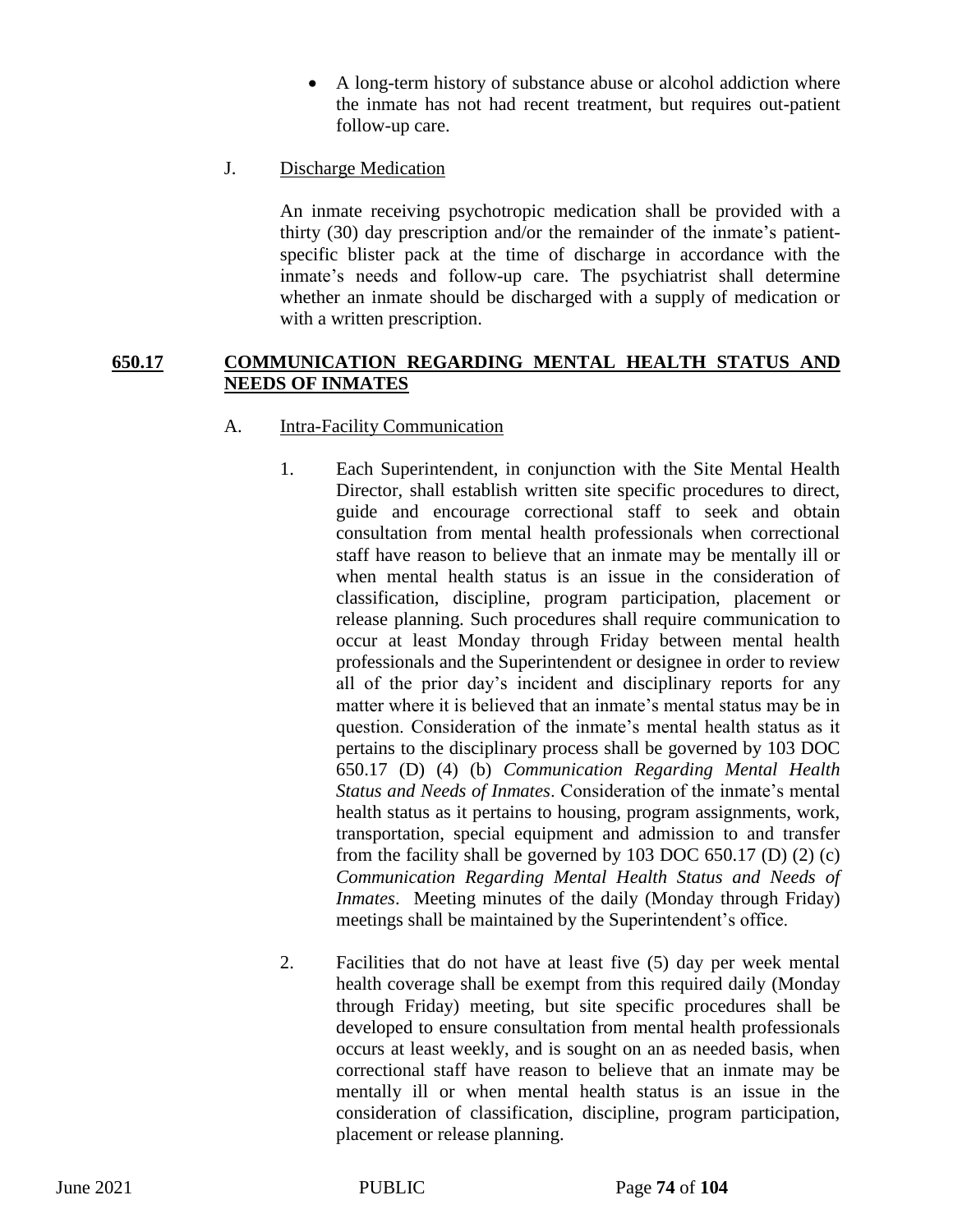- A long-term history of substance abuse or alcohol addiction where the inmate has not had recent treatment, but requires out-patient follow-up care.
- J. Discharge Medication

An inmate receiving psychotropic medication shall be provided with a thirty (30) day prescription and/or the remainder of the inmate's patientspecific blister pack at the time of discharge in accordance with the inmate's needs and follow-up care. The psychiatrist shall determine whether an inmate should be discharged with a supply of medication or with a written prescription.

### **650.17 COMMUNICATION REGARDING MENTAL HEALTH STATUS AND NEEDS OF INMATES**

### A. Intra-Facility Communication

- 1. Each Superintendent, in conjunction with the Site Mental Health Director, shall establish written site specific procedures to direct, guide and encourage correctional staff to seek and obtain consultation from mental health professionals when correctional staff have reason to believe that an inmate may be mentally ill or when mental health status is an issue in the consideration of classification, discipline, program participation, placement or release planning. Such procedures shall require communication to occur at least Monday through Friday between mental health professionals and the Superintendent or designee in order to review all of the prior day's incident and disciplinary reports for any matter where it is believed that an inmate's mental status may be in question. Consideration of the inmate's mental health status as it pertains to the disciplinary process shall be governed by 103 DOC 650.17 (D) (4) (b) *Communication Regarding Mental Health Status and Needs of Inmates*. Consideration of the inmate's mental health status as it pertains to housing, program assignments, work, transportation, special equipment and admission to and transfer from the facility shall be governed by 103 DOC 650.17 (D) (2) (c) *Communication Regarding Mental Health Status and Needs of Inmates*. Meeting minutes of the daily (Monday through Friday) meetings shall be maintained by the Superintendent's office.
- 2. Facilities that do not have at least five (5) day per week mental health coverage shall be exempt from this required daily (Monday through Friday) meeting, but site specific procedures shall be developed to ensure consultation from mental health professionals occurs at least weekly, and is sought on an as needed basis, when correctional staff have reason to believe that an inmate may be mentally ill or when mental health status is an issue in the consideration of classification, discipline, program participation, placement or release planning.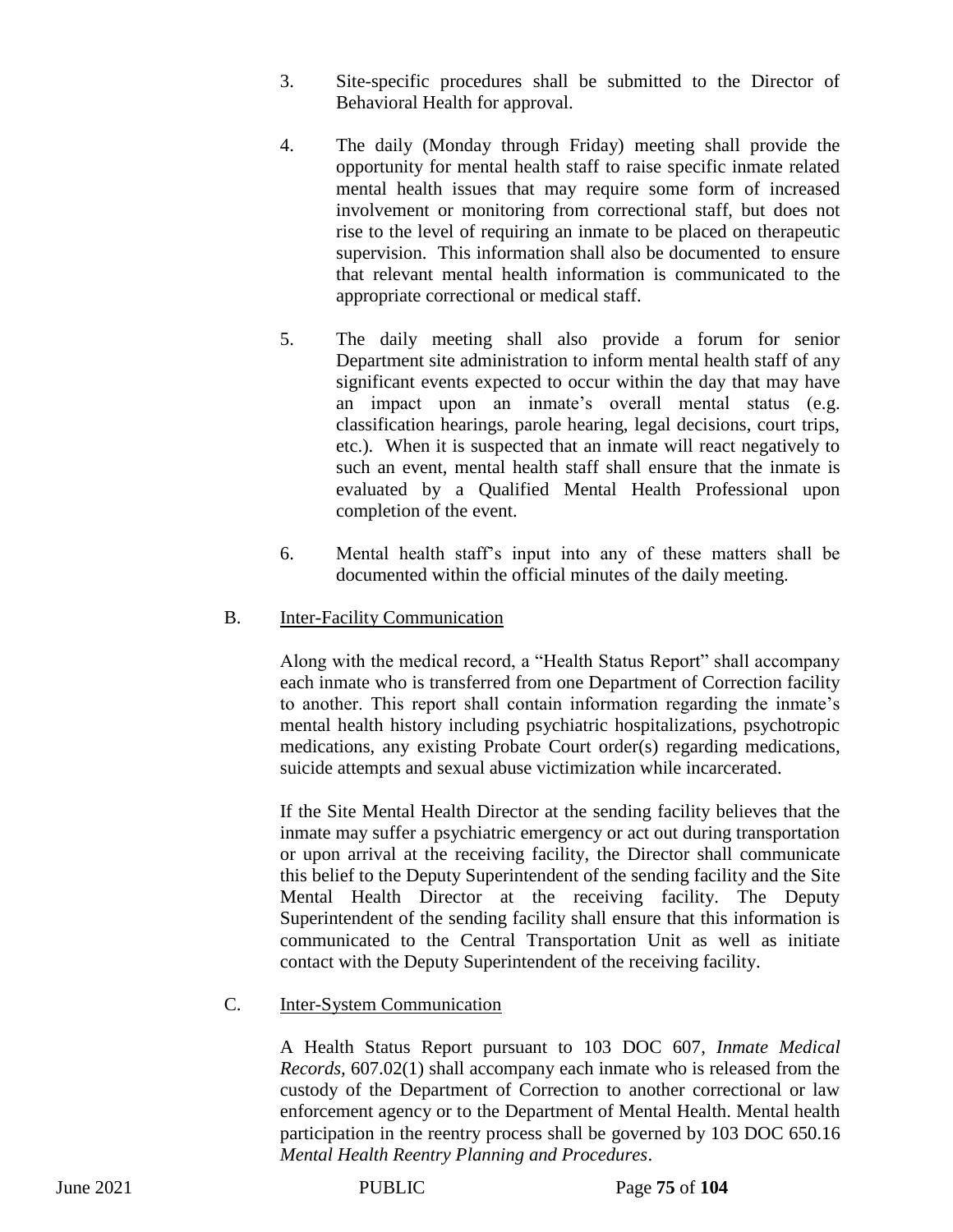- 3. Site-specific procedures shall be submitted to the Director of Behavioral Health for approval.
- 4. The daily (Monday through Friday) meeting shall provide the opportunity for mental health staff to raise specific inmate related mental health issues that may require some form of increased involvement or monitoring from correctional staff, but does not rise to the level of requiring an inmate to be placed on therapeutic supervision. This information shall also be documented to ensure that relevant mental health information is communicated to the appropriate correctional or medical staff.
- 5. The daily meeting shall also provide a forum for senior Department site administration to inform mental health staff of any significant events expected to occur within the day that may have an impact upon an inmate's overall mental status (e.g. classification hearings, parole hearing, legal decisions, court trips, etc.). When it is suspected that an inmate will react negatively to such an event, mental health staff shall ensure that the inmate is evaluated by a Qualified Mental Health Professional upon completion of the event.
- 6. Mental health staff's input into any of these matters shall be documented within the official minutes of the daily meeting.

### B. Inter-Facility Communication

Along with the medical record, a "Health Status Report" shall accompany each inmate who is transferred from one Department of Correction facility to another. This report shall contain information regarding the inmate's mental health history including psychiatric hospitalizations, psychotropic medications, any existing Probate Court order(s) regarding medications, suicide attempts and sexual abuse victimization while incarcerated.

If the Site Mental Health Director at the sending facility believes that the inmate may suffer a psychiatric emergency or act out during transportation or upon arrival at the receiving facility, the Director shall communicate this belief to the Deputy Superintendent of the sending facility and the Site Mental Health Director at the receiving facility. The Deputy Superintendent of the sending facility shall ensure that this information is communicated to the Central Transportation Unit as well as initiate contact with the Deputy Superintendent of the receiving facility.

## C. Inter-System Communication

A Health Status Report pursuant to 103 DOC 607, *Inmate Medical Records,* 607.02(1) shall accompany each inmate who is released from the custody of the Department of Correction to another correctional or law enforcement agency or to the Department of Mental Health. Mental health participation in the reentry process shall be governed by 103 DOC 650.16 *Mental Health Reentry Planning and Procedures*.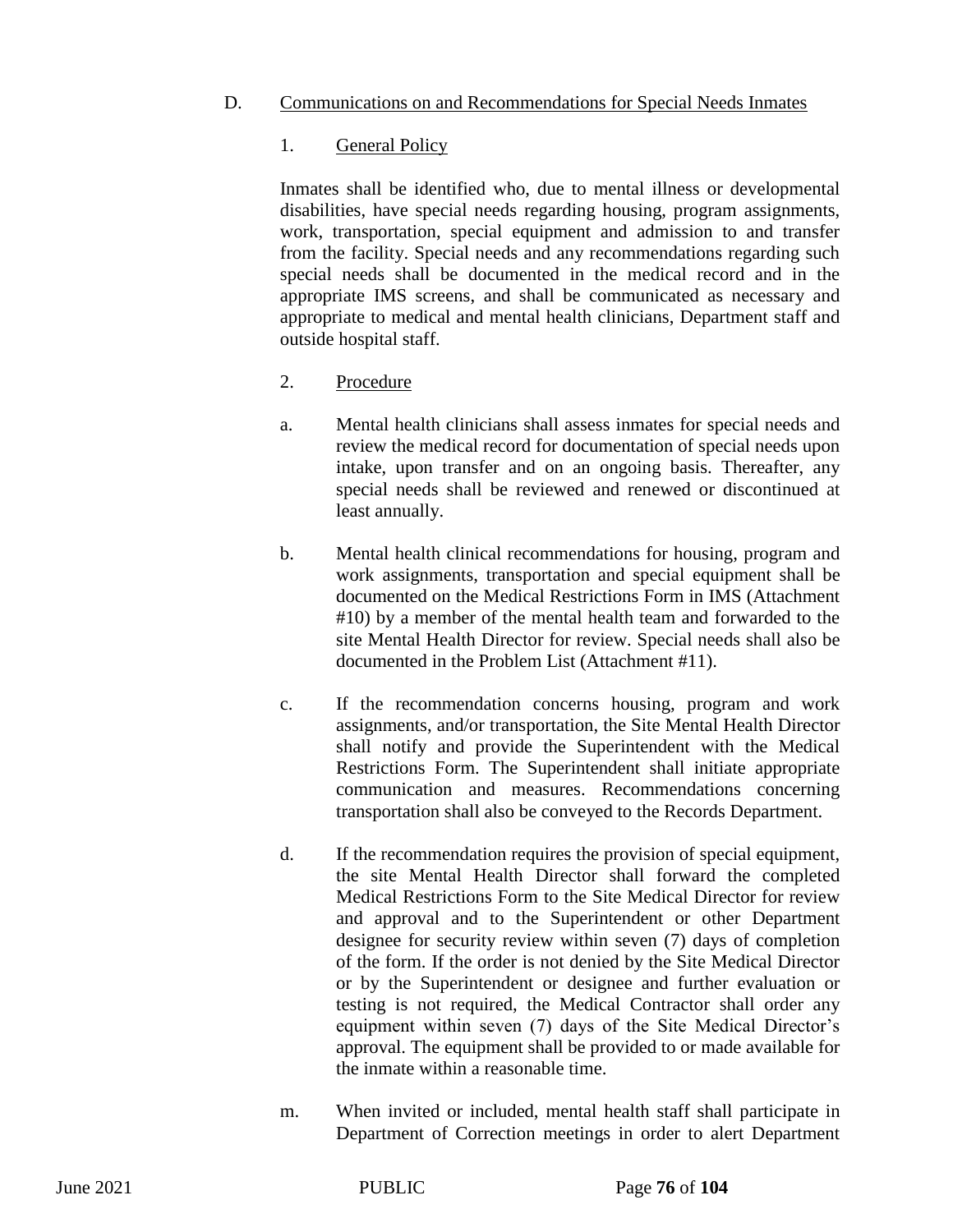### D. Communications on and Recommendations for Special Needs Inmates

### 1. General Policy

Inmates shall be identified who, due to mental illness or developmental disabilities, have special needs regarding housing, program assignments, work, transportation, special equipment and admission to and transfer from the facility. Special needs and any recommendations regarding such special needs shall be documented in the medical record and in the appropriate IMS screens, and shall be communicated as necessary and appropriate to medical and mental health clinicians, Department staff and outside hospital staff.

## 2. Procedure

- a. Mental health clinicians shall assess inmates for special needs and review the medical record for documentation of special needs upon intake, upon transfer and on an ongoing basis. Thereafter, any special needs shall be reviewed and renewed or discontinued at least annually.
- b. Mental health clinical recommendations for housing, program and work assignments, transportation and special equipment shall be documented on the Medical Restrictions Form in IMS (Attachment #10) by a member of the mental health team and forwarded to the site Mental Health Director for review. Special needs shall also be documented in the Problem List (Attachment #11).
- c. If the recommendation concerns housing, program and work assignments, and/or transportation, the Site Mental Health Director shall notify and provide the Superintendent with the Medical Restrictions Form. The Superintendent shall initiate appropriate communication and measures. Recommendations concerning transportation shall also be conveyed to the Records Department.
- d. If the recommendation requires the provision of special equipment, the site Mental Health Director shall forward the completed Medical Restrictions Form to the Site Medical Director for review and approval and to the Superintendent or other Department designee for security review within seven (7) days of completion of the form. If the order is not denied by the Site Medical Director or by the Superintendent or designee and further evaluation or testing is not required, the Medical Contractor shall order any equipment within seven (7) days of the Site Medical Director's approval. The equipment shall be provided to or made available for the inmate within a reasonable time.
- m. When invited or included, mental health staff shall participate in Department of Correction meetings in order to alert Department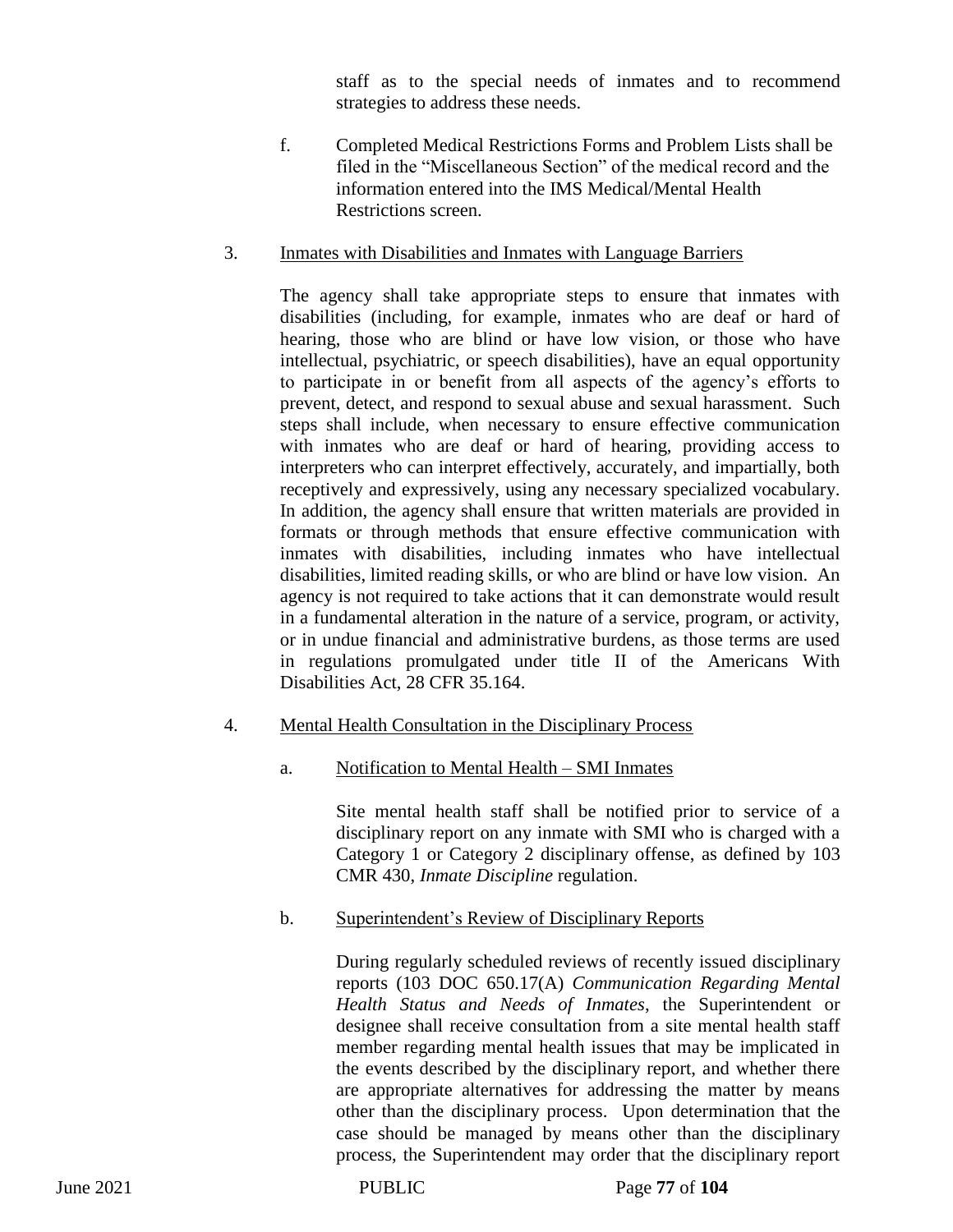staff as to the special needs of inmates and to recommend strategies to address these needs.

f. Completed Medical Restrictions Forms and Problem Lists shall be filed in the "Miscellaneous Section" of the medical record and the information entered into the IMS Medical/Mental Health Restrictions screen.

## 3. Inmates with Disabilities and Inmates with Language Barriers

The agency shall take appropriate steps to ensure that inmates with disabilities (including, for example, inmates who are deaf or hard of hearing, those who are blind or have low vision, or those who have intellectual, psychiatric, or speech disabilities), have an equal opportunity to participate in or benefit from all aspects of the agency's efforts to prevent, detect, and respond to sexual abuse and sexual harassment. Such steps shall include, when necessary to ensure effective communication with inmates who are deaf or hard of hearing, providing access to interpreters who can interpret effectively, accurately, and impartially, both receptively and expressively, using any necessary specialized vocabulary. In addition, the agency shall ensure that written materials are provided in formats or through methods that ensure effective communication with inmates with disabilities, including inmates who have intellectual disabilities, limited reading skills, or who are blind or have low vision. An agency is not required to take actions that it can demonstrate would result in a fundamental alteration in the nature of a service, program, or activity, or in undue financial and administrative burdens, as those terms are used in regulations promulgated under title II of the Americans With Disabilities Act, 28 CFR 35.164.

## 4. Mental Health Consultation in the Disciplinary Process

## a. Notification to Mental Health – SMI Inmates

Site mental health staff shall be notified prior to service of a disciplinary report on any inmate with SMI who is charged with a Category 1 or Category 2 disciplinary offense, as defined by 103 CMR 430, *Inmate Discipline* regulation.

## b. Superintendent's Review of Disciplinary Reports

During regularly scheduled reviews of recently issued disciplinary reports (103 DOC 650.17(A) *Communication Regarding Mental Health Status and Needs of Inmates*, the Superintendent or designee shall receive consultation from a site mental health staff member regarding mental health issues that may be implicated in the events described by the disciplinary report, and whether there are appropriate alternatives for addressing the matter by means other than the disciplinary process. Upon determination that the case should be managed by means other than the disciplinary process, the Superintendent may order that the disciplinary report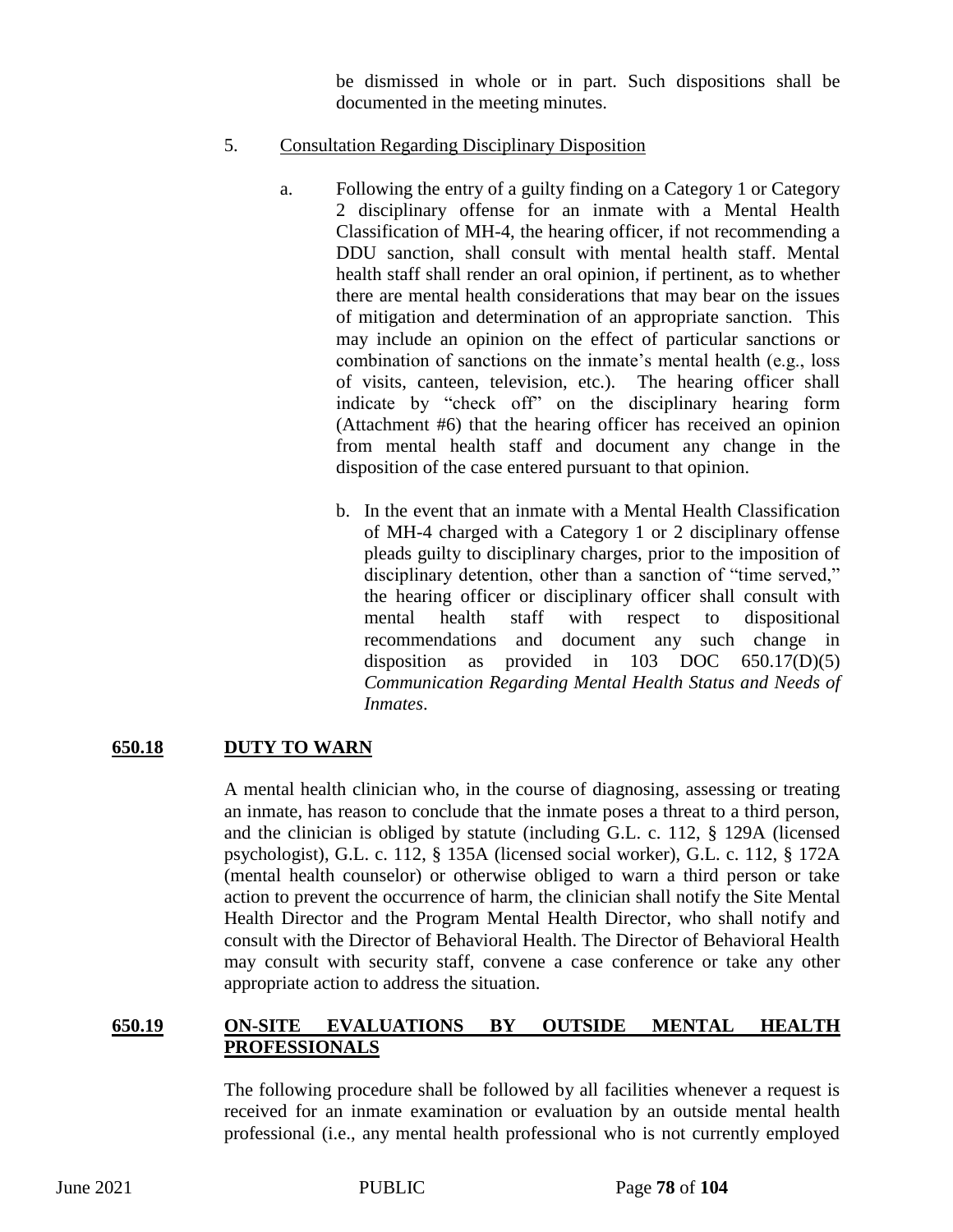be dismissed in whole or in part. Such dispositions shall be documented in the meeting minutes.

### 5. Consultation Regarding Disciplinary Disposition

- a. Following the entry of a guilty finding on a Category 1 or Category 2 disciplinary offense for an inmate with a Mental Health Classification of MH-4, the hearing officer, if not recommending a DDU sanction, shall consult with mental health staff. Mental health staff shall render an oral opinion, if pertinent, as to whether there are mental health considerations that may bear on the issues of mitigation and determination of an appropriate sanction. This may include an opinion on the effect of particular sanctions or combination of sanctions on the inmate's mental health (e.g., loss of visits, canteen, television, etc.). The hearing officer shall indicate by "check off" on the disciplinary hearing form (Attachment #6) that the hearing officer has received an opinion from mental health staff and document any change in the disposition of the case entered pursuant to that opinion.
	- b. In the event that an inmate with a Mental Health Classification of MH-4 charged with a Category 1 or 2 disciplinary offense pleads guilty to disciplinary charges, prior to the imposition of disciplinary detention, other than a sanction of "time served," the hearing officer or disciplinary officer shall consult with mental health staff with respect to dispositional recommendations and document any such change in disposition as provided in 103 DOC 650.17(D)(5) *Communication Regarding Mental Health Status and Needs of Inmates*.

## **650.18 DUTY TO WARN**

A mental health clinician who, in the course of diagnosing, assessing or treating an inmate, has reason to conclude that the inmate poses a threat to a third person, and the clinician is obliged by statute (including G.L. c. 112, § 129A (licensed psychologist), G.L. c. 112, § 135A (licensed social worker), G.L. c. 112, § 172A (mental health counselor) or otherwise obliged to warn a third person or take action to prevent the occurrence of harm, the clinician shall notify the Site Mental Health Director and the Program Mental Health Director, who shall notify and consult with the Director of Behavioral Health. The Director of Behavioral Health may consult with security staff, convene a case conference or take any other appropriate action to address the situation.

### **650.19 ON-SITE EVALUATIONS BY OUTSIDE MENTAL HEALTH PROFESSIONALS**

The following procedure shall be followed by all facilities whenever a request is received for an inmate examination or evaluation by an outside mental health professional (i.e., any mental health professional who is not currently employed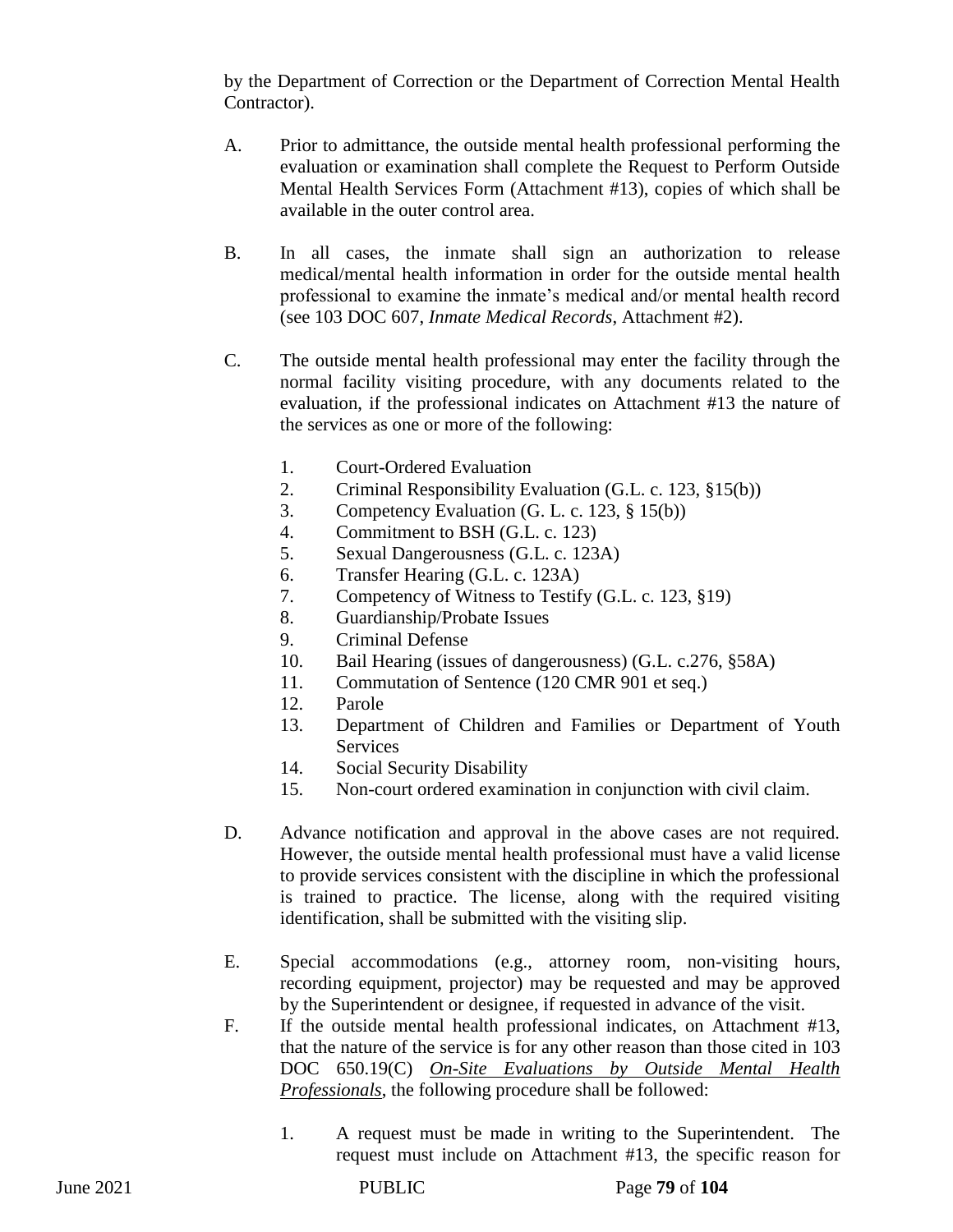by the Department of Correction or the Department of Correction Mental Health Contractor).

- A. Prior to admittance, the outside mental health professional performing the evaluation or examination shall complete the Request to Perform Outside Mental Health Services Form (Attachment #13), copies of which shall be available in the outer control area.
- B. In all cases, the inmate shall sign an authorization to release medical/mental health information in order for the outside mental health professional to examine the inmate's medical and/or mental health record (see 103 DOC 607, *Inmate Medical Records*, Attachment #2).
- C. The outside mental health professional may enter the facility through the normal facility visiting procedure, with any documents related to the evaluation, if the professional indicates on Attachment #13 the nature of the services as one or more of the following:
	- 1. Court-Ordered Evaluation
	- 2. Criminal Responsibility Evaluation (G.L. c. 123, §15(b))
	- 3. Competency Evaluation (G. L. c. 123, § 15(b))
	- 4. Commitment to BSH (G.L. c. 123)
	- 5. Sexual Dangerousness (G.L. c. 123A)
	- 6. Transfer Hearing (G.L. c. 123A)
	- 7. Competency of Witness to Testify (G.L. c. 123, §19)
	- 8. Guardianship/Probate Issues
	- 9. Criminal Defense
	- 10. Bail Hearing (issues of dangerousness) (G.L. c.276, §58A)
	- 11. Commutation of Sentence (120 CMR 901 et seq.)
	- 12. Parole
	- 13. Department of Children and Families or Department of Youth **Services**
	- 14. Social Security Disability
	- 15. Non-court ordered examination in conjunction with civil claim.
- D. Advance notification and approval in the above cases are not required. However, the outside mental health professional must have a valid license to provide services consistent with the discipline in which the professional is trained to practice. The license, along with the required visiting identification, shall be submitted with the visiting slip.
- E. Special accommodations (e.g., attorney room, non-visiting hours, recording equipment, projector) may be requested and may be approved by the Superintendent or designee, if requested in advance of the visit.
- F. If the outside mental health professional indicates, on Attachment #13, that the nature of the service is for any other reason than those cited in 103 DOC 650.19(C) *On-Site Evaluations by Outside Mental Health Professionals*, the following procedure shall be followed:
	- 1. A request must be made in writing to the Superintendent. The request must include on Attachment #13, the specific reason for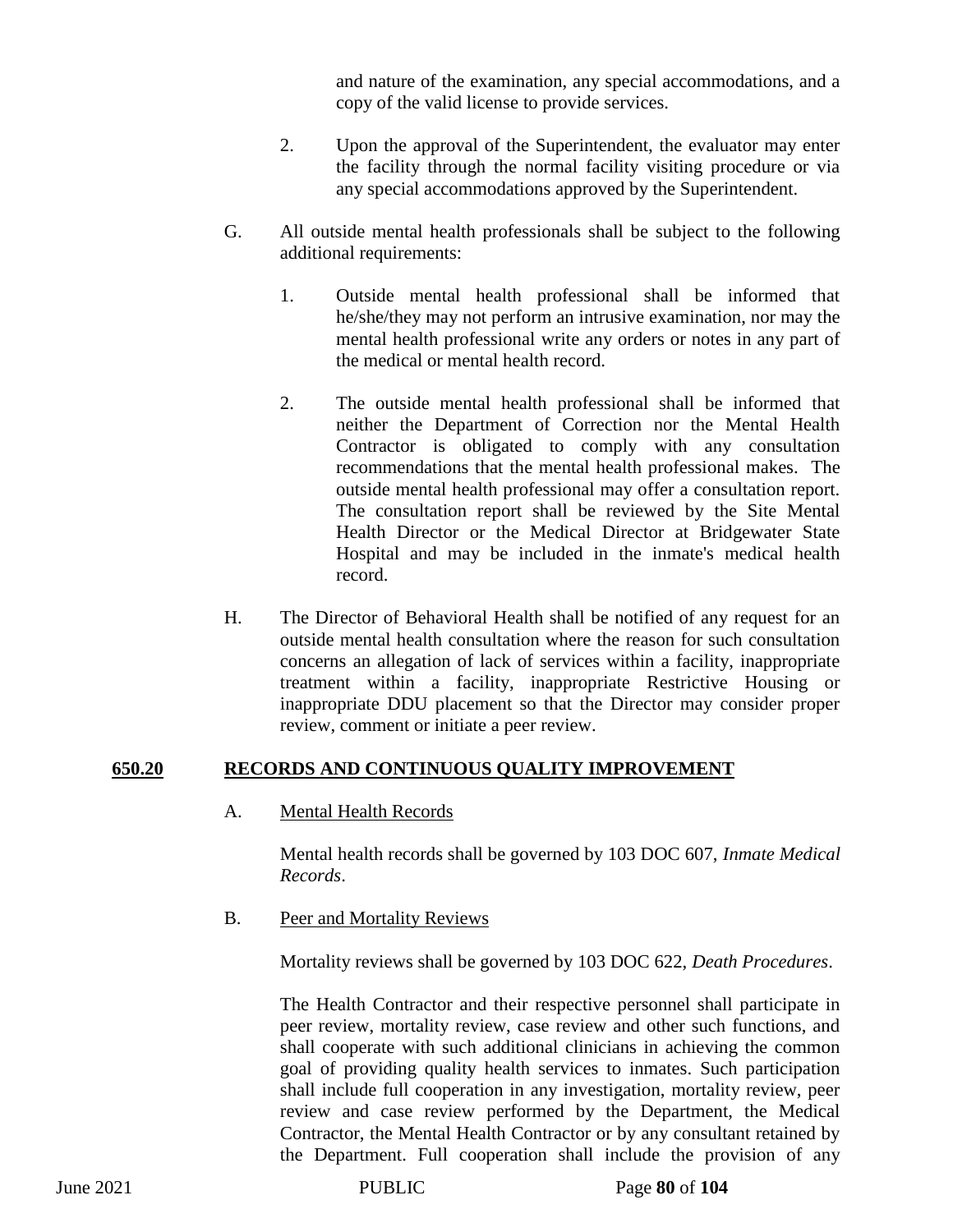and nature of the examination, any special accommodations, and a copy of the valid license to provide services.

- 2. Upon the approval of the Superintendent, the evaluator may enter the facility through the normal facility visiting procedure or via any special accommodations approved by the Superintendent.
- G. All outside mental health professionals shall be subject to the following additional requirements:
	- 1. Outside mental health professional shall be informed that he/she/they may not perform an intrusive examination, nor may the mental health professional write any orders or notes in any part of the medical or mental health record.
	- 2. The outside mental health professional shall be informed that neither the Department of Correction nor the Mental Health Contractor is obligated to comply with any consultation recommendations that the mental health professional makes. The outside mental health professional may offer a consultation report. The consultation report shall be reviewed by the Site Mental Health Director or the Medical Director at Bridgewater State Hospital and may be included in the inmate's medical health record.
- H. The Director of Behavioral Health shall be notified of any request for an outside mental health consultation where the reason for such consultation concerns an allegation of lack of services within a facility, inappropriate treatment within a facility, inappropriate Restrictive Housing or inappropriate DDU placement so that the Director may consider proper review, comment or initiate a peer review.

### **650.20 RECORDS AND CONTINUOUS QUALITY IMPROVEMENT**

A. Mental Health Records

Mental health records shall be governed by 103 DOC 607, *Inmate Medical Records*.

B. Peer and Mortality Reviews

Mortality reviews shall be governed by 103 DOC 622, *Death Procedures*.

The Health Contractor and their respective personnel shall participate in peer review, mortality review, case review and other such functions, and shall cooperate with such additional clinicians in achieving the common goal of providing quality health services to inmates. Such participation shall include full cooperation in any investigation, mortality review, peer review and case review performed by the Department, the Medical Contractor, the Mental Health Contractor or by any consultant retained by the Department. Full cooperation shall include the provision of any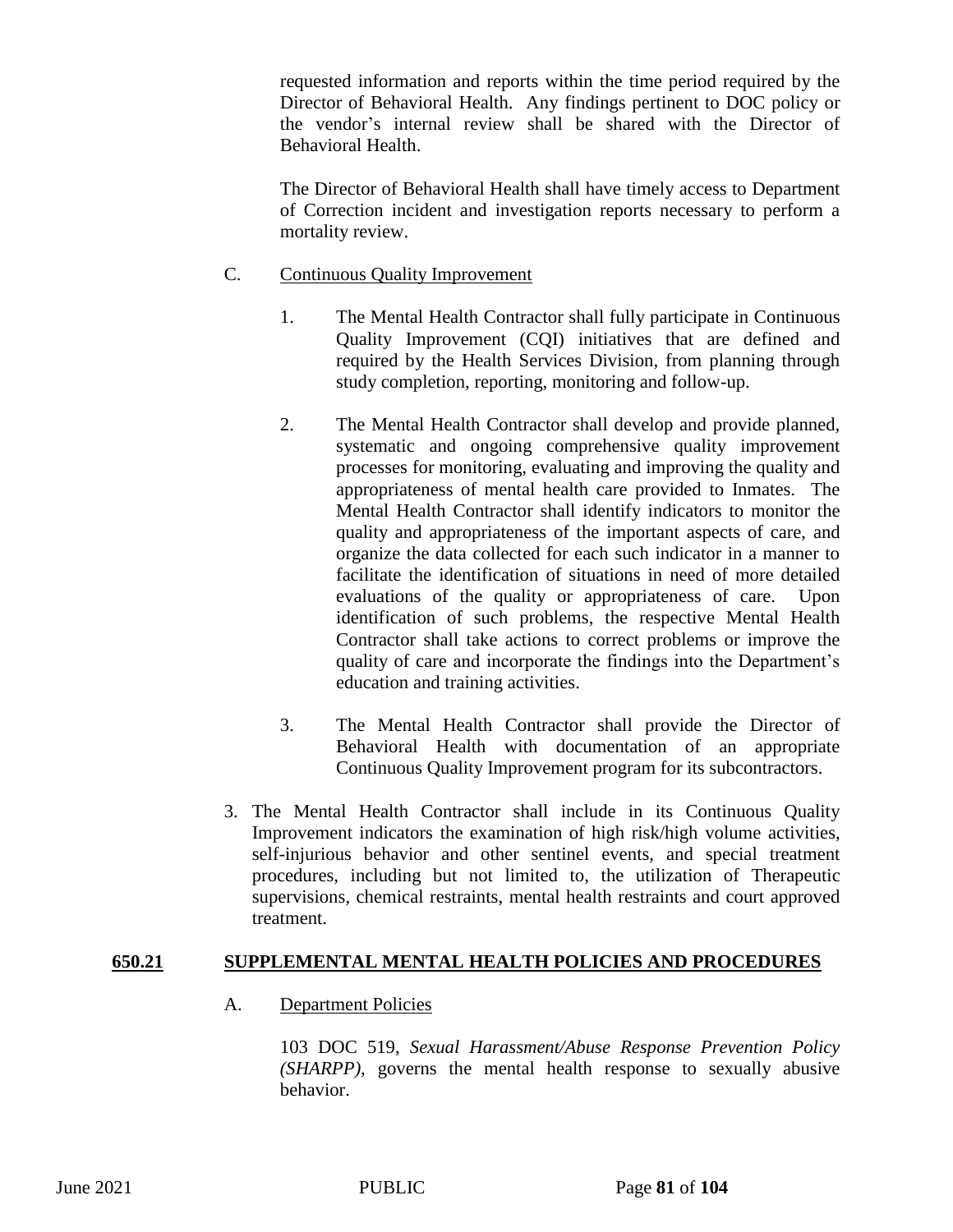requested information and reports within the time period required by the Director of Behavioral Health. Any findings pertinent to DOC policy or the vendor's internal review shall be shared with the Director of Behavioral Health.

The Director of Behavioral Health shall have timely access to Department of Correction incident and investigation reports necessary to perform a mortality review.

### C. Continuous Quality Improvement

- 1. The Mental Health Contractor shall fully participate in Continuous Quality Improvement (CQI) initiatives that are defined and required by the Health Services Division, from planning through study completion, reporting, monitoring and follow-up.
- 2. The Mental Health Contractor shall develop and provide planned, systematic and ongoing comprehensive quality improvement processes for monitoring, evaluating and improving the quality and appropriateness of mental health care provided to Inmates. The Mental Health Contractor shall identify indicators to monitor the quality and appropriateness of the important aspects of care, and organize the data collected for each such indicator in a manner to facilitate the identification of situations in need of more detailed evaluations of the quality or appropriateness of care. Upon identification of such problems, the respective Mental Health Contractor shall take actions to correct problems or improve the quality of care and incorporate the findings into the Department's education and training activities.
- 3. The Mental Health Contractor shall provide the Director of Behavioral Health with documentation of an appropriate Continuous Quality Improvement program for its subcontractors.
- 3. The Mental Health Contractor shall include in its Continuous Quality Improvement indicators the examination of high risk/high volume activities, self-injurious behavior and other sentinel events, and special treatment procedures, including but not limited to, the utilization of Therapeutic supervisions, chemical restraints, mental health restraints and court approved treatment.

### **650.21 SUPPLEMENTAL MENTAL HEALTH POLICIES AND PROCEDURES**

A. Department Policies

103 DOC 519, *Sexual Harassment/Abuse Response Prevention Policy (SHARPP),* governs the mental health response to sexually abusive behavior.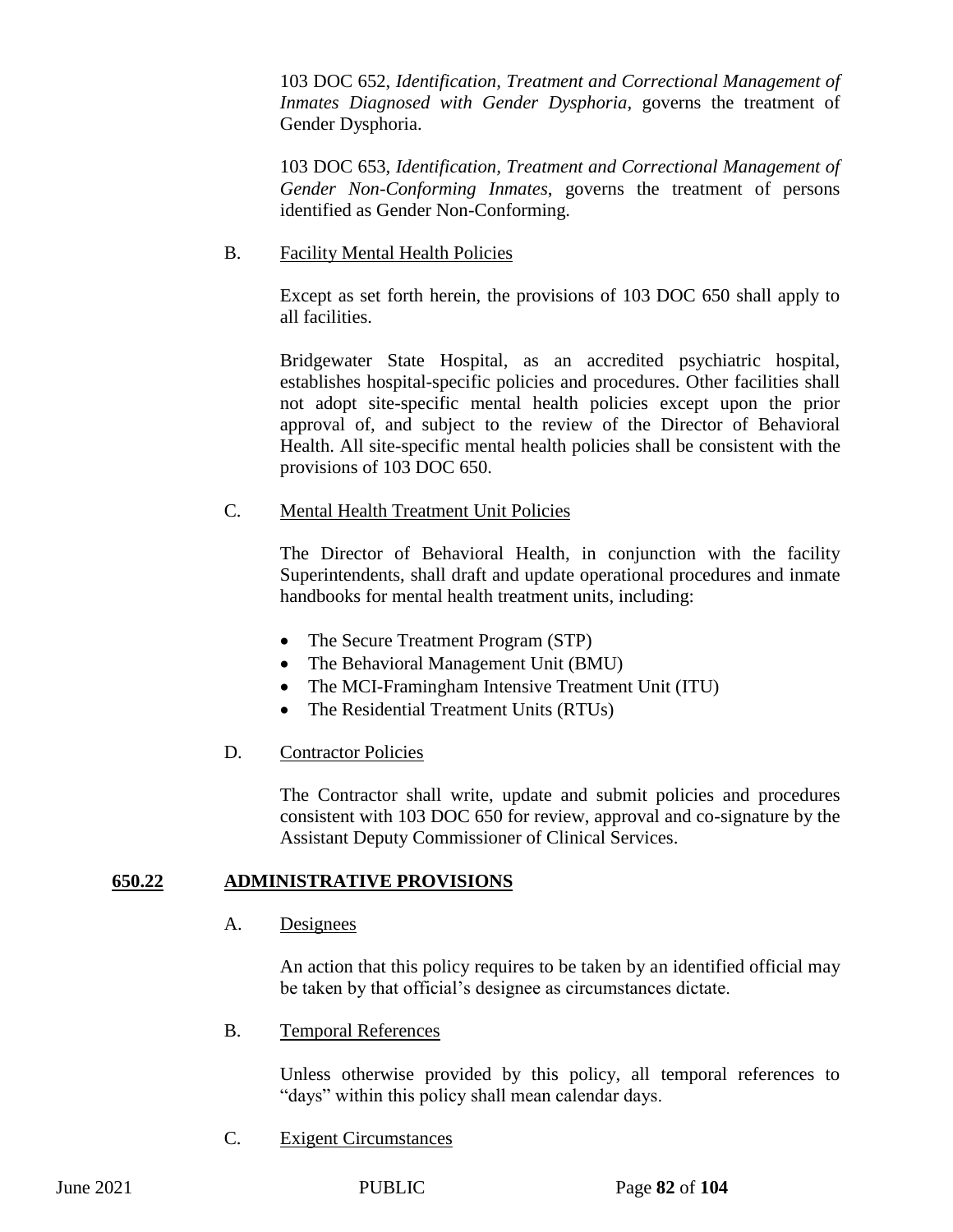103 DOC 652, *Identification, Treatment and Correctional Management of Inmates Diagnosed with Gender Dysphoria*, governs the treatment of Gender Dysphoria.

103 DOC 653, *Identification, Treatment and Correctional Management of Gender Non-Conforming Inmates*, governs the treatment of persons identified as Gender Non-Conforming.

### B. Facility Mental Health Policies

Except as set forth herein, the provisions of 103 DOC 650 shall apply to all facilities.

Bridgewater State Hospital, as an accredited psychiatric hospital, establishes hospital-specific policies and procedures. Other facilities shall not adopt site-specific mental health policies except upon the prior approval of, and subject to the review of the Director of Behavioral Health. All site-specific mental health policies shall be consistent with the provisions of 103 DOC 650.

### C. Mental Health Treatment Unit Policies

The Director of Behavioral Health, in conjunction with the facility Superintendents, shall draft and update operational procedures and inmate handbooks for mental health treatment units, including:

- The Secure Treatment Program (STP)
- The Behavioral Management Unit (BMU)
- The MCI-Framingham Intensive Treatment Unit (ITU)
- The Residential Treatment Units (RTUs)

## D. Contractor Policies

The Contractor shall write, update and submit policies and procedures consistent with 103 DOC 650 for review, approval and co-signature by the Assistant Deputy Commissioner of Clinical Services.

## **650.22 ADMINISTRATIVE PROVISIONS**

### A. Designees

An action that this policy requires to be taken by an identified official may be taken by that official's designee as circumstances dictate.

B. Temporal References

Unless otherwise provided by this policy, all temporal references to "days" within this policy shall mean calendar days.

C. Exigent Circumstances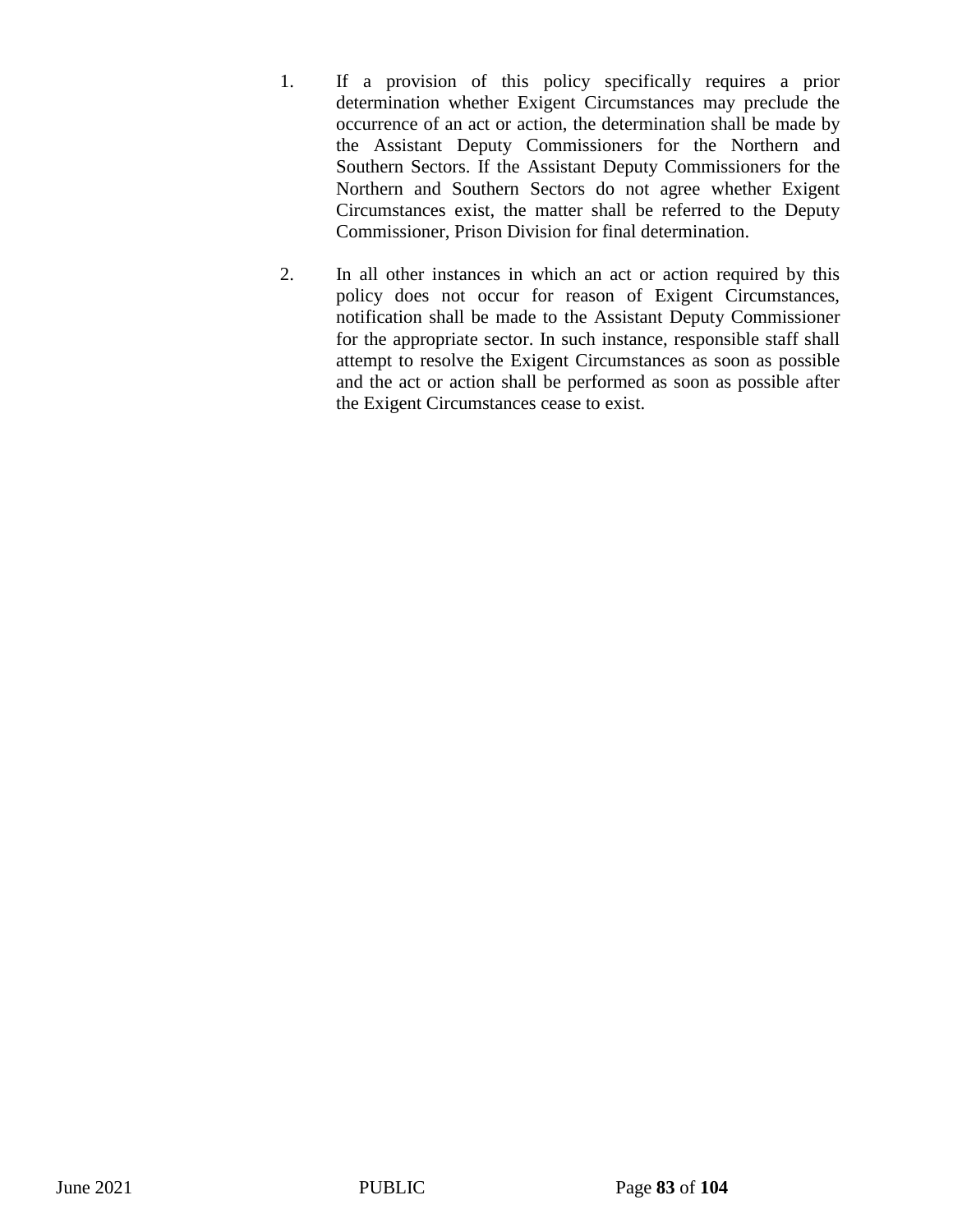- 1. If a provision of this policy specifically requires a prior determination whether Exigent Circumstances may preclude the occurrence of an act or action, the determination shall be made by the Assistant Deputy Commissioners for the Northern and Southern Sectors. If the Assistant Deputy Commissioners for the Northern and Southern Sectors do not agree whether Exigent Circumstances exist, the matter shall be referred to the Deputy Commissioner, Prison Division for final determination.
- 2. In all other instances in which an act or action required by this policy does not occur for reason of Exigent Circumstances, notification shall be made to the Assistant Deputy Commissioner for the appropriate sector. In such instance, responsible staff shall attempt to resolve the Exigent Circumstances as soon as possible and the act or action shall be performed as soon as possible after the Exigent Circumstances cease to exist.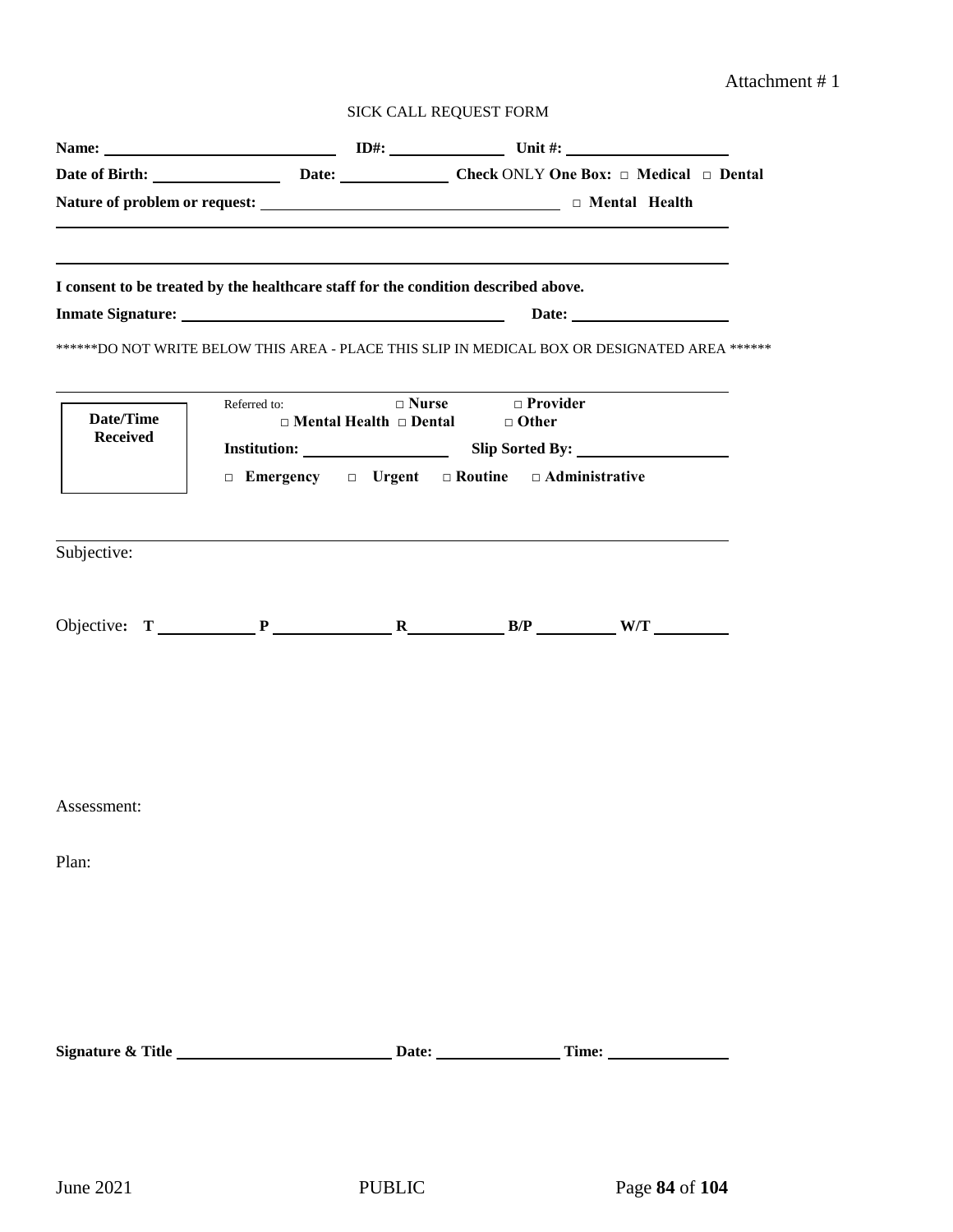## Attachment # 1

|                                     | Name: $\qquad \qquad \qquad \qquad \qquad \qquad \qquad \qquad \text{ID#:} \qquad \qquad \qquad \text{Unit #:}$ |              |                                                                    |                                                                                               |
|-------------------------------------|-----------------------------------------------------------------------------------------------------------------|--------------|--------------------------------------------------------------------|-----------------------------------------------------------------------------------------------|
|                                     |                                                                                                                 |              |                                                                    | Date of Birth: <u>Date:</u> Date: Check ONLY One Box: □ Medical □ Dental                      |
|                                     |                                                                                                                 |              |                                                                    |                                                                                               |
|                                     | I consent to be treated by the healthcare staff for the condition described above.                              |              |                                                                    |                                                                                               |
|                                     |                                                                                                                 |              |                                                                    |                                                                                               |
|                                     |                                                                                                                 |              |                                                                    | ******DO NOT WRITE BELOW THIS AREA - PLACE THIS SLIP IN MEDICAL BOX OR DESIGNATED AREA ****** |
| <b>Date/Time</b><br><b>Received</b> | Referred to:                                                                                                    | $\Box$ Nurse | $\Box$ Provider<br>$\Box$ Mental Health $\Box$ Dental $\Box$ Other | <b>Institution:</b> Slip Sorted By:                                                           |
|                                     | $\Box$ Emergency $\Box$ Urgent $\Box$ Routine $\Box$ Administrative                                             |              |                                                                    |                                                                                               |
| Subjective:                         |                                                                                                                 |              |                                                                    |                                                                                               |
|                                     | Objective: $T \_ P \_ R \_ R \_ B/P \_ W/T \_ W$                                                                |              |                                                                    |                                                                                               |
| Assessment:                         |                                                                                                                 |              |                                                                    |                                                                                               |
| Plan:                               |                                                                                                                 |              |                                                                    |                                                                                               |
|                                     |                                                                                                                 |              |                                                                    |                                                                                               |
|                                     |                                                                                                                 |              |                                                                    |                                                                                               |
|                                     |                                                                                                                 |              |                                                                    |                                                                                               |
|                                     |                                                                                                                 |              |                                                                    |                                                                                               |
|                                     |                                                                                                                 |              |                                                                    |                                                                                               |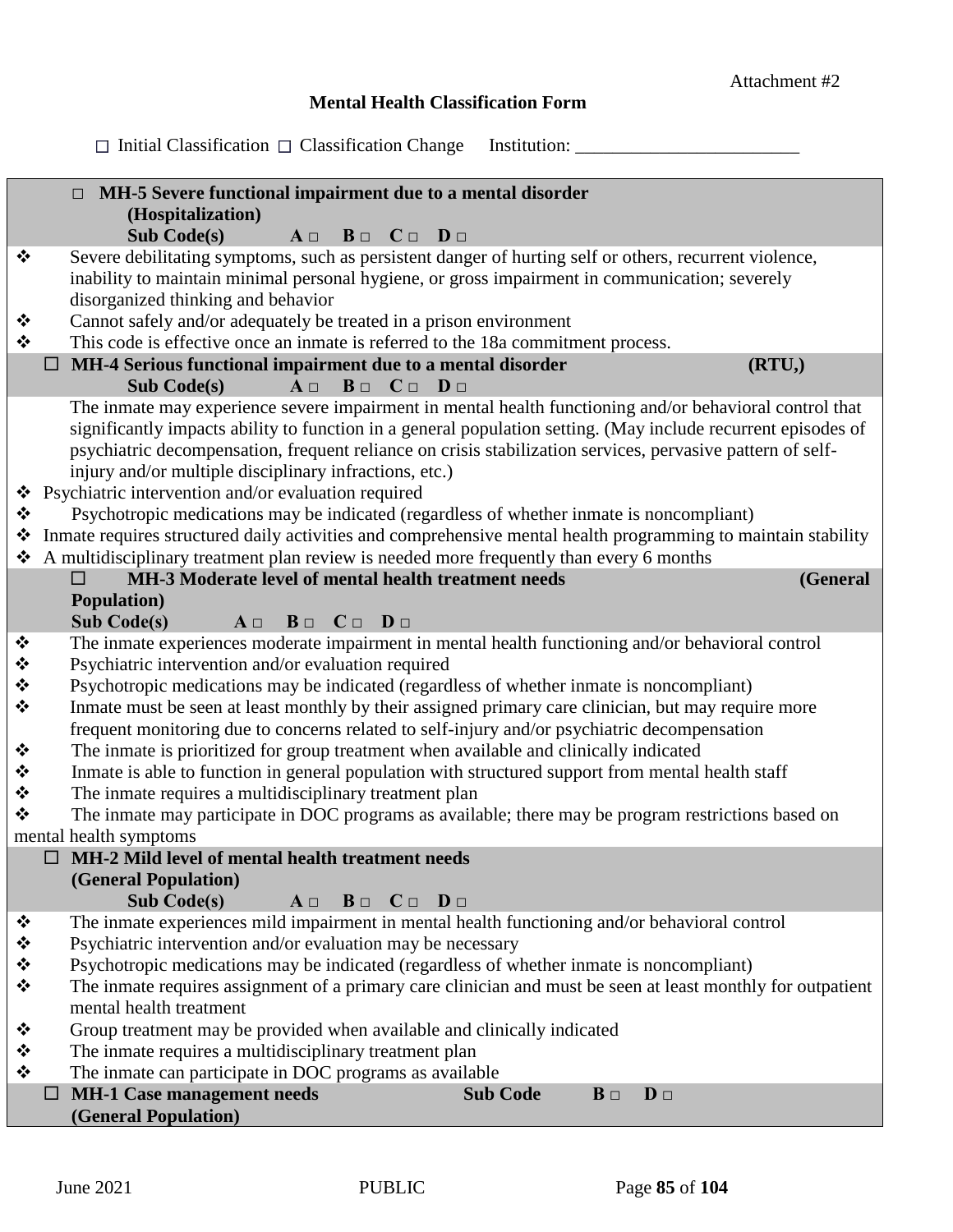## **Mental Health Classification Form**

Initial Classification Classification Change Institution: \_\_\_\_\_\_\_\_\_\_\_\_\_\_\_\_\_\_\_\_\_\_\_\_

|                                       | MH-5 Severe functional impairment due to a mental disorder<br>$\Box$                                                                                                                                      |
|---------------------------------------|-----------------------------------------------------------------------------------------------------------------------------------------------------------------------------------------------------------|
|                                       | (Hospitalization)                                                                                                                                                                                         |
|                                       | <b>Sub Code(s)</b><br>$A \Box$<br>$B \Box$ $C \Box$ $D \Box$                                                                                                                                              |
| ❖                                     | Severe debilitating symptoms, such as persistent danger of hurting self or others, recurrent violence,<br>inability to maintain minimal personal hygiene, or gross impairment in communication; severely  |
|                                       | disorganized thinking and behavior                                                                                                                                                                        |
| ❖                                     | Cannot safely and/or adequately be treated in a prison environment                                                                                                                                        |
| $\bullet^{\bullet}_{\bullet} \bullet$ | This code is effective once an inmate is referred to the 18a commitment process.                                                                                                                          |
|                                       | MH-4 Serious functional impairment due to a mental disorder<br>(RTU, )                                                                                                                                    |
|                                       | $B \Box$ $C \Box$ $D \Box$<br><b>Sub Code(s)</b><br>$A \Box$                                                                                                                                              |
|                                       | The inmate may experience severe impairment in mental health functioning and/or behavioral control that                                                                                                   |
|                                       | significantly impacts ability to function in a general population setting. (May include recurrent episodes of                                                                                             |
|                                       | psychiatric decompensation, frequent reliance on crisis stabilization services, pervasive pattern of self-                                                                                                |
|                                       | injury and/or multiple disciplinary infractions, etc.)                                                                                                                                                    |
| ❖                                     | Psychiatric intervention and/or evaluation required                                                                                                                                                       |
| ❖                                     | Psychotropic medications may be indicated (regardless of whether inmate is noncompliant)<br>Inmate requires structured daily activities and comprehensive mental health programming to maintain stability |
| ❖                                     | A multidisciplinary treatment plan review is needed more frequently than every 6 months                                                                                                                   |
|                                       | MH-3 Moderate level of mental health treatment needs<br>(General<br>□                                                                                                                                     |
|                                       | <b>Population</b> )                                                                                                                                                                                       |
|                                       | <b>Sub Code(s)</b><br>$B \Box$ $C \Box$ $D \Box$<br>$A \Box$                                                                                                                                              |
| ❖                                     | The inmate experiences moderate impairment in mental health functioning and/or behavioral control                                                                                                         |
| ❖                                     | Psychiatric intervention and/or evaluation required                                                                                                                                                       |
| $\ddot{\cdot}$                        | Psychotropic medications may be indicated (regardless of whether inmate is noncompliant)                                                                                                                  |
| $\bullet$                             | Inmate must be seen at least monthly by their assigned primary care clinician, but may require more                                                                                                       |
|                                       | frequent monitoring due to concerns related to self-injury and/or psychiatric decompensation                                                                                                              |
| ❖<br>❖                                | The inmate is prioritized for group treatment when available and clinically indicated<br>Inmate is able to function in general population with structured support from mental health staff                |
| ❖                                     | The inmate requires a multidisciplinary treatment plan                                                                                                                                                    |
| $\cdot$                               | The inmate may participate in DOC programs as available; there may be program restrictions based on                                                                                                       |
|                                       | mental health symptoms                                                                                                                                                                                    |
|                                       | $\Box$ MH-2 Mild level of mental health treatment needs                                                                                                                                                   |
|                                       | (General Population)                                                                                                                                                                                      |
|                                       | <b>Sub Code(s)</b><br>$B \Box$ $C \Box$ $D \Box$<br>$A \Box$                                                                                                                                              |
| ❖                                     | The inmate experiences mild impairment in mental health functioning and/or behavioral control                                                                                                             |
| ❖                                     | Psychiatric intervention and/or evaluation may be necessary                                                                                                                                               |
| ❖<br>❖                                | Psychotropic medications may be indicated (regardless of whether inmate is noncompliant)<br>The inmate requires assignment of a primary care clinician and must be seen at least monthly for outpatient   |
|                                       | mental health treatment                                                                                                                                                                                   |
| ❖                                     | Group treatment may be provided when available and clinically indicated                                                                                                                                   |
| ❖                                     | The inmate requires a multidisciplinary treatment plan                                                                                                                                                    |
| ❖                                     | The inmate can participate in DOC programs as available                                                                                                                                                   |
|                                       | <b>MH-1 Case management needs</b><br><b>Sub Code</b><br>$D \Box$<br>$\mathbf{B}$ $\Box$                                                                                                                   |
|                                       | (General Population)                                                                                                                                                                                      |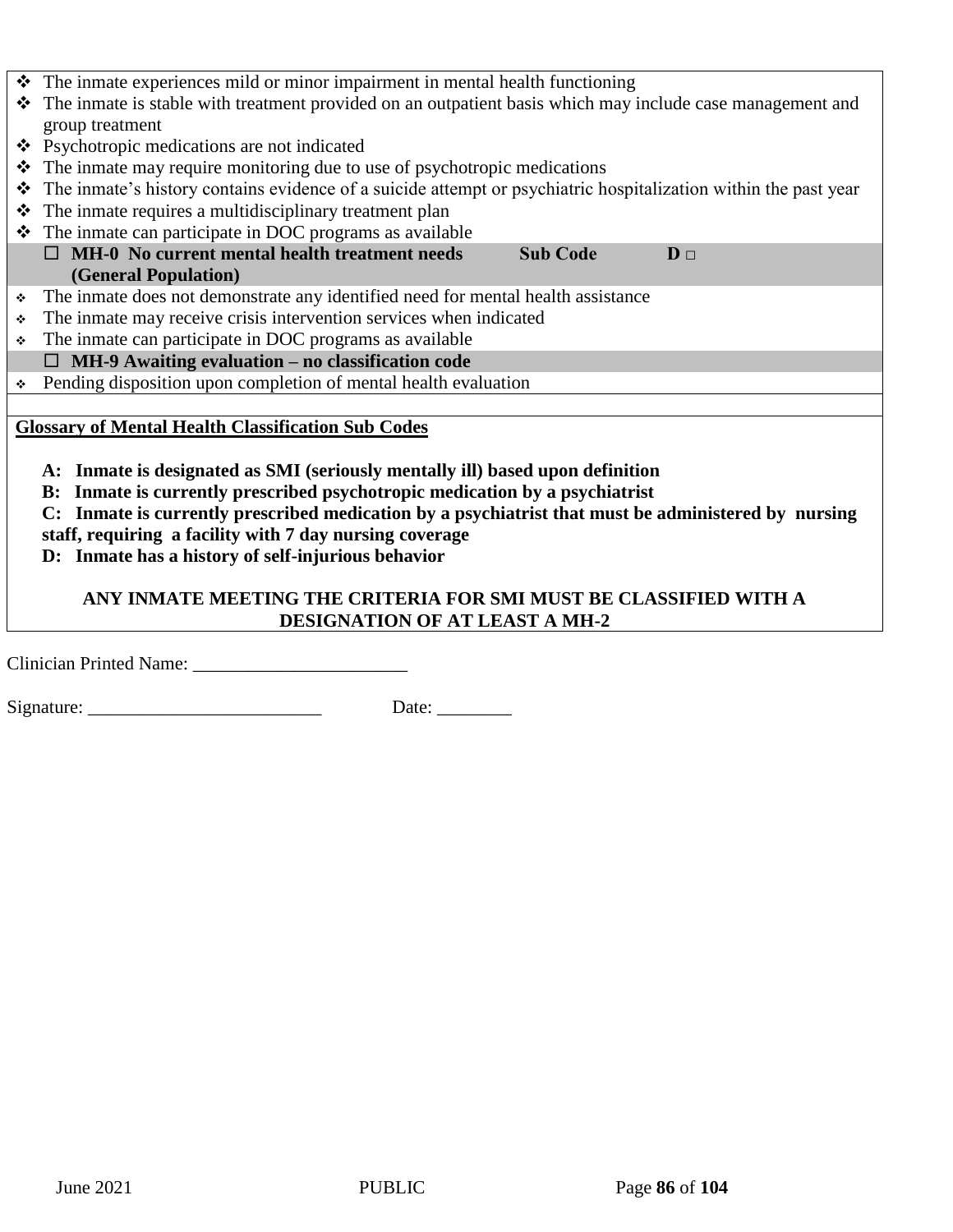|                                                                                                     | $\div$ The inmate experiences mild or minor impairment in mental health functioning                             |  |  |  |  |
|-----------------------------------------------------------------------------------------------------|-----------------------------------------------------------------------------------------------------------------|--|--|--|--|
|                                                                                                     | The inmate is stable with treatment provided on an outpatient basis which may include case management and       |  |  |  |  |
|                                                                                                     | group treatment                                                                                                 |  |  |  |  |
|                                                                                                     | ❖ Psychotropic medications are not indicated                                                                    |  |  |  |  |
|                                                                                                     | The inmate may require monitoring due to use of psychotropic medications                                        |  |  |  |  |
| ❖                                                                                                   | The inmate's history contains evidence of a suicide attempt or psychiatric hospitalization within the past year |  |  |  |  |
|                                                                                                     | $\div$ The inmate requires a multidisciplinary treatment plan                                                   |  |  |  |  |
|                                                                                                     | $\div$ The inmate can participate in DOC programs as available                                                  |  |  |  |  |
|                                                                                                     | $\Box$ MH-0 No current mental health treatment needs<br><b>Sub Code</b><br>$D \Box$                             |  |  |  |  |
|                                                                                                     | (General Population)                                                                                            |  |  |  |  |
| ٠                                                                                                   | The inmate does not demonstrate any identified need for mental health assistance                                |  |  |  |  |
| ❖                                                                                                   | The inmate may receive crisis intervention services when indicated                                              |  |  |  |  |
| ٠                                                                                                   | The inmate can participate in DOC programs as available                                                         |  |  |  |  |
|                                                                                                     | $\Box$ MH-9 Awaiting evaluation – no classification code                                                        |  |  |  |  |
|                                                                                                     | • Pending disposition upon completion of mental health evaluation                                               |  |  |  |  |
|                                                                                                     |                                                                                                                 |  |  |  |  |
|                                                                                                     | <b>Glossary of Mental Health Classification Sub Codes</b>                                                       |  |  |  |  |
|                                                                                                     |                                                                                                                 |  |  |  |  |
|                                                                                                     | A: Inmate is designated as SMI (seriously mentally ill) based upon definition                                   |  |  |  |  |
|                                                                                                     | B: Inmate is currently prescribed psychotropic medication by a psychiatrist                                     |  |  |  |  |
| C: Inmate is currently prescribed medication by a psychiatrist that must be administered by nursing |                                                                                                                 |  |  |  |  |
| staff, requiring a facility with 7 day nursing coverage                                             |                                                                                                                 |  |  |  |  |
|                                                                                                     | D: Inmate has a history of self-injurious behavior                                                              |  |  |  |  |
|                                                                                                     |                                                                                                                 |  |  |  |  |
|                                                                                                     | ANY INMATE MEETING THE CRITERIA FOR SMI MUST BE CLASSIFIED WITH A                                               |  |  |  |  |
|                                                                                                     | DESIGNATION OF AT LEAST A MH-2                                                                                  |  |  |  |  |

Clinician Printed Name: \_\_\_\_\_\_\_\_\_\_\_\_\_\_\_\_\_\_\_\_\_\_\_

Signature: \_\_\_\_\_\_\_\_\_\_\_\_\_\_\_\_\_\_\_\_\_\_\_\_\_ Date: \_\_\_\_\_\_\_\_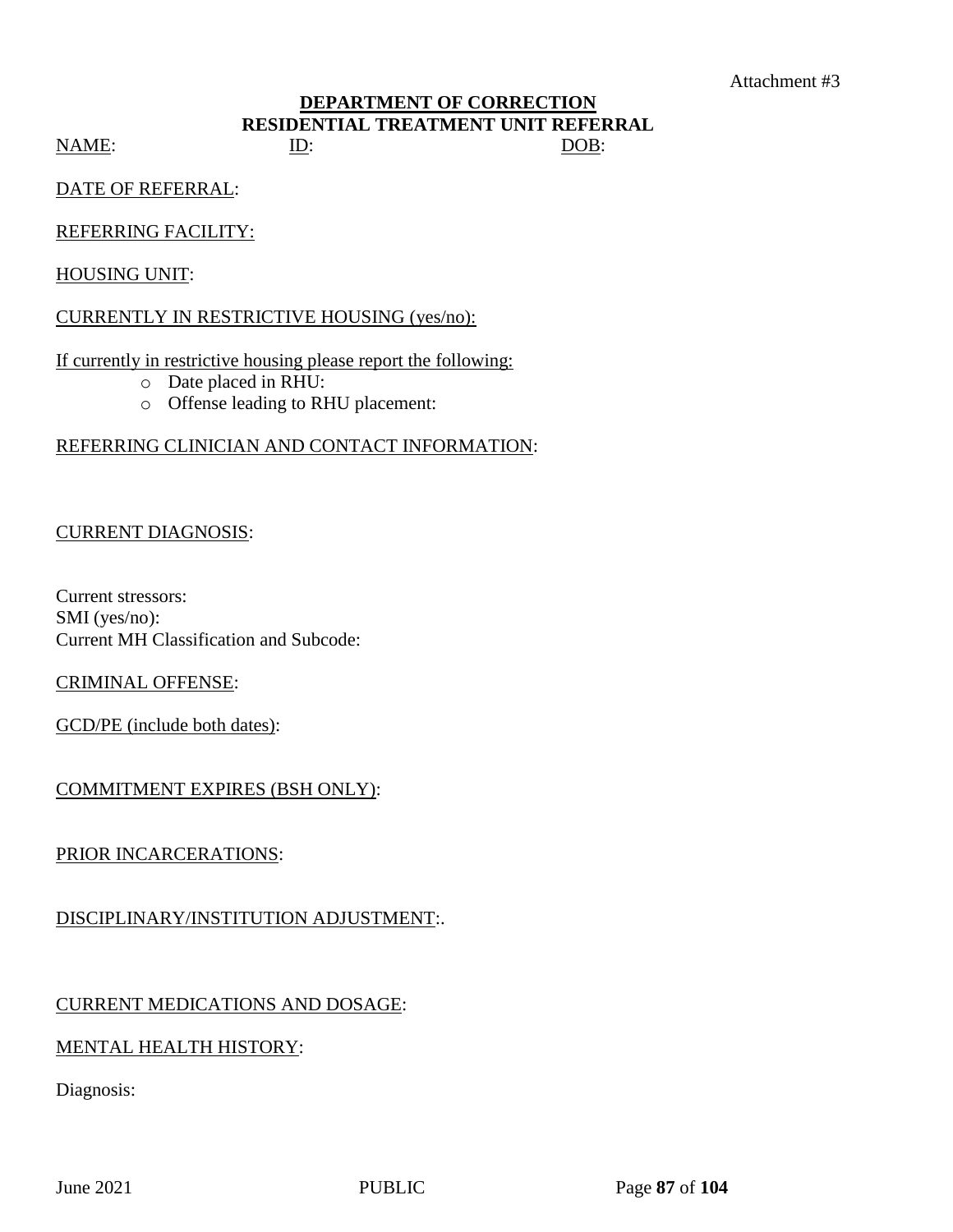### **DEPARTMENT OF CORRECTION RESIDENTIAL TREATMENT UNIT REFERRAL** NAME: ID: ID: DOB:

DATE OF REFERRAL:

### REFERRING FACILITY:

HOUSING UNIT:

### CURRENTLY IN RESTRICTIVE HOUSING (yes/no):

If currently in restrictive housing please report the following:

- o Date placed in RHU:
- o Offense leading to RHU placement:

## REFERRING CLINICIAN AND CONTACT INFORMATION:

## CURRENT DIAGNOSIS:

Current stressors: SMI (yes/no): Current MH Classification and Subcode:

## CRIMINAL OFFENSE:

GCD/PE (include both dates):

## COMMITMENT EXPIRES (BSH ONLY):

## PRIOR INCARCERATIONS:

## DISCIPLINARY/INSTITUTION ADJUSTMENT:.

## CURRENT MEDICATIONS AND DOSAGE:

## MENTAL HEALTH HISTORY:

Diagnosis: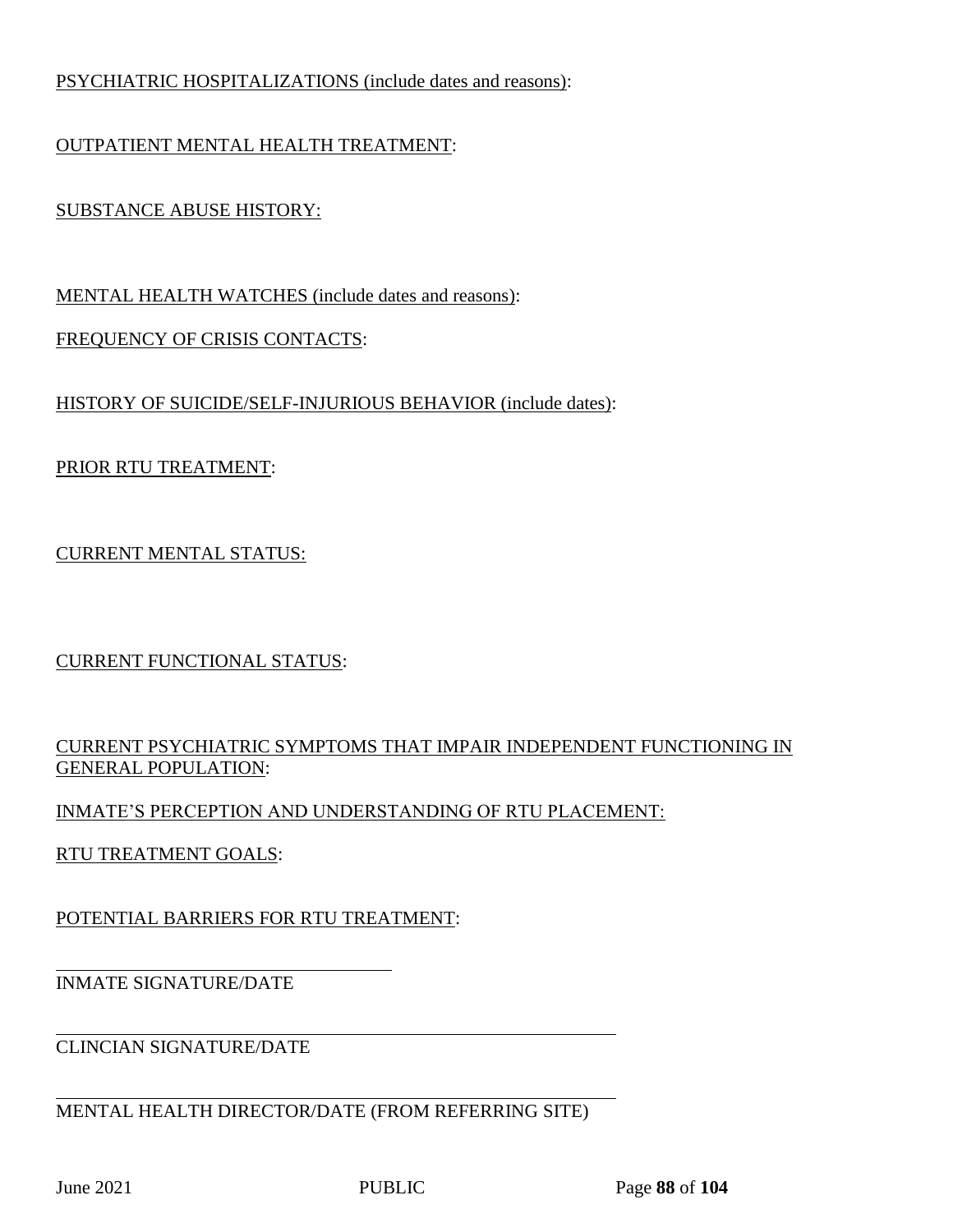## PSYCHIATRIC HOSPITALIZATIONS (include dates and reasons):

# OUTPATIENT MENTAL HEALTH TREATMENT:

# SUBSTANCE ABUSE HISTORY:

MENTAL HEALTH WATCHES (include dates and reasons):

## FREQUENCY OF CRISIS CONTACTS:

## HISTORY OF SUICIDE/SELF-INJURIOUS BEHAVIOR (include dates):

# PRIOR RTU TREATMENT:

## CURRENT MENTAL STATUS:

CURRENT FUNCTIONAL STATUS:

## CURRENT PSYCHIATRIC SYMPTOMS THAT IMPAIR INDEPENDENT FUNCTIONING IN GENERAL POPULATION:

## INMATE'S PERCEPTION AND UNDERSTANDING OF RTU PLACEMENT:

RTU TREATMENT GOALS:

POTENTIAL BARRIERS FOR RTU TREATMENT:

# INMATE SIGNATURE/DATE

CLINCIAN SIGNATURE/DATE

MENTAL HEALTH DIRECTOR/DATE (FROM REFERRING SITE)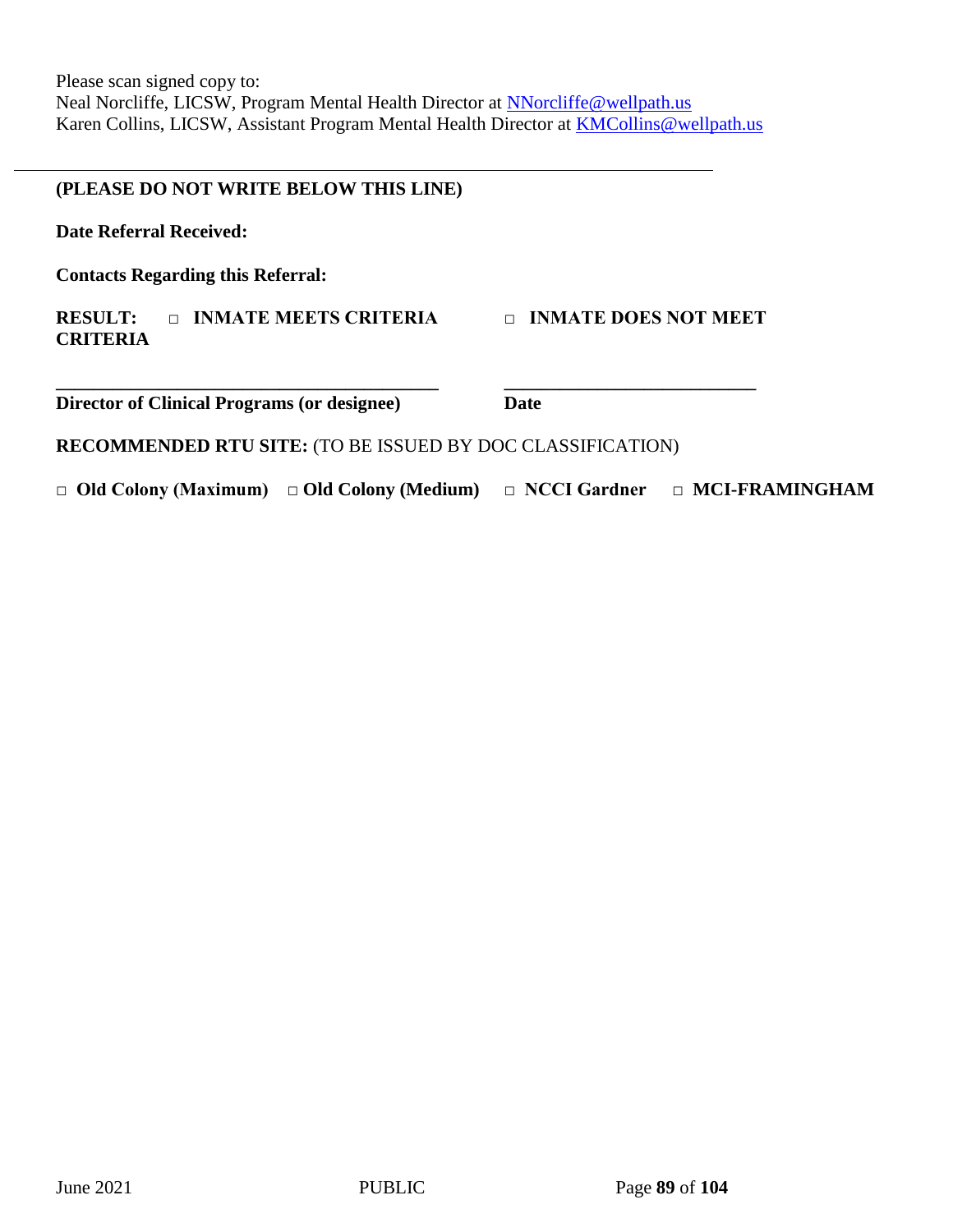### **(PLEASE DO NOT WRITE BELOW THIS LINE)**

**Date Referral Received:** 

**Contacts Regarding this Referral:**

### **RESULT: □ INMATE MEETS CRITERIA □ INMATE DOES NOT MEET CRITERIA**

**Director of Clinical Programs (or designee) Date**

**RECOMMENDED RTU SITE:** (TO BE ISSUED BY DOC CLASSIFICATION)

**\_\_\_\_\_\_\_\_\_\_\_\_\_\_\_\_\_\_\_\_\_\_\_\_\_\_\_\_\_\_\_\_\_\_\_\_\_\_\_\_\_ \_\_\_\_\_\_\_\_\_\_\_\_\_\_\_\_\_\_\_\_\_\_\_\_\_\_\_**

**□ Old Colony (Maximum) □ Old Colony (Medium) □ NCCI Gardner □ MCI-FRAMINGHAM**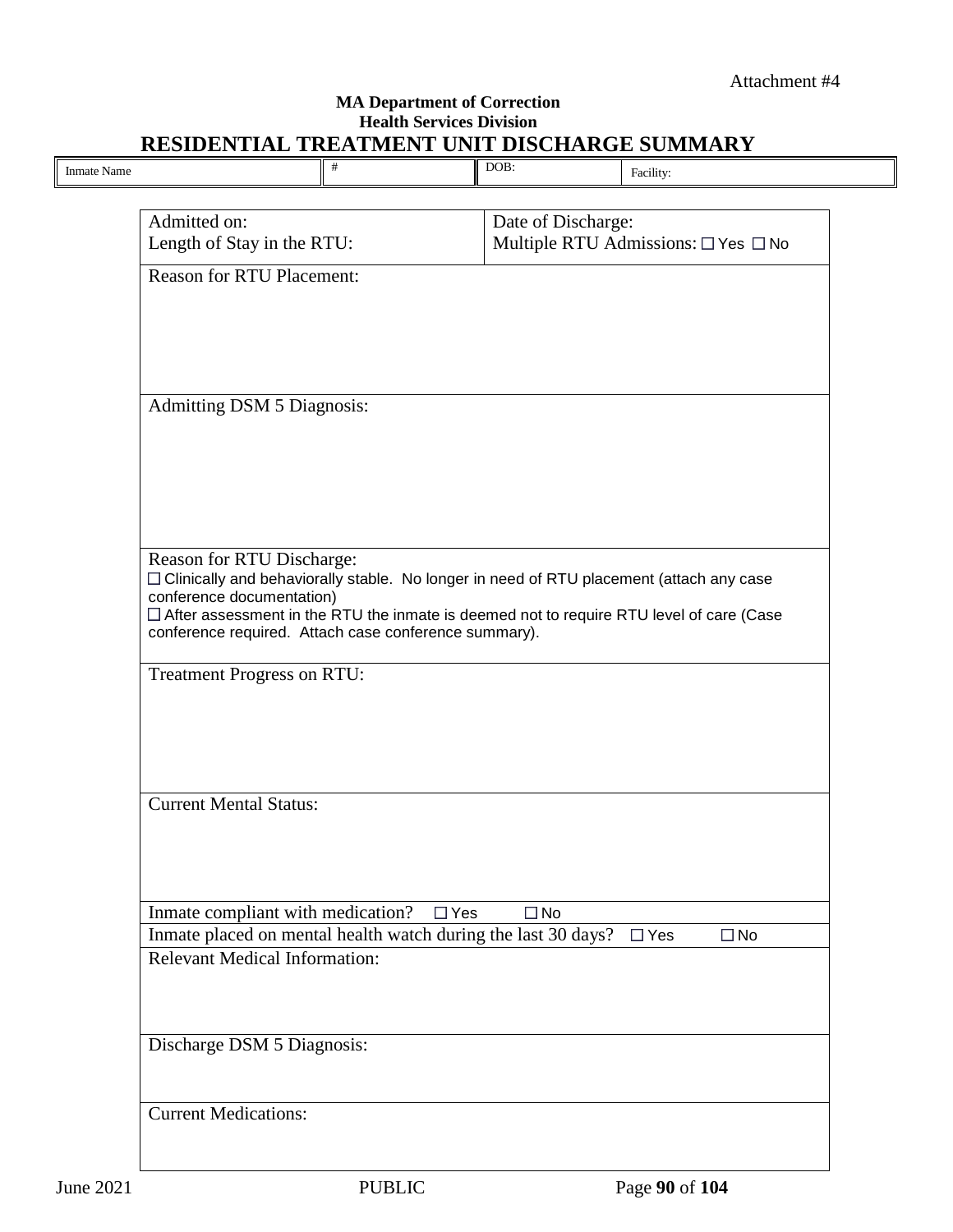### **MA Department of Correction Health Services Division RESIDENTIAL TREATMENT UNIT DISCHARGE SUMMARY**

|                                                                             | $\#$       | DOB:               | Facility:                                                                                 |
|-----------------------------------------------------------------------------|------------|--------------------|-------------------------------------------------------------------------------------------|
|                                                                             |            |                    |                                                                                           |
| Admitted on:<br>Length of Stay in the RTU:                                  |            | Date of Discharge: | Multiple RTU Admissions: □ Yes □ No                                                       |
| <b>Reason for RTU Placement:</b>                                            |            |                    |                                                                                           |
|                                                                             |            |                    |                                                                                           |
|                                                                             |            |                    |                                                                                           |
|                                                                             |            |                    |                                                                                           |
| <b>Admitting DSM 5 Diagnosis:</b>                                           |            |                    |                                                                                           |
|                                                                             |            |                    |                                                                                           |
|                                                                             |            |                    |                                                                                           |
|                                                                             |            |                    |                                                                                           |
|                                                                             |            |                    |                                                                                           |
| Reason for RTU Discharge:                                                   |            |                    |                                                                                           |
| conference documentation)                                                   |            |                    | □ Clinically and behaviorally stable. No longer in need of RTU placement (attach any case |
| conference required. Attach case conference summary).                       |            |                    | □ After assessment in the RTU the inmate is deemed not to require RTU level of care (Case |
|                                                                             |            |                    |                                                                                           |
| <b>Treatment Progress on RTU:</b>                                           |            |                    |                                                                                           |
|                                                                             |            |                    |                                                                                           |
|                                                                             |            |                    |                                                                                           |
|                                                                             |            |                    |                                                                                           |
| <b>Current Mental Status:</b>                                               |            |                    |                                                                                           |
|                                                                             |            |                    |                                                                                           |
|                                                                             |            |                    |                                                                                           |
| Inmate compliant with medication?                                           | $\Box$ Yes | $\Box$ No          |                                                                                           |
| Inmate placed on mental health watch during the last 30 days? $\square$ Yes |            |                    | $\Box$ No                                                                                 |
| <b>Relevant Medical Information:</b>                                        |            |                    |                                                                                           |
|                                                                             |            |                    |                                                                                           |
| Discharge DSM 5 Diagnosis:                                                  |            |                    |                                                                                           |
|                                                                             |            |                    |                                                                                           |
|                                                                             |            |                    |                                                                                           |
|                                                                             |            |                    |                                                                                           |
| <b>Current Medications:</b>                                                 |            |                    |                                                                                           |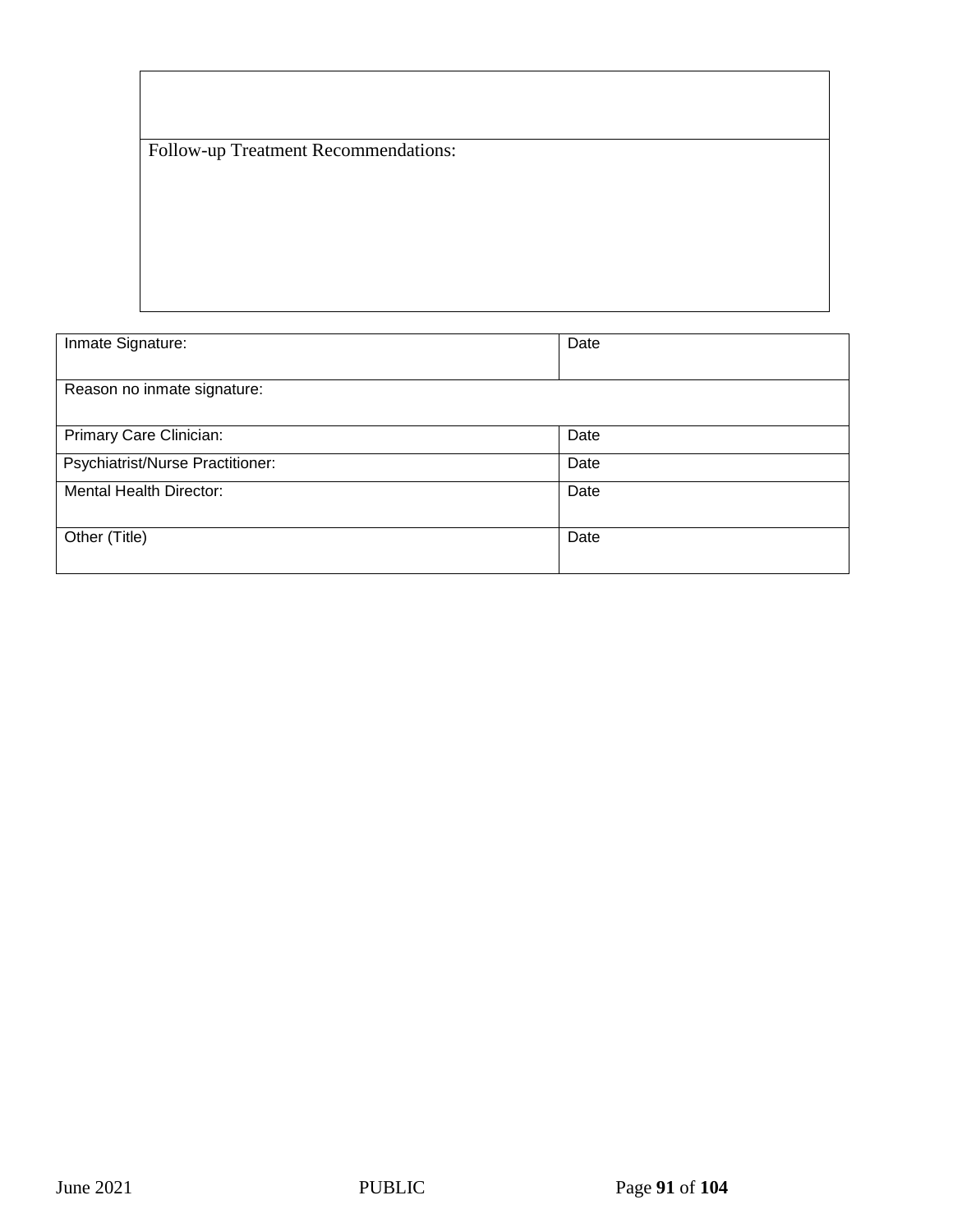Follow-up Treatment Recommendations:

| Inmate Signature:                | Date |
|----------------------------------|------|
| Reason no inmate signature:      |      |
| Primary Care Clinician:          | Date |
| Psychiatrist/Nurse Practitioner: | Date |
| <b>Mental Health Director:</b>   | Date |
| Other (Title)                    | Date |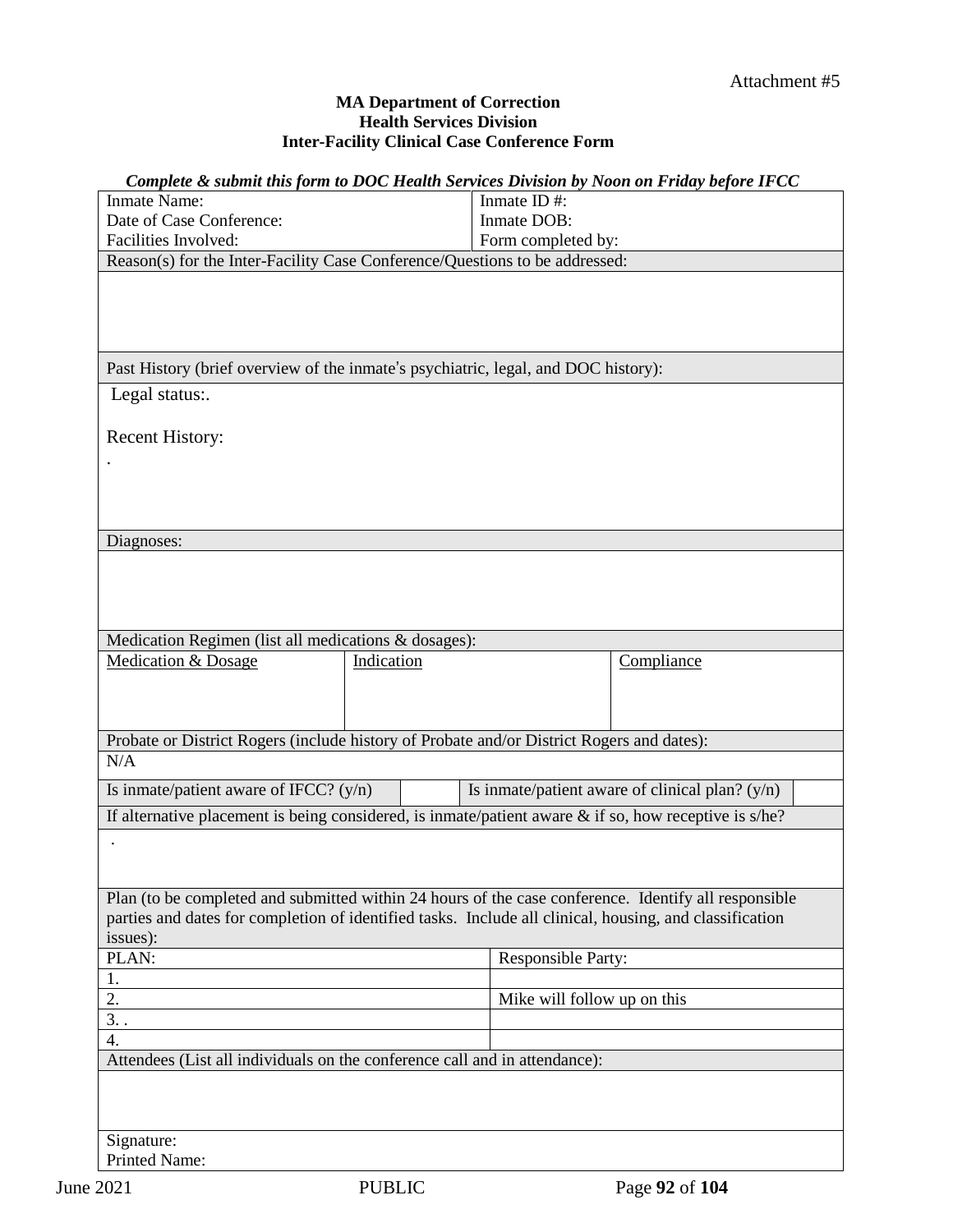#### **MA Department of Correction Health Services Division Inter-Facility Clinical Case Conference Form**

| Complete & submit this form to DOC Health Services Division by Noon on Friday before IFCC                |            |                             |                                                   |  |  |
|----------------------------------------------------------------------------------------------------------|------------|-----------------------------|---------------------------------------------------|--|--|
| <b>Inmate Name:</b>                                                                                      |            | Inmate ID#:                 |                                                   |  |  |
| Date of Case Conference:                                                                                 |            | Inmate DOB:                 |                                                   |  |  |
| Facilities Involved:<br>Form completed by:                                                               |            |                             |                                                   |  |  |
| Reason(s) for the Inter-Facility Case Conference/Questions to be addressed:                              |            |                             |                                                   |  |  |
|                                                                                                          |            |                             |                                                   |  |  |
| Past History (brief overview of the inmate's psychiatric, legal, and DOC history):                       |            |                             |                                                   |  |  |
| Legal status:.                                                                                           |            |                             |                                                   |  |  |
| Recent History:                                                                                          |            |                             |                                                   |  |  |
|                                                                                                          |            |                             |                                                   |  |  |
|                                                                                                          |            |                             |                                                   |  |  |
|                                                                                                          |            |                             |                                                   |  |  |
| Diagnoses:                                                                                               |            |                             |                                                   |  |  |
|                                                                                                          |            |                             |                                                   |  |  |
|                                                                                                          |            |                             |                                                   |  |  |
|                                                                                                          |            |                             |                                                   |  |  |
|                                                                                                          |            |                             |                                                   |  |  |
| Medication Regimen (list all medications & dosages):                                                     |            |                             |                                                   |  |  |
| <b>Medication &amp; Dosage</b>                                                                           | Indication |                             | Compliance                                        |  |  |
|                                                                                                          |            |                             |                                                   |  |  |
|                                                                                                          |            |                             |                                                   |  |  |
| Probate or District Rogers (include history of Probate and/or District Rogers and dates):                |            |                             |                                                   |  |  |
| N/A                                                                                                      |            |                             |                                                   |  |  |
| Is inmate/patient aware of IFCC? $(y/n)$                                                                 |            |                             | Is inmate/patient aware of clinical plan? $(y/n)$ |  |  |
|                                                                                                          |            |                             |                                                   |  |  |
| If alternative placement is being considered, is inmate/patient aware $\&$ if so, how receptive is s/he? |            |                             |                                                   |  |  |
|                                                                                                          |            |                             |                                                   |  |  |
|                                                                                                          |            |                             |                                                   |  |  |
| Plan (to be completed and submitted within 24 hours of the case conference. Identify all responsible     |            |                             |                                                   |  |  |
| parties and dates for completion of identified tasks. Include all clinical, housing, and classification  |            |                             |                                                   |  |  |
| issues):                                                                                                 |            |                             |                                                   |  |  |
| PLAN:                                                                                                    |            | <b>Responsible Party:</b>   |                                                   |  |  |
| 1.                                                                                                       |            |                             |                                                   |  |  |
| 2.                                                                                                       |            | Mike will follow up on this |                                                   |  |  |
| 3.                                                                                                       |            |                             |                                                   |  |  |
| 4.                                                                                                       |            |                             |                                                   |  |  |
| Attendees (List all individuals on the conference call and in attendance):                               |            |                             |                                                   |  |  |
|                                                                                                          |            |                             |                                                   |  |  |
|                                                                                                          |            |                             |                                                   |  |  |
| Signature:                                                                                               |            |                             |                                                   |  |  |
| Printed Name:                                                                                            |            |                             |                                                   |  |  |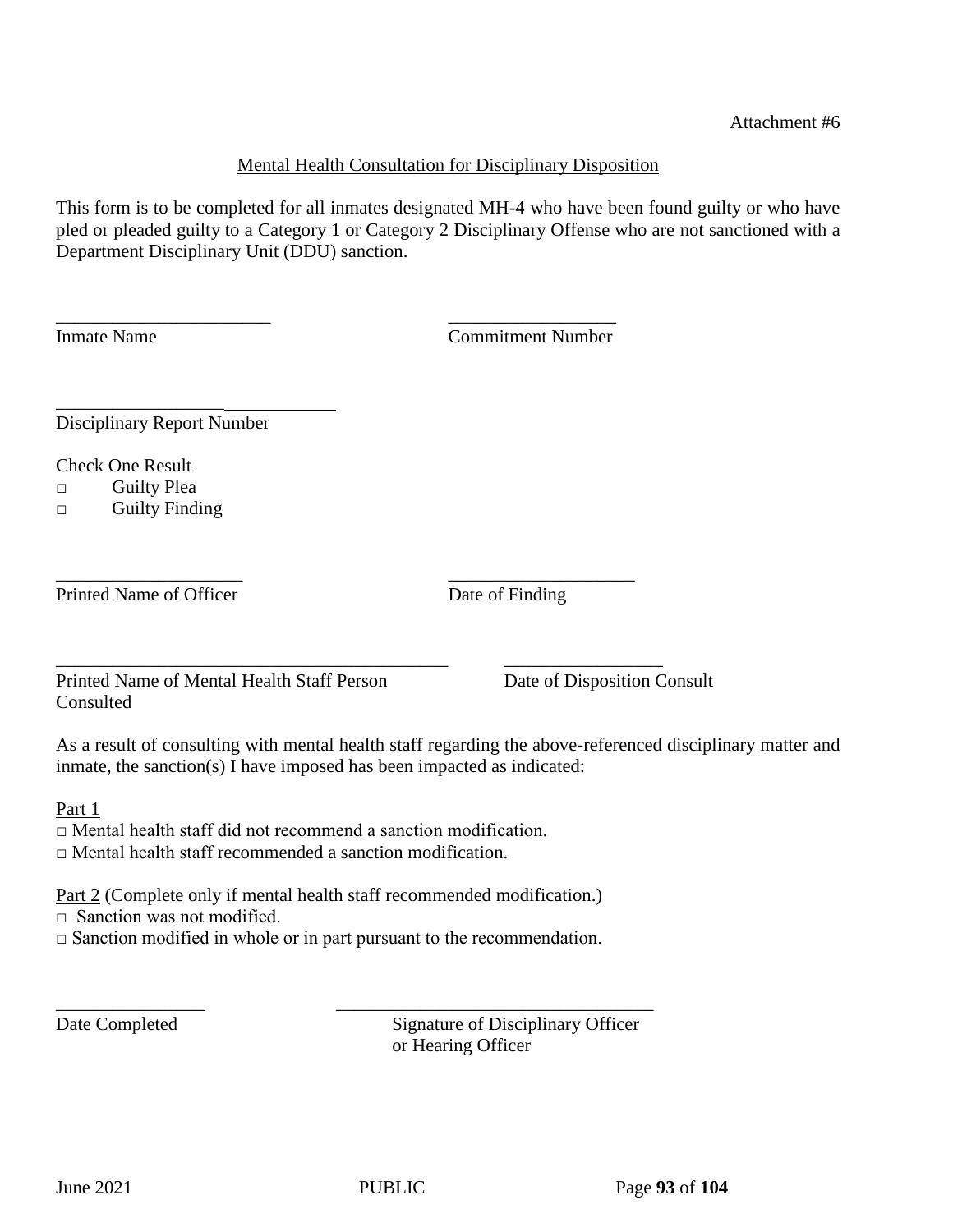### Mental Health Consultation for Disciplinary Disposition

This form is to be completed for all inmates designated MH-4 who have been found guilty or who have pled or pleaded guilty to a Category 1 or Category 2 Disciplinary Offense who are not sanctioned with a Department Disciplinary Unit (DDU) sanction.

Inmate Name Commitment Number

Disciplinary Report Number

Check One Result

□ Guilty Plea

□ Guilty Finding

\_\_\_\_\_\_\_\_\_\_\_\_\_\_\_\_\_\_

\_\_\_\_\_\_\_\_\_\_\_\_\_\_\_\_\_\_\_\_ \_\_\_\_\_\_\_\_\_\_\_\_\_\_\_\_\_\_\_\_ Printed Name of Officer Date of Finding

Printed Name of Mental Health Staff Person Date of Disposition Consult **Consulted** 

As a result of consulting with mental health staff regarding the above-referenced disciplinary matter and inmate, the sanction(s) I have imposed has been impacted as indicated:

Part 1

□ Mental health staff did not recommend a sanction modification.

□ Mental health staff recommended a sanction modification.

Part 2 (Complete only if mental health staff recommended modification.)

\_\_\_\_\_\_\_\_\_\_\_\_\_\_\_\_\_\_\_\_\_\_\_\_\_\_\_\_\_\_\_\_\_\_\_\_\_\_\_\_\_\_ \_\_\_\_\_\_\_\_\_\_\_\_\_\_\_\_\_

\_\_\_\_\_\_\_\_\_\_\_\_\_\_\_\_\_\_\_\_\_\_\_ \_\_\_\_\_\_\_\_\_\_\_\_\_\_\_\_\_\_

 $\Box$  Sanction was not modified.

 $\Box$  Sanction modified in whole or in part pursuant to the recommendation.

\_\_\_\_\_\_\_\_\_\_\_\_\_\_\_\_ \_\_\_\_\_\_\_\_\_\_\_\_\_\_\_\_\_\_\_\_\_\_\_\_\_\_\_\_\_\_\_\_\_\_

Date Completed Signature of Disciplinary Officer or Hearing Officer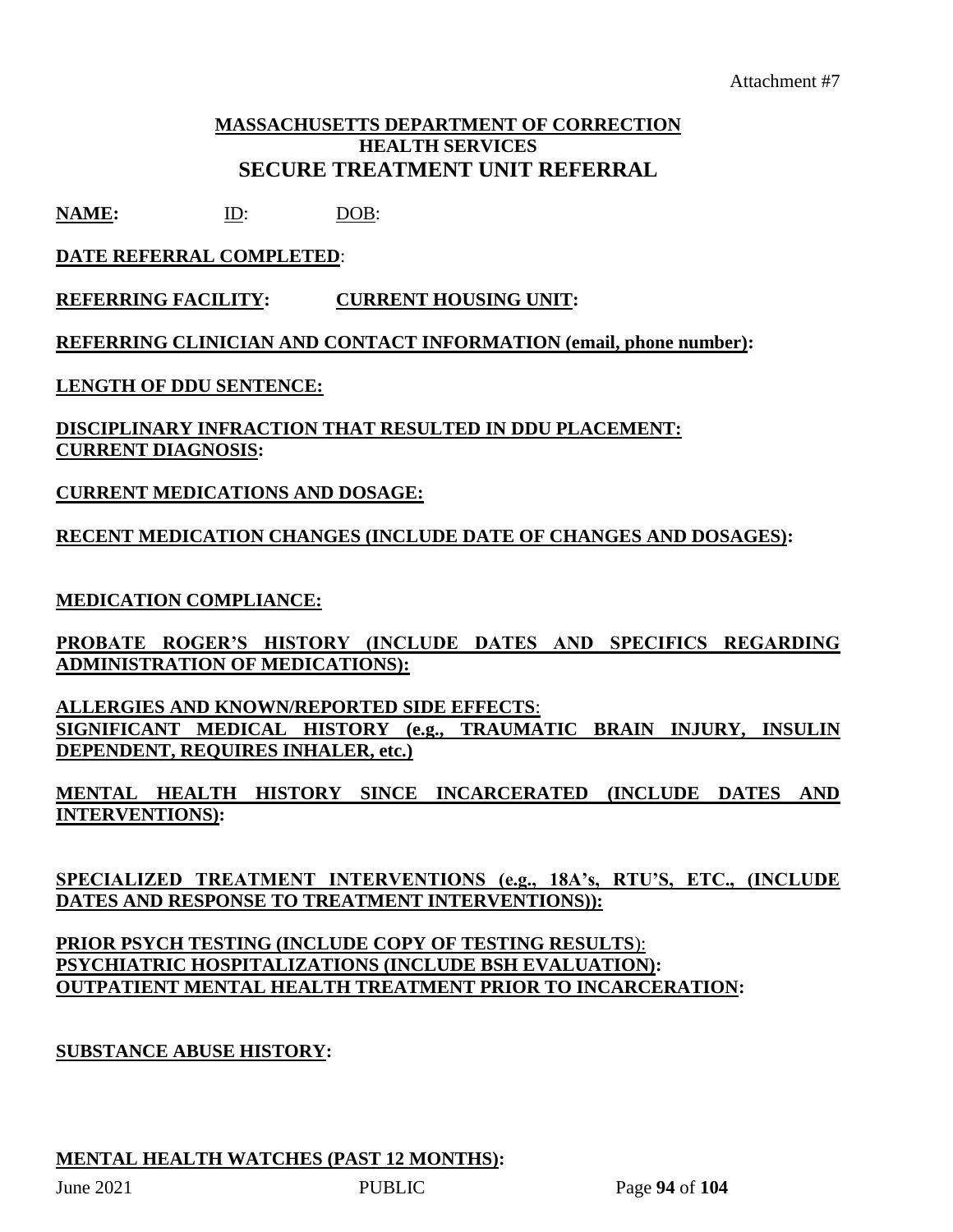## **MASSACHUSETTS DEPARTMENT OF CORRECTION HEALTH SERVICES SECURE TREATMENT UNIT REFERRAL**

**NAME:** ID: DOB:

## **DATE REFERRAL COMPLETED**:

**REFERRING FACILITY: CURRENT HOUSING UNIT:**

**REFERRING CLINICIAN AND CONTACT INFORMATION (email, phone number):**

**LENGTH OF DDU SENTENCE:** 

### **DISCIPLINARY INFRACTION THAT RESULTED IN DDU PLACEMENT: CURRENT DIAGNOSIS:**

## **CURRENT MEDICATIONS AND DOSAGE:**

## **RECENT MEDICATION CHANGES (INCLUDE DATE OF CHANGES AND DOSAGES):**

### **MEDICATION COMPLIANCE:**

**PROBATE ROGER'S HISTORY (INCLUDE DATES AND SPECIFICS REGARDING ADMINISTRATION OF MEDICATIONS):**

**ALLERGIES AND KNOWN/REPORTED SIDE EFFECTS**: **SIGNIFICANT MEDICAL HISTORY (e.g., TRAUMATIC BRAIN INJURY, INSULIN DEPENDENT, REQUIRES INHALER, etc.)** 

**MENTAL HEALTH HISTORY SINCE INCARCERATED (INCLUDE DATES AND INTERVENTIONS):**

**SPECIALIZED TREATMENT INTERVENTIONS (e.g., 18A's, RTU'S, ETC., (INCLUDE DATES AND RESPONSE TO TREATMENT INTERVENTIONS)):** 

## **PRIOR PSYCH TESTING (INCLUDE COPY OF TESTING RESULTS**): **PSYCHIATRIC HOSPITALIZATIONS (INCLUDE BSH EVALUATION): OUTPATIENT MENTAL HEALTH TREATMENT PRIOR TO INCARCERATION:**

## **SUBSTANCE ABUSE HISTORY:**

### **MENTAL HEALTH WATCHES (PAST 12 MONTHS):**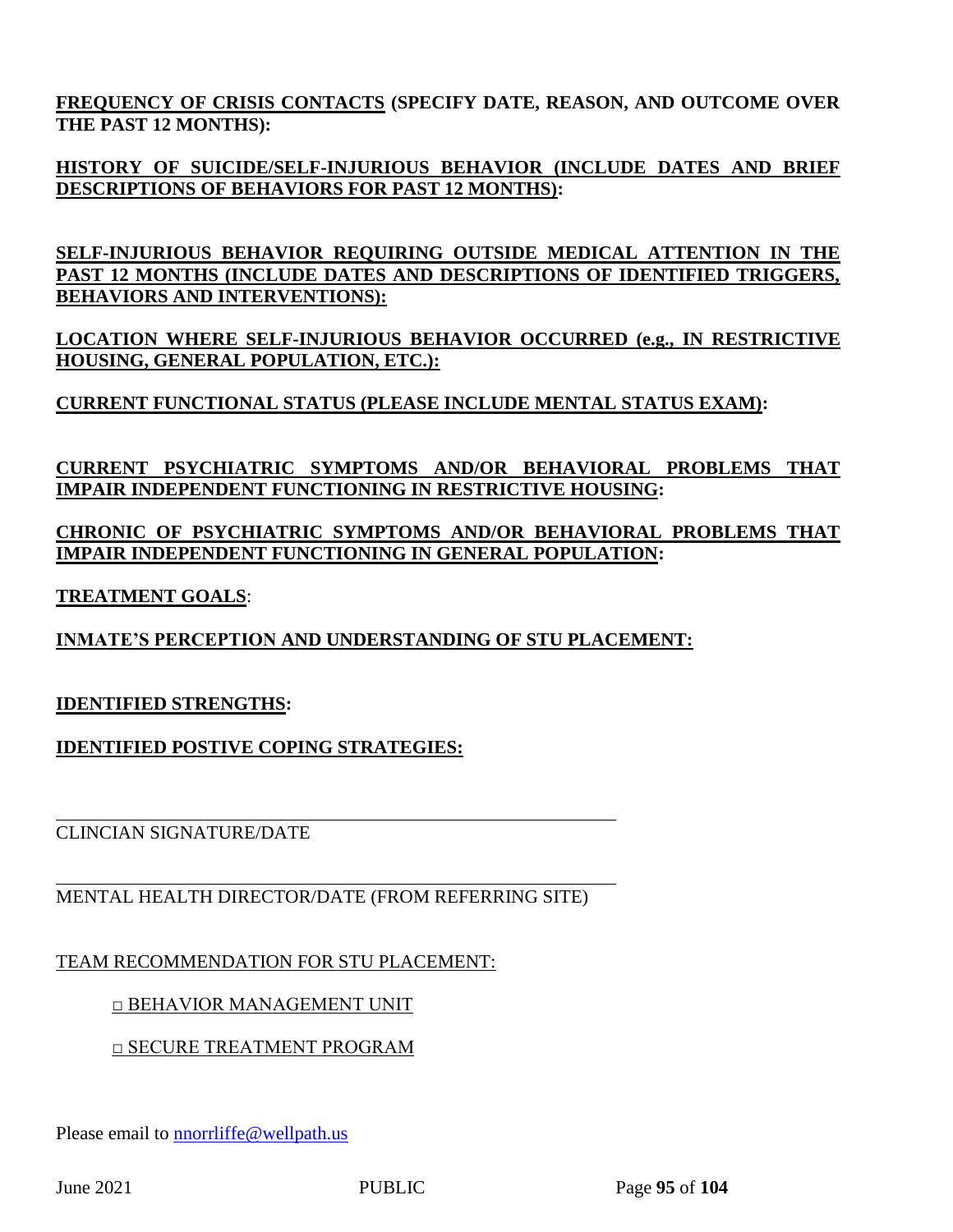**FREQUENCY OF CRISIS CONTACTS (SPECIFY DATE, REASON, AND OUTCOME OVER THE PAST 12 MONTHS):** 

**HISTORY OF SUICIDE/SELF-INJURIOUS BEHAVIOR (INCLUDE DATES AND BRIEF DESCRIPTIONS OF BEHAVIORS FOR PAST 12 MONTHS):**

**SELF-INJURIOUS BEHAVIOR REQUIRING OUTSIDE MEDICAL ATTENTION IN THE PAST 12 MONTHS (INCLUDE DATES AND DESCRIPTIONS OF IDENTIFIED TRIGGERS, BEHAVIORS AND INTERVENTIONS):** 

**LOCATION WHERE SELF-INJURIOUS BEHAVIOR OCCURRED (e.g., IN RESTRICTIVE HOUSING, GENERAL POPULATION, ETC.):** 

**CURRENT FUNCTIONAL STATUS (PLEASE INCLUDE MENTAL STATUS EXAM):**

**CURRENT PSYCHIATRIC SYMPTOMS AND/OR BEHAVIORAL PROBLEMS THAT IMPAIR INDEPENDENT FUNCTIONING IN RESTRICTIVE HOUSING:**

**CHRONIC OF PSYCHIATRIC SYMPTOMS AND/OR BEHAVIORAL PROBLEMS THAT IMPAIR INDEPENDENT FUNCTIONING IN GENERAL POPULATION:**

**TREATMENT GOALS**:

**INMATE'S PERCEPTION AND UNDERSTANDING OF STU PLACEMENT:** 

## **IDENTIFIED STRENGTHS:**

**IDENTIFIED POSTIVE COPING STRATEGIES:**

CLINCIAN SIGNATURE/DATE

MENTAL HEALTH DIRECTOR/DATE (FROM REFERRING SITE)

TEAM RECOMMENDATION FOR STU PLACEMENT:

□ BEHAVIOR MANAGEMENT UNIT

□ SECURE TREATMENT PROGRAM

Please email to **nnorrliffe@wellpath.us**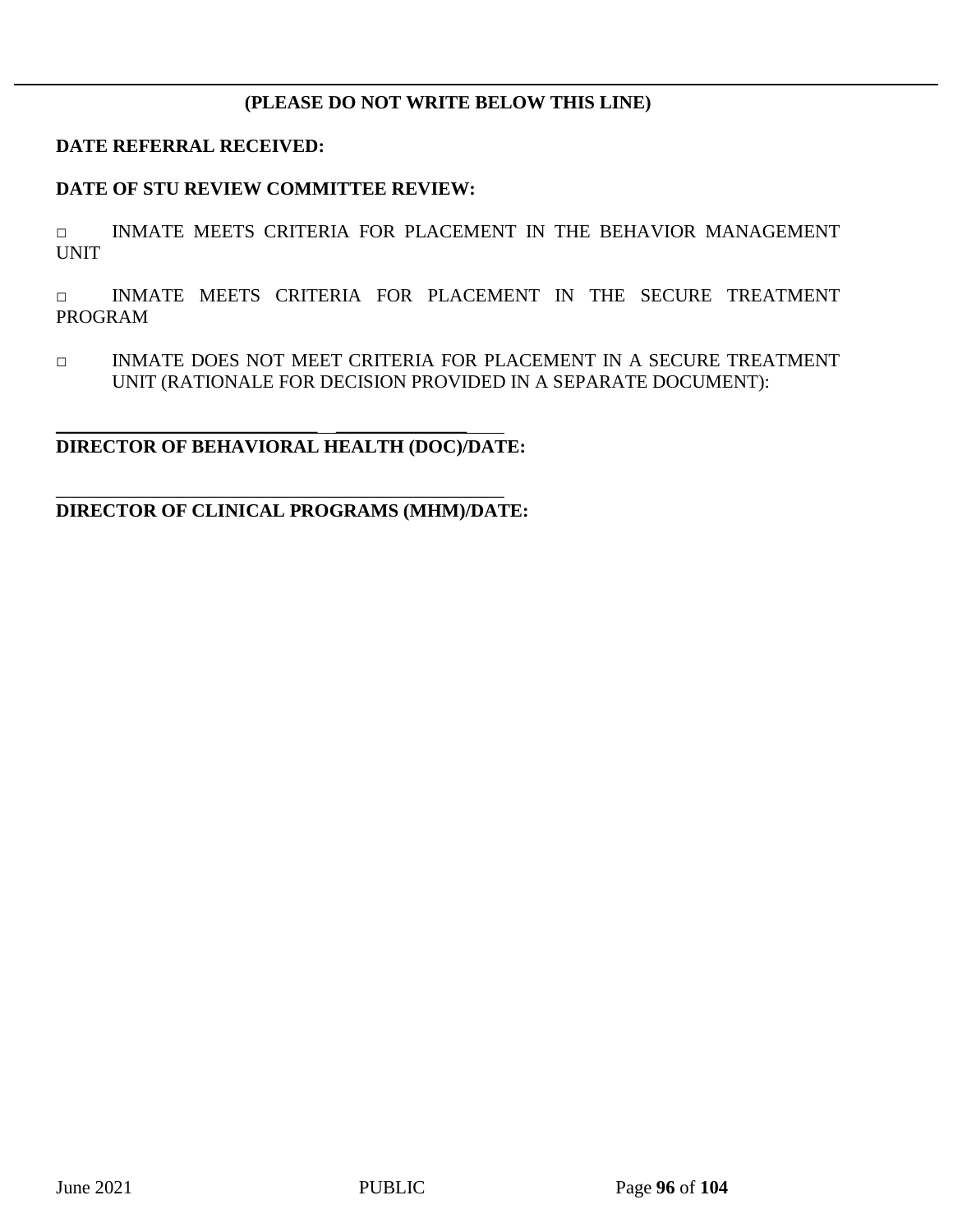## **(PLEASE DO NOT WRITE BELOW THIS LINE)**

### **DATE REFERRAL RECEIVED:**

### **DATE OF STU REVIEW COMMITTEE REVIEW:**

□ INMATE MEETS CRITERIA FOR PLACEMENT IN THE BEHAVIOR MANAGEMENT UNIT

□ INMATE MEETS CRITERIA FOR PLACEMENT IN THE SECURE TREATMENT PROGRAM

□ INMATE DOES NOT MEET CRITERIA FOR PLACEMENT IN A SECURE TREATMENT UNIT (RATIONALE FOR DECISION PROVIDED IN A SEPARATE DOCUMENT):

## **DIRECTOR OF BEHAVIORAL HEALTH (DOC)/DATE:**

\_\_\_\_\_\_\_\_\_\_\_\_\_\_\_\_\_\_\_\_\_\_\_\_\_\_\_\_ \_\_\_\_\_\_\_\_\_\_\_\_\_\_

### **DIRECTOR OF CLINICAL PROGRAMS (MHM)/DATE:**

\_\_\_\_\_\_\_\_\_\_\_\_\_\_\_\_\_\_\_\_\_\_\_\_\_\_\_\_\_\_\_\_\_\_\_\_\_\_\_\_\_\_\_\_\_\_\_\_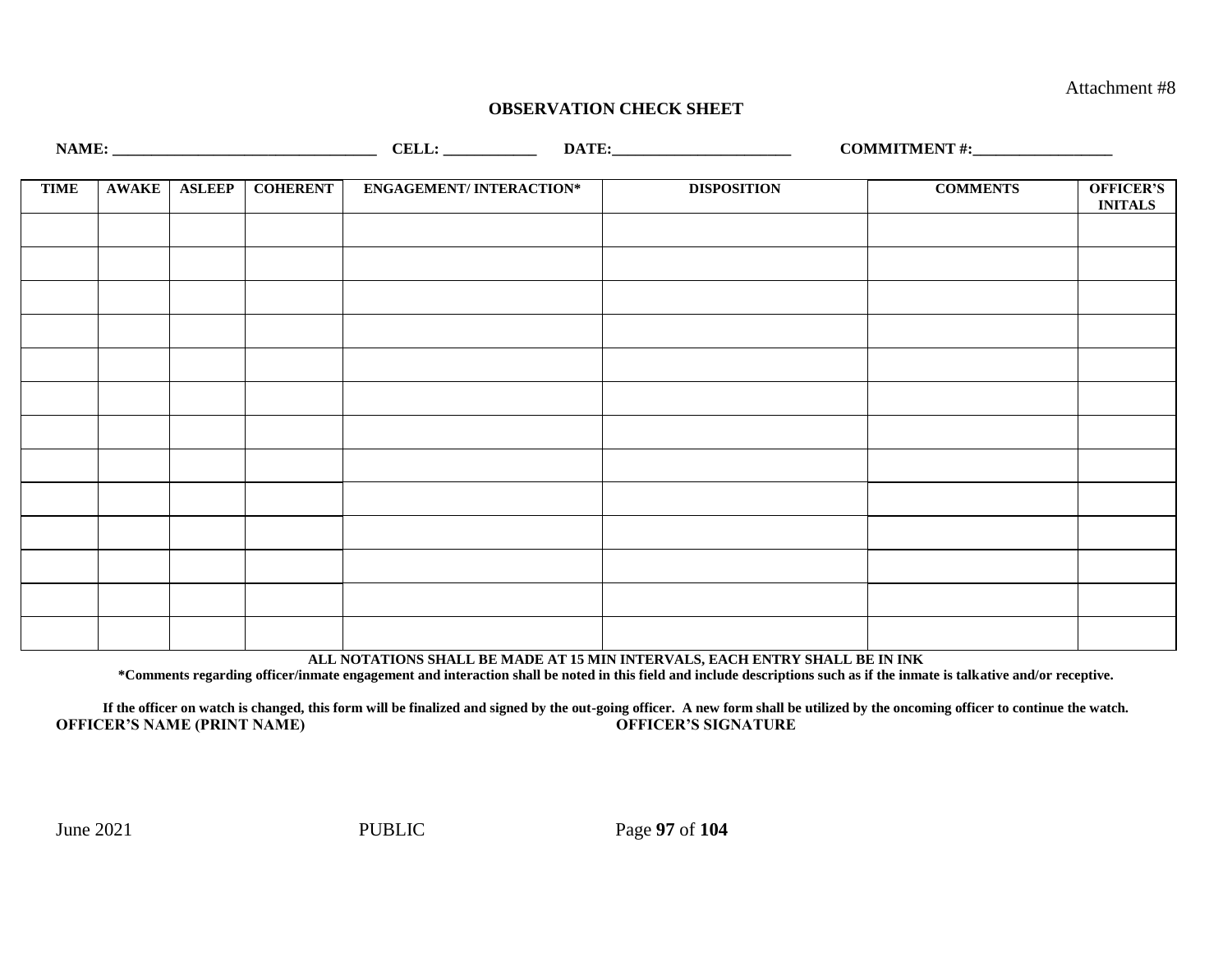Attachment #8

### **OBSERVATION CHECK SHEET**

|             |              |                 |                                |                    | COMMITMENT #: $\frac{1}{2}$ |                                    |
|-------------|--------------|-----------------|--------------------------------|--------------------|-----------------------------|------------------------------------|
|             |              |                 |                                |                    |                             |                                    |
| <b>TIME</b> | AWAKE ASLEEP | <b>COHERENT</b> | <b>ENGAGEMENT/INTERACTION*</b> | <b>DISPOSITION</b> | <b>COMMENTS</b>             | <b>OFFICER'S</b><br><b>INITALS</b> |
|             |              |                 |                                |                    |                             |                                    |
|             |              |                 |                                |                    |                             |                                    |
|             |              |                 |                                |                    |                             |                                    |
|             |              |                 |                                |                    |                             |                                    |
|             |              |                 |                                |                    |                             |                                    |
|             |              |                 |                                |                    |                             |                                    |
|             |              |                 |                                |                    |                             |                                    |
|             |              |                 |                                |                    |                             |                                    |
|             |              |                 |                                |                    |                             |                                    |
|             |              |                 |                                |                    |                             |                                    |
|             |              |                 |                                |                    |                             |                                    |
|             |              |                 |                                |                    |                             |                                    |
|             |              |                 |                                |                    |                             |                                    |

**ALL NOTATIONS SHALL BE MADE AT 15 MIN INTERVALS, EACH ENTRY SHALL BE IN INK**

**\*Comments regarding officer/inmate engagement and interaction shall be noted in this field and include descriptions such as if the inmate is talkative and/or receptive.**

**If the officer on watch is changed, this form will be finalized and signed by the out-going officer. A new form shall be utilized by the oncoming officer to continue the watch. OFFICER'S NAME (PRINT NAME) OFFICER'S SIGNATURE**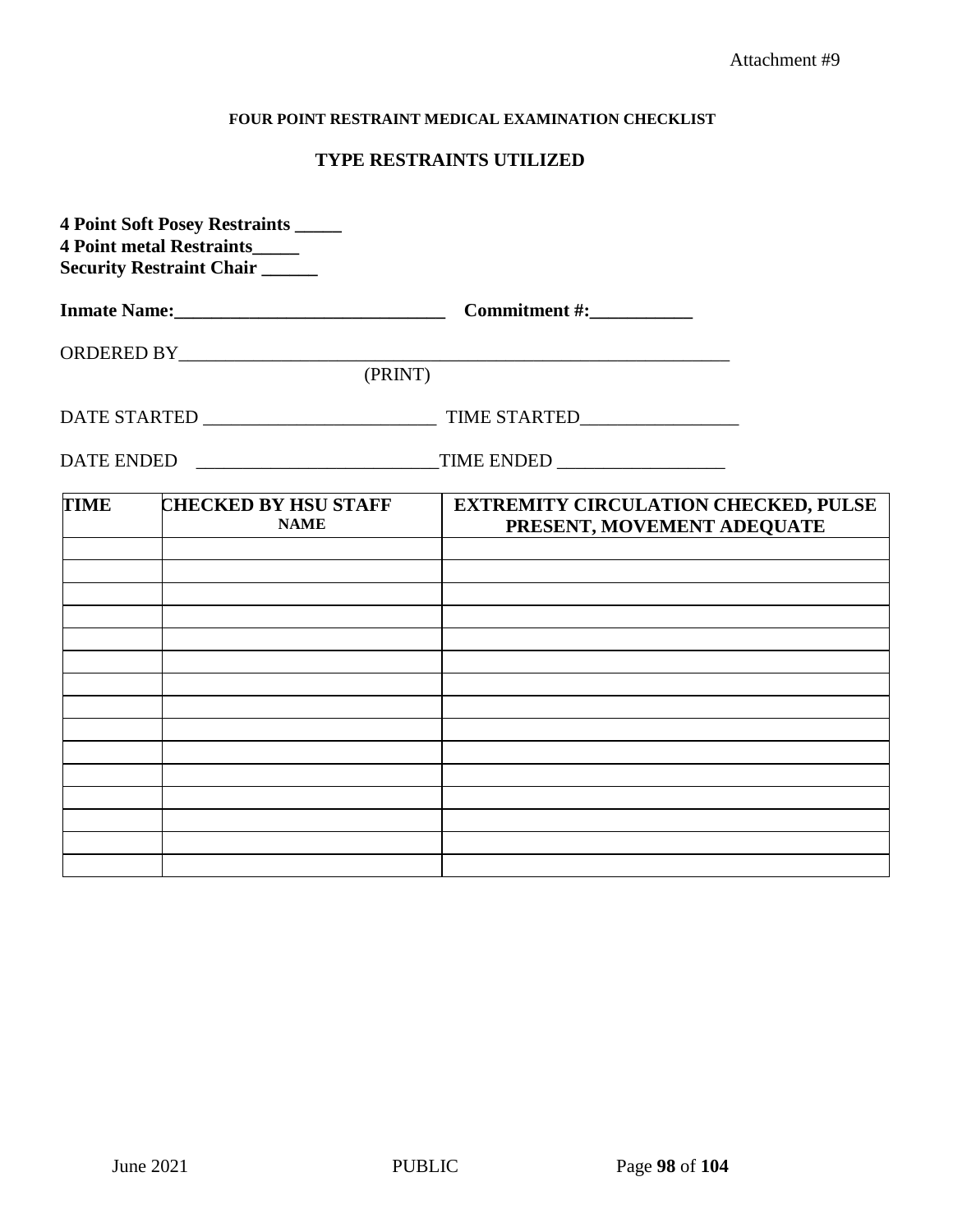### **FOUR POINT RESTRAINT MEDICAL EXAMINATION CHECKLIST**

## **TYPE RESTRAINTS UTILIZED**

| <b>4 Point Soft Posey Restraints _____</b><br>4 Point metal Restraints_____<br><b>Security Restraint Chair</b> |                                            |                                                                                                                                                                                                                                                                                                                                              |
|----------------------------------------------------------------------------------------------------------------|--------------------------------------------|----------------------------------------------------------------------------------------------------------------------------------------------------------------------------------------------------------------------------------------------------------------------------------------------------------------------------------------------|
|                                                                                                                |                                            |                                                                                                                                                                                                                                                                                                                                              |
|                                                                                                                |                                            | $\begin{picture}(180,10) \put(0,0){\line(1,0){100}} \put(10,0){\line(1,0){100}} \put(10,0){\line(1,0){100}} \put(10,0){\line(1,0){100}} \put(10,0){\line(1,0){100}} \put(10,0){\line(1,0){100}} \put(10,0){\line(1,0){100}} \put(10,0){\line(1,0){100}} \put(10,0){\line(1,0){100}} \put(10,0){\line(1,0){100}} \put(10,0){\line(1,0){100}}$ |
|                                                                                                                |                                            |                                                                                                                                                                                                                                                                                                                                              |
|                                                                                                                |                                            |                                                                                                                                                                                                                                                                                                                                              |
|                                                                                                                |                                            |                                                                                                                                                                                                                                                                                                                                              |
| <b>TIME</b>                                                                                                    | <b>CHECKED BY HSU STAFF</b><br><b>NAME</b> | <b>EXTREMITY CIRCULATION CHECKED, PULSE</b><br>PRESENT, MOVEMENT ADEQUATE                                                                                                                                                                                                                                                                    |
|                                                                                                                |                                            |                                                                                                                                                                                                                                                                                                                                              |
|                                                                                                                |                                            |                                                                                                                                                                                                                                                                                                                                              |
|                                                                                                                |                                            |                                                                                                                                                                                                                                                                                                                                              |
|                                                                                                                |                                            |                                                                                                                                                                                                                                                                                                                                              |
|                                                                                                                |                                            |                                                                                                                                                                                                                                                                                                                                              |
|                                                                                                                |                                            |                                                                                                                                                                                                                                                                                                                                              |
|                                                                                                                |                                            |                                                                                                                                                                                                                                                                                                                                              |
|                                                                                                                |                                            |                                                                                                                                                                                                                                                                                                                                              |
|                                                                                                                |                                            |                                                                                                                                                                                                                                                                                                                                              |
|                                                                                                                |                                            |                                                                                                                                                                                                                                                                                                                                              |
|                                                                                                                |                                            |                                                                                                                                                                                                                                                                                                                                              |
|                                                                                                                |                                            |                                                                                                                                                                                                                                                                                                                                              |
|                                                                                                                |                                            |                                                                                                                                                                                                                                                                                                                                              |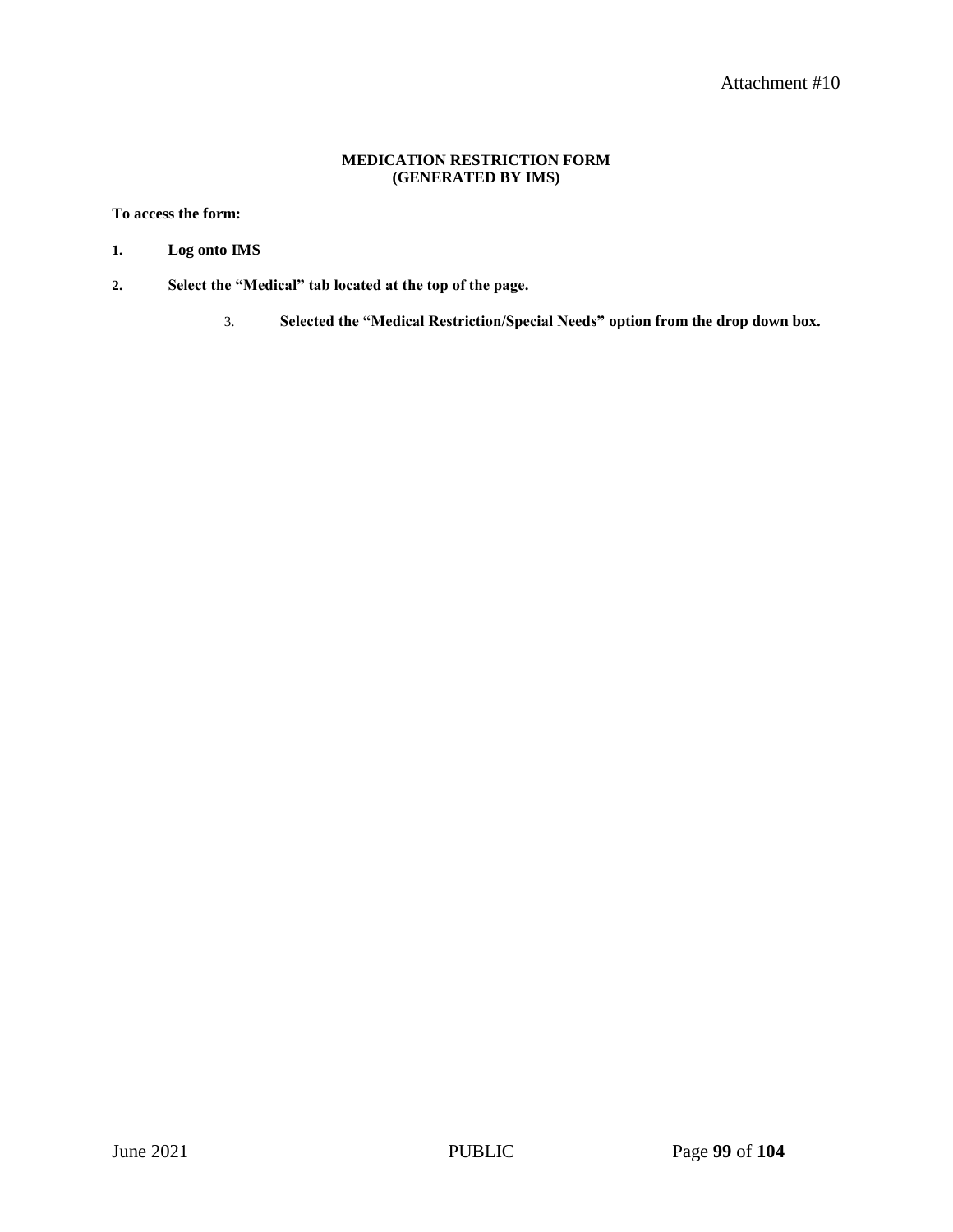#### **MEDICATION RESTRICTION FORM (GENERATED BY IMS)**

#### **To access the form:**

- **1. Log onto IMS**
- **2. Select the "Medical" tab located at the top of the page.**
	- 3. **Selected the "Medical Restriction/Special Needs" option from the drop down box.**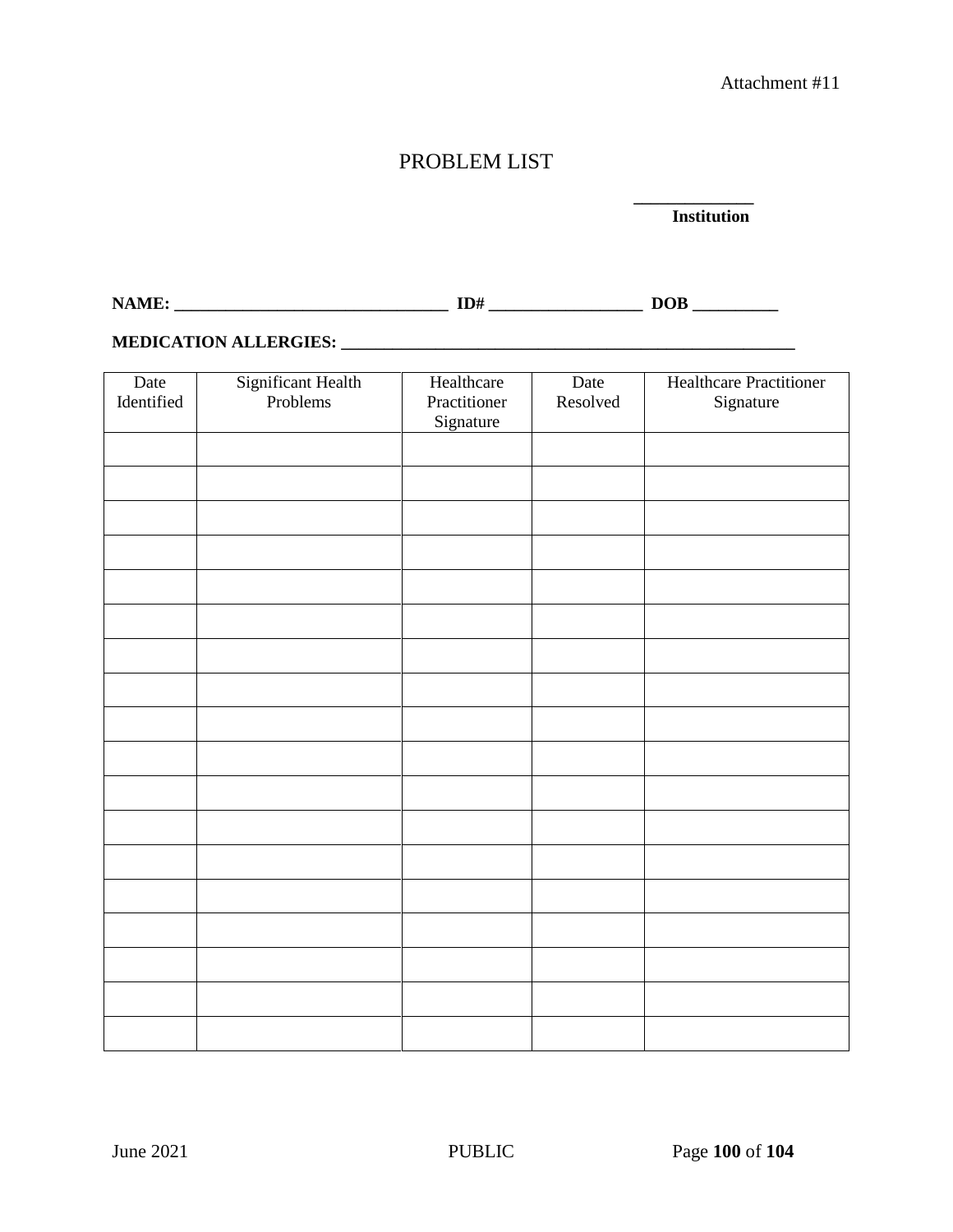# PROBLEM LIST

#### **\_\_\_\_\_\_\_\_\_\_\_\_\_\_ Institution**

**NAME: \_\_\_\_\_\_\_\_\_\_\_\_\_\_\_\_\_\_\_\_\_\_\_\_\_\_\_\_\_\_\_\_ ID# \_\_\_\_\_\_\_\_\_\_\_\_\_\_\_\_\_\_ DOB \_\_\_\_\_\_\_\_\_\_**

### **MEDICATION ALLERGIES: \_\_\_\_\_\_\_\_\_\_\_\_\_\_\_\_\_\_\_\_\_\_\_\_\_\_\_\_\_\_\_\_\_\_\_\_\_\_\_\_\_\_\_\_\_\_\_\_\_\_\_\_\_**

| Date<br>Identified | Significant Health<br>Problems | Healthcare<br>Practitioner<br>Signature | Date<br>Resolved | <b>Healthcare Practitioner</b><br>Signature |
|--------------------|--------------------------------|-----------------------------------------|------------------|---------------------------------------------|
|                    |                                |                                         |                  |                                             |
|                    |                                |                                         |                  |                                             |
|                    |                                |                                         |                  |                                             |
|                    |                                |                                         |                  |                                             |
|                    |                                |                                         |                  |                                             |
|                    |                                |                                         |                  |                                             |
|                    |                                |                                         |                  |                                             |
|                    |                                |                                         |                  |                                             |
|                    |                                |                                         |                  |                                             |
|                    |                                |                                         |                  |                                             |
|                    |                                |                                         |                  |                                             |
|                    |                                |                                         |                  |                                             |
|                    |                                |                                         |                  |                                             |
|                    |                                |                                         |                  |                                             |
|                    |                                |                                         |                  |                                             |
|                    |                                |                                         |                  |                                             |
|                    |                                |                                         |                  |                                             |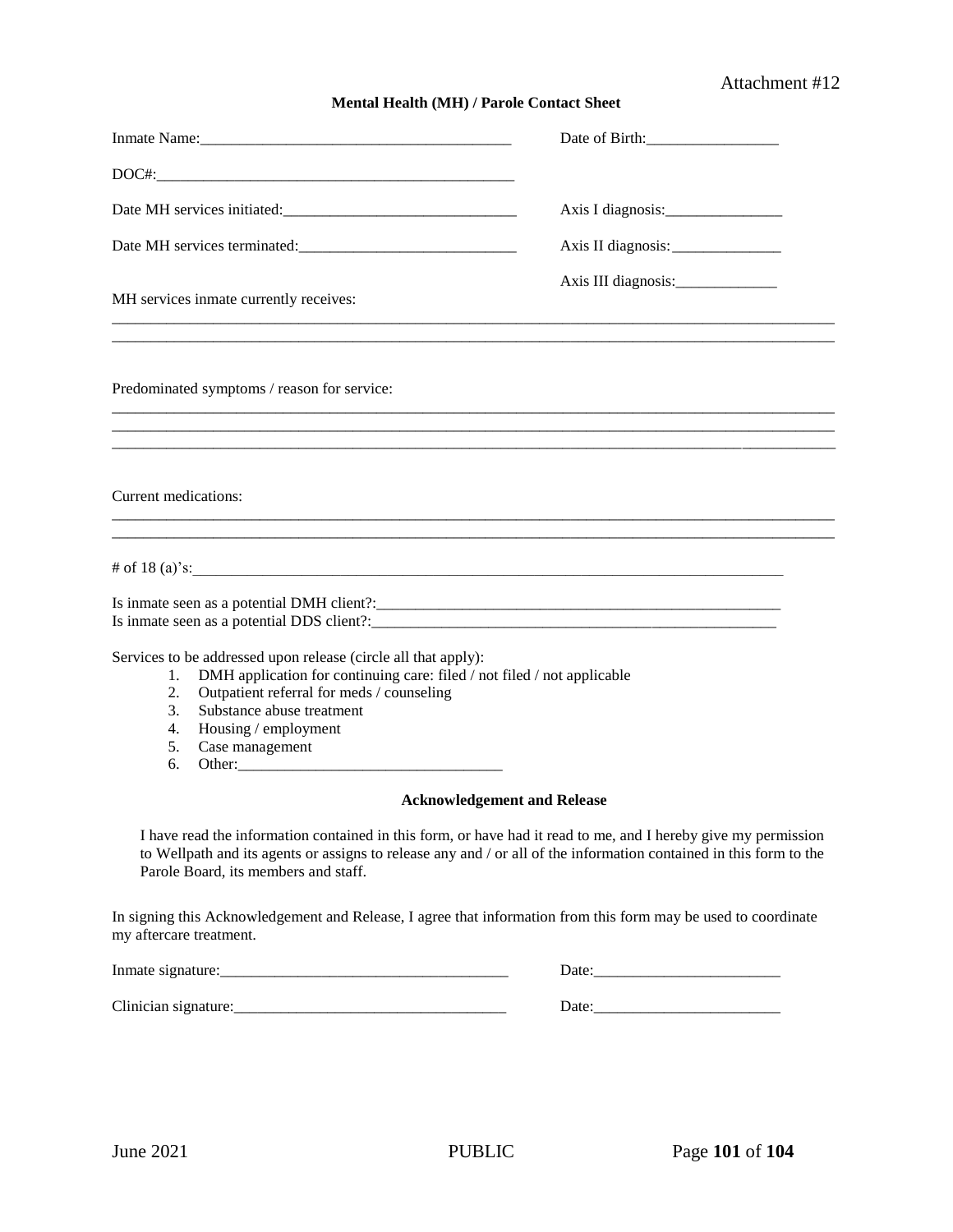## Attachment #12

#### **Mental Health (MH) / Parole Contact Sheet**

|                                                                                                                                                                                                                                                                                                    | Date of Birth: 1988 |
|----------------------------------------------------------------------------------------------------------------------------------------------------------------------------------------------------------------------------------------------------------------------------------------------------|---------------------|
|                                                                                                                                                                                                                                                                                                    |                     |
| Date MH services initiated:                                                                                                                                                                                                                                                                        |                     |
|                                                                                                                                                                                                                                                                                                    | Axis II diagnosis:  |
| MH services inmate currently receives:                                                                                                                                                                                                                                                             |                     |
| Predominated symptoms / reason for service:                                                                                                                                                                                                                                                        |                     |
|                                                                                                                                                                                                                                                                                                    |                     |
| Current medications:                                                                                                                                                                                                                                                                               |                     |
|                                                                                                                                                                                                                                                                                                    |                     |
| $\#$ of 18 (a)'s:                                                                                                                                                                                                                                                                                  |                     |
|                                                                                                                                                                                                                                                                                                    |                     |
| Services to be addressed upon release (circle all that apply):<br>DMH application for continuing care: filed / not filed / not applicable<br>1.<br>Outpatient referral for meds / counseling<br>2.<br>Substance abuse treatment<br>3.<br>Housing / employment<br>4.<br>Case management<br>5.<br>6. |                     |
| <b>Acknowledgement and Release</b>                                                                                                                                                                                                                                                                 |                     |
| I have read the information contained in this form, or have had it read to me, and I hereby give my permission<br>to Wellpath and its agents or assigns to release any and / or all of the information contained in this form to the<br>Parole Board, its members and staff.                       |                     |
| In signing this Acknowledgement and Release, I agree that information from this form may be used to coordinate<br>my aftercare treatment.                                                                                                                                                          |                     |
|                                                                                                                                                                                                                                                                                                    |                     |
|                                                                                                                                                                                                                                                                                                    |                     |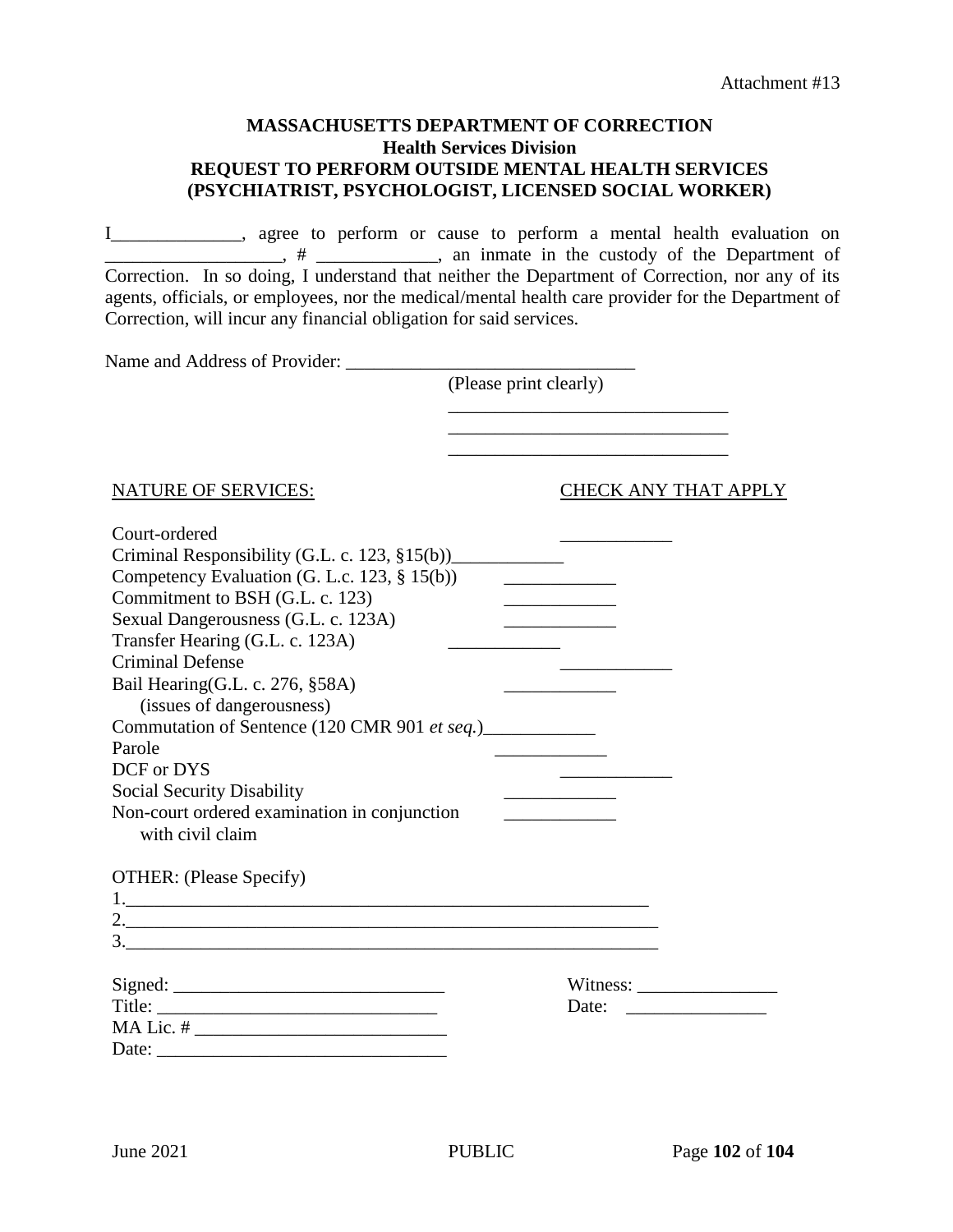### **MASSACHUSETTS DEPARTMENT OF CORRECTION Health Services Division REQUEST TO PERFORM OUTSIDE MENTAL HEALTH SERVICES (PSYCHIATRIST, PSYCHOLOGIST, LICENSED SOCIAL WORKER)**

I\_\_\_\_\_\_\_\_\_\_\_\_\_\_, agree to perform or cause to perform a mental health evaluation on <sup>1</sup>/<sub>1</sub> + <sup>1</sup>/<sub>2</sub> + <sup>1</sup>/<sub>2</sub> + <sup>1</sup>/<sub>2</sub> + <sup>1</sup>/<sub>2</sub> + <sup>1</sup>/<sub>2</sub> + <sup>1</sup>/<sub>3</sub> + <sup>1</sup>/<sub>2</sub> + <sup>1</sup>/<sub>3</sub> + <sup>1</sup>/<sub>2</sub> + <sup>1</sup>/<sub>3</sub> + <sup>1</sup>/<sub>2</sub> + <sup>1</sup>/<sub>3</sub> + <sup>1</sup>/<sub>3</sub> + <sup>1</sup>/<sub>3</sub> + <sup>1</sup>/<sub>3</sub> + <sup>1</sup>/<sub>3</sub> + <sup>1</sup>/<sub>3</sub> + <sup>1</sup>/<sub>3</sub> + <sup>1</sup>/<sub>3</sub> + <sup>1</sup>/<sub>3</sub> + <sup>1</sup>/<sub>3</sub> + <sup>1</sup> Correction. In so doing, I understand that neither the Department of Correction, nor any of its agents, officials, or employees, nor the medical/mental health care provider for the Department of Correction, will incur any financial obligation for said services.

Name and Address of Provider:

(Please print clearly)

 $\frac{1}{2}$  ,  $\frac{1}{2}$  ,  $\frac{1}{2}$  ,  $\frac{1}{2}$  ,  $\frac{1}{2}$  ,  $\frac{1}{2}$  ,  $\frac{1}{2}$  ,  $\frac{1}{2}$  ,  $\frac{1}{2}$  ,  $\frac{1}{2}$  ,  $\frac{1}{2}$  ,  $\frac{1}{2}$  ,  $\frac{1}{2}$  ,  $\frac{1}{2}$  ,  $\frac{1}{2}$  ,  $\frac{1}{2}$  ,  $\frac{1}{2}$  ,  $\frac{1}{2}$  ,  $\frac{1$ 

\_\_\_\_\_\_\_\_\_\_\_\_\_\_\_\_\_\_\_\_\_\_\_\_\_\_\_\_\_\_

NATURE OF SERVICES: CHECK ANY THAT APPLY

| Court-ordered                                              |                                                                                                                                                                                                                                                                                                                                                                                                             |  |
|------------------------------------------------------------|-------------------------------------------------------------------------------------------------------------------------------------------------------------------------------------------------------------------------------------------------------------------------------------------------------------------------------------------------------------------------------------------------------------|--|
| Criminal Responsibility (G.L. c. 123, $\S15(b)$ )          |                                                                                                                                                                                                                                                                                                                                                                                                             |  |
| Competency Evaluation (G. L.c. 123, § 15(b))               |                                                                                                                                                                                                                                                                                                                                                                                                             |  |
| Commitment to BSH (G.L. c. 123)                            | <u> 1990 - Johann Barbara, martxa al</u>                                                                                                                                                                                                                                                                                                                                                                    |  |
| Sexual Dangerousness (G.L. c. 123A)                        | <u> 1989 - Johann Barbara, martin a</u>                                                                                                                                                                                                                                                                                                                                                                     |  |
| Transfer Hearing (G.L. c. 123A)                            |                                                                                                                                                                                                                                                                                                                                                                                                             |  |
| <b>Criminal Defense</b>                                    |                                                                                                                                                                                                                                                                                                                                                                                                             |  |
| Bail Hearing(G.L. c. 276, §58A)                            | <u> 1990 - Johann Barbara, martin a</u>                                                                                                                                                                                                                                                                                                                                                                     |  |
| (issues of dangerousness)                                  |                                                                                                                                                                                                                                                                                                                                                                                                             |  |
| Commutation of Sentence (120 CMR 901 et seq.)_____________ |                                                                                                                                                                                                                                                                                                                                                                                                             |  |
| Parole                                                     |                                                                                                                                                                                                                                                                                                                                                                                                             |  |
| DCF or DYS                                                 |                                                                                                                                                                                                                                                                                                                                                                                                             |  |
| Social Security Disability                                 |                                                                                                                                                                                                                                                                                                                                                                                                             |  |
| Non-court ordered examination in conjunction               |                                                                                                                                                                                                                                                                                                                                                                                                             |  |
| with civil claim                                           |                                                                                                                                                                                                                                                                                                                                                                                                             |  |
| OTHER: (Please Specify)                                    |                                                                                                                                                                                                                                                                                                                                                                                                             |  |
|                                                            |                                                                                                                                                                                                                                                                                                                                                                                                             |  |
|                                                            |                                                                                                                                                                                                                                                                                                                                                                                                             |  |
|                                                            |                                                                                                                                                                                                                                                                                                                                                                                                             |  |
|                                                            |                                                                                                                                                                                                                                                                                                                                                                                                             |  |
|                                                            | Witness: $\frac{1}{\sqrt{1-\frac{1}{2}}\sqrt{1-\frac{1}{2}}\sqrt{1-\frac{1}{2}}\sqrt{1-\frac{1}{2}}\sqrt{1-\frac{1}{2}}\sqrt{1-\frac{1}{2}}\sqrt{1-\frac{1}{2}}\sqrt{1-\frac{1}{2}}\sqrt{1-\frac{1}{2}}\sqrt{1-\frac{1}{2}}\sqrt{1-\frac{1}{2}}\sqrt{1-\frac{1}{2}}\sqrt{1-\frac{1}{2}}\sqrt{1-\frac{1}{2}}\sqrt{1-\frac{1}{2}}\sqrt{1-\frac{1}{2}}\sqrt{1-\frac{1}{2}}\sqrt{1-\frac{1}{2}}\sqrt{1-\frac{1$ |  |
|                                                            | Date: $\qquad \qquad$                                                                                                                                                                                                                                                                                                                                                                                       |  |
|                                                            |                                                                                                                                                                                                                                                                                                                                                                                                             |  |
|                                                            |                                                                                                                                                                                                                                                                                                                                                                                                             |  |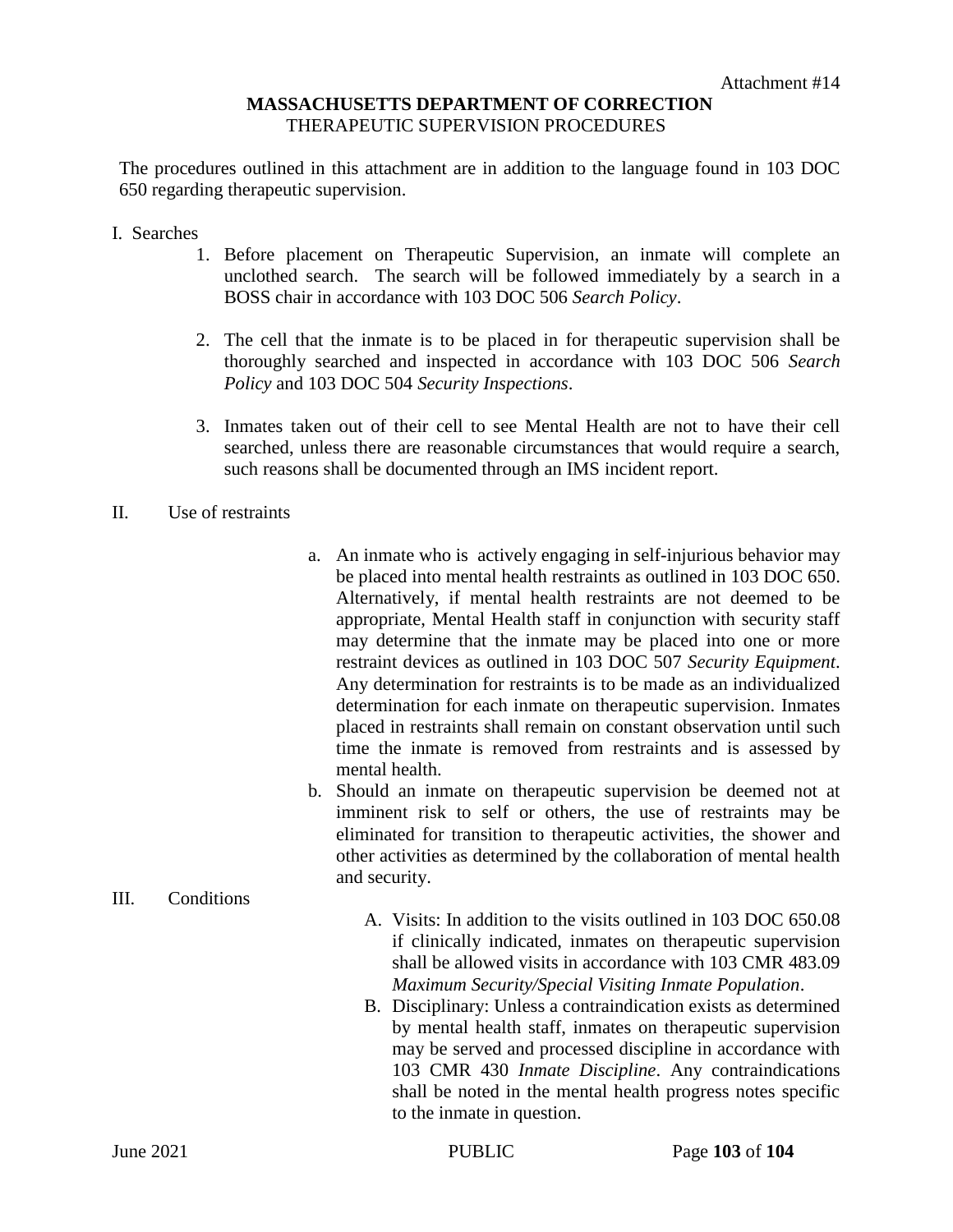### **MASSACHUSETTS DEPARTMENT OF CORRECTION** THERAPEUTIC SUPERVISION PROCEDURES

The procedures outlined in this attachment are in addition to the language found in 103 DOC 650 regarding therapeutic supervision.

- I. Searches
	- 1. Before placement on Therapeutic Supervision, an inmate will complete an unclothed search. The search will be followed immediately by a search in a BOSS chair in accordance with 103 DOC 506 *Search Policy*.
	- 2. The cell that the inmate is to be placed in for therapeutic supervision shall be thoroughly searched and inspected in accordance with 103 DOC 506 *Search Policy* and 103 DOC 504 *Security Inspections*.
	- 3. Inmates taken out of their cell to see Mental Health are not to have their cell searched, unless there are reasonable circumstances that would require a search, such reasons shall be documented through an IMS incident report.
- II. Use of restraints
- a. An inmate who is actively engaging in self-injurious behavior may be placed into mental health restraints as outlined in 103 DOC 650. Alternatively, if mental health restraints are not deemed to be appropriate, Mental Health staff in conjunction with security staff may determine that the inmate may be placed into one or more restraint devices as outlined in 103 DOC 507 *Security Equipment*. Any determination for restraints is to be made as an individualized determination for each inmate on therapeutic supervision. Inmates placed in restraints shall remain on constant observation until such time the inmate is removed from restraints and is assessed by mental health.
- b. Should an inmate on therapeutic supervision be deemed not at imminent risk to self or others, the use of restraints may be eliminated for transition to therapeutic activities, the shower and other activities as determined by the collaboration of mental health and security.
- III. Conditions
- A. Visits: In addition to the visits outlined in 103 DOC 650.08 if clinically indicated, inmates on therapeutic supervision shall be allowed visits in accordance with 103 CMR 483.09 *Maximum Security/Special Visiting Inmate Population*.
- B. Disciplinary: Unless a contraindication exists as determined by mental health staff, inmates on therapeutic supervision may be served and processed discipline in accordance with 103 CMR 430 *Inmate Discipline*. Any contraindications shall be noted in the mental health progress notes specific to the inmate in question.